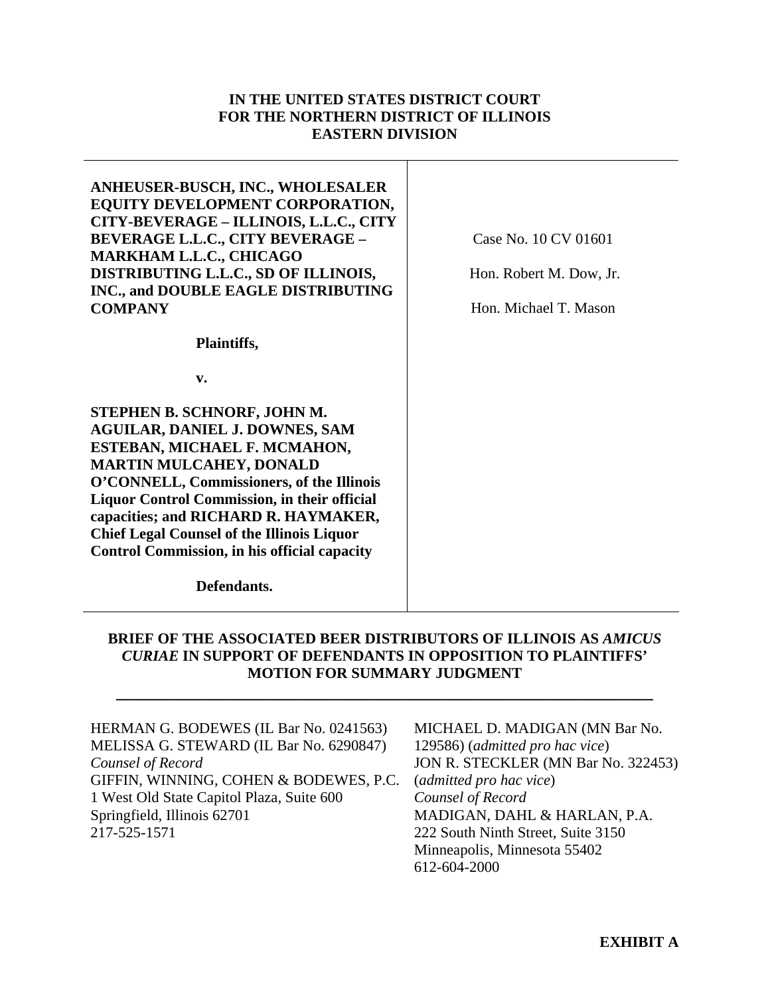# **IN THE UNITED STATES DISTRICT COURT FOR THE NORTHERN DISTRICT OF ILLINOIS EASTERN DIVISION**

**ANHEUSER-BUSCH, INC., WHOLESALER EQUITY DEVELOPMENT CORPORATION, CITY-BEVERAGE – ILLINOIS, L.L.C., CITY BEVERAGE L.L.C., CITY BEVERAGE – MARKHAM L.L.C., CHICAGO DISTRIBUTING L.L.C., SD OF ILLINOIS, INC., and DOUBLE EAGLE DISTRIBUTING COMPANY** 

 **Plaintiffs,** 

**v.** 

**STEPHEN B. SCHNORF, JOHN M. AGUILAR, DANIEL J. DOWNES, SAM ESTEBAN, MICHAEL F. MCMAHON, MARTIN MULCAHEY, DONALD O'CONNELL, Commissioners, of the Illinois Liquor Control Commission, in their official capacities; and RICHARD R. HAYMAKER, Chief Legal Counsel of the Illinois Liquor Control Commission, in his official capacity** 

Case No. 10 CV 01601

Hon. Robert M. Dow, Jr.

Hon. Michael T. Mason

# **Defendants.**

# **BRIEF OF THE ASSOCIATED BEER DISTRIBUTORS OF ILLINOIS AS** *AMICUS CURIAE* **IN SUPPORT OF DEFENDANTS IN OPPOSITION TO PLAINTIFFS' MOTION FOR SUMMARY JUDGMENT**

**\_\_\_\_\_\_\_\_\_\_\_\_\_\_\_\_\_\_\_\_\_\_\_\_\_\_\_\_\_\_\_\_\_\_\_\_\_\_\_\_\_\_\_\_\_\_\_\_\_\_\_\_\_\_\_\_\_\_\_\_\_** 

| HERMAN G. BODEWES (IL Bar No. 0241563)    | MICHAEL D. MADIGAN (MN Bar No.      |
|-------------------------------------------|-------------------------------------|
| MELISSA G. STEWARD (IL Bar No. 6290847)   | 129586) (admitted pro hac vice)     |
| Counsel of Record                         | JON R. STECKLER (MN Bar No. 322453) |
| GIFFIN, WINNING, COHEN & BODEWES, P.C.    | (admitted pro hac vice)             |
| 1 West Old State Capitol Plaza, Suite 600 | Counsel of Record                   |
| Springfield, Illinois 62701               | MADIGAN, DAHL & HARLAN, P.A.        |
| 217-525-1571                              | 222 South Ninth Street, Suite 3150  |
|                                           | Minneapolis, Minnesota 55402        |
|                                           | 612-604-2000                        |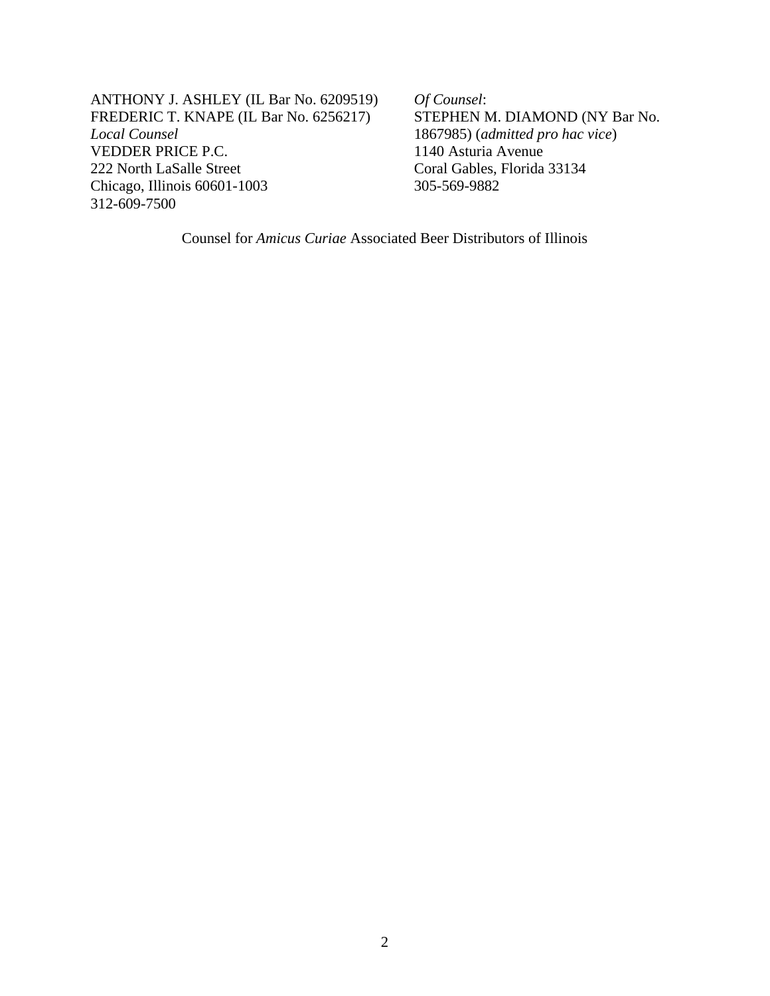ANTHONY J. ASHLEY (IL Bar No. 6209519) FREDERIC T. KNAPE (IL Bar No. 6256217) *Local Counsel* VEDDER PRICE P.C. 222 North LaSalle Street Chicago, Illinois 60601-1003 312-609-7500

*Of Counsel*: STEPHEN M. DIAMOND (NY Bar No. 1867985) (*admitted pro hac vice*) 1140 Asturia Avenue Coral Gables, Florida 33134 305-569-9882

Counsel for *Amicus Curiae* Associated Beer Distributors of Illinois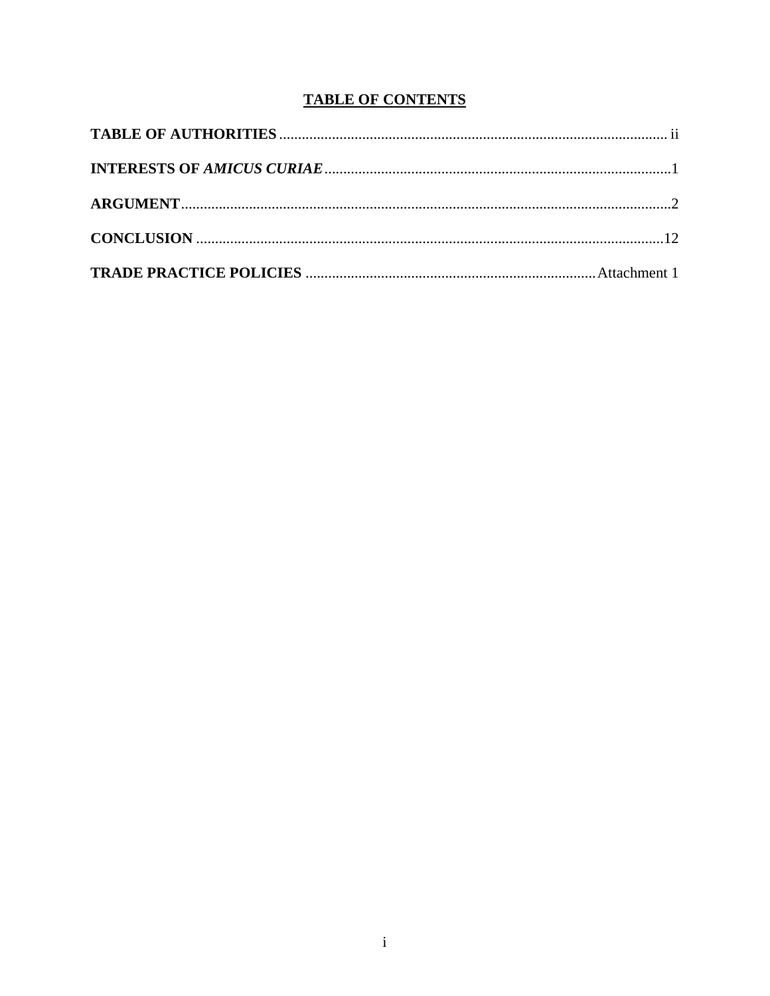# **TABLE OF CONTENTS**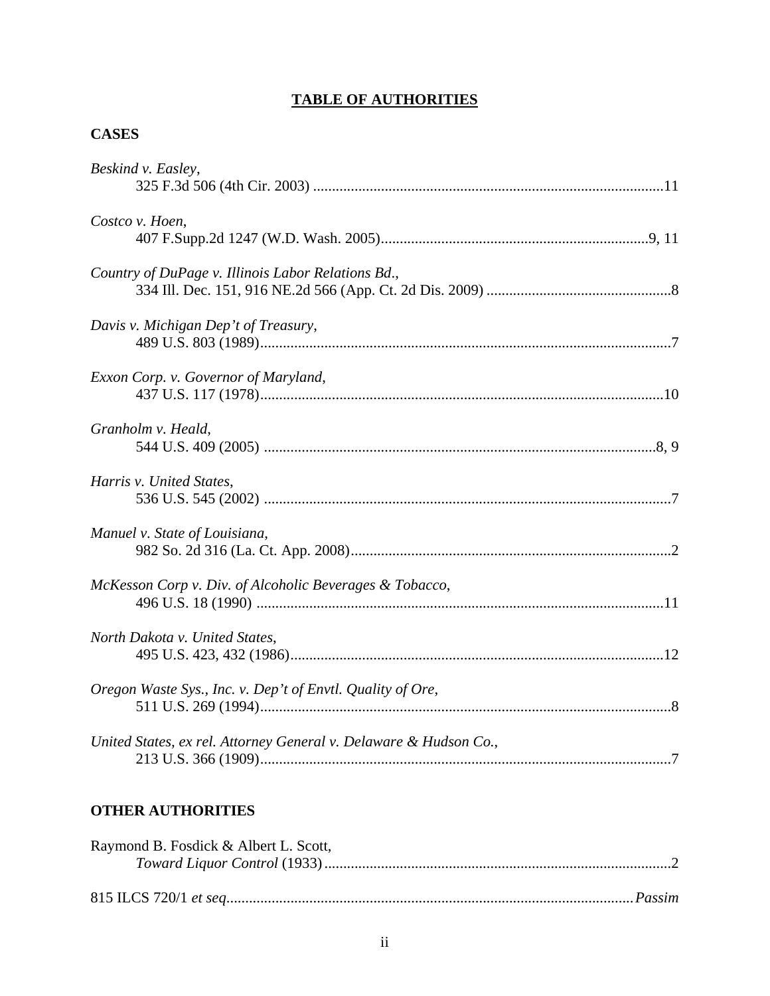# **TABLE OF AUTHORITIES**

# **CASES**

| Beskind v. Easley,                                                |
|-------------------------------------------------------------------|
| Costco v. Hoen,                                                   |
| Country of DuPage v. Illinois Labor Relations Bd.,                |
| Davis v. Michigan Dep't of Treasury,                              |
| Exxon Corp. v. Governor of Maryland,                              |
| Granholm v. Heald,                                                |
| Harris v. United States,                                          |
| Manuel v. State of Louisiana,                                     |
| McKesson Corp v. Div. of Alcoholic Beverages & Tobacco,           |
| North Dakota v. United States,                                    |
| Oregon Waste Sys., Inc. v. Dep't of Envtl. Quality of Ore,        |
| United States, ex rel. Attorney General v. Delaware & Hudson Co., |

# **OTHER AUTHORITIES**

| Raymond B. Fosdick & Albert L. Scott, |  |
|---------------------------------------|--|
|                                       |  |
|                                       |  |
|                                       |  |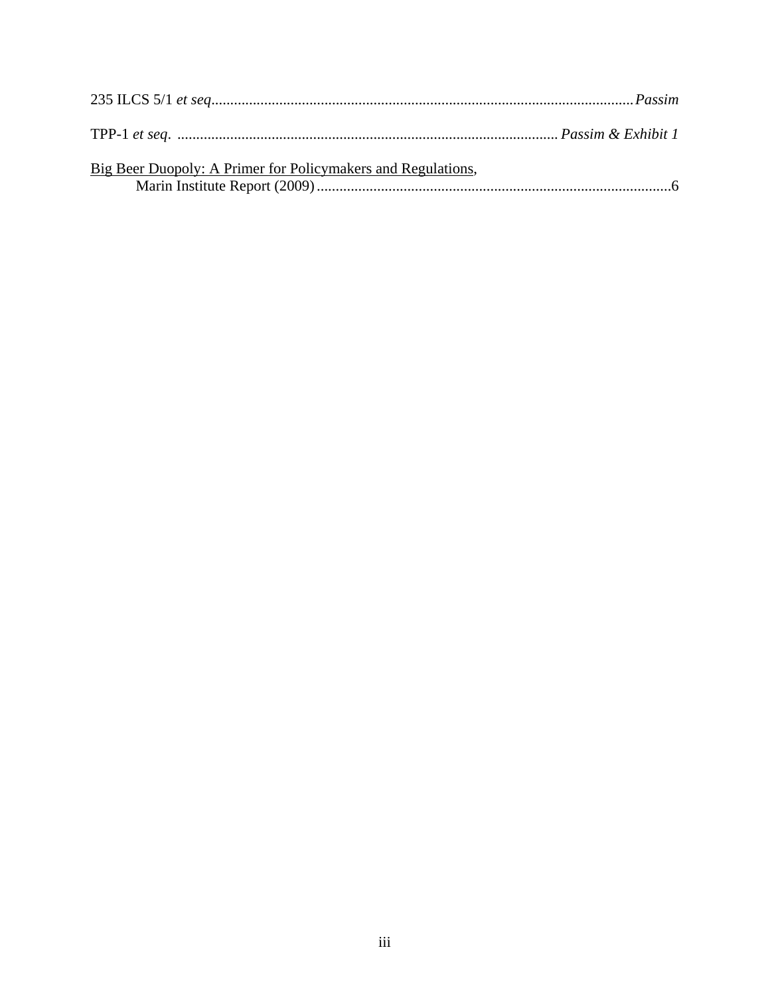| Big Beer Duopoly: A Primer for Policymakers and Regulations, |  |
|--------------------------------------------------------------|--|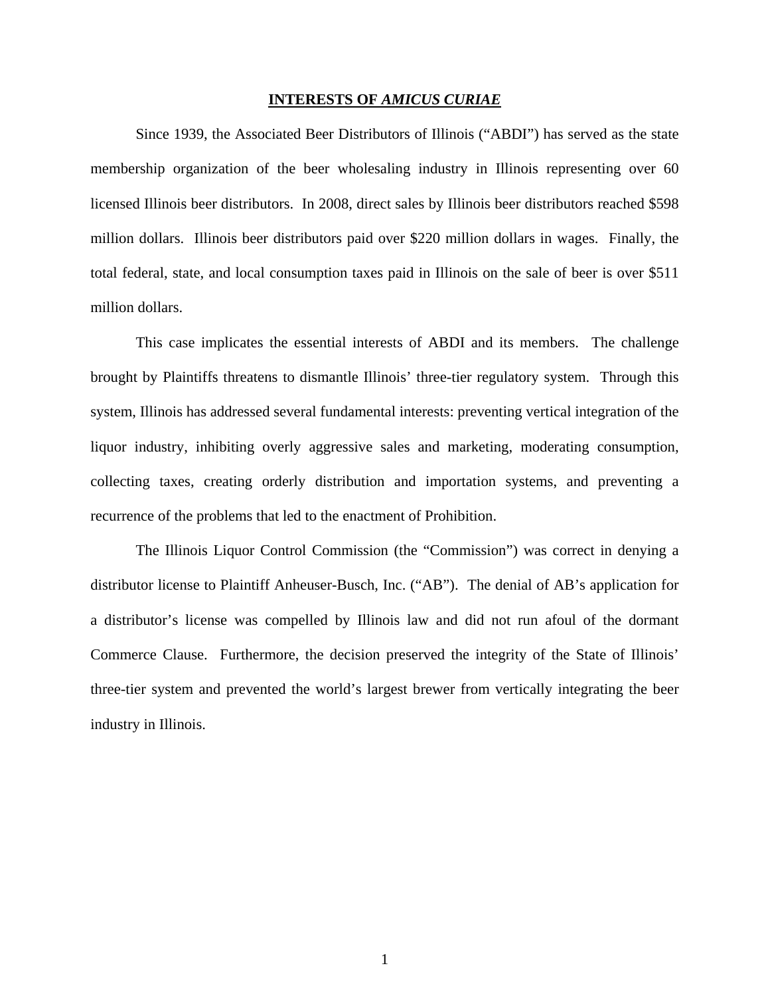# **INTERESTS OF** *AMICUS CURIAE*

Since 1939, the Associated Beer Distributors of Illinois ("ABDI") has served as the state membership organization of the beer wholesaling industry in Illinois representing over 60 licensed Illinois beer distributors. In 2008, direct sales by Illinois beer distributors reached \$598 million dollars. Illinois beer distributors paid over \$220 million dollars in wages. Finally, the total federal, state, and local consumption taxes paid in Illinois on the sale of beer is over \$511 million dollars.

This case implicates the essential interests of ABDI and its members. The challenge brought by Plaintiffs threatens to dismantle Illinois' three-tier regulatory system. Through this system, Illinois has addressed several fundamental interests: preventing vertical integration of the liquor industry, inhibiting overly aggressive sales and marketing, moderating consumption, collecting taxes, creating orderly distribution and importation systems, and preventing a recurrence of the problems that led to the enactment of Prohibition.

The Illinois Liquor Control Commission (the "Commission") was correct in denying a distributor license to Plaintiff Anheuser-Busch, Inc. ("AB"). The denial of AB's application for a distributor's license was compelled by Illinois law and did not run afoul of the dormant Commerce Clause. Furthermore, the decision preserved the integrity of the State of Illinois' three-tier system and prevented the world's largest brewer from vertically integrating the beer industry in Illinois.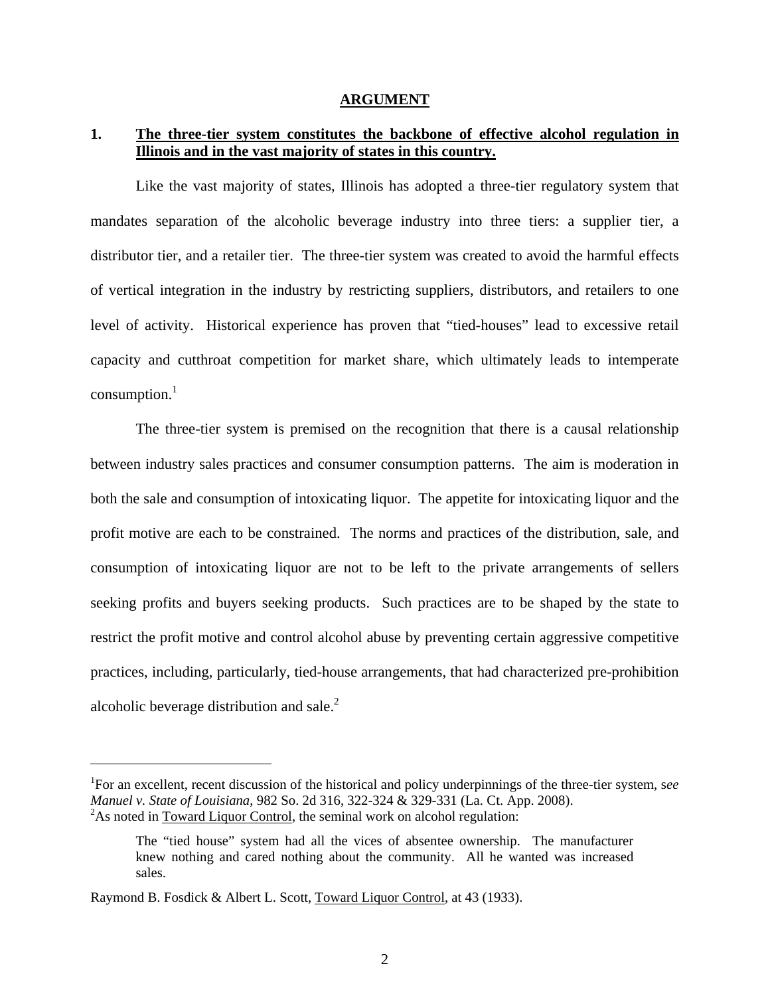# **ARGUMENT**

# **1. The three-tier system constitutes the backbone of effective alcohol regulation in Illinois and in the vast majority of states in this country.**

 Like the vast majority of states, Illinois has adopted a three-tier regulatory system that mandates separation of the alcoholic beverage industry into three tiers: a supplier tier, a distributor tier, and a retailer tier. The three-tier system was created to avoid the harmful effects of vertical integration in the industry by restricting suppliers, distributors, and retailers to one level of activity. Historical experience has proven that "tied-houses" lead to excessive retail capacity and cutthroat competition for market share, which ultimately leads to intemperate consumption. $<sup>1</sup>$ </sup>

 The three-tier system is premised on the recognition that there is a causal relationship between industry sales practices and consumer consumption patterns. The aim is moderation in both the sale and consumption of intoxicating liquor. The appetite for intoxicating liquor and the profit motive are each to be constrained. The norms and practices of the distribution, sale, and consumption of intoxicating liquor are not to be left to the private arrangements of sellers seeking profits and buyers seeking products. Such practices are to be shaped by the state to restrict the profit motive and control alcohol abuse by preventing certain aggressive competitive practices, including, particularly, tied-house arrangements, that had characterized pre-prohibition alcoholic beverage distribution and sale.<sup>2</sup>

<sup>1</sup> For an excellent, recent discussion of the historical and policy underpinnings of the three-tier system, s*ee Manuel v. State of Louisiana*, 982 So. 2d 316, 322-324 & 329-331 (La. Ct. App. 2008). <sup>2</sup>As noted in Toward Liquor Control, the seminal work on alcohol regulation:

The "tied house" system had all the vices of absentee ownership. The manufacturer knew nothing and cared nothing about the community. All he wanted was increased sales.

Raymond B. Fosdick & Albert L. Scott, Toward Liquor Control, at 43 (1933).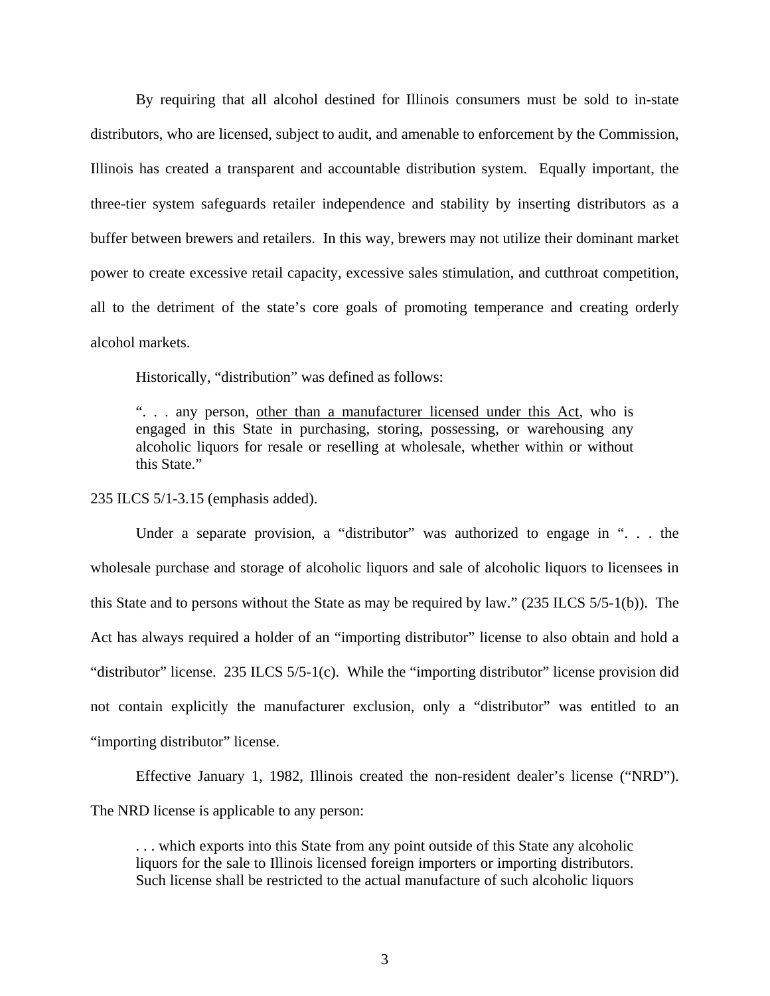By requiring that all alcohol destined for Illinois consumers must be sold to in-state distributors, who are licensed, subject to audit, and amenable to enforcement by the Commission, Illinois has created a transparent and accountable distribution system. Equally important, the three-tier system safeguards retailer independence and stability by inserting distributors as a buffer between brewers and retailers. In this way, brewers may not utilize their dominant market power to create excessive retail capacity, excessive sales stimulation, and cutthroat competition, all to the detriment of the state's core goals of promoting temperance and creating orderly alcohol markets.

Historically, "distribution" was defined as follows:

". . . any person, other than a manufacturer licensed under this Act, who is engaged in this State in purchasing, storing, possessing, or warehousing any alcoholic liquors for resale or reselling at wholesale, whether within or without this State."

235 ILCS 5/1-3.15 (emphasis added).

 Under a separate provision, a "distributor" was authorized to engage in ". . . the wholesale purchase and storage of alcoholic liquors and sale of alcoholic liquors to licensees in this State and to persons without the State as may be required by law." (235 ILCS 5/5-1(b)). The Act has always required a holder of an "importing distributor" license to also obtain and hold a "distributor" license. 235 ILCS 5/5-1(c). While the "importing distributor" license provision did not contain explicitly the manufacturer exclusion, only a "distributor" was entitled to an "importing distributor" license.

 Effective January 1, 1982, Illinois created the non-resident dealer's license ("NRD"). The NRD license is applicable to any person:

. . . which exports into this State from any point outside of this State any alcoholic liquors for the sale to Illinois licensed foreign importers or importing distributors. Such license shall be restricted to the actual manufacture of such alcoholic liquors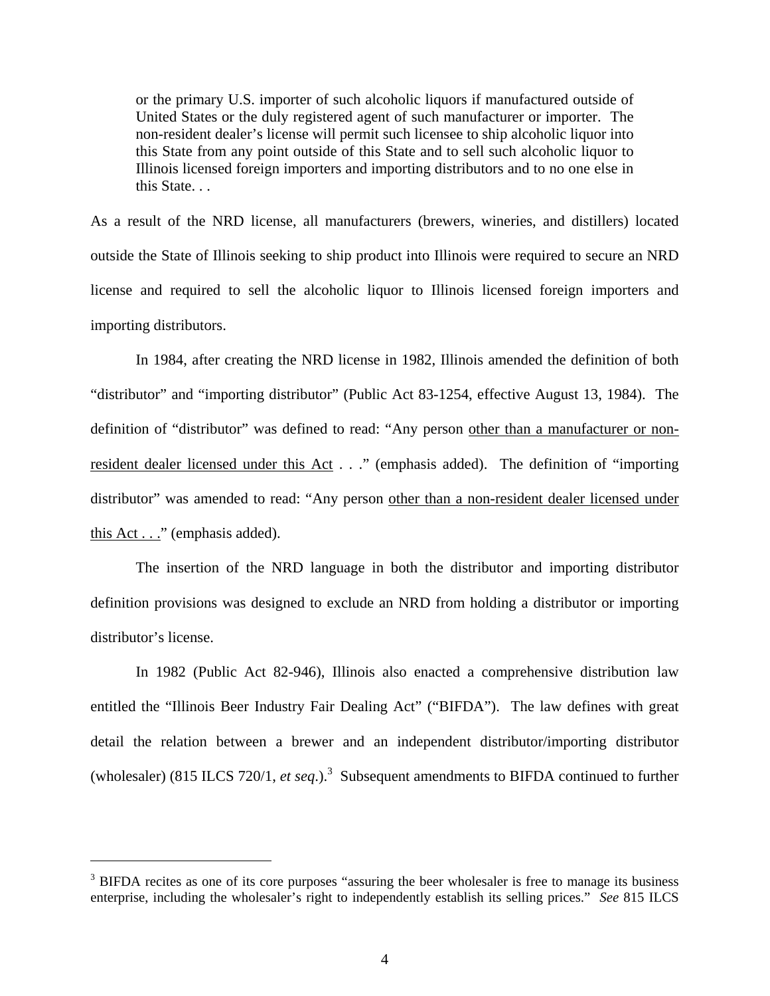or the primary U.S. importer of such alcoholic liquors if manufactured outside of United States or the duly registered agent of such manufacturer or importer. The non-resident dealer's license will permit such licensee to ship alcoholic liquor into this State from any point outside of this State and to sell such alcoholic liquor to Illinois licensed foreign importers and importing distributors and to no one else in this State. . .

As a result of the NRD license, all manufacturers (brewers, wineries, and distillers) located outside the State of Illinois seeking to ship product into Illinois were required to secure an NRD license and required to sell the alcoholic liquor to Illinois licensed foreign importers and importing distributors.

 In 1984, after creating the NRD license in 1982, Illinois amended the definition of both "distributor" and "importing distributor" (Public Act 83-1254, effective August 13, 1984). The definition of "distributor" was defined to read: "Any person other than a manufacturer or nonresident dealer licensed under this Act . . ." (emphasis added). The definition of "importing distributor" was amended to read: "Any person other than a non-resident dealer licensed under this Act . . ." (emphasis added).

 The insertion of the NRD language in both the distributor and importing distributor definition provisions was designed to exclude an NRD from holding a distributor or importing distributor's license.

 In 1982 (Public Act 82-946), Illinois also enacted a comprehensive distribution law entitled the "Illinois Beer Industry Fair Dealing Act" ("BIFDA"). The law defines with great detail the relation between a brewer and an independent distributor/importing distributor (wholesaler)  $(815$  ILCS 720/1, *et seq.*).<sup>3</sup> Subsequent amendments to BIFDA continued to further

 $3$  BIFDA recites as one of its core purposes "assuring the beer wholesaler is free to manage its business enterprise, including the wholesaler's right to independently establish its selling prices." *See* 815 ILCS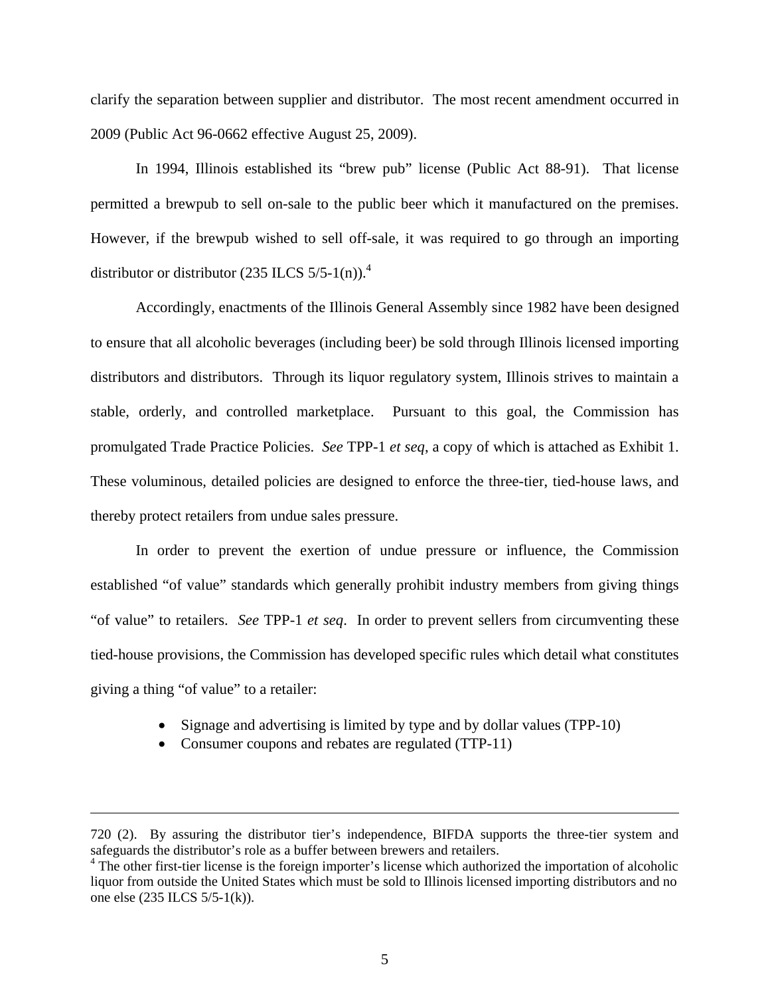clarify the separation between supplier and distributor. The most recent amendment occurred in 2009 (Public Act 96-0662 effective August 25, 2009).

 In 1994, Illinois established its "brew pub" license (Public Act 88-91). That license permitted a brewpub to sell on-sale to the public beer which it manufactured on the premises. However, if the brewpub wished to sell off-sale, it was required to go through an importing distributor or distributor (235 ILCS  $5/5$ -1(n)).<sup>4</sup>

 Accordingly, enactments of the Illinois General Assembly since 1982 have been designed to ensure that all alcoholic beverages (including beer) be sold through Illinois licensed importing distributors and distributors. Through its liquor regulatory system, Illinois strives to maintain a stable, orderly, and controlled marketplace. Pursuant to this goal, the Commission has promulgated Trade Practice Policies. *See* TPP-1 *et seq*, a copy of which is attached as Exhibit 1. These voluminous, detailed policies are designed to enforce the three-tier, tied-house laws, and thereby protect retailers from undue sales pressure.

In order to prevent the exertion of undue pressure or influence, the Commission established "of value" standards which generally prohibit industry members from giving things "of value" to retailers. *See* TPP-1 *et seq*. In order to prevent sellers from circumventing these tied-house provisions, the Commission has developed specific rules which detail what constitutes giving a thing "of value" to a retailer:

- Signage and advertising is limited by type and by dollar values (TPP-10)
- Consumer coupons and rebates are regulated (TTP-11)

<sup>720 (2).</sup> By assuring the distributor tier's independence, BIFDA supports the three-tier system and safeguards the distributor's role as a buffer between brewers and retailers.

<sup>&</sup>lt;sup>4</sup> The other first-tier license is the foreign importer's license which authorized the importation of alcoholic liquor from outside the United States which must be sold to Illinois licensed importing distributors and no one else (235 ILCS 5/5-1(k)).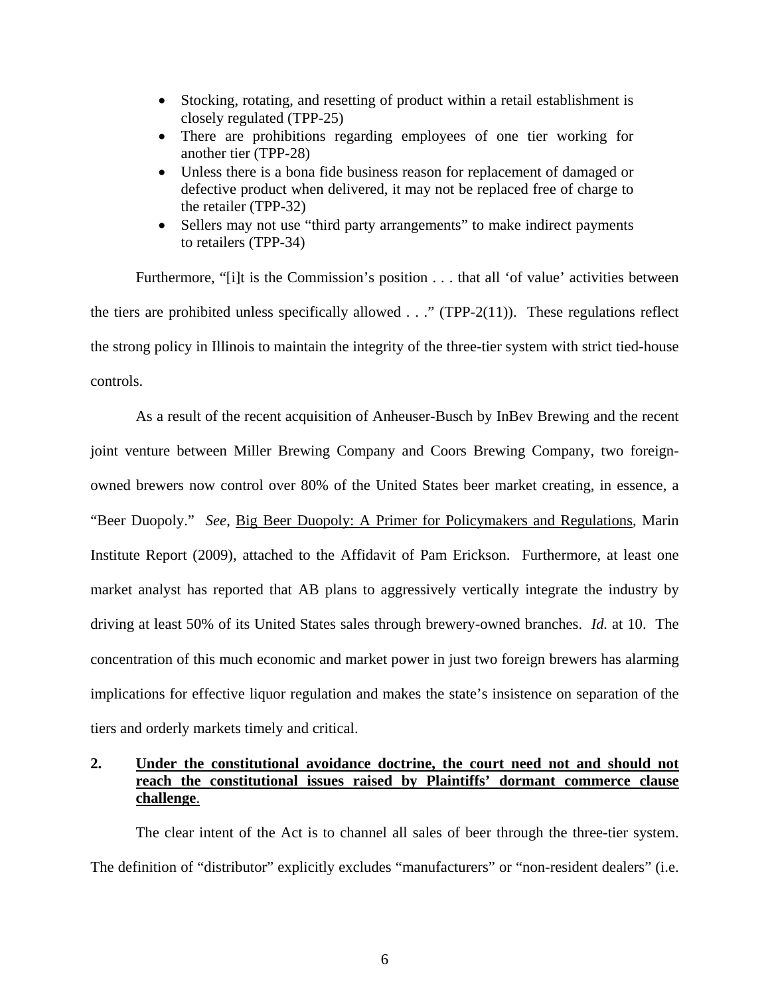- Stocking, rotating, and resetting of product within a retail establishment is closely regulated (TPP-25)
- There are prohibitions regarding employees of one tier working for another tier (TPP-28)
- Unless there is a bona fide business reason for replacement of damaged or defective product when delivered, it may not be replaced free of charge to the retailer (TPP-32)
- Sellers may not use "third party arrangements" to make indirect payments to retailers (TPP-34)

Furthermore, "[i]t is the Commission's position . . . that all 'of value' activities between the tiers are prohibited unless specifically allowed  $\ldots$  " (TPP-2(11)). These regulations reflect the strong policy in Illinois to maintain the integrity of the three-tier system with strict tied-house controls.

As a result of the recent acquisition of Anheuser-Busch by InBev Brewing and the recent joint venture between Miller Brewing Company and Coors Brewing Company, two foreignowned brewers now control over 80% of the United States beer market creating, in essence, a "Beer Duopoly." *See*, Big Beer Duopoly: A Primer for Policymakers and Regulations, Marin Institute Report (2009), attached to the Affidavit of Pam Erickson. Furthermore, at least one market analyst has reported that AB plans to aggressively vertically integrate the industry by driving at least 50% of its United States sales through brewery-owned branches. *Id.* at 10. The concentration of this much economic and market power in just two foreign brewers has alarming implications for effective liquor regulation and makes the state's insistence on separation of the tiers and orderly markets timely and critical.

# **2. Under the constitutional avoidance doctrine, the court need not and should not reach the constitutional issues raised by Plaintiffs' dormant commerce clause challenge**.

 The clear intent of the Act is to channel all sales of beer through the three-tier system. The definition of "distributor" explicitly excludes "manufacturers" or "non-resident dealers" (i.e.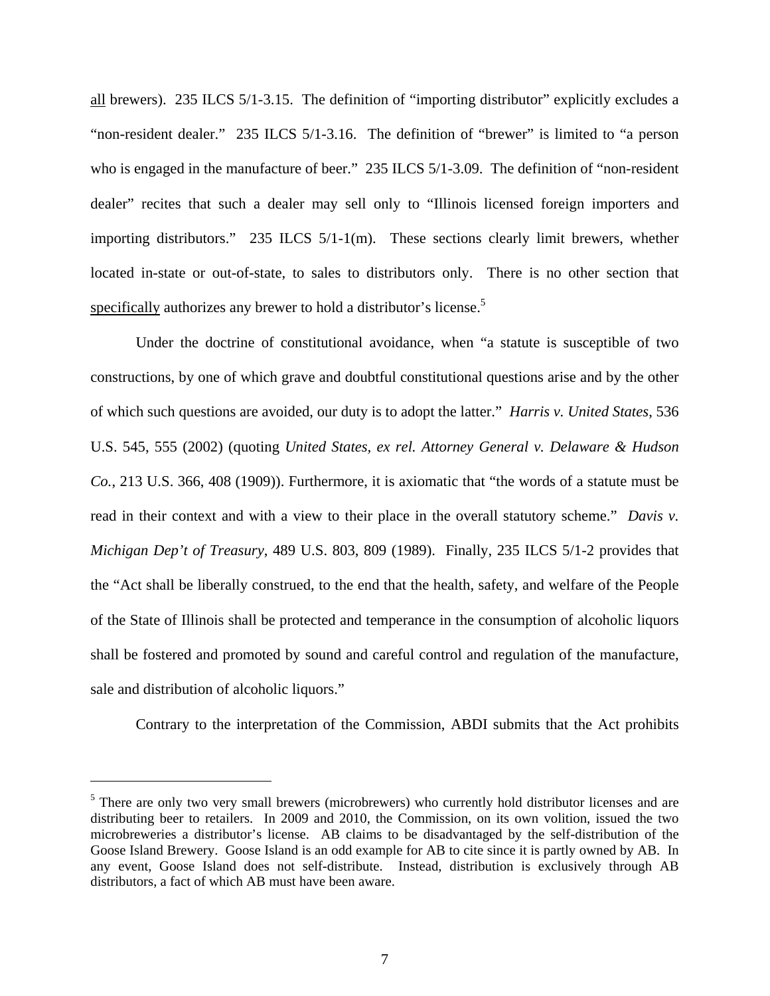all brewers). 235 ILCS 5/1-3.15. The definition of "importing distributor" explicitly excludes a "non-resident dealer." 235 ILCS 5/1-3.16. The definition of "brewer" is limited to "a person who is engaged in the manufacture of beer." 235 ILCS 5/1-3.09. The definition of "non-resident" dealer" recites that such a dealer may sell only to "Illinois licensed foreign importers and importing distributors." 235 ILCS 5/1-1(m). These sections clearly limit brewers, whether located in-state or out-of-state, to sales to distributors only. There is no other section that specifically authorizes any brewer to hold a distributor's license.<sup>5</sup>

 Under the doctrine of constitutional avoidance, when "a statute is susceptible of two constructions, by one of which grave and doubtful constitutional questions arise and by the other of which such questions are avoided, our duty is to adopt the latter." *Harris v. United States*, 536 U.S. 545, 555 (2002) (quoting *United States, ex rel. Attorney General v. Delaware & Hudson Co.*, 213 U.S. 366, 408 (1909)). Furthermore, it is axiomatic that "the words of a statute must be read in their context and with a view to their place in the overall statutory scheme." *Davis v. Michigan Dep't of Treasury*, 489 U.S. 803, 809 (1989). Finally, 235 ILCS 5/1-2 provides that the "Act shall be liberally construed, to the end that the health, safety, and welfare of the People of the State of Illinois shall be protected and temperance in the consumption of alcoholic liquors shall be fostered and promoted by sound and careful control and regulation of the manufacture, sale and distribution of alcoholic liquors."

Contrary to the interpretation of the Commission, ABDI submits that the Act prohibits

<sup>&</sup>lt;sup>5</sup> There are only two very small brewers (microbrewers) who currently hold distributor licenses and are distributing beer to retailers. In 2009 and 2010, the Commission, on its own volition, issued the two microbreweries a distributor's license. AB claims to be disadvantaged by the self-distribution of the Goose Island Brewery. Goose Island is an odd example for AB to cite since it is partly owned by AB. In any event, Goose Island does not self-distribute. Instead, distribution is exclusively through AB distributors, a fact of which AB must have been aware.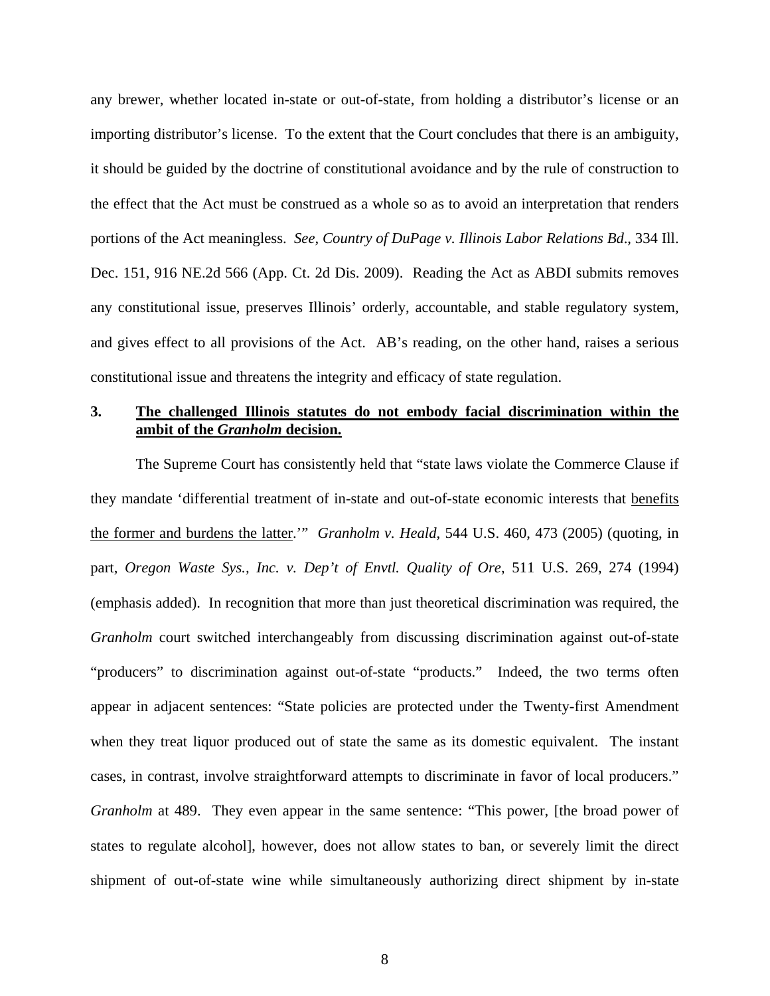any brewer, whether located in-state or out-of-state, from holding a distributor's license or an importing distributor's license. To the extent that the Court concludes that there is an ambiguity, it should be guided by the doctrine of constitutional avoidance and by the rule of construction to the effect that the Act must be construed as a whole so as to avoid an interpretation that renders portions of the Act meaningless. *See*, *Country of DuPage v. Illinois Labor Relations Bd*., 334 Ill. Dec. 151, 916 NE.2d 566 (App. Ct. 2d Dis. 2009). Reading the Act as ABDI submits removes any constitutional issue, preserves Illinois' orderly, accountable, and stable regulatory system, and gives effect to all provisions of the Act. AB's reading, on the other hand, raises a serious constitutional issue and threatens the integrity and efficacy of state regulation.

# **3. The challenged Illinois statutes do not embody facial discrimination within the ambit of the** *Granholm* **decision.**

 The Supreme Court has consistently held that "state laws violate the Commerce Clause if they mandate 'differential treatment of in-state and out-of-state economic interests that benefits the former and burdens the latter.'" *Granholm v. Heald*, 544 U.S. 460, 473 (2005) (quoting, in part, *Oregon Waste Sys., Inc. v. Dep't of Envtl. Quality of Ore*, 511 U.S. 269, 274 (1994) (emphasis added). In recognition that more than just theoretical discrimination was required, the *Granholm* court switched interchangeably from discussing discrimination against out-of-state "producers" to discrimination against out-of-state "products." Indeed, the two terms often appear in adjacent sentences: "State policies are protected under the Twenty-first Amendment when they treat liquor produced out of state the same as its domestic equivalent. The instant cases, in contrast, involve straightforward attempts to discriminate in favor of local producers." *Granholm* at 489. They even appear in the same sentence: "This power, [the broad power of states to regulate alcohol], however, does not allow states to ban, or severely limit the direct shipment of out-of-state wine while simultaneously authorizing direct shipment by in-state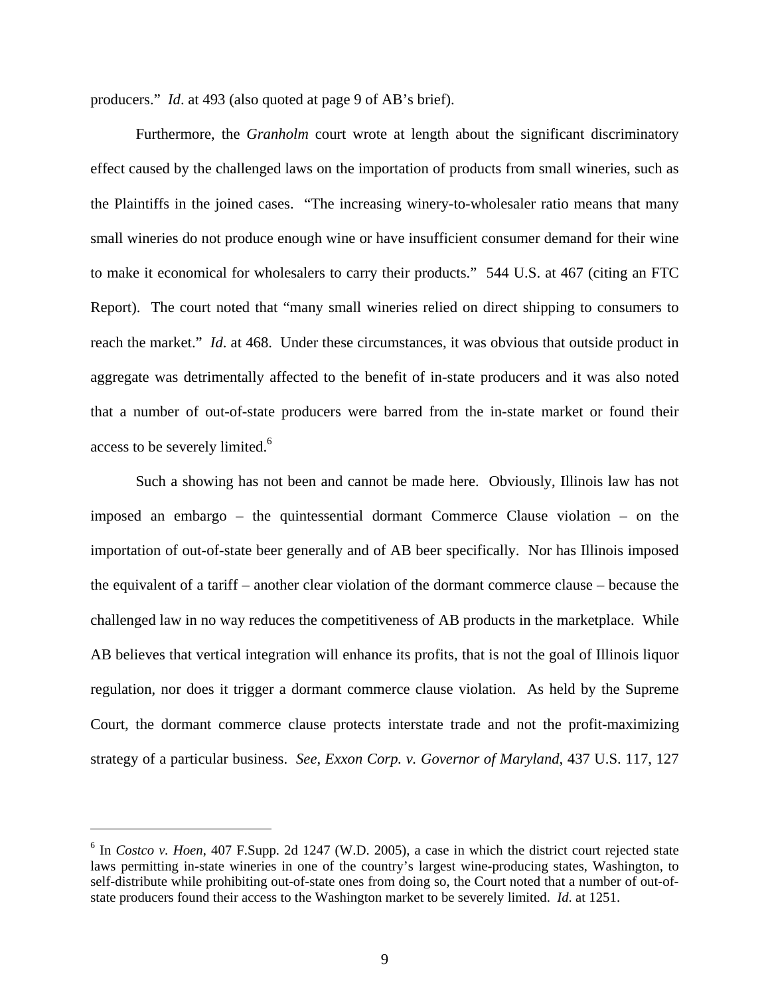producers." *Id*. at 493 (also quoted at page 9 of AB's brief).

 Furthermore, the *Granholm* court wrote at length about the significant discriminatory effect caused by the challenged laws on the importation of products from small wineries, such as the Plaintiffs in the joined cases. "The increasing winery-to-wholesaler ratio means that many small wineries do not produce enough wine or have insufficient consumer demand for their wine to make it economical for wholesalers to carry their products." 544 U.S. at 467 (citing an FTC Report). The court noted that "many small wineries relied on direct shipping to consumers to reach the market." *Id*. at 468. Under these circumstances, it was obvious that outside product in aggregate was detrimentally affected to the benefit of in-state producers and it was also noted that a number of out-of-state producers were barred from the in-state market or found their access to be severely limited.<sup>6</sup>

 Such a showing has not been and cannot be made here. Obviously, Illinois law has not imposed an embargo – the quintessential dormant Commerce Clause violation – on the importation of out-of-state beer generally and of AB beer specifically. Nor has Illinois imposed the equivalent of a tariff – another clear violation of the dormant commerce clause – because the challenged law in no way reduces the competitiveness of AB products in the marketplace. While AB believes that vertical integration will enhance its profits, that is not the goal of Illinois liquor regulation, nor does it trigger a dormant commerce clause violation. As held by the Supreme Court, the dormant commerce clause protects interstate trade and not the profit-maximizing strategy of a particular business. *See*, *Exxon Corp. v. Governor of Maryland*, 437 U.S. 117, 127

<sup>&</sup>lt;sup>6</sup> In *Costco v. Hoen*, 407 F.Supp. 2d 1247 (W.D. 2005), a case in which the district court rejected state laws permitting in-state wineries in one of the country's largest wine-producing states, Washington, to self-distribute while prohibiting out-of-state ones from doing so, the Court noted that a number of out-ofstate producers found their access to the Washington market to be severely limited. *Id*. at 1251.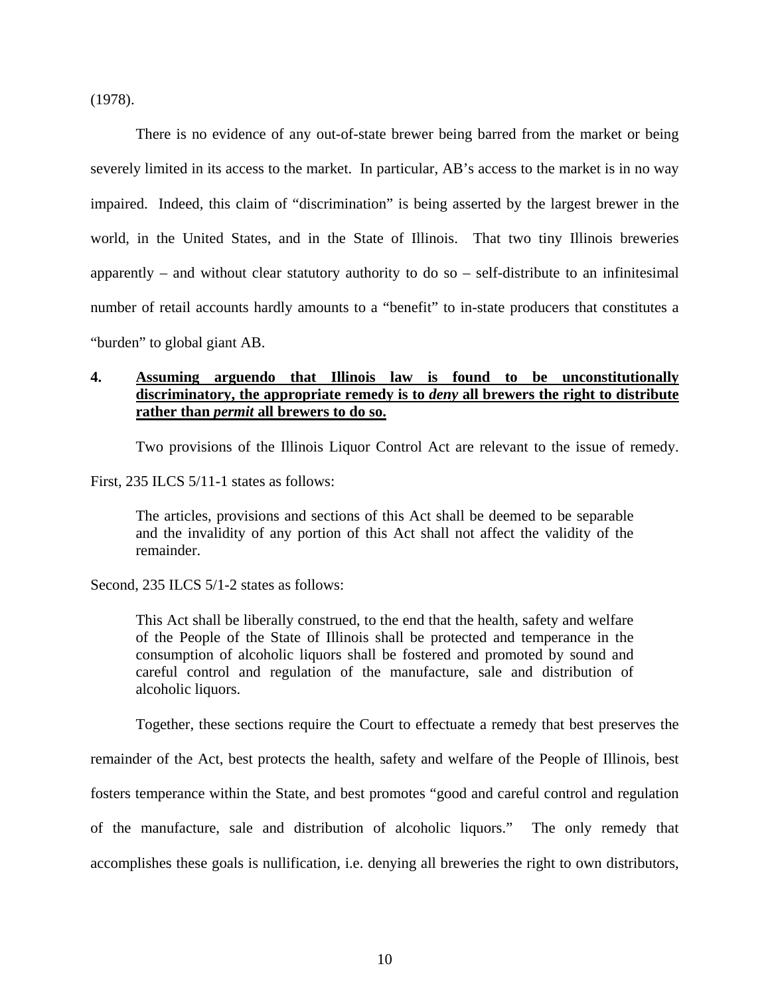(1978).

There is no evidence of any out-of-state brewer being barred from the market or being severely limited in its access to the market. In particular, AB's access to the market is in no way impaired. Indeed, this claim of "discrimination" is being asserted by the largest brewer in the world, in the United States, and in the State of Illinois. That two tiny Illinois breweries apparently – and without clear statutory authority to do so – self-distribute to an infinitesimal number of retail accounts hardly amounts to a "benefit" to in-state producers that constitutes a "burden" to global giant AB.

# **4. Assuming arguendo that Illinois law is found to be unconstitutionally discriminatory, the appropriate remedy is to** *deny* **all brewers the right to distribute rather than** *permit* **all brewers to do so.**

Two provisions of the Illinois Liquor Control Act are relevant to the issue of remedy.

First, 235 ILCS 5/11-1 states as follows:

The articles, provisions and sections of this Act shall be deemed to be separable and the invalidity of any portion of this Act shall not affect the validity of the remainder.

Second, 235 ILCS 5/1-2 states as follows:

This Act shall be liberally construed, to the end that the health, safety and welfare of the People of the State of Illinois shall be protected and temperance in the consumption of alcoholic liquors shall be fostered and promoted by sound and careful control and regulation of the manufacture, sale and distribution of alcoholic liquors.

Together, these sections require the Court to effectuate a remedy that best preserves the

remainder of the Act, best protects the health, safety and welfare of the People of Illinois, best fosters temperance within the State, and best promotes "good and careful control and regulation of the manufacture, sale and distribution of alcoholic liquors." The only remedy that accomplishes these goals is nullification, i.e. denying all breweries the right to own distributors,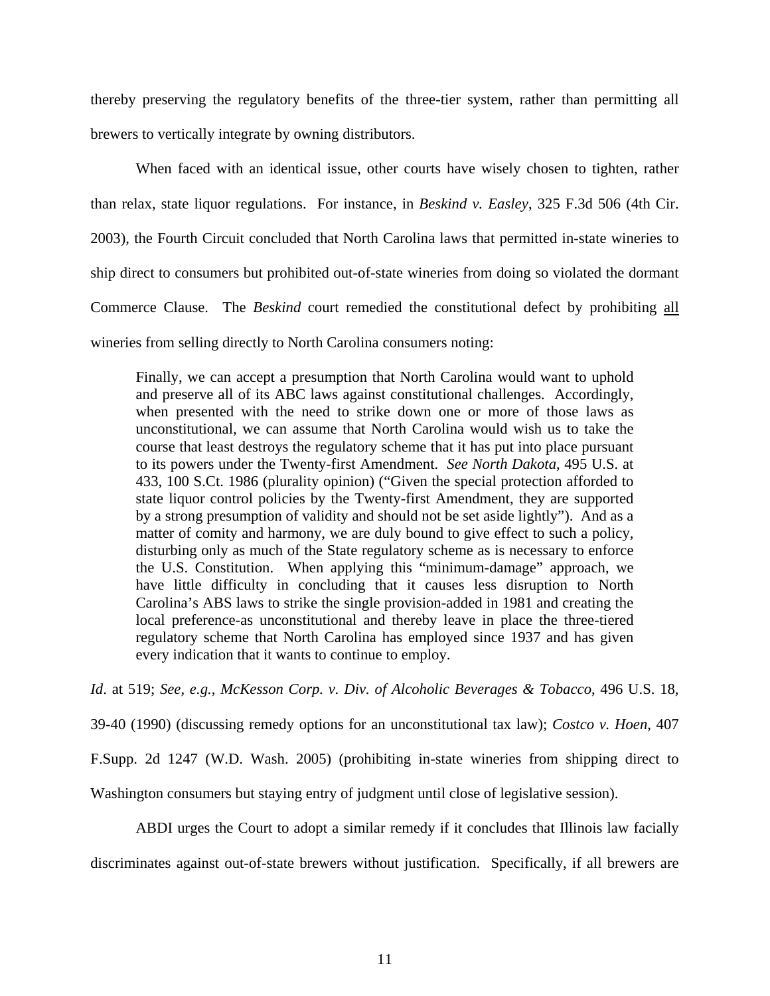thereby preserving the regulatory benefits of the three-tier system, rather than permitting all brewers to vertically integrate by owning distributors.

 When faced with an identical issue, other courts have wisely chosen to tighten, rather than relax, state liquor regulations. For instance, in *Beskind v. Easley*, 325 F.3d 506 (4th Cir. 2003), the Fourth Circuit concluded that North Carolina laws that permitted in-state wineries to ship direct to consumers but prohibited out-of-state wineries from doing so violated the dormant Commerce Clause. The *Beskind* court remedied the constitutional defect by prohibiting all wineries from selling directly to North Carolina consumers noting:

Finally, we can accept a presumption that North Carolina would want to uphold and preserve all of its ABC laws against constitutional challenges. Accordingly, when presented with the need to strike down one or more of those laws as unconstitutional, we can assume that North Carolina would wish us to take the course that least destroys the regulatory scheme that it has put into place pursuant to its powers under the Twenty-first Amendment. *See North Dakota*, 495 U.S. at 433, 100 S.Ct. 1986 (plurality opinion) ("Given the special protection afforded to state liquor control policies by the Twenty-first Amendment, they are supported by a strong presumption of validity and should not be set aside lightly"). And as a matter of comity and harmony, we are duly bound to give effect to such a policy, disturbing only as much of the State regulatory scheme as is necessary to enforce the U.S. Constitution. When applying this "minimum-damage" approach, we have little difficulty in concluding that it causes less disruption to North Carolina's ABS laws to strike the single provision-added in 1981 and creating the local preference-as unconstitutional and thereby leave in place the three-tiered regulatory scheme that North Carolina has employed since 1937 and has given every indication that it wants to continue to employ.

*Id*. at 519; *See, e.g.*, *McKesson Corp. v. Div. of Alcoholic Beverages & Tobacco*, 496 U.S. 18,

39-40 (1990) (discussing remedy options for an unconstitutional tax law); *Costco v. Hoen*, 407

F.Supp. 2d 1247 (W.D. Wash. 2005) (prohibiting in-state wineries from shipping direct to

Washington consumers but staying entry of judgment until close of legislative session).

 ABDI urges the Court to adopt a similar remedy if it concludes that Illinois law facially discriminates against out-of-state brewers without justification. Specifically, if all brewers are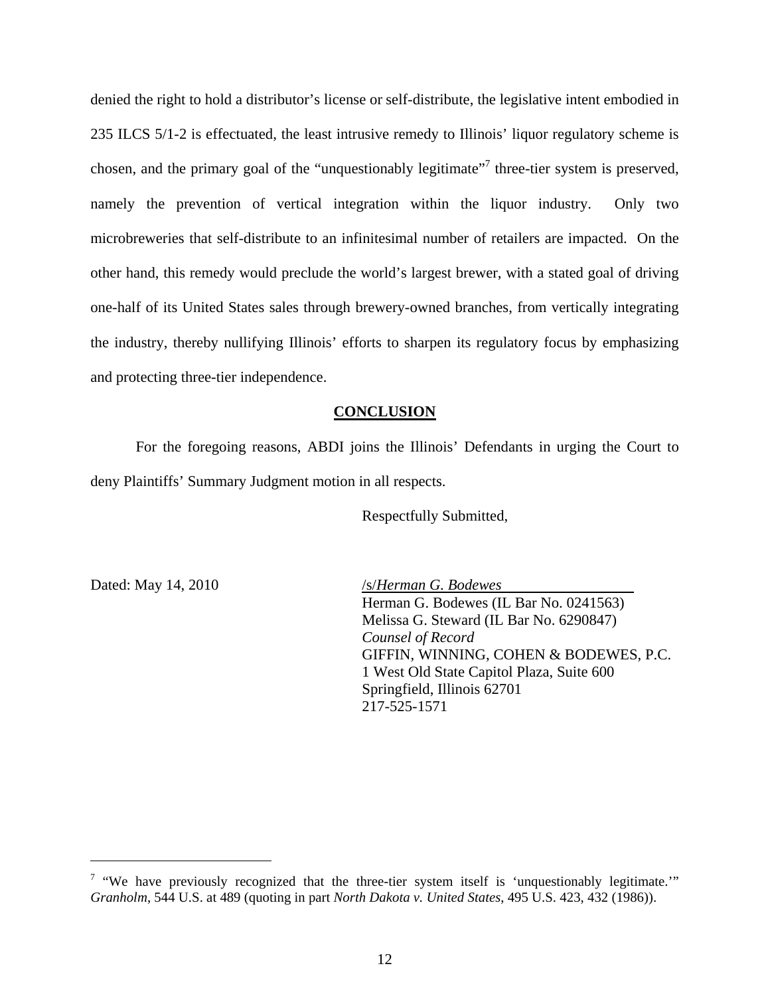denied the right to hold a distributor's license or self-distribute, the legislative intent embodied in 235 ILCS 5/1-2 is effectuated, the least intrusive remedy to Illinois' liquor regulatory scheme is chosen, and the primary goal of the "unquestionably legitimate"<sup>7</sup> three-tier system is preserved, namely the prevention of vertical integration within the liquor industry. Only two microbreweries that self-distribute to an infinitesimal number of retailers are impacted. On the other hand, this remedy would preclude the world's largest brewer, with a stated goal of driving one-half of its United States sales through brewery-owned branches, from vertically integrating the industry, thereby nullifying Illinois' efforts to sharpen its regulatory focus by emphasizing and protecting three-tier independence.

# **CONCLUSION**

 For the foregoing reasons, ABDI joins the Illinois' Defendants in urging the Court to deny Plaintiffs' Summary Judgment motion in all respects.

Respectfully Submitted,

Dated: May 14, 2010 */s/<i>Herman G. Bodewes* 

Herman G. Bodewes (IL Bar No. 0241563) Melissa G. Steward (IL Bar No. 6290847) *Counsel of Record*  GIFFIN, WINNING, COHEN & BODEWES, P.C. 1 West Old State Capitol Plaza, Suite 600 Springfield, Illinois 62701 217-525-1571

<sup>&</sup>lt;sup>7</sup> "We have previously recognized that the three-tier system itself is 'unquestionably legitimate." *Granholm*, 544 U.S. at 489 (quoting in part *North Dakota v. United States*, 495 U.S. 423, 432 (1986)).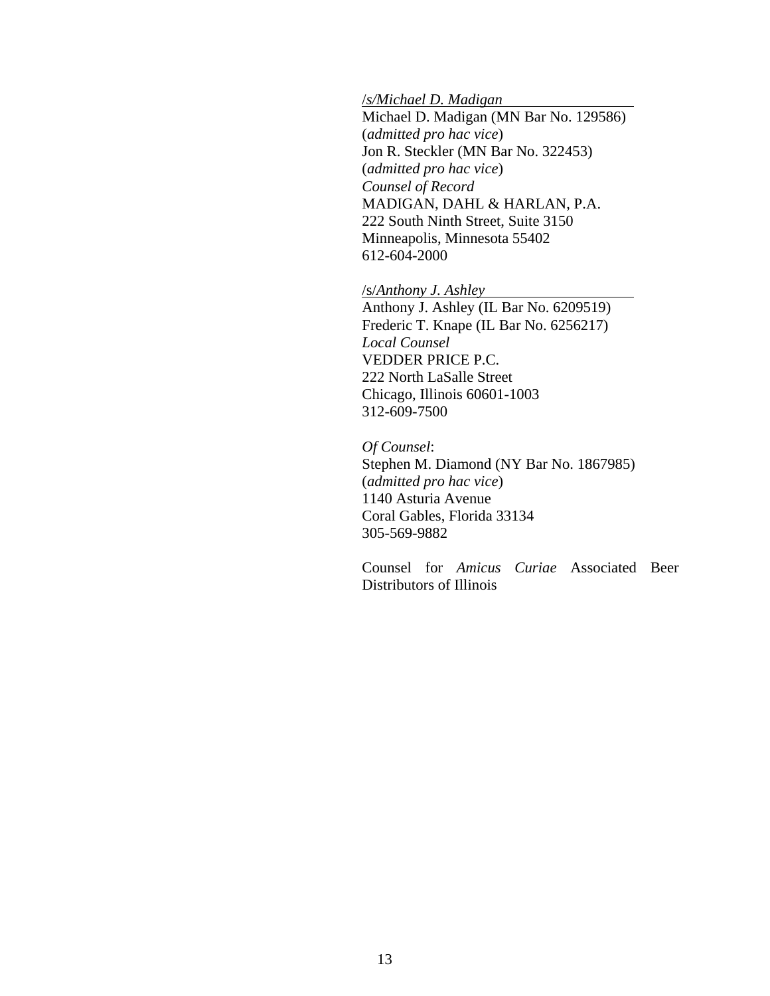/*s/Michael D. Madigan* 

Michael D. Madigan (MN Bar No. 129586) (*admitted pro hac vice*) Jon R. Steckler (MN Bar No. 322453) (*admitted pro hac vice*) *Counsel of Record*  MADIGAN, DAHL & HARLAN, P.A. 222 South Ninth Street, Suite 3150 Minneapolis, Minnesota 55402 612-604-2000

/s/*Anthony J. Ashley*

Anthony J. Ashley (IL Bar No. 6209519) Frederic T. Knape (IL Bar No. 6256217) *Local Counsel*  VEDDER PRICE P.C. 222 North LaSalle Street Chicago, Illinois 60601-1003 312-609-7500

*Of Counsel*: Stephen M. Diamond (NY Bar No. 1867985) (*admitted pro hac vice*) 1140 Asturia Avenue Coral Gables, Florida 33134 305-569-9882

Counsel for *Amicus Curiae* Associated Beer Distributors of Illinois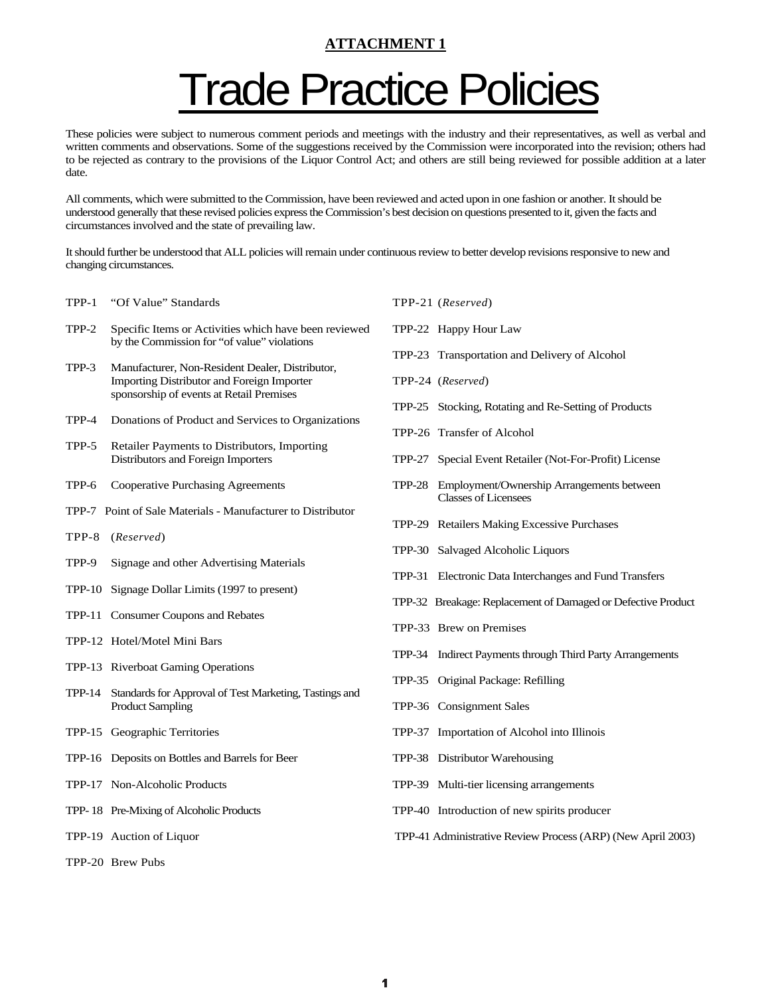# **ATTACHMENT 1**

# Trade Practice Policies

These policies were subject to numerous comment periods and meetings with the industry and their representatives, as well as verbal and written comments and observations. Some of the suggestions received by the Commission were incorporated into the revision; others had to be rejected as contrary to the provisions of the Liquor Control Act; and others are still being reviewed for possible addition at a later date.

All comments, which were submitted to the Commission, have been reviewed and acted upon in one fashion or another. It should be understood generally that these revised policies express the Commission's best decision on questions presented to it, given the facts and circumstances involved and the state of prevailing law.

It should further be understood that ALL policies will remain under continuous review to better develop revisions responsive to new and changing circumstances.

- TPP-1 "Of Value" Standards
- TPP-2 Specific Items or Activities which have been reviewed by the Commission for "of value" violations
- TPP-3 Manufacturer, Non-Resident Dealer, Distributor, Importing Distributor and Foreign Importer sponsorship of events at Retail Premises
- TPP-4 Donations of Product and Services to Organizations
- TPP-5 Retailer Payments to Distributors, Importing Distributors and Foreign Importers
- TPP-6 Cooperative Purchasing Agreements
- TPP-7 Point of Sale Materials Manufacturer to Distributor
- TPP-8 (*Reserved*)
- TPP-9 Signage and other Advertising Materials
- TPP-10 Signage Dollar Limits (1997 to present)
- TPP-11 Consumer Coupons and Rebates
- TPP-12 Hotel/Motel Mini Bars
- TPP-13 Riverboat Gaming Operations
- TPP-14 Standards for Approval of Test Marketing, Tastings and Product Sampling
- TPP-15 Geographic Territories
- TPP-16 Deposits on Bottles and Barrels for Beer
- TPP-17 Non-Alcoholic Products
- TPP- 18 Pre-Mixing of Alcoholic Products
- TPP-19 Auction of Liquor
- TPP-20 Brew Pubs

TPP-21 (*Reserved*)

- TPP-22 Happy Hour Law
- TPP-23 Transportation and Delivery of Alcohol
- TPP-24 (*Reserved*)
- TPP-25 Stocking, Rotating and Re-Setting of Products
- TPP-26 Transfer of Alcohol
- TPP-27 Special Event Retailer (Not-For-Profit) License
- TPP-28 Employment/Ownership Arrangements between Classes of Licensees
- TPP-29 Retailers Making Excessive Purchases
- TPP-30 Salvaged Alcoholic Liquors
- TPP-31 Electronic Data Interchanges and Fund Transfers
- TPP-32 Breakage: Replacement of Damaged or Defective Product
- TPP-33 Brew on Premises
- TPP-34 Indirect Payments through Third Party Arrangements
- TPP-35 Original Package: Refilling
- TPP-36 Consignment Sales
- TPP-37 Importation of Alcohol into Illinois
- TPP-38 Distributor Warehousing
- TPP-39 Multi-tier licensing arrangements
- TPP-40 Introduction of new spirits producer
- TPP-41 Administrative Review Process (ARP) (New April 2003)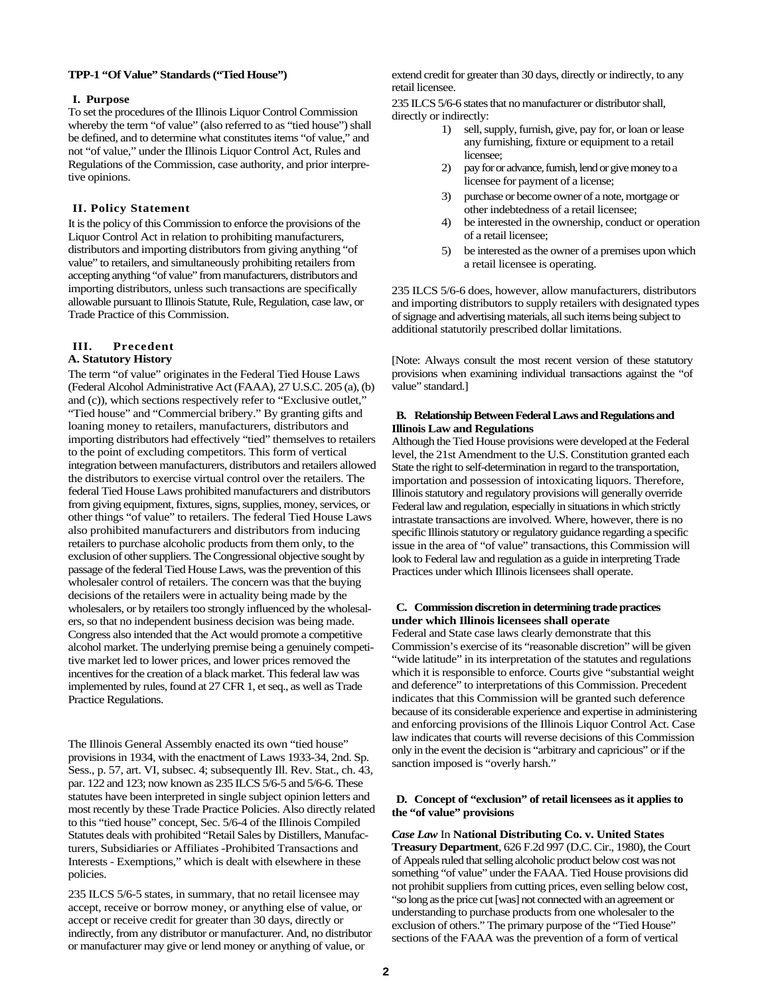#### **TPP-1 "Of Value" Standards ("Tied House")**

#### **I. Purpose**

To set the procedures of the Illinois Liquor Control Commission whereby the term "of value" (also referred to as "tied house") shall be defined, and to determine what constitutes items "of value," and not "of value," under the Illinois Liquor Control Act, Rules and Regulations of the Commission, case authority, and prior interpretive opinions.

## **II. Policy Statement**

It is the policy of this Commission to enforce the provisions of the Liquor Control Act in relation to prohibiting manufacturers, distributors and importing distributors from giving anything "of value" to retailers, and simultaneously prohibiting retailers from accepting anything "of value" from manufacturers, distributors and importing distributors, unless such transactions are specifically allowable pursuant to Illinois Statute, Rule, Regulation, case law, or Trade Practice of this Commission.

# **III. Precedent**

# **A. Statutory History**

The term "of value" originates in the Federal Tied House Laws (Federal Alcohol Administrative Act (FAAA), 27 U.S.C. 205 (a), (b) and (c)), which sections respectively refer to "Exclusive outlet," "Tied house" and "Commercial bribery." By granting gifts and loaning money to retailers, manufacturers, distributors and importing distributors had effectively "tied" themselves to retailers to the point of excluding competitors. This form of vertical integration between manufacturers, distributors and retailers allowed the distributors to exercise virtual control over the retailers. The federal Tied House Laws prohibited manufacturers and distributors from giving equipment, fixtures, signs, supplies, money, services, or other things "of value" to retailers. The federal Tied House Laws also prohibited manufacturers and distributors from inducing retailers to purchase alcoholic products from them only, to the exclusion of other suppliers. The Congressional objective sought by passage of the federal Tied House Laws, was the prevention of this wholesaler control of retailers. The concern was that the buying decisions of the retailers were in actuality being made by the wholesalers, or by retailers too strongly influenced by the wholesalers, so that no independent business decision was being made. Congress also intended that the Act would promote a competitive alcohol market. The underlying premise being a genuinely competitive market led to lower prices, and lower prices removed the incentives for the creation of a black market. This federal law was implemented by rules, found at 27 CFR 1, et seq., as well as Trade Practice Regulations.

The Illinois General Assembly enacted its own "tied house" provisions in 1934, with the enactment of Laws 1933-34, 2nd. Sp. Sess., p. 57, art. VI, subsec. 4; subsequently Ill. Rev. Stat., ch. 43, par. 122 and 123; now known as 235 ILCS 5/6-5 and 5/6-6. These statutes have been interpreted in single subject opinion letters and most recently by these Trade Practice Policies. Also directly related to this "tied house" concept, Sec. 5/6-4 of the Illinois Compiled Statutes deals with prohibited "Retail Sales by Distillers, Manufacturers, Subsidiaries or Affiliates -Prohibited Transactions and Interests - Exemptions," which is dealt with elsewhere in these policies.

235 ILCS 5/6-5 states, in summary, that no retail licensee may accept, receive or borrow money, or anything else of value, or accept or receive credit for greater than 30 days, directly or indirectly, from any distributor or manufacturer. And, no distributor or manufacturer may give or lend money or anything of value, or

extend credit for greater than 30 days, directly or indirectly, to any retail licensee.

235 ILCS 5/6-6 states that no manufacturer or distributor shall, directly or indirectly:

- 1) sell, supply, furnish, give, pay for, or loan or lease any furnishing, fixture or equipment to a retail licensee;
- 2) pay for or advance, furnish, lend or give money to a licensee for payment of a license;
- 3) purchase or become owner of a note, mortgage or other indebtedness of a retail licensee;
- 4) be interested in the ownership, conduct or operation of a retail licensee;
- 5) be interested as the owner of a premises upon which a retail licensee is operating.

235 ILCS 5/6-6 does, however, allow manufacturers, distributors and importing distributors to supply retailers with designated types of signage and advertising materials, all such items being subject to additional statutorily prescribed dollar limitations.

[Note: Always consult the most recent version of these statutory provisions when examining individual transactions against the "of value" standard.]

# **B. Relationship Between Federal Laws and Regulations and Illinois Law and Regulations**

Although the Tied House provisions were developed at the Federal level, the 21st Amendment to the U.S. Constitution granted each State the right to self-determination in regard to the transportation, importation and possession of intoxicating liquors. Therefore, Illinois statutory and regulatory provisions will generally override Federal law and regulation, especially in situations in which strictly intrastate transactions are involved. Where, however, there is no specific Illinois statutory or regulatory guidance regarding a specific issue in the area of "of value" transactions, this Commission will look to Federal law and regulation as a guide in interpreting Trade Practices under which Illinois licensees shall operate.

# **C. Commission discretion in determining trade practices under which Illinois licensees shall operate**

Federal and State case laws clearly demonstrate that this Commission's exercise of its "reasonable discretion" will be given "wide latitude" in its interpretation of the statutes and regulations which it is responsible to enforce. Courts give "substantial weight and deference" to interpretations of this Commission. Precedent indicates that this Commission will be granted such deference because of its considerable experience and expertise in administering and enforcing provisions of the Illinois Liquor Control Act. Case law indicates that courts will reverse decisions of this Commission only in the event the decision is "arbitrary and capricious" or if the sanction imposed is "overly harsh."

## **D. Concept of "exclusion" of retail licensees as it applies to the "of value" provisions**

*Case Law* In **National Distributing Co. v. United States Treasury Department**, 626 F.2d 997 (D.C. Cir., 1980), the Court of Appeals ruled that selling alcoholic product below cost was not something "of value" under the FAAA. Tied House provisions did not prohibit suppliers from cutting prices, even selling below cost, "so long as the price cut [was] not connected with an agreement or understanding to purchase products from one wholesaler to the exclusion of others." The primary purpose of the "Tied House" sections of the FAAA was the prevention of a form of vertical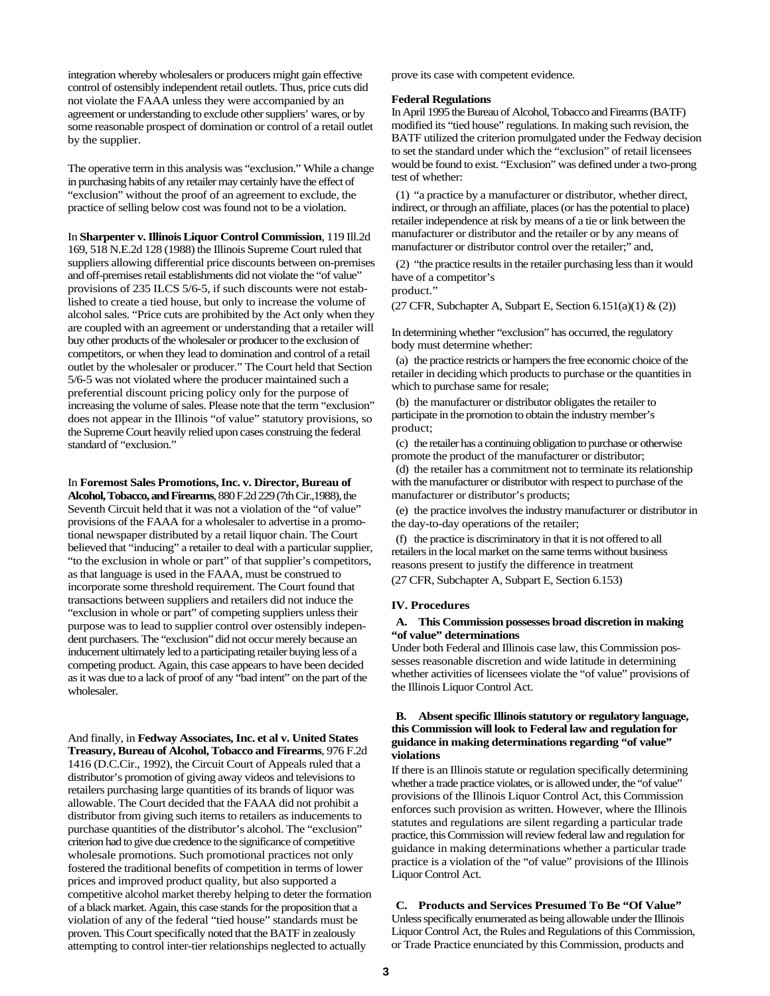integration whereby wholesalers or producers might gain effective control of ostensibly independent retail outlets. Thus, price cuts did not violate the FAAA unless they were accompanied by an agreement or understanding to exclude other suppliers' wares, or by some reasonable prospect of domination or control of a retail outlet by the supplier.

The operative term in this analysis was "exclusion." While a change in purchasing habits of any retailer may certainly have the effect of "exclusion" without the proof of an agreement to exclude, the practice of selling below cost was found not to be a violation.

In **Sharpenter v. Illinois Liquor Control Commission**, 119 Ill.2d 169, 518 N.E.2d 128 (1988) the Illinois Supreme Court ruled that suppliers allowing differential price discounts between on-premises and off-premises retail establishments did not violate the "of value" provisions of 235 ILCS 5/6-5, if such discounts were not established to create a tied house, but only to increase the volume of alcohol sales. "Price cuts are prohibited by the Act only when they are coupled with an agreement or understanding that a retailer will buy other products of the wholesaler or producer to the exclusion of competitors, or when they lead to domination and control of a retail outlet by the wholesaler or producer." The Court held that Section 5/6-5 was not violated where the producer maintained such a preferential discount pricing policy only for the purpose of increasing the volume of sales. Please note that the term "exclusion" does not appear in the Illinois "of value" statutory provisions, so the Supreme Court heavily relied upon cases construing the federal standard of "exclusion."

In **Foremost Sales Promotions, Inc. v. Director, Bureau of Alcohol, Tobacco, and Firearms**, 880 F.2d 229 (7th Cir.,1988), the Seventh Circuit held that it was not a violation of the "of value" provisions of the FAAA for a wholesaler to advertise in a promotional newspaper distributed by a retail liquor chain. The Court believed that "inducing" a retailer to deal with a particular supplier, "to the exclusion in whole or part" of that supplier's competitors, as that language is used in the FAAA, must be construed to incorporate some threshold requirement. The Court found that transactions between suppliers and retailers did not induce the "exclusion in whole or part" of competing suppliers unless their purpose was to lead to supplier control over ostensibly independent purchasers. The "exclusion" did not occur merely because an inducement ultimately led to a participating retailer buying less of a competing product. Again, this case appears to have been decided as it was due to a lack of proof of any "bad intent" on the part of the wholesaler.

And finally, in **Fedway Associates, Inc. et al v. United States Treasury, Bureau of Alcohol, Tobacco and Firearms**, 976 F.2d 1416 (D.C.Cir., 1992), the Circuit Court of Appeals ruled that a distributor's promotion of giving away videos and televisions to retailers purchasing large quantities of its brands of liquor was allowable. The Court decided that the FAAA did not prohibit a distributor from giving such items to retailers as inducements to purchase quantities of the distributor's alcohol. The "exclusion" criterion had to give due credence to the significance of competitive wholesale promotions. Such promotional practices not only fostered the traditional benefits of competition in terms of lower prices and improved product quality, but also supported a competitive alcohol market thereby helping to deter the formation of a black market. Again, this case stands for the proposition that a violation of any of the federal "tied house" standards must be proven. This Court specifically noted that the BATF in zealously attempting to control inter-tier relationships neglected to actually

prove its case with competent evidence.

#### **Federal Regulations**

In April 1995 the Bureau of Alcohol, Tobacco and Firearms (BATF) modified its "tied house" regulations. In making such revision, the BATF utilized the criterion promulgated under the Fedway decision to set the standard under which the "exclusion" of retail licensees would be found to exist. "Exclusion" was defined under a two-prong test of whether:

(1) "a practice by a manufacturer or distributor, whether direct, indirect, or through an affiliate, places (or has the potential to place) retailer independence at risk by means of a tie or link between the manufacturer or distributor and the retailer or by any means of manufacturer or distributor control over the retailer;" and,

(2) "the practice results in the retailer purchasing less than it would have of a competitor's

product."

(27 CFR, Subchapter A, Subpart E, Section  $6.151(a)(1) & (2)$ )

In determining whether "exclusion" has occurred, the regulatory body must determine whether:

(a) the practice restricts or hampers the free economic choice of the retailer in deciding which products to purchase or the quantities in which to purchase same for resale;

(b) the manufacturer or distributor obligates the retailer to participate in the promotion to obtain the industry member's product;

(c) the retailer has a continuing obligation to purchase or otherwise promote the product of the manufacturer or distributor; (d) the retailer has a commitment not to terminate its relationship with the manufacturer or distributor with respect to purchase of the manufacturer or distributor's products;

(e) the practice involves the industry manufacturer or distributor in the day-to-day operations of the retailer;

(f) the practice is discriminatory in that it is not offered to all retailers in the local market on the same terms without business reasons present to justify the difference in treatment (27 CFR, Subchapter A, Subpart E, Section 6.153)

## **IV. Procedures**

# **A. This Commission possesses broad discretion in making "of value" determinations**

Under both Federal and Illinois case law, this Commission possesses reasonable discretion and wide latitude in determining whether activities of licensees violate the "of value" provisions of the Illinois Liquor Control Act.

# **B. Absent specific Illinois statutory or regulatory language, this Commission will look to Federal law and regulation for guidance in making determinations regarding "of value" violations**

If there is an Illinois statute or regulation specifically determining whether a trade practice violates, or is allowed under, the "of value" provisions of the Illinois Liquor Control Act, this Commission enforces such provision as written. However, where the Illinois statutes and regulations are silent regarding a particular trade practice, this Commission will review federal law and regulation for guidance in making determinations whether a particular trade practice is a violation of the "of value" provisions of the Illinois Liquor Control Act.

**C. Products and Services Presumed To Be "Of Value"**  Unless specifically enumerated as being allowable under the Illinois Liquor Control Act, the Rules and Regulations of this Commission, or Trade Practice enunciated by this Commission, products and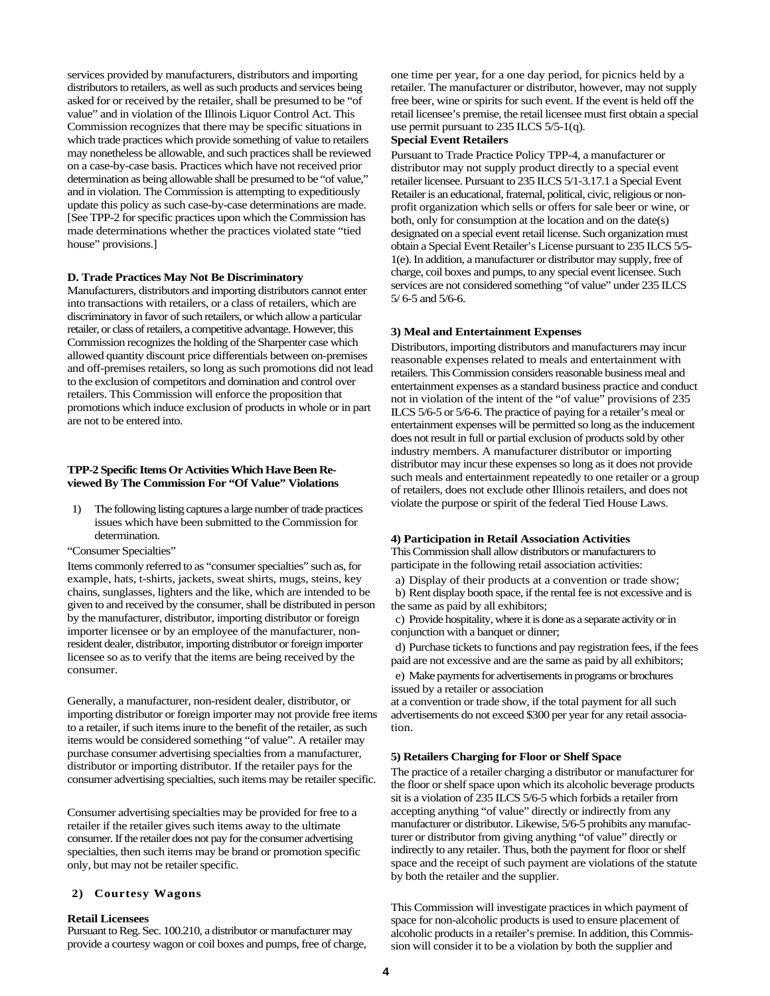services provided by manufacturers, distributors and importing distributors to retailers, as well as such products and services being asked for or received by the retailer, shall be presumed to be "of value" and in violation of the Illinois Liquor Control Act. This Commission recognizes that there may be specific situations in which trade practices which provide something of value to retailers may nonetheless be allowable, and such practices shall be reviewed on a case-by-case basis. Practices which have not received prior determination as being allowable shall be presumed to be "of value," and in violation. The Commission is attempting to expeditiously update this policy as such case-by-case determinations are made. [See TPP-2 for specific practices upon which the Commission has made determinations whether the practices violated state "tied house" provisions.]

#### **D. Trade Practices May Not Be Discriminatory**

Manufacturers, distributors and importing distributors cannot enter into transactions with retailers, or a class of retailers, which are discriminatory in favor of such retailers, or which allow a particular retailer, or class of retailers, a competitive advantage. However, this Commission recognizes the holding of the Sharpenter case which allowed quantity discount price differentials between on-premises and off-premises retailers, so long as such promotions did not lead to the exclusion of competitors and domination and control over retailers. This Commission will enforce the proposition that promotions which induce exclusion of products in whole or in part are not to be entered into.

# **TPP-2 Specific Items Or Activities Which Have Been Reviewed By The Commission For "Of Value" Violations**

- 1) The following listing captures a large number of trade practices issues which have been submitted to the Commission for determination.
- "Consumer Specialties"

Items commonly referred to as "consumer specialties" such as, for example, hats, t-shirts, jackets, sweat shirts, mugs, steins, key chains, sunglasses, lighters and the like, which are intended to be given to and received by the consumer, shall be distributed in person by the manufacturer, distributor, importing distributor or foreign importer licensee or by an employee of the manufacturer, nonresident dealer, distributor, importing distributor or foreign importer licensee so as to verify that the items are being received by the consumer.

Generally, a manufacturer, non-resident dealer, distributor, or importing distributor or foreign importer may not provide free items to a retailer, if such items inure to the benefit of the retailer, as such items would be considered something "of value". A retailer may purchase consumer advertising specialties from a manufacturer, distributor or importing distributor. If the retailer pays for the consumer advertising specialties, such items may be retailer specific.

Consumer advertising specialties may be provided for free to a retailer if the retailer gives such items away to the ultimate consumer. If the retailer does not pay for the consumer advertising specialties, then such items may be brand or promotion specific only, but may not be retailer specific.

# **2) Courtesy Wagons**

#### **Retail Licensees**

Pursuant to Reg. Sec. 100.210, a distributor or manufacturer may provide a courtesy wagon or coil boxes and pumps, free of charge, one time per year, for a one day period, for picnics held by a retailer. The manufacturer or distributor, however, may not supply free beer, wine or spirits for such event. If the event is held off the retail licensee's premise, the retail licensee must first obtain a special use permit pursuant to 235 ILCS 5/5-1(q).

# **Special Event Retailers**

Pursuant to Trade Practice Policy TPP-4, a manufacturer or distributor may not supply product directly to a special event retailer licensee. Pursuant to 235 ILCS 5/1-3.17.1 a Special Event Retailer is an educational, fraternal, political, civic, religious or nonprofit organization which sells or offers for sale beer or wine, or both, only for consumption at the location and on the date(s) designated on a special event retail license. Such organization must obtain a Special Event Retailer's License pursuant to 235 ILCS 5/5- 1(e). In addition, a manufacturer or distributor may supply, free of charge, coil boxes and pumps, to any special event licensee. Such services are not considered something "of value" under 235 ILCS 5/ 6-5 and 5/6-6.

## **3) Meal and Entertainment Expenses**

Distributors, importing distributors and manufacturers may incur reasonable expenses related to meals and entertainment with retailers. This Commission considers reasonable business meal and entertainment expenses as a standard business practice and conduct not in violation of the intent of the "of value" provisions of 235 ILCS 5/6-5 or 5/6-6. The practice of paying for a retailer's meal or entertainment expenses will be permitted so long as the inducement does not result in full or partial exclusion of products sold by other industry members. A manufacturer distributor or importing distributor may incur these expenses so long as it does not provide such meals and entertainment repeatedly to one retailer or a group of retailers, does not exclude other Illinois retailers, and does not violate the purpose or spirit of the federal Tied House Laws.

#### **4) Participation in Retail Association Activities**

This Commission shall allow distributors or manufacturers to participate in the following retail association activities:

a) Display of their products at a convention or trade show;

b) Rent display booth space, if the rental fee is not excessive and is the same as paid by all exhibitors;

c) Provide hospitality, where it is done as a separate activity or in conjunction with a banquet or dinner;

d) Purchase tickets to functions and pay registration fees, if the fees paid are not excessive and are the same as paid by all exhibitors;

e) Make payments for advertisements in programs or brochures issued by a retailer or association

at a convention or trade show, if the total payment for all such advertisements do not exceed \$300 per year for any retail association.

#### **5) Retailers Charging for Floor or Shelf Space**

The practice of a retailer charging a distributor or manufacturer for the floor or shelf space upon which its alcoholic beverage products sit is a violation of 235 ILCS 5/6-5 which forbids a retailer from accepting anything "of value" directly or indirectly from any manufacturer or distributor. Likewise, 5/6-5 prohibits any manufacturer or distributor from giving anything "of value" directly or indirectly to any retailer. Thus, both the payment for floor or shelf space and the receipt of such payment are violations of the statute by both the retailer and the supplier.

This Commission will investigate practices in which payment of space for non-alcoholic products is used to ensure placement of alcoholic products in a retailer's premise. In addition, this Commission will consider it to be a violation by both the supplier and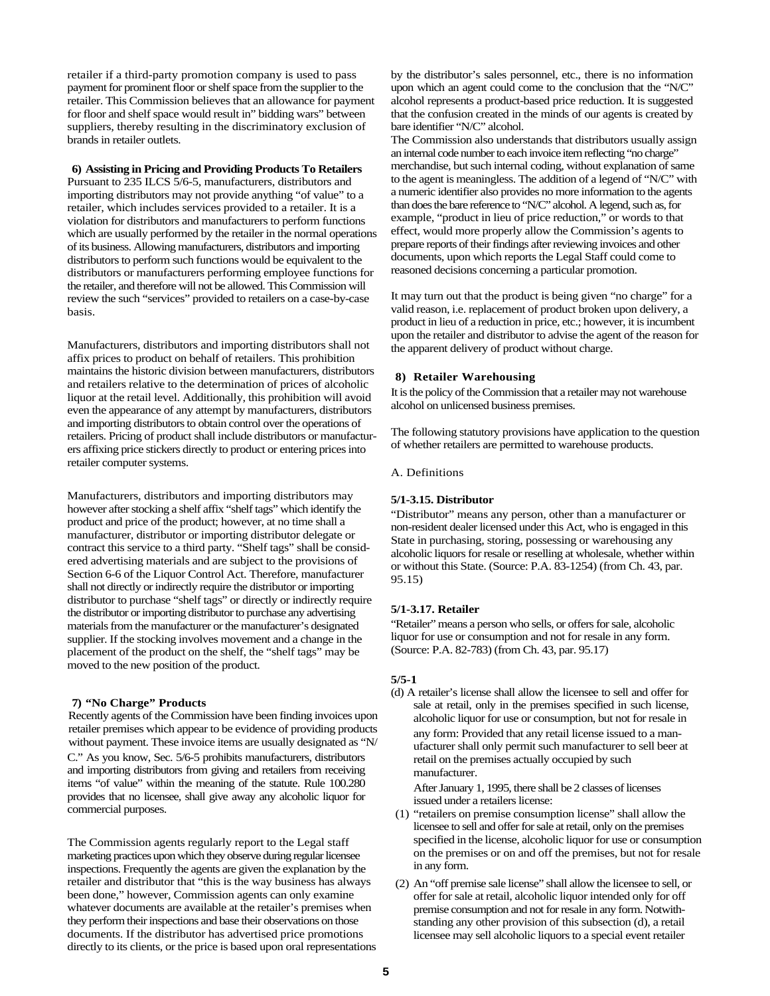retailer if a third-party promotion company is used to pass payment for prominent floor or shelf space from the supplier to the retailer. This Commission believes that an allowance for payment for floor and shelf space would result in" bidding wars" between suppliers, thereby resulting in the discriminatory exclusion of brands in retailer outlets.

# **6) Assisting in Pricing and Providing Products To Retailers**

Pursuant to 235 ILCS 5/6-5, manufacturers, distributors and importing distributors may not provide anything "of value" to a retailer, which includes services provided to a retailer. It is a violation for distributors and manufacturers to perform functions which are usually performed by the retailer in the normal operations of its business. Allowing manufacturers, distributors and importing distributors to perform such functions would be equivalent to the distributors or manufacturers performing employee functions for the retailer, and therefore will not be allowed. This Commission will review the such "services" provided to retailers on a case-by-case basis.

Manufacturers, distributors and importing distributors shall not affix prices to product on behalf of retailers. This prohibition maintains the historic division between manufacturers, distributors and retailers relative to the determination of prices of alcoholic liquor at the retail level. Additionally, this prohibition will avoid even the appearance of any attempt by manufacturers, distributors and importing distributors to obtain control over the operations of retailers. Pricing of product shall include distributors or manufacturers affixing price stickers directly to product or entering prices into retailer computer systems.

Manufacturers, distributors and importing distributors may however after stocking a shelf affix "shelf tags" which identify the product and price of the product; however, at no time shall a manufacturer, distributor or importing distributor delegate or contract this service to a third party. "Shelf tags" shall be considered advertising materials and are subject to the provisions of Section 6-6 of the Liquor Control Act. Therefore, manufacturer shall not directly or indirectly require the distributor or importing distributor to purchase "shelf tags" or directly or indirectly require the distributor or importing distributor to purchase any advertising materials from the manufacturer or the manufacturer's designated supplier. If the stocking involves movement and a change in the placement of the product on the shelf, the "shelf tags" may be moved to the new position of the product.

## **7) "No Charge" Products**

Recently agents of the Commission have been finding invoices upon retailer premises which appear to be evidence of providing products without payment. These invoice items are usually designated as "N/ C." As you know, Sec. 5/6-5 prohibits manufacturers, distributors and importing distributors from giving and retailers from receiving items "of value" within the meaning of the statute. Rule 100.280 provides that no licensee, shall give away any alcoholic liquor for commercial purposes.

The Commission agents regularly report to the Legal staff marketing practices upon which they observe during regular licensee inspections. Frequently the agents are given the explanation by the retailer and distributor that "this is the way business has always been done," however, Commission agents can only examine whatever documents are available at the retailer's premises when they perform their inspections and base their observations on those documents. If the distributor has advertised price promotions directly to its clients, or the price is based upon oral representations by the distributor's sales personnel, etc., there is no information upon which an agent could come to the conclusion that the "N/C" alcohol represents a product-based price reduction. It is suggested that the confusion created in the minds of our agents is created by bare identifier "N/C" alcohol.

The Commission also understands that distributors usually assign an internal code number to each invoice item reflecting "no charge" merchandise, but such internal coding, without explanation of same to the agent is meaningless. The addition of a legend of "N/C" with a numeric identifier also provides no more information to the agents than does the bare reference to "N/C" alcohol. A legend, such as, for example, "product in lieu of price reduction," or words to that effect, would more properly allow the Commission's agents to prepare reports of their findings after reviewing invoices and other documents, upon which reports the Legal Staff could come to reasoned decisions concerning a particular promotion.

It may turn out that the product is being given "no charge" for a valid reason, i.e. replacement of product broken upon delivery, a product in lieu of a reduction in price, etc.; however, it is incumbent upon the retailer and distributor to advise the agent of the reason for the apparent delivery of product without charge.

#### **8) Retailer Warehousing**

It is the policy of the Commission that a retailer may not warehouse alcohol on unlicensed business premises.

The following statutory provisions have application to the question of whether retailers are permitted to warehouse products.

A. Definitions

## **5/1-3.15. Distributor**

"Distributor" means any person, other than a manufacturer or non-resident dealer licensed under this Act, who is engaged in this State in purchasing, storing, possessing or warehousing any alcoholic liquors for resale or reselling at wholesale, whether within or without this State. (Source: P.A. 83-1254) (from Ch. 43, par. 95.15)

# **5/1-3.17. Retailer**

"Retailer" means a person who sells, or offers for sale, alcoholic liquor for use or consumption and not for resale in any form. (Source: P.A. 82-783) (from Ch. 43, par. 95.17)

## **5/5-1**

(d) A retailer's license shall allow the licensee to sell and offer for sale at retail, only in the premises specified in such license, alcoholic liquor for use or consumption, but not for resale in any form: Provided that any retail license issued to a manufacturer shall only permit such manufacturer to sell beer at retail on the premises actually occupied by such manufacturer.

After January 1, 1995, there shall be 2 classes of licenses issued under a retailers license:

- (1) "retailers on premise consumption license" shall allow the licensee to sell and offer for sale at retail, only on the premises specified in the license, alcoholic liquor for use or consumption on the premises or on and off the premises, but not for resale in any form.
- (2) An "off premise sale license" shall allow the licensee to sell, or offer for sale at retail, alcoholic liquor intended only for off premise consumption and not for resale in any form. Notwithstanding any other provision of this subsection (d), a retail licensee may sell alcoholic liquors to a special event retailer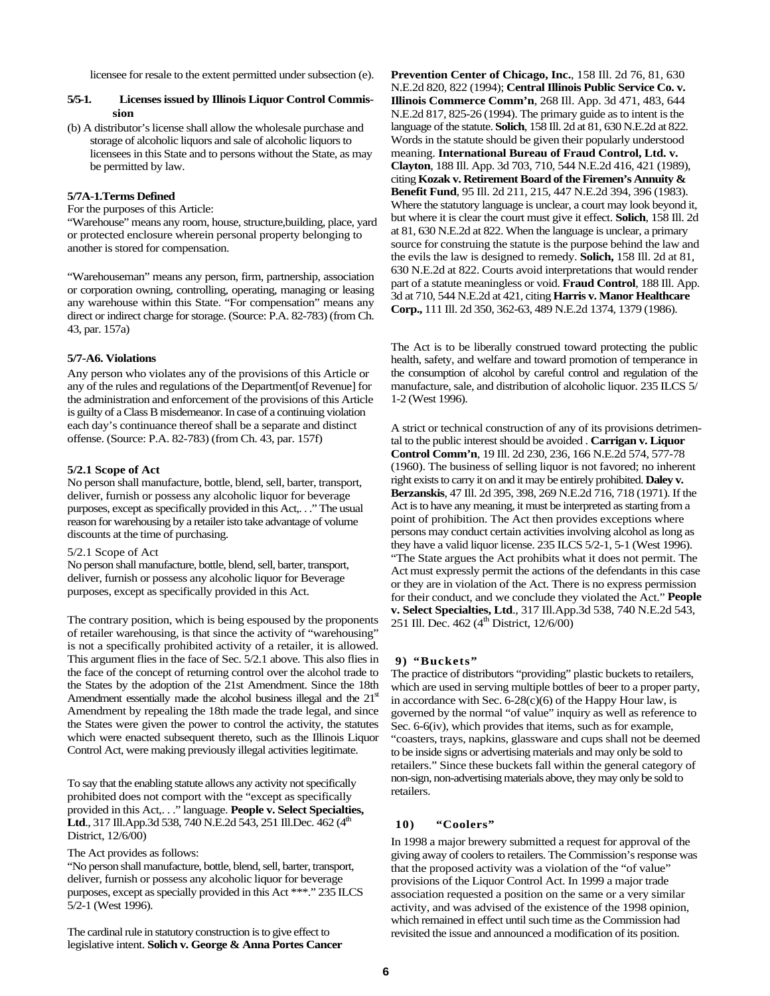licensee for resale to the extent permitted under subsection (e).

# **5/5-1. Licenses issued by Illinois Liquor Control Commission**

(b) A distributor's license shall allow the wholesale purchase and storage of alcoholic liquors and sale of alcoholic liquors to licensees in this State and to persons without the State, as may be permitted by law.

# **5/7A-1.Terms Defined**

For the purposes of this Article:

"Warehouse" means any room, house, structure,building, place, yard or protected enclosure wherein personal property belonging to another is stored for compensation.

"Warehouseman" means any person, firm, partnership, association or corporation owning, controlling, operating, managing or leasing any warehouse within this State. "For compensation" means any direct or indirect charge for storage. (Source: P.A. 82-783) (from Ch. 43, par. 157a)

# **5/7-A6. Violations**

Any person who violates any of the provisions of this Article or any of the rules and regulations of the Department[of Revenue] for the administration and enforcement of the provisions of this Article is guilty of a Class B misdemeanor. In case of a continuing violation each day's continuance thereof shall be a separate and distinct offense. (Source: P.A. 82-783) (from Ch. 43, par. 157f)

# **5/2.1 Scope of Act**

No person shall manufacture, bottle, blend, sell, barter, transport, deliver, furnish or possess any alcoholic liquor for beverage purposes, except as specifically provided in this Act,. . ." The usual reason for warehousing by a retailer isto take advantage of volume discounts at the time of purchasing.

#### 5/2.1 Scope of Act

No person shall manufacture, bottle, blend, sell, barter, transport, deliver, furnish or possess any alcoholic liquor for Beverage purposes, except as specifically provided in this Act.

The contrary position, which is being espoused by the proponents of retailer warehousing, is that since the activity of "warehousing" is not a specifically prohibited activity of a retailer, it is allowed. This argument flies in the face of Sec. 5/2.1 above. This also flies in the face of the concept of returning control over the alcohol trade to the States by the adoption of the 21st Amendment. Since the 18th Amendment essentially made the alcohol business illegal and the  $21<sup>st</sup>$ Amendment by repealing the 18th made the trade legal, and since the States were given the power to control the activity, the statutes which were enacted subsequent thereto, such as the Illinois Liquor Control Act, were making previously illegal activities legitimate.

To say that the enabling statute allows any activity not specifically prohibited does not comport with the "except as specifically provided in this Act,. . ." language. **People v. Select Specialties, Ltd.**, 317 Ill.App.3d 538, 740 N.E.2d 543, 251 Ill.Dec. 462 (4<sup>th</sup>) District, 12/6/00)

The Act provides as follows:

"No person shall manufacture, bottle, blend, sell, barter, transport, deliver, furnish or possess any alcoholic liquor for beverage purposes, except as specially provided in this Act \*\*\*." 235 ILCS 5/2-1 (West 1996).

The cardinal rule in statutory construction is to give effect to legislative intent. **Solich v. George & Anna Portes Cancer**  **Prevention Center of Chicago, Inc.**, 158 Ill. 2d 76, 81, 630 N.E.2d 820, 822 (1994); **Central Illinois Public Service Co. v. Illinois Commerce Comm'n**, 268 Ill. App. 3d 471, 483, 644 N.E.2d 817, 825-26 (1994). The primary guide as to intent is the language of the statute. **Solich**, 158 Ill. 2d at 81, 630 N.E.2d at 822. Words in the statute should be given their popularly understood meaning. **International Bureau of Fraud Control, Ltd. v. Clayton**, 188 Ill. App. 3d 703, 710, 544 N.E.2d 416, 421 (1989), citing **Kozak v. Retirement Board of the Firemen's Annuity & Benefit Fund**, 95 Ill. 2d 211, 215, 447 N.E.2d 394, 396 (1983). Where the statutory language is unclear, a court may look beyond it, but where it is clear the court must give it effect. **Solich**, 158 Ill. 2d at 81, 630 N.E.2d at 822. When the language is unclear, a primary source for construing the statute is the purpose behind the law and the evils the law is designed to remedy. **Solich,** 158 Ill. 2d at 81, 630 N.E.2d at 822. Courts avoid interpretations that would render part of a statute meaningless or void. **Fraud Control**, 188 Ill. App. 3d at 710, 544 N.E.2d at 421, citing **Harris v. Manor Healthcare Corp.,** 111 Ill. 2d 350, 362-63, 489 N.E.2d 1374, 1379 (1986).

The Act is to be liberally construed toward protecting the public health, safety, and welfare and toward promotion of temperance in the consumption of alcohol by careful control and regulation of the manufacture, sale, and distribution of alcoholic liquor. 235 ILCS 5/ 1-2 (West 1996).

A strict or technical construction of any of its provisions detrimental to the public interest should be avoided . **Carrigan v. Liquor Control Comm'n**, 19 Ill. 2d 230, 236, 166 N.E.2d 574, 577-78 (1960). The business of selling liquor is not favored; no inherent right exists to carry it on and it may be entirely prohibited. **Daley v. Berzanskis**, 47 Ill. 2d 395, 398, 269 N.E.2d 716, 718 (1971). If the Act is to have any meaning, it must be interpreted as starting from a point of prohibition. The Act then provides exceptions where persons may conduct certain activities involving alcohol as long as they have a valid liquor license. 235 ILCS 5/2-1, 5-1 (West 1996). "The State argues the Act prohibits what it does not permit. The Act must expressly permit the actions of the defendants in this case or they are in violation of the Act. There is no express permission for their conduct, and we conclude they violated the Act." **People v. Select Specialties, Ltd**., 317 Ill.App.3d 538, 740 N.E.2d 543, 251 Ill. Dec. 462 (4<sup>th</sup> District, 12/6/00)

# **9) "Buckets"**

The practice of distributors "providing" plastic buckets to retailers, which are used in serving multiple bottles of beer to a proper party, in accordance with Sec.  $6-28(c)(6)$  of the Happy Hour law, is governed by the normal "of value" inquiry as well as reference to Sec. 6-6(iv), which provides that items, such as for example, "coasters, trays, napkins, glassware and cups shall not be deemed to be inside signs or advertising materials and may only be sold to retailers." Since these buckets fall within the general category of non-sign, non-advertising materials above, they may only be sold to retailers.

# **10) "Coolers"**

In 1998 a major brewery submitted a request for approval of the giving away of coolers to retailers. The Commission's response was that the proposed activity was a violation of the "of value" provisions of the Liquor Control Act. In 1999 a major trade association requested a position on the same or a very similar activity, and was advised of the existence of the 1998 opinion, which remained in effect until such time as the Commission had revisited the issue and announced a modification of its position.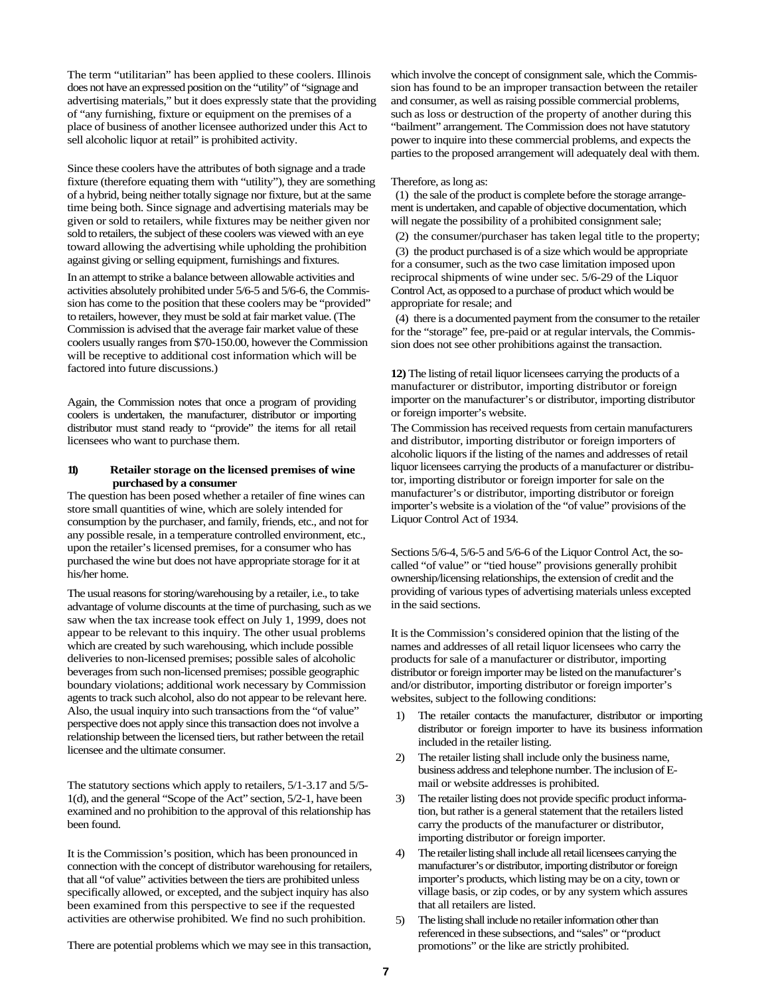The term "utilitarian" has been applied to these coolers. Illinois does not have an expressed position on the "utility" of "signage and advertising materials," but it does expressly state that the providing of "any furnishing, fixture or equipment on the premises of a place of business of another licensee authorized under this Act to sell alcoholic liquor at retail" is prohibited activity.

Since these coolers have the attributes of both signage and a trade fixture (therefore equating them with "utility"), they are something of a hybrid, being neither totally signage nor fixture, but at the same time being both. Since signage and advertising materials may be given or sold to retailers, while fixtures may be neither given nor sold to retailers, the subject of these coolers was viewed with an eye toward allowing the advertising while upholding the prohibition against giving or selling equipment, furnishings and fixtures.

In an attempt to strike a balance between allowable activities and activities absolutely prohibited under 5/6-5 and 5/6-6, the Commission has come to the position that these coolers may be "provided" to retailers, however, they must be sold at fair market value. (The Commission is advised that the average fair market value of these coolers usually ranges from \$70-150.00, however the Commission will be receptive to additional cost information which will be factored into future discussions.)

Again, the Commission notes that once a program of providing coolers is undertaken, the manufacturer, distributor or importing distributor must stand ready to "provide" the items for all retail licensees who want to purchase them.

#### **11) Retailer storage on the licensed premises of wine purchased by a consumer**

The question has been posed whether a retailer of fine wines can store small quantities of wine, which are solely intended for consumption by the purchaser, and family, friends, etc., and not for any possible resale, in a temperature controlled environment, etc., upon the retailer's licensed premises, for a consumer who has purchased the wine but does not have appropriate storage for it at his/her home.

The usual reasons for storing/warehousing by a retailer, i.e., to take advantage of volume discounts at the time of purchasing, such as we saw when the tax increase took effect on July 1, 1999, does not appear to be relevant to this inquiry. The other usual problems which are created by such warehousing, which include possible deliveries to non-licensed premises; possible sales of alcoholic beverages from such non-licensed premises; possible geographic boundary violations; additional work necessary by Commission agents to track such alcohol, also do not appear to be relevant here. Also, the usual inquiry into such transactions from the "of value" perspective does not apply since this transaction does not involve a relationship between the licensed tiers, but rather between the retail licensee and the ultimate consumer.

The statutory sections which apply to retailers, 5/1-3.17 and 5/5- 1(d), and the general "Scope of the Act" section, 5/2-1, have been examined and no prohibition to the approval of this relationship has been found.

It is the Commission's position, which has been pronounced in connection with the concept of distributor warehousing for retailers, that all "of value" activities between the tiers are prohibited unless specifically allowed, or excepted, and the subject inquiry has also been examined from this perspective to see if the requested activities are otherwise prohibited. We find no such prohibition.

There are potential problems which we may see in this transaction,

which involve the concept of consignment sale, which the Commission has found to be an improper transaction between the retailer and consumer, as well as raising possible commercial problems, such as loss or destruction of the property of another during this "bailment" arrangement. The Commission does not have statutory power to inquire into these commercial problems, and expects the parties to the proposed arrangement will adequately deal with them.

#### Therefore, as long as:

(1) the sale of the product is complete before the storage arrangement is undertaken, and capable of objective documentation, which will negate the possibility of a prohibited consignment sale;

(2) the consumer/purchaser has taken legal title to the property;

(3) the product purchased is of a size which would be appropriate for a consumer, such as the two case limitation imposed upon reciprocal shipments of wine under sec. 5/6-29 of the Liquor Control Act, as opposed to a purchase of product which would be appropriate for resale; and

(4) there is a documented payment from the consumer to the retailer for the "storage" fee, pre-paid or at regular intervals, the Commission does not see other prohibitions against the transaction.

**12)** The listing of retail liquor licensees carrying the products of a manufacturer or distributor, importing distributor or foreign importer on the manufacturer's or distributor, importing distributor or foreign importer's website.

The Commission has received requests from certain manufacturers and distributor, importing distributor or foreign importers of alcoholic liquors if the listing of the names and addresses of retail liquor licensees carrying the products of a manufacturer or distributor, importing distributor or foreign importer for sale on the manufacturer's or distributor, importing distributor or foreign importer's website is a violation of the "of value" provisions of the Liquor Control Act of 1934.

Sections 5/6-4, 5/6-5 and 5/6-6 of the Liquor Control Act, the socalled "of value" or "tied house" provisions generally prohibit ownership/licensing relationships, the extension of credit and the providing of various types of advertising materials unless excepted in the said sections.

It is the Commission's considered opinion that the listing of the names and addresses of all retail liquor licensees who carry the products for sale of a manufacturer or distributor, importing distributor or foreign importer may be listed on the manufacturer's and/or distributor, importing distributor or foreign importer's websites, subject to the following conditions:

- The retailer contacts the manufacturer, distributor or importing distributor or foreign importer to have its business information included in the retailer listing.
- 2) The retailer listing shall include only the business name, business address and telephone number. The inclusion of Email or website addresses is prohibited.
- 3) The retailer listing does not provide specific product information, but rather is a general statement that the retailers listed carry the products of the manufacturer or distributor, importing distributor or foreign importer.
- 4) The retailer listing shall include all retail licensees carrying the manufacturer's or distributor, importing distributor or foreign importer's products, which listing may be on a city, town or village basis, or zip codes, or by any system which assures that all retailers are listed.
- 5) The listing shall include no retailer information other than referenced in these subsections, and "sales" or "product promotions" or the like are strictly prohibited.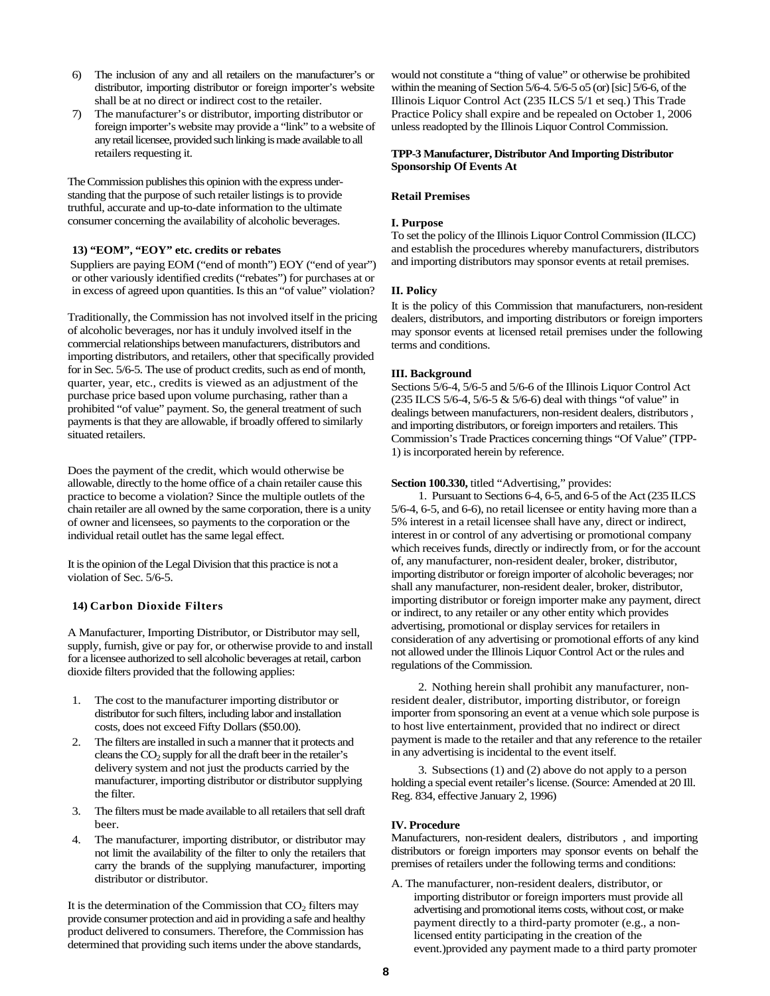- 6) The inclusion of any and all retailers on the manufacturer's or distributor, importing distributor or foreign importer's website shall be at no direct or indirect cost to the retailer.
- 7) The manufacturer's or distributor, importing distributor or foreign importer's website may provide a "link" to a website of any retail licensee, provided such linking is made available to all retailers requesting it.

The Commission publishes this opinion with the express understanding that the purpose of such retailer listings is to provide truthful, accurate and up-to-date information to the ultimate consumer concerning the availability of alcoholic beverages.

# **13) "EOM", "EOY" etc. credits or rebates**

Suppliers are paying EOM ("end of month") EOY ("end of year") or other variously identified credits ("rebates") for purchases at or in excess of agreed upon quantities. Is this an "of value" violation?

Traditionally, the Commission has not involved itself in the pricing of alcoholic beverages, nor has it unduly involved itself in the commercial relationships between manufacturers, distributors and importing distributors, and retailers, other that specifically provided for in Sec. 5/6-5. The use of product credits, such as end of month, quarter, year, etc., credits is viewed as an adjustment of the purchase price based upon volume purchasing, rather than a prohibited "of value" payment. So, the general treatment of such payments is that they are allowable, if broadly offered to similarly situated retailers.

Does the payment of the credit, which would otherwise be allowable, directly to the home office of a chain retailer cause this practice to become a violation? Since the multiple outlets of the chain retailer are all owned by the same corporation, there is a unity of owner and licensees, so payments to the corporation or the individual retail outlet has the same legal effect.

It is the opinion of the Legal Division that this practice is not a violation of Sec. 5/6-5.

# **14) Carbon Dioxide Filters**

A Manufacturer, Importing Distributor, or Distributor may sell, supply, furnish, give or pay for, or otherwise provide to and install for a licensee authorized to sell alcoholic beverages at retail, carbon dioxide filters provided that the following applies:

- 1. The cost to the manufacturer importing distributor or distributor for such filters, including labor and installation costs, does not exceed Fifty Dollars (\$50.00).
- 2. The filters are installed in such a manner that it protects and cleans the  $CO<sub>2</sub>$  supply for all the draft beer in the retailer's delivery system and not just the products carried by the manufacturer, importing distributor or distributor supplying the filter.
- 3. The filters must be made available to all retailers that sell draft beer.
- 4. The manufacturer, importing distributor, or distributor may not limit the availability of the filter to only the retailers that carry the brands of the supplying manufacturer, importing distributor or distributor.

It is the determination of the Commission that  $CO<sub>2</sub>$  filters may provide consumer protection and aid in providing a safe and healthy product delivered to consumers. Therefore, the Commission has determined that providing such items under the above standards,

would not constitute a "thing of value" or otherwise be prohibited within the meaning of Section 5/6-4. 5/6-5 o5 (or) [sic] 5/6-6, of the Illinois Liquor Control Act (235 ILCS 5/1 et seq.) This Trade Practice Policy shall expire and be repealed on October 1, 2006 unless readopted by the Illinois Liquor Control Commission.

# **TPP-3 Manufacturer, Distributor And Importing Distributor Sponsorship Of Events At**

# **Retail Premises**

#### **I. Purpose**

To set the policy of the Illinois Liquor Control Commission (ILCC) and establish the procedures whereby manufacturers, distributors and importing distributors may sponsor events at retail premises.

# **II. Policy**

It is the policy of this Commission that manufacturers, non-resident dealers, distributors, and importing distributors or foreign importers may sponsor events at licensed retail premises under the following terms and conditions.

#### **III. Background**

Sections 5/6-4, 5/6-5 and 5/6-6 of the Illinois Liquor Control Act (235 ILCS 5/6-4, 5/6-5 & 5/6-6) deal with things "of value" in dealings between manufacturers, non-resident dealers, distributors , and importing distributors, or foreign importers and retailers. This Commission's Trade Practices concerning things "Of Value" (TPP-1) is incorporated herein by reference.

#### **Section 100.330,** titled "Advertising," provides:

1. Pursuant to Sections 6-4, 6-5, and 6-5 of the Act (235 ILCS 5/6-4, 6-5, and 6-6), no retail licensee or entity having more than a 5% interest in a retail licensee shall have any, direct or indirect, interest in or control of any advertising or promotional company which receives funds, directly or indirectly from, or for the account of, any manufacturer, non-resident dealer, broker, distributor, importing distributor or foreign importer of alcoholic beverages; nor shall any manufacturer, non-resident dealer, broker, distributor, importing distributor or foreign importer make any payment, direct or indirect, to any retailer or any other entity which provides advertising, promotional or display services for retailers in consideration of any advertising or promotional efforts of any kind not allowed under the Illinois Liquor Control Act or the rules and regulations of the Commission.

2. Nothing herein shall prohibit any manufacturer, nonresident dealer, distributor, importing distributor, or foreign importer from sponsoring an event at a venue which sole purpose is to host live entertainment, provided that no indirect or direct payment is made to the retailer and that any reference to the retailer in any advertising is incidental to the event itself.

3. Subsections (1) and (2) above do not apply to a person holding a special event retailer's license. (Source: Amended at 20 Ill. Reg. 834, effective January 2, 1996)

## **IV. Procedure**

Manufacturers, non-resident dealers, distributors , and importing distributors or foreign importers may sponsor events on behalf the premises of retailers under the following terms and conditions:

A. The manufacturer, non-resident dealers, distributor, or importing distributor or foreign importers must provide all advertising and promotional items costs, without cost, or make payment directly to a third-party promoter (e.g., a nonlicensed entity participating in the creation of the event.)provided any payment made to a third party promoter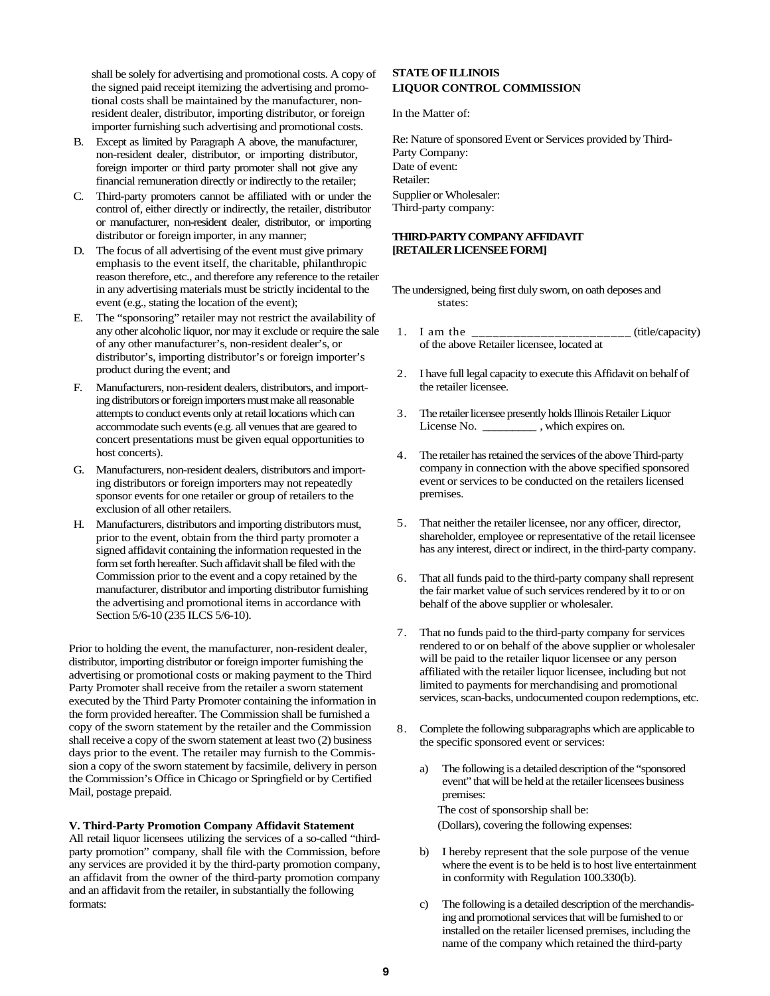shall be solely for advertising and promotional costs. A copy of the signed paid receipt itemizing the advertising and promotional costs shall be maintained by the manufacturer, nonresident dealer, distributor, importing distributor, or foreign importer furnishing such advertising and promotional costs.

- B. Except as limited by Paragraph A above, the manufacturer, non-resident dealer, distributor, or importing distributor, foreign importer or third party promoter shall not give any financial remuneration directly or indirectly to the retailer;
- C. Third-party promoters cannot be affiliated with or under the control of, either directly or indirectly, the retailer, distributor or manufacturer, non-resident dealer, distributor, or importing distributor or foreign importer, in any manner;
- D. The focus of all advertising of the event must give primary emphasis to the event itself, the charitable, philanthropic reason therefore, etc., and therefore any reference to the retailer in any advertising materials must be strictly incidental to the event (e.g., stating the location of the event);
- E. The "sponsoring" retailer may not restrict the availability of any other alcoholic liquor, nor may it exclude or require the sale of any other manufacturer's, non-resident dealer's, or distributor's, importing distributor's or foreign importer's product during the event; and
- F. Manufacturers, non-resident dealers, distributors, and importing distributors or foreign importers must make all reasonable attempts to conduct events only at retail locations which can accommodate such events (e.g. all venues that are geared to concert presentations must be given equal opportunities to host concerts).
- G. Manufacturers, non-resident dealers, distributors and importing distributors or foreign importers may not repeatedly sponsor events for one retailer or group of retailers to the exclusion of all other retailers.
- H. Manufacturers, distributors and importing distributors must, prior to the event, obtain from the third party promoter a signed affidavit containing the information requested in the form set forth hereafter. Such affidavit shall be filed with the Commission prior to the event and a copy retained by the manufacturer, distributor and importing distributor furnishing the advertising and promotional items in accordance with Section 5/6-10 (235 ILCS 5/6-10).

Prior to holding the event, the manufacturer, non-resident dealer, distributor, importing distributor or foreign importer furnishing the advertising or promotional costs or making payment to the Third Party Promoter shall receive from the retailer a sworn statement executed by the Third Party Promoter containing the information in the form provided hereafter. The Commission shall be furnished a copy of the sworn statement by the retailer and the Commission shall receive a copy of the sworn statement at least two (2) business days prior to the event. The retailer may furnish to the Commission a copy of the sworn statement by facsimile, delivery in person the Commission's Office in Chicago or Springfield or by Certified Mail, postage prepaid.

## **V. Third-Party Promotion Company Affidavit Statement**

All retail liquor licensees utilizing the services of a so-called "thirdparty promotion" company, shall file with the Commission, before any services are provided it by the third-party promotion company, an affidavit from the owner of the third-party promotion company and an affidavit from the retailer, in substantially the following formats:

# **STATE OF ILLINOIS LIQUOR CONTROL COMMISSION**

In the Matter of:

Re: Nature of sponsored Event or Services provided by Third-Party Company: Date of event: Retailer: Supplier or Wholesaler: Third-party company:

# **THIRD-PARTY COMPANY AFFIDAVIT [RETAILER LICENSEE FORM]**

- The undersigned, being first duly sworn, on oath deposes and states:
- 1. I am the **example 2** (title/capacity) of the above Retailer licensee, located at
- 2. I have full legal capacity to execute this Affidavit on behalf of the retailer licensee.
- 3. The retailer licensee presently holds Illinois Retailer Liquor License No. \_\_\_\_\_\_\_\_\_\_\_\_, which expires on.
- 4. The retailer has retained the services of the above Third-party company in connection with the above specified sponsored event or services to be conducted on the retailers licensed premises.
- 5. That neither the retailer licensee, nor any officer, director, shareholder, employee or representative of the retail licensee has any interest, direct or indirect, in the third-party company.
- 6. That all funds paid to the third-party company shall represent the fair market value of such services rendered by it to or on behalf of the above supplier or wholesaler.
- 7. That no funds paid to the third-party company for services rendered to or on behalf of the above supplier or wholesaler will be paid to the retailer liquor licensee or any person affiliated with the retailer liquor licensee, including but not limited to payments for merchandising and promotional services, scan-backs, undocumented coupon redemptions, etc.
- 8. Complete the following subparagraphs which are applicable to the specific sponsored event or services:
	- a) The following is a detailed description of the "sponsored event" that will be held at the retailer licensees business premises: The cost of sponsorship shall be: (Dollars), covering the following expenses:
	- b) I hereby represent that the sole purpose of the venue where the event is to be held is to host live entertainment in conformity with Regulation 100.330(b).
	- c) The following is a detailed description of the merchandising and promotional services that will be furnished to or installed on the retailer licensed premises, including the name of the company which retained the third-party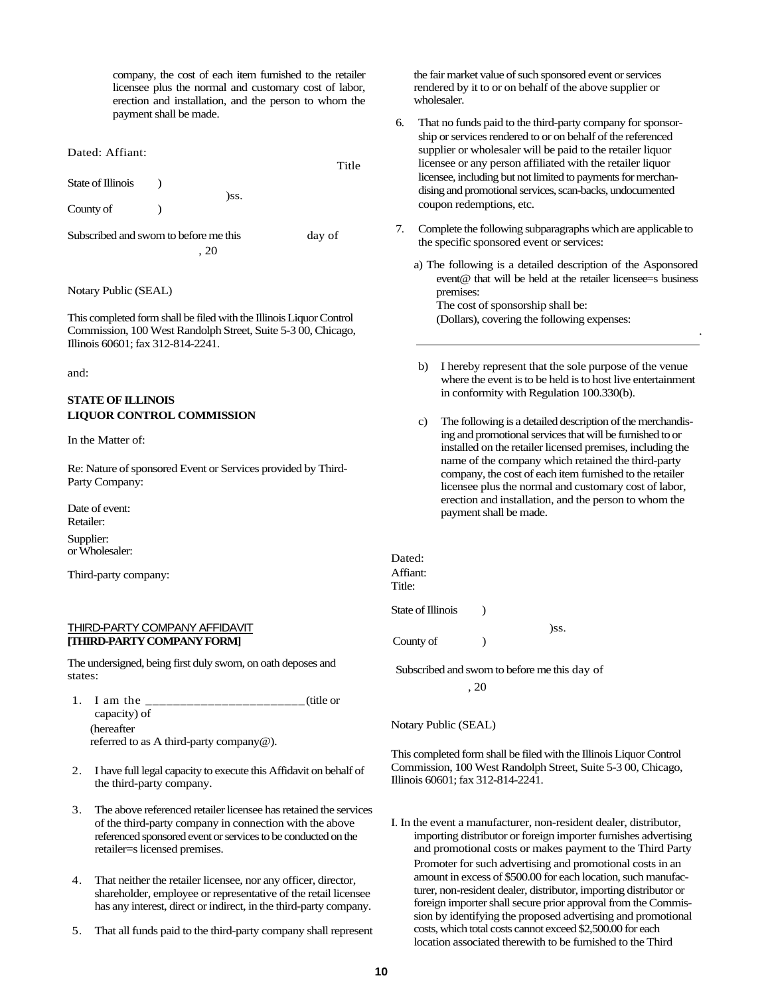company, the cost of each item furnished to the retailer licensee plus the normal and customary cost of labor, erection and installation, and the person to whom the payment shall be made.

)ss.

# Dated: Affiant:

Title

State of Illinois (b) County of (1)

Subscribed and sworn to before me this day of  $.20$ 

#### Notary Public (SEAL)

This completed form shall be filed with the Illinois Liquor Control Commission, 100 West Randolph Street, Suite 5-3 00, Chicago, Illinois 60601; fax 312-814-2241.

#### and:

# **STATE OF ILLINOIS LIQUOR CONTROL COMMISSION**

In the Matter of:

Re: Nature of sponsored Event or Services provided by Third-Party Company:

Date of event: Retailer:

Supplier: or Wholesaler:

Third-party company:

#### THIRD-PARTY COMPANY AFFIDAVIT **THIRD-PARTY COMPANY AFFIDAVIT [THIRD-PARTY COMPANY FORM]** County of )

The undersigned, being first duly sworn, on oath deposes and states:

- 1. I am the \_\_\_\_\_\_\_\_\_\_\_\_\_\_\_\_\_\_\_\_\_\_\_\_\_\_(title or capacity) of (hereafter referred to as A third-party company@).
- 2. I have full legal capacity to execute this Affidavit on behalf of the third-party company.
- 3. The above referenced retailer licensee has retained the services of the third-party company in connection with the above referenced sponsored event or services to be conducted on the retailer=s licensed premises.
- 4. That neither the retailer licensee, nor any officer, director, shareholder, employee or representative of the retail licensee has any interest, direct or indirect, in the third-party company.
- 5. That all funds paid to the third-party company shall represent

the fair market value of such sponsored event or services rendered by it to or on behalf of the above supplier or wholesaler.

- 6. That no funds paid to the third-party company for sponsorship or services rendered to or on behalf of the referenced supplier or wholesaler will be paid to the retailer liquor licensee or any person affiliated with the retailer liquor licensee, including but not limited to payments for merchandising and promotional services, scan-backs, undocumented coupon redemptions, etc.
- 7. Complete the following subparagraphs which are applicable to the specific sponsored event or services:
	- a) The following is a detailed description of the Asponsored event@ that will be held at the retailer licensee=s business premises: The cost of sponsorship shall be: (Dollars), covering the following expenses:

.

- b) I hereby represent that the sole purpose of the venue where the event is to be held is to host live entertainment in conformity with Regulation 100.330(b).
- c) The following is a detailed description of the merchandising and promotional services that will be furnished to or installed on the retailer licensed premises, including the name of the company which retained the third-party company, the cost of each item furnished to the retailer licensee plus the normal and customary cost of labor, erection and installation, and the person to whom the payment shall be made.

Dated: Affiant: Title:

State of Illinois (b)

Subscribed and sworn to before me this day of

, 20

Notary Public (SEAL)

This completed form shall be filed with the Illinois Liquor Control Commission, 100 West Randolph Street, Suite 5-3 00, Chicago, Illinois 60601; fax 312-814-2241.

I. In the event a manufacturer, non-resident dealer, distributor, importing distributor or foreign importer furnishes advertising and promotional costs or makes payment to the Third Party Promoter for such advertising and promotional costs in an amount in excess of \$500.00 for each location, such manufacturer, non-resident dealer, distributor, importing distributor or foreign importer shall secure prior approval from the Commission by identifying the proposed advertising and promotional costs, which total costs cannot exceed \$2,500.00 for each location associated therewith to be furnished to the Third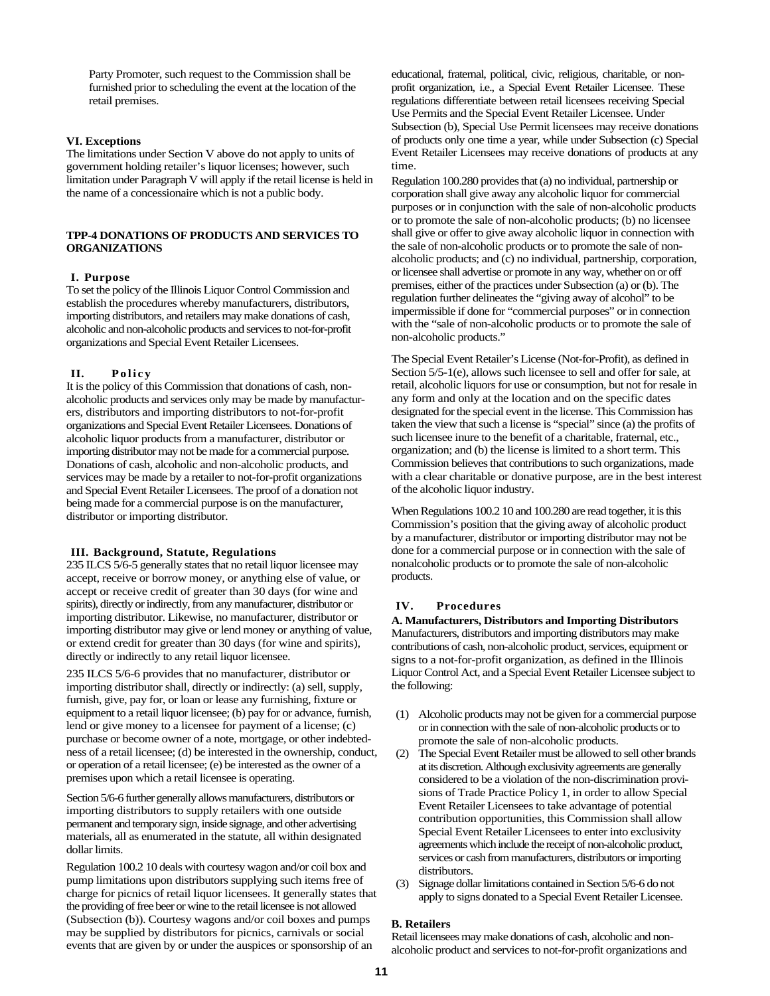Party Promoter, such request to the Commission shall be furnished prior to scheduling the event at the location of the retail premises.

## **VI. Exceptions**

The limitations under Section V above do not apply to units of government holding retailer's liquor licenses; however, such limitation under Paragraph V will apply if the retail license is held in the name of a concessionaire which is not a public body.

# **TPP-4 DONATIONS OF PRODUCTS AND SERVICES TO ORGANIZATIONS**

#### **I. Purpose**

To set the policy of the Illinois Liquor Control Commission and establish the procedures whereby manufacturers, distributors, importing distributors, and retailers may make donations of cash, alcoholic and non-alcoholic products and services to not-for-profit organizations and Special Event Retailer Licensees.

# **II. Policy**

It is the policy of this Commission that donations of cash, nonalcoholic products and services only may be made by manufacturers, distributors and importing distributors to not-for-profit organizations and Special Event Retailer Licensees. Donations of alcoholic liquor products from a manufacturer, distributor or importing distributor may not be made for a commercial purpose. Donations of cash, alcoholic and non-alcoholic products, and services may be made by a retailer to not-for-profit organizations and Special Event Retailer Licensees. The proof of a donation not being made for a commercial purpose is on the manufacturer, distributor or importing distributor.

# **III. Background, Statute, Regulations**

235 ILCS 5/6-5 generally states that no retail liquor licensee may accept, receive or borrow money, or anything else of value, or accept or receive credit of greater than 30 days (for wine and spirits), directly or indirectly, from any manufacturer, distributor or importing distributor. Likewise, no manufacturer, distributor or importing distributor may give or lend money or anything of value, or extend credit for greater than 30 days (for wine and spirits), directly or indirectly to any retail liquor licensee.

235 ILCS 5/6-6 provides that no manufacturer, distributor or importing distributor shall, directly or indirectly: (a) sell, supply, furnish, give, pay for, or loan or lease any furnishing, fixture or equipment to a retail liquor licensee; (b) pay for or advance, furnish, lend or give money to a licensee for payment of a license; (c) purchase or become owner of a note, mortgage, or other indebtedness of a retail licensee; (d) be interested in the ownership, conduct, or operation of a retail licensee; (e) be interested as the owner of a premises upon which a retail licensee is operating.

Section 5/6-6 further generally allows manufacturers, distributors or importing distributors to supply retailers with one outside permanent and temporary sign, inside signage, and other advertising materials, all as enumerated in the statute, all within designated dollar limits.

Regulation 100.2 10 deals with courtesy wagon and/or coil box and pump limitations upon distributors supplying such items free of charge for picnics of retail liquor licensees. It generally states that the providing of free beer or wine to the retail licensee is not allowed (Subsection (b)). Courtesy wagons and/or coil boxes and pumps may be supplied by distributors for picnics, carnivals or social events that are given by or under the auspices or sponsorship of an

educational, fraternal, political, civic, religious, charitable, or nonprofit organization, i.e., a Special Event Retailer Licensee. These regulations differentiate between retail licensees receiving Special Use Permits and the Special Event Retailer Licensee. Under Subsection (b), Special Use Permit licensees may receive donations of products only one time a year, while under Subsection (c) Special Event Retailer Licensees may receive donations of products at any time.

Regulation 100.280 provides that (a) no individual, partnership or corporation shall give away any alcoholic liquor for commercial purposes or in conjunction with the sale of non-alcoholic products or to promote the sale of non-alcoholic products; (b) no licensee shall give or offer to give away alcoholic liquor in connection with the sale of non-alcoholic products or to promote the sale of nonalcoholic products; and (c) no individual, partnership, corporation, or licensee shall advertise or promote in any way, whether on or off premises, either of the practices under Subsection (a) or (b). The regulation further delineates the "giving away of alcohol" to be impermissible if done for "commercial purposes" or in connection with the "sale of non-alcoholic products or to promote the sale of non-alcoholic products."

The Special Event Retailer's License (Not-for-Profit), as defined in Section 5/5-1(e), allows such licensee to sell and offer for sale, at retail, alcoholic liquors for use or consumption, but not for resale in any form and only at the location and on the specific dates designated for the special event in the license. This Commission has taken the view that such a license is "special" since (a) the profits of such licensee inure to the benefit of a charitable, fraternal, etc., organization; and (b) the license is limited to a short term. This Commission believes that contributions to such organizations, made with a clear charitable or donative purpose, are in the best interest of the alcoholic liquor industry.

When Regulations 100.2 10 and 100.280 are read together, it is this Commission's position that the giving away of alcoholic product by a manufacturer, distributor or importing distributor may not be done for a commercial purpose or in connection with the sale of nonalcoholic products or to promote the sale of non-alcoholic products.

#### **IV. Procedures**

**A. Manufacturers, Distributors and Importing Distributors**  Manufacturers, distributors and importing distributors may make contributions of cash, non-alcoholic product, services, equipment or signs to a not-for-profit organization, as defined in the Illinois Liquor Control Act, and a Special Event Retailer Licensee subject to the following:

- (1) Alcoholic products may not be given for a commercial purpose or in connection with the sale of non-alcoholic products or to promote the sale of non-alcoholic products.
- (2) The Special Event Retailer must be allowed to sell other brands at its discretion. Although exclusivity agreements are generally considered to be a violation of the non-discrimination provisions of Trade Practice Policy 1, in order to allow Special Event Retailer Licensees to take advantage of potential contribution opportunities, this Commission shall allow Special Event Retailer Licensees to enter into exclusivity agreements which include the receipt of non-alcoholic product, services or cash from manufacturers, distributors or importing distributors.
- (3) Signage dollar limitations contained in Section 5/6-6 do not apply to signs donated to a Special Event Retailer Licensee.

#### **B. Retailers**

Retail licensees may make donations of cash, alcoholic and nonalcoholic product and services to not-for-profit organizations and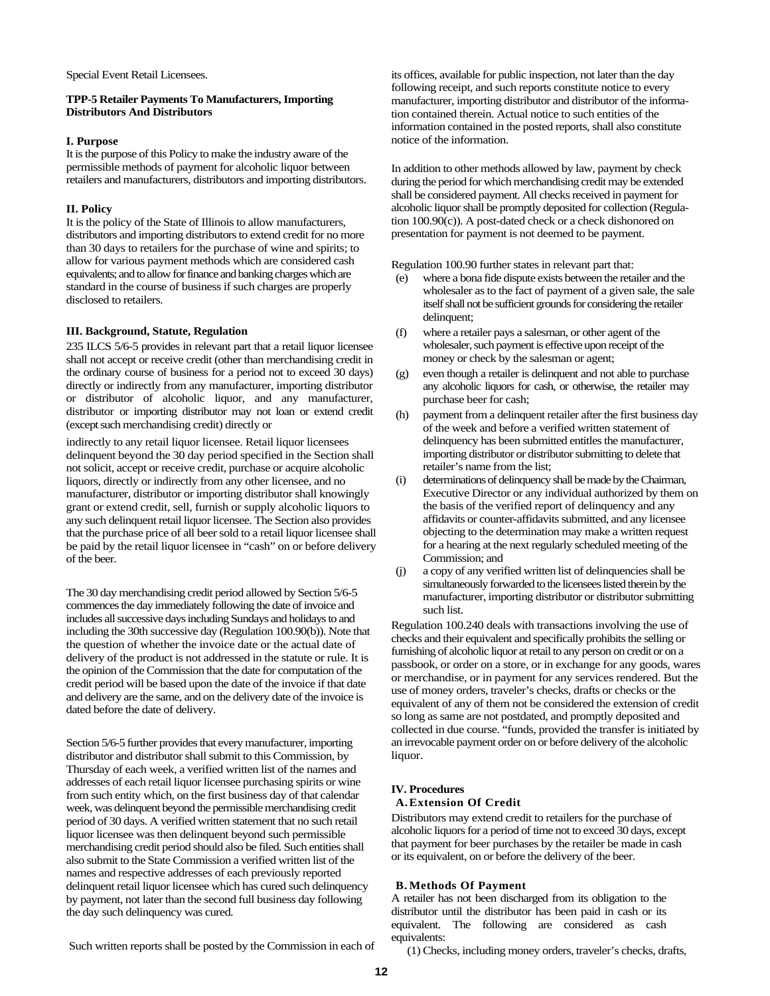# **TPP-5 Retailer Payments To Manufacturers, Importing Distributors And Distributors**

# **I. Purpose**

It is the purpose of this Policy to make the industry aware of the permissible methods of payment for alcoholic liquor between retailers and manufacturers, distributors and importing distributors.

# **II. Policy**

It is the policy of the State of Illinois to allow manufacturers, distributors and importing distributors to extend credit for no more than 30 days to retailers for the purchase of wine and spirits; to allow for various payment methods which are considered cash equivalents; and to allow for finance and banking charges which are standard in the course of business if such charges are properly disclosed to retailers.

# **III. Background, Statute, Regulation**

235 ILCS 5/6-5 provides in relevant part that a retail liquor licensee shall not accept or receive credit (other than merchandising credit in the ordinary course of business for a period not to exceed 30 days) directly or indirectly from any manufacturer, importing distributor or distributor of alcoholic liquor, and any manufacturer, distributor or importing distributor may not loan or extend credit (except such merchandising credit) directly or

indirectly to any retail liquor licensee. Retail liquor licensees delinquent beyond the 30 day period specified in the Section shall not solicit, accept or receive credit, purchase or acquire alcoholic liquors, directly or indirectly from any other licensee, and no manufacturer, distributor or importing distributor shall knowingly grant or extend credit, sell, furnish or supply alcoholic liquors to any such delinquent retail liquor licensee. The Section also provides that the purchase price of all beer sold to a retail liquor licensee shall be paid by the retail liquor licensee in "cash" on or before delivery of the beer.

The 30 day merchandising credit period allowed by Section 5/6-5 commences the day immediately following the date of invoice and includes all successive days including Sundays and holidays to and including the 30th successive day (Regulation 100.90(b)). Note that the question of whether the invoice date or the actual date of delivery of the product is not addressed in the statute or rule. It is the opinion of the Commission that the date for computation of the credit period will be based upon the date of the invoice if that date and delivery are the same, and on the delivery date of the invoice is dated before the date of delivery.

Section 5/6-5 further provides that every manufacturer, importing distributor and distributor shall submit to this Commission, by Thursday of each week, a verified written list of the names and addresses of each retail liquor licensee purchasing spirits or wine from such entity which, on the first business day of that calendar week, was delinquent beyond the permissible merchandising credit period of 30 days. A verified written statement that no such retail liquor licensee was then delinquent beyond such permissible merchandising credit period should also be filed. Such entities shall also submit to the State Commission a verified written list of the names and respective addresses of each previously reported delinquent retail liquor licensee which has cured such delinquency by payment, not later than the second full business day following the day such delinquency was cured.

Such written reports shall be posted by the Commission in each of

its offices, available for public inspection, not later than the day following receipt, and such reports constitute notice to every manufacturer, importing distributor and distributor of the information contained therein. Actual notice to such entities of the information contained in the posted reports, shall also constitute notice of the information.

In addition to other methods allowed by law, payment by check during the period for which merchandising credit may be extended shall be considered payment. All checks received in payment for alcoholic liquor shall be promptly deposited for collection (Regulation 100.90(c)). A post-dated check or a check dishonored on presentation for payment is not deemed to be payment.

Regulation 100.90 further states in relevant part that:

- (e) where a bona fide dispute exists between the retailer and the wholesaler as to the fact of payment of a given sale, the sale itself shall not be sufficient grounds for considering the retailer delinquent;
- (f) where a retailer pays a salesman, or other agent of the wholesaler, such payment is effective upon receipt of the money or check by the salesman or agent;
- (g) even though a retailer is delinquent and not able to purchase any alcoholic liquors for cash, or otherwise, the retailer may purchase beer for cash;
- (h) payment from a delinquent retailer after the first business day of the week and before a verified written statement of delinquency has been submitted entitles the manufacturer, importing distributor or distributor submitting to delete that retailer's name from the list;
- (i) determinations of delinquency shall be made by the Chairman, Executive Director or any individual authorized by them on the basis of the verified report of delinquency and any affidavits or counter-affidavits submitted, and any licensee objecting to the determination may make a written request for a hearing at the next regularly scheduled meeting of the Commission; and
- (j) a copy of any verified written list of delinquencies shall be simultaneously forwarded to the licensees listed therein by the manufacturer, importing distributor or distributor submitting such list.

Regulation 100.240 deals with transactions involving the use of checks and their equivalent and specifically prohibits the selling or furnishing of alcoholic liquor at retail to any person on credit or on a passbook, or order on a store, or in exchange for any goods, wares or merchandise, or in payment for any services rendered. But the use of money orders, traveler's checks, drafts or checks or the equivalent of any of them not be considered the extension of credit so long as same are not postdated, and promptly deposited and collected in due course. "funds, provided the transfer is initiated by an irrevocable payment order on or before delivery of the alcoholic liquor.

# **IV. Procedures**

# **A.Extension Of Credit**

Distributors may extend credit to retailers for the purchase of alcoholic liquors for a period of time not to exceed 30 days, except that payment for beer purchases by the retailer be made in cash or its equivalent, on or before the delivery of the beer.

## **B. Methods Of Payment**

A retailer has not been discharged from its obligation to the distributor until the distributor has been paid in cash or its equivalent. The following are considered as cash equivalents:

(1) Checks, including money orders, traveler's checks, drafts,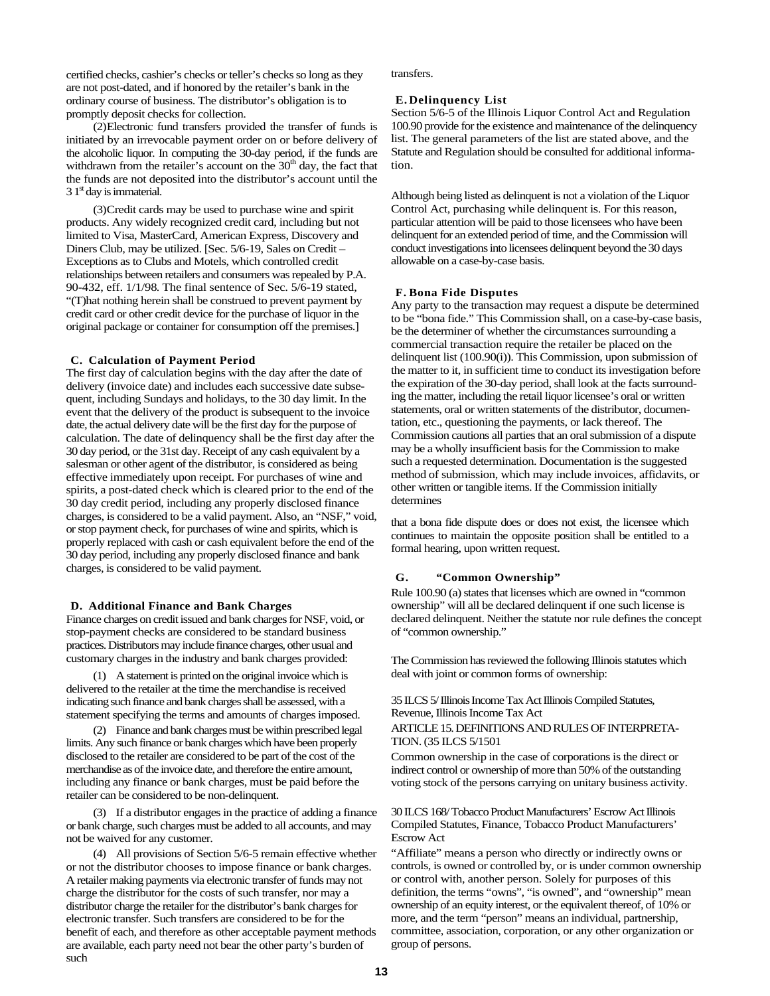certified checks, cashier's checks or teller's checks so long as they are not post-dated, and if honored by the retailer's bank in the ordinary course of business. The distributor's obligation is to promptly deposit checks for collection.

(2)Electronic fund transfers provided the transfer of funds is initiated by an irrevocable payment order on or before delivery of the alcoholic liquor. In computing the 30-day period, if the funds are withdrawn from the retailer's account on the  $30<sup>th</sup>$  day, the fact that the funds are not deposited into the distributor's account until the  $31<sup>st</sup>$  day is immaterial.

(3)Credit cards may be used to purchase wine and spirit products. Any widely recognized credit card, including but not limited to Visa, MasterCard, American Express, Discovery and Diners Club, may be utilized. [Sec. 5/6-19, Sales on Credit – Exceptions as to Clubs and Motels, which controlled credit relationships between retailers and consumers was repealed by P.A. 90-432, eff. 1/1/98*.* The final sentence of Sec. 5/6-19 stated, "(T)hat nothing herein shall be construed to prevent payment by credit card or other credit device for the purchase of liquor in the original package or container for consumption off the premises.]

# **C. Calculation of Payment Period**

The first day of calculation begins with the day after the date of delivery (invoice date) and includes each successive date subsequent, including Sundays and holidays, to the 30 day limit. In the event that the delivery of the product is subsequent to the invoice date, the actual delivery date will be the first day for the purpose of calculation. The date of delinquency shall be the first day after the 30 day period, or the 31st day. Receipt of any cash equivalent by a salesman or other agent of the distributor, is considered as being effective immediately upon receipt. For purchases of wine and spirits, a post-dated check which is cleared prior to the end of the 30 day credit period, including any properly disclosed finance charges, is considered to be a valid payment. Also, an "NSF," void, or stop payment check, for purchases of wine and spirits, which is properly replaced with cash or cash equivalent before the end of the 30 day period, including any properly disclosed finance and bank charges, is considered to be valid payment.

#### **D. Additional Finance and Bank Charges**

Finance charges on credit issued and bank charges for NSF, void, or stop-payment checks are considered to be standard business practices. Distributors may include finance charges, other usual and customary charges in the industry and bank charges provided:

(1) A statement is printed on the original invoice which is delivered to the retailer at the time the merchandise is received indicating such finance and bank charges shall be assessed, with a statement specifying the terms and amounts of charges imposed.

(2) Finance and bank charges must be within prescribed legal limits. Any such finance or bank charges which have been properly disclosed to the retailer are considered to be part of the cost of the merchandise as of the invoice date, and therefore the entire amount, including any finance or bank charges, must be paid before the retailer can be considered to be non-delinquent.

(3) If a distributor engages in the practice of adding a finance or bank charge, such charges must be added to all accounts, and may not be waived for any customer.

(4) All provisions of Section 5/6-5 remain effective whether or not the distributor chooses to impose finance or bank charges. A retailer making payments via electronic transfer of funds may not charge the distributor for the costs of such transfer, nor may a distributor charge the retailer for the distributor's bank charges for electronic transfer. Such transfers are considered to be for the benefit of each, and therefore as other acceptable payment methods are available, each party need not bear the other party's burden of such

transfers.

#### **E. Delinquency List**

Section 5/6-5 of the Illinois Liquor Control Act and Regulation 100.90 provide for the existence and maintenance of the delinquency list. The general parameters of the list are stated above, and the Statute and Regulation should be consulted for additional information.

Although being listed as delinquent is not a violation of the Liquor Control Act, purchasing while delinquent is. For this reason, particular attention will be paid to those licensees who have been delinquent for an extended period of time, and the Commission will conduct investigations into licensees delinquent beyond the 30 days allowable on a case-by-case basis.

# **F. Bona Fide Disputes**

Any party to the transaction may request a dispute be determined to be "bona fide." This Commission shall, on a case-by-case basis, be the determiner of whether the circumstances surrounding a commercial transaction require the retailer be placed on the delinquent list (100.90(i)). This Commission, upon submission of the matter to it, in sufficient time to conduct its investigation before the expiration of the 30-day period, shall look at the facts surrounding the matter, including the retail liquor licensee's oral or written statements, oral or written statements of the distributor, documentation, etc., questioning the payments, or lack thereof. The Commission cautions all parties that an oral submission of a dispute may be a wholly insufficient basis for the Commission to make such a requested determination. Documentation is the suggested method of submission, which may include invoices, affidavits, or other written or tangible items. If the Commission initially determines

that a bona fide dispute does or does not exist, the licensee which continues to maintain the opposite position shall be entitled to a formal hearing, upon written request.

#### **G. "Common Ownership"**

Rule 100.90 (a) states that licenses which are owned in "common ownership" will all be declared delinquent if one such license is declared delinquent. Neither the statute nor rule defines the concept of "common ownership."

The Commission has reviewed the following Illinois statutes which deal with joint or common forms of ownership:

#### 35 ILCS 5/ Illinois Income Tax Act Illinois Compiled Statutes, Revenue, Illinois Income Tax Act

#### ARTICLE 15. DEFINITIONS AND RULES OF INTERPRETA-TION. (35 ILCS 5/1501

Common ownership in the case of corporations is the direct or indirect control or ownership of more than 50% of the outstanding voting stock of the persons carrying on unitary business activity.

## 30 ILCS 168/ Tobacco Product Manufacturers' Escrow Act Illinois Compiled Statutes, Finance, Tobacco Product Manufacturers' Escrow Act

"Affiliate" means a person who directly or indirectly owns or controls, is owned or controlled by, or is under common ownership or control with, another person. Solely for purposes of this definition, the terms "owns", "is owned", and "ownership" mean ownership of an equity interest, or the equivalent thereof, of 10% or more, and the term "person" means an individual, partnership, committee, association, corporation, or any other organization or group of persons.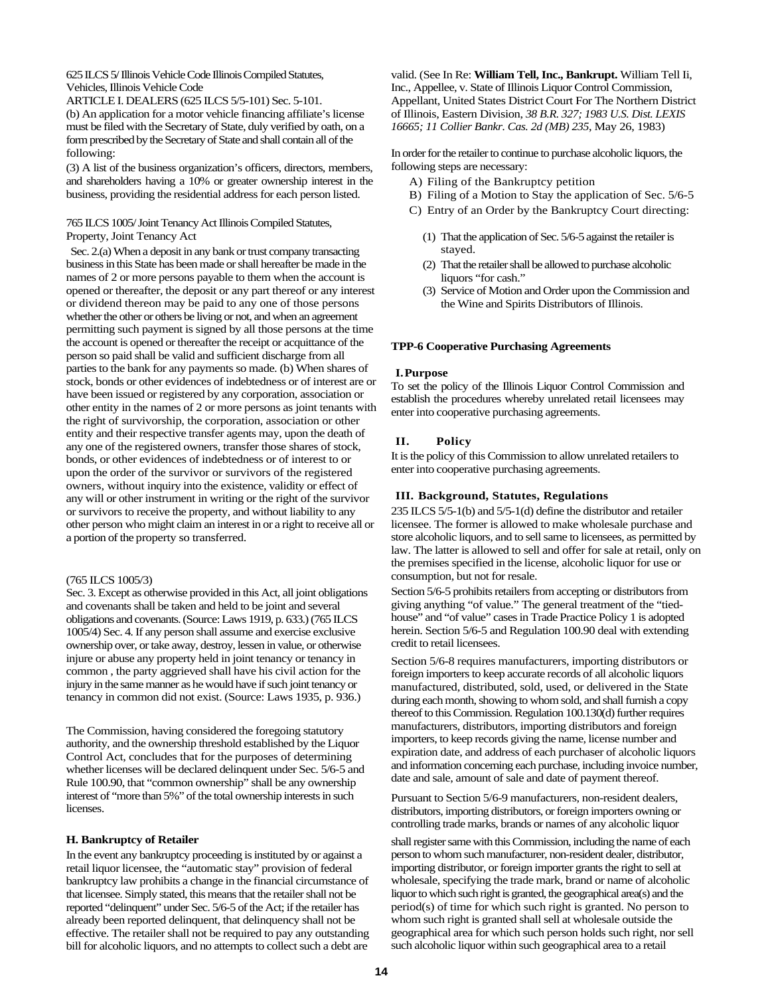625 ILCS 5/ Illinois Vehicle Code Illinois Compiled Statutes, Vehicles, Illinois Vehicle Code

ARTICLE I. DEALERS (625 ILCS 5/5-101) Sec. 5-101.

(b) An application for a motor vehicle financing affiliate's license must be filed with the Secretary of State, duly verified by oath, on a form prescribed by the Secretary of State and shall contain all of the following:

(3) A list of the business organization's officers, directors, members, and shareholders having a 10% or greater ownership interest in the business, providing the residential address for each person listed.

# 765 ILCS 1005/ Joint Tenancy Act Illinois Compiled Statutes, Property, Joint Tenancy Act

Sec. 2.(a) When a deposit in any bank or trust company transacting business in this State has been made or shall hereafter be made in the names of 2 or more persons payable to them when the account is opened or thereafter, the deposit or any part thereof or any interest or dividend thereon may be paid to any one of those persons whether the other or others be living or not, and when an agreement permitting such payment is signed by all those persons at the time the account is opened or thereafter the receipt or acquittance of the person so paid shall be valid and sufficient discharge from all parties to the bank for any payments so made. (b) When shares of stock, bonds or other evidences of indebtedness or of interest are or have been issued or registered by any corporation, association or other entity in the names of 2 or more persons as joint tenants with the right of survivorship, the corporation, association or other entity and their respective transfer agents may, upon the death of any one of the registered owners, transfer those shares of stock, bonds, or other evidences of indebtedness or of interest to or upon the order of the survivor or survivors of the registered owners, without inquiry into the existence, validity or effect of any will or other instrument in writing or the right of the survivor or survivors to receive the property, and without liability to any other person who might claim an interest in or a right to receive all or a portion of the property so transferred.

## (765 ILCS 1005/3)

Sec. 3. Except as otherwise provided in this Act, all joint obligations and covenants shall be taken and held to be joint and several obligations and covenants. (Source: Laws 1919, p. 633.) (765 ILCS 1005/4) Sec. 4. If any person shall assume and exercise exclusive ownership over, or take away, destroy, lessen in value, or otherwise injure or abuse any property held in joint tenancy or tenancy in common , the party aggrieved shall have his civil action for the injury in the same manner as he would have if such joint tenancy or tenancy in common did not exist. (Source: Laws 1935, p. 936.)

The Commission, having considered the foregoing statutory authority, and the ownership threshold established by the Liquor Control Act, concludes that for the purposes of determining whether licenses will be declared delinquent under Sec. 5/6-5 and Rule 100.90, that "common ownership" shall be any ownership interest of "more than 5%" of the total ownership interests in such licenses.

#### **H. Bankruptcy of Retailer**

In the event any bankruptcy proceeding is instituted by or against a retail liquor licensee, the "automatic stay" provision of federal bankruptcy law prohibits a change in the financial circumstance of that licensee. Simply stated, this means that the retailer shall not be reported "delinquent" under Sec. 5/6-5 of the Act; if the retailer has already been reported delinquent, that delinquency shall not be effective. The retailer shall not be required to pay any outstanding bill for alcoholic liquors, and no attempts to collect such a debt are

valid. (See In Re: **William Tell, Inc., Bankrupt.** William Tell Ii, Inc., Appellee, v. State of Illinois Liquor Control Commission, Appellant, United States District Court For The Northern District of Illinois, Eastern Division, *38 B.R. 327; 1983 U.S. Dist. LEXIS 16665; 11 Collier Bankr. Cas. 2d (MB) 235*, May 26, 1983)

In order for the retailer to continue to purchase alcoholic liquors, the following steps are necessary:

- A) Filing of the Bankruptcy petition
- B) Filing of a Motion to Stay the application of Sec. 5/6-5
- C) Entry of an Order by the Bankruptcy Court directing:
	- (1) That the application of Sec. 5/6-5 against the retailer is stayed.
	- (2) That the retailer shall be allowed to purchase alcoholic liquors "for cash."
	- (3) Service of Motion and Order upon the Commission and the Wine and Spirits Distributors of Illinois.

#### **TPP-6 Cooperative Purchasing Agreements**

#### **I.Purpose**

To set the policy of the Illinois Liquor Control Commission and establish the procedures whereby unrelated retail licensees may enter into cooperative purchasing agreements.

#### **II. Policy**

It is the policy of this Commission to allow unrelated retailers to enter into cooperative purchasing agreements.

# **III. Background, Statutes, Regulations**

235 ILCS 5/5-1(b) and 5/5-1(d) define the distributor and retailer licensee. The former is allowed to make wholesale purchase and store alcoholic liquors, and to sell same to licensees, as permitted by law. The latter is allowed to sell and offer for sale at retail, only on the premises specified in the license, alcoholic liquor for use or consumption, but not for resale.

Section 5/6-5 prohibits retailers from accepting or distributors from giving anything "of value." The general treatment of the "tiedhouse" and "of value" cases in Trade Practice Policy 1 is adopted herein. Section 5/6-5 and Regulation 100.90 deal with extending credit to retail licensees.

Section 5/6-8 requires manufacturers, importing distributors or foreign importers to keep accurate records of all alcoholic liquors manufactured, distributed, sold, used, or delivered in the State during each month, showing to whom sold, and shall furnish a copy thereof to this Commission. Regulation 100.130(d) further requires manufacturers, distributors, importing distributors and foreign importers, to keep records giving the name, license number and expiration date, and address of each purchaser of alcoholic liquors and information concerning each purchase, including invoice number, date and sale, amount of sale and date of payment thereof.

Pursuant to Section 5/6-9 manufacturers, non-resident dealers, distributors, importing distributors, or foreign importers owning or controlling trade marks, brands or names of any alcoholic liquor

shall register same with this Commission, including the name of each person to whom such manufacturer, non-resident dealer, distributor, importing distributor, or foreign importer grants the right to sell at wholesale, specifying the trade mark, brand or name of alcoholic liquor to which such right is granted, the geographical area(s) and the period(s) of time for which such right is granted. No person to whom such right is granted shall sell at wholesale outside the geographical area for which such person holds such right, nor sell such alcoholic liquor within such geographical area to a retail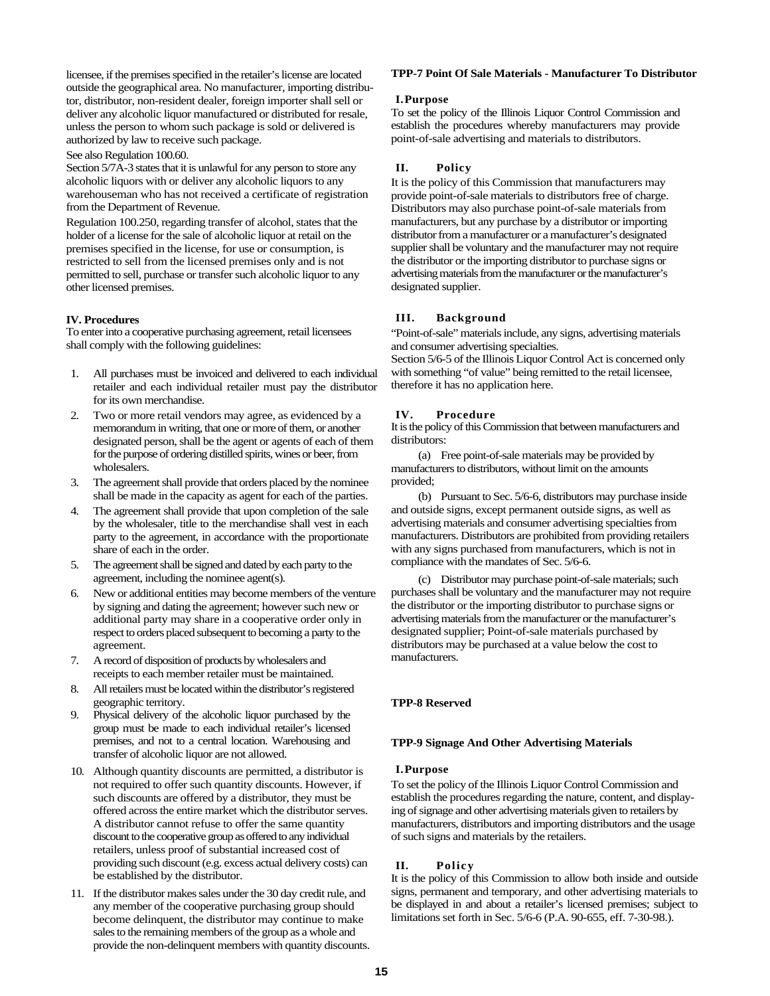licensee, if the premises specified in the retailer's license are located outside the geographical area. No manufacturer, importing distributor, distributor, non-resident dealer, foreign importer shall sell or deliver any alcoholic liquor manufactured or distributed for resale, unless the person to whom such package is sold or delivered is authorized by law to receive such package.

#### See also Regulation 100.60.

Section 5/7A-3 states that it is unlawful for any person to store any alcoholic liquors with or deliver any alcoholic liquors to any warehouseman who has not received a certificate of registration from the Department of Revenue.

Regulation 100.250, regarding transfer of alcohol, states that the holder of a license for the sale of alcoholic liquor at retail on the premises specified in the license, for use or consumption, is restricted to sell from the licensed premises only and is not permitted to sell, purchase or transfer such alcoholic liquor to any other licensed premises.

## **IV. Procedures**

To enter into a cooperative purchasing agreement, retail licensees shall comply with the following guidelines:

- 1. All purchases must be invoiced and delivered to each individual retailer and each individual retailer must pay the distributor for its own merchandise.
- Two or more retail vendors may agree, as evidenced by a memorandum in writing, that one or more of them, or another designated person, shall be the agent or agents of each of them for the purpose of ordering distilled spirits, wines or beer, from wholesalers.
- 3. The agreement shall provide that orders placed by the nominee shall be made in the capacity as agent for each of the parties.
- The agreement shall provide that upon completion of the sale by the wholesaler, title to the merchandise shall vest in each party to the agreement, in accordance with the proportionate share of each in the order.
- 5. The agreement shall be signed and dated by each party to the agreement, including the nominee agent(s).
- New or additional entities may become members of the venture by signing and dating the agreement; however such new or additional party may share in a cooperative order only in respect to orders placed subsequent to becoming a party to the agreement.
- 7. A record of disposition of products by wholesalers and receipts to each member retailer must be maintained.
- 8. All retailers must be located within the distributor's registered geographic territory.
- 9. Physical delivery of the alcoholic liquor purchased by the group must be made to each individual retailer's licensed premises, and not to a central location. Warehousing and transfer of alcoholic liquor are not allowed.
- 10. Although quantity discounts are permitted, a distributor is not required to offer such quantity discounts. However, if such discounts are offered by a distributor, they must be offered across the entire market which the distributor serves. A distributor cannot refuse to offer the same quantity discount to the cooperative group as offered to any individual retailers, unless proof of substantial increased cost of providing such discount (e.g. excess actual delivery costs) can be established by the distributor.
- 11. If the distributor makes sales under the 30 day credit rule, and any member of the cooperative purchasing group should become delinquent, the distributor may continue to make sales to the remaining members of the group as a whole and provide the non-delinquent members with quantity discounts.

# **TPP-7 Point Of Sale Materials - Manufacturer To Distributor**

#### **I.Purpose**

To set the policy of the Illinois Liquor Control Commission and establish the procedures whereby manufacturers may provide point-of-sale advertising and materials to distributors.

# **II. Policy**

It is the policy of this Commission that manufacturers may provide point-of-sale materials to distributors free of charge. Distributors may also purchase point-of-sale materials from manufacturers, but any purchase by a distributor or importing distributor from a manufacturer or a manufacturer's designated supplier shall be voluntary and the manufacturer may not require the distributor or the importing distributor to purchase signs or advertising materials from the manufacturer or the manufacturer's designated supplier.

# **III. Background**

"Point-of-sale" materials include, any signs, advertising materials and consumer advertising specialties.

Section 5/6-5 of the Illinois Liquor Control Act is concerned only with something "of value" being remitted to the retail licensee, therefore it has no application here.

# **IV. Procedure**

It is the policy of this Commission that between manufacturers and distributors:

(a) Free point-of-sale materials may be provided by manufacturers to distributors, without limit on the amounts provided;

(b) Pursuant to Sec. 5/6-6, distributors may purchase inside and outside signs, except permanent outside signs, as well as advertising materials and consumer advertising specialties from manufacturers. Distributors are prohibited from providing retailers with any signs purchased from manufacturers, which is not in compliance with the mandates of Sec. 5/6-6.

(c) Distributor may purchase point-of-sale materials; such purchases shall be voluntary and the manufacturer may not require the distributor or the importing distributor to purchase signs or advertising materials from the manufacturer or the manufacturer's designated supplier; Point-of-sale materials purchased by distributors may be purchased at a value below the cost to manufacturers.

#### **TPP-8 Reserved**

#### **TPP-9 Signage And Other Advertising Materials**

# **I.Purpose**

To set the policy of the Illinois Liquor Control Commission and establish the procedures regarding the nature, content, and displaying of signage and other advertising materials given to retailers by manufacturers, distributors and importing distributors and the usage of such signs and materials by the retailers.

#### **II. Policy**

It is the policy of this Commission to allow both inside and outside signs, permanent and temporary, and other advertising materials to be displayed in and about a retailer's licensed premises; subject to limitations set forth in Sec. 5/6-6 (P.A. 90-655, eff. 7-30-98.).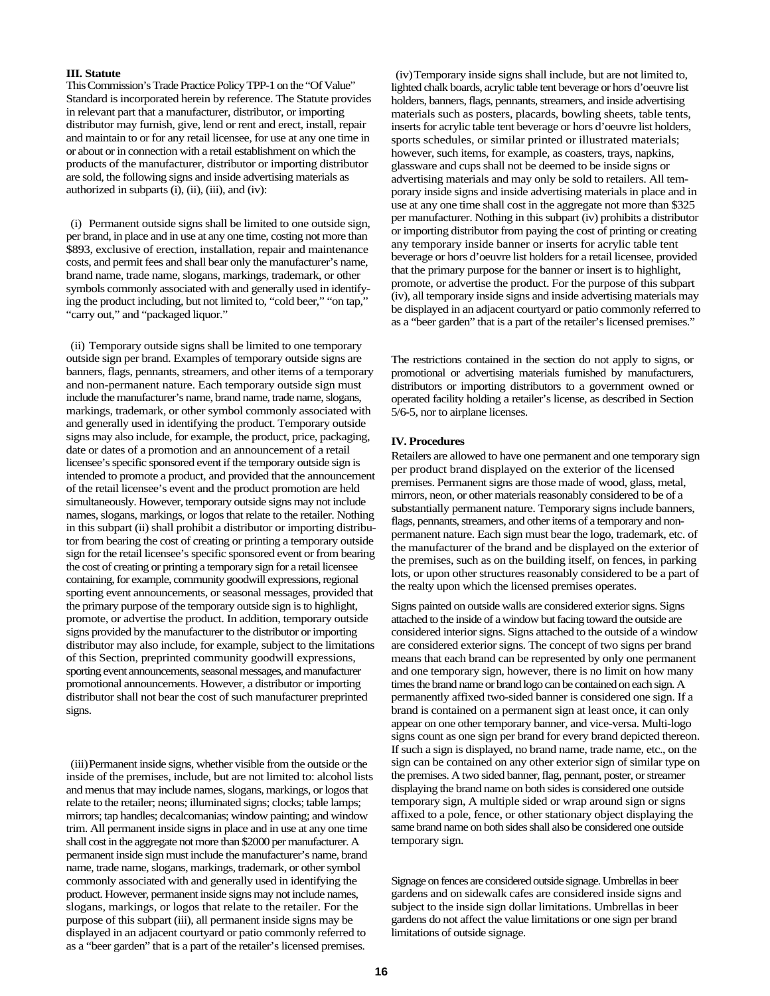#### **III. Statute**

This Commission's Trade Practice Policy TPP-1 on the "Of Value" Standard is incorporated herein by reference. The Statute provides in relevant part that a manufacturer, distributor, or importing distributor may furnish, give, lend or rent and erect, install, repair and maintain to or for any retail licensee, for use at any one time in or about or in connection with a retail establishment on which the products of the manufacturer, distributor or importing distributor are sold, the following signs and inside advertising materials as authorized in subparts (i), (ii), (iii), and (iv):

(i) Permanent outside signs shall be limited to one outside sign, per brand, in place and in use at any one time, costing not more than \$893, exclusive of erection, installation, repair and maintenance costs, and permit fees and shall bear only the manufacturer's name, brand name, trade name, slogans, markings, trademark, or other symbols commonly associated with and generally used in identifying the product including, but not limited to, "cold beer," "on tap," "carry out," and "packaged liquor."

(ii) Temporary outside signs shall be limited to one temporary outside sign per brand. Examples of temporary outside signs are banners, flags, pennants, streamers, and other items of a temporary and non-permanent nature. Each temporary outside sign must include the manufacturer's name, brand name, trade name, slogans, markings, trademark, or other symbol commonly associated with and generally used in identifying the product. Temporary outside signs may also include, for example, the product, price, packaging, date or dates of a promotion and an announcement of a retail licensee's specific sponsored event if the temporary outside sign is intended to promote a product, and provided that the announcement of the retail licensee's event and the product promotion are held simultaneously. However, temporary outside signs may not include names, slogans, markings, or logos that relate to the retailer. Nothing in this subpart (ii) shall prohibit a distributor or importing distributor from bearing the cost of creating or printing a temporary outside sign for the retail licensee's specific sponsored event or from bearing the cost of creating or printing a temporary sign for a retail licensee containing, for example, community goodwill expressions, regional sporting event announcements, or seasonal messages, provided that the primary purpose of the temporary outside sign is to highlight, promote, or advertise the product. In addition, temporary outside signs provided by the manufacturer to the distributor or importing distributor may also include, for example, subject to the limitations of this Section, preprinted community goodwill expressions, sporting event announcements, seasonal messages, and manufacturer promotional announcements. However, a distributor or importing distributor shall not bear the cost of such manufacturer preprinted signs.

(iii)Permanent inside signs, whether visible from the outside or the inside of the premises, include, but are not limited to: alcohol lists and menus that may include names, slogans, markings, or logos that relate to the retailer; neons; illuminated signs; clocks; table lamps; mirrors; tap handles; decalcomanias; window painting; and window trim. All permanent inside signs in place and in use at any one time shall cost in the aggregate not more than \$2000 per manufacturer. A permanent inside sign must include the manufacturer's name, brand name, trade name, slogans, markings, trademark, or other symbol commonly associated with and generally used in identifying the product. However, permanent inside signs may not include names, slogans, markings, or logos that relate to the retailer. For the purpose of this subpart (iii), all permanent inside signs may be displayed in an adjacent courtyard or patio commonly referred to as a "beer garden" that is a part of the retailer's licensed premises.

(iv)Temporary inside signs shall include, but are not limited to, lighted chalk boards, acrylic table tent beverage or hors d'oeuvre list holders, banners, flags, pennants, streamers, and inside advertising materials such as posters, placards, bowling sheets, table tents, inserts for acrylic table tent beverage or hors d'oeuvre list holders, sports schedules, or similar printed or illustrated materials; however, such items, for example, as coasters, trays, napkins, glassware and cups shall not be deemed to be inside signs or advertising materials and may only be sold to retailers. All temporary inside signs and inside advertising materials in place and in use at any one time shall cost in the aggregate not more than \$325 per manufacturer. Nothing in this subpart (iv) prohibits a distributor or importing distributor from paying the cost of printing or creating any temporary inside banner or inserts for acrylic table tent beverage or hors d'oeuvre list holders for a retail licensee, provided that the primary purpose for the banner or insert is to highlight, promote, or advertise the product. For the purpose of this subpart (iv), all temporary inside signs and inside advertising materials may be displayed in an adjacent courtyard or patio commonly referred to as a "beer garden" that is a part of the retailer's licensed premises."

The restrictions contained in the section do not apply to signs, or promotional or advertising materials furnished by manufacturers, distributors or importing distributors to a government owned or operated facility holding a retailer's license, as described in Section 5/6-5, nor to airplane licenses.

## **IV. Procedures**

Retailers are allowed to have one permanent and one temporary sign per product brand displayed on the exterior of the licensed premises. Permanent signs are those made of wood, glass, metal, mirrors, neon, or other materials reasonably considered to be of a substantially permanent nature. Temporary signs include banners, flags, pennants, streamers, and other items of a temporary and nonpermanent nature. Each sign must bear the logo, trademark, etc. of the manufacturer of the brand and be displayed on the exterior of the premises, such as on the building itself, on fences, in parking lots, or upon other structures reasonably considered to be a part of the realty upon which the licensed premises operates.

Signs painted on outside walls are considered exterior signs. Signs attached to the inside of a window but facing toward the outside are considered interior signs. Signs attached to the outside of a window are considered exterior signs. The concept of two signs per brand means that each brand can be represented by only one permanent and one temporary sign, however, there is no limit on how many times the brand name or brand logo can be contained on each sign. A permanently affixed two-sided banner is considered one sign. If a brand is contained on a permanent sign at least once, it can only appear on one other temporary banner, and vice-versa. Multi-logo signs count as one sign per brand for every brand depicted thereon. If such a sign is displayed, no brand name, trade name, etc., on the sign can be contained on any other exterior sign of similar type on the premises. A two sided banner, flag, pennant, poster, or streamer displaying the brand name on both sides is considered one outside temporary sign, A multiple sided or wrap around sign or signs affixed to a pole, fence, or other stationary object displaying the same brand name on both sides shall also be considered one outside temporary sign.

Signage on fences are considered outside signage. Umbrellas in beer gardens and on sidewalk cafes are considered inside signs and subject to the inside sign dollar limitations. Umbrellas in beer gardens do not affect the value limitations or one sign per brand limitations of outside signage.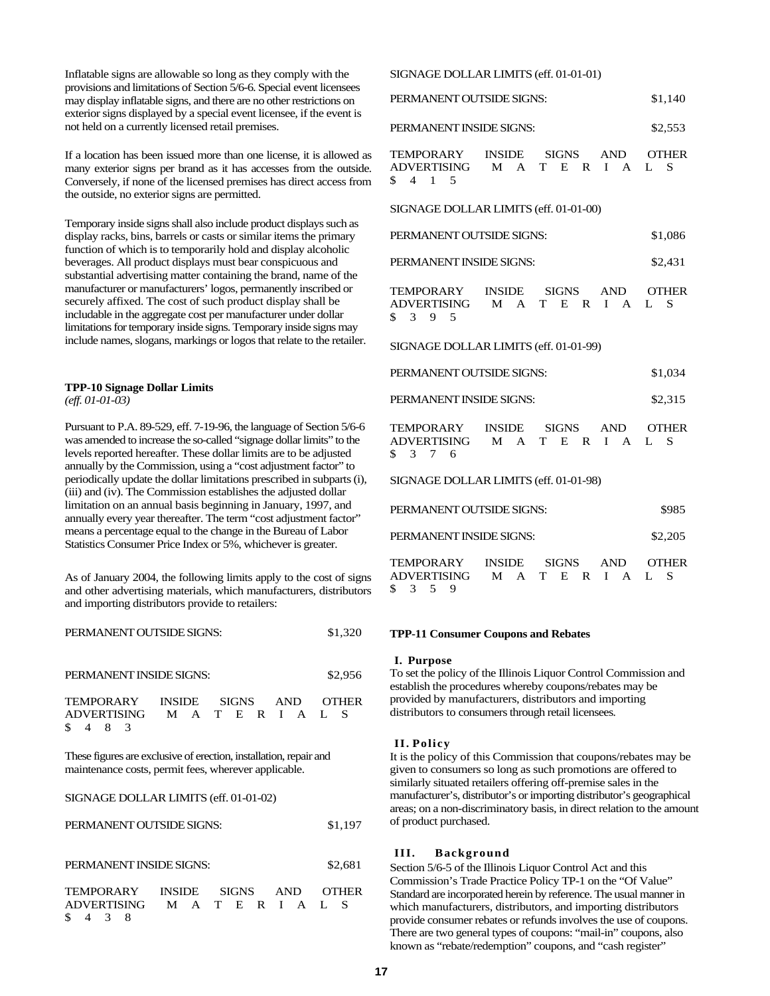Inflatable signs are allowable so long as they comply with the provisions and limitations of Section 5/6-6. Special event licensees may display inflatable signs, and there are no other restrictions on exterior signs displayed by a special event licensee, if the event is not held on a currently licensed retail premises.

If a location has been issued more than one license, it is allowed as many exterior signs per brand as it has accesses from the outside. Conversely, if none of the licensed premises has direct access from the outside, no exterior signs are permitted.

Temporary inside signs shall also include product displays such as display racks, bins, barrels or casts or similar items the primary function of which is to temporarily hold and display alcoholic beverages. All product displays must bear conspicuous and substantial advertising matter containing the brand, name of the manufacturer or manufacturers' logos, permanently inscribed or securely affixed. The cost of such product display shall be includable in the aggregate cost per manufacturer under dollar limitations for temporary inside signs. Temporary inside signs may include names, slogans, markings or logos that relate to the retailer.

## **TPP-10 Signage Dollar Limits**

*(eff. 01-01-03)* 

Pursuant to P.A. 89-529, eff. 7-19-96, the language of Section 5/6-6 was amended to increase the so-called "signage dollar limits" to the levels reported hereafter. These dollar limits are to be adjusted annually by the Commission, using a "cost adjustment factor" to periodically update the dollar limitations prescribed in subparts (i), (iii) and (iv). The Commission establishes the adjusted dollar limitation on an annual basis beginning in January, 1997, and annually every year thereafter. The term "cost adjustment factor" means a percentage equal to the change in the Bureau of Labor Statistics Consumer Price Index or 5%, whichever is greater.

As of January 2004, the following limits apply to the cost of signs and other advertising materials, which manufacturers, distributors and importing distributors provide to retailers:

PERMANENT OUTSIDE SIGNS: \$1,320

| PERMANENT INSIDE SIGNS:          |  |  |  |  | \$2,956 |
|----------------------------------|--|--|--|--|---------|
| TEMPORARY INSIDE SIGNS AND OTHER |  |  |  |  |         |
| ADVERTISING MATERIALS            |  |  |  |  |         |
| \$ 4 8 3                         |  |  |  |  |         |

These figures are exclusive of erection, installation, repair and maintenance costs, permit fees, wherever applicable.

PERMANENT OUTSIDE SIGNS: \$1,197

PERMANENT INSIDE SIGNS: \$2,681

| TEMPORARY INSIDE SIGNS AND OTHER |                     |  |                       |  |  |  |  |  |  |  |
|----------------------------------|---------------------|--|-----------------------|--|--|--|--|--|--|--|
|                                  |                     |  | ADVERTISING MATERIALS |  |  |  |  |  |  |  |
|                                  | $\frac{1}{2}$ 4 3 8 |  |                       |  |  |  |  |  |  |  |

SIGNAGE DOLLAR LIMITS (eff. 01-01-01)

| PERMANENT OUTSIDE SIGNS: | \$1.140 |
|--------------------------|---------|
|                          |         |

| PERMANENT INSIDE SIGNS: | \$2,553 |
|-------------------------|---------|
|                         |         |

TEMPORARY INSIDE SIGNS AND OTHER T E R I A L S \$415

SIGNAGE DOLLAR LIMITS (eff. 01-01-00)

| PERMANENT OUTSIDE SIGNS: | \$1,086 |
|--------------------------|---------|
|                          |         |

PERMANENT INSIDE SIGNS: \$2,431

TEMPORARY INSIDE SIGNS AND OTHER ADVERTISING M A T E R I A L S \$395

SIGNAGE DOLLAR LIMITS (eff. 01-01-99)

| PERMANENT OUTSIDE SIGNS: | \$1,034 |
|--------------------------|---------|
|                          |         |

| PERMANENT INSIDE SIGNS: | \$2,315 |
|-------------------------|---------|
|                         |         |

| TEMPORARY INSIDE SIGNS AND OTHER |  |          |  |                       |  |  |  |  |  |  |  |  |  |
|----------------------------------|--|----------|--|-----------------------|--|--|--|--|--|--|--|--|--|
|                                  |  |          |  | ADVERTISING MATERIALS |  |  |  |  |  |  |  |  |  |
|                                  |  | \$ 3 7 6 |  |                       |  |  |  |  |  |  |  |  |  |

SIGNAGE DOLLAR LIMITS (eff. 01-01-98)

| PERMANENT OUTSIDE SIGNS:                                                        |  | \$985   |
|---------------------------------------------------------------------------------|--|---------|
| PERMANENT INSIDE SIGNS:                                                         |  | \$2,205 |
| TEMPORARY INSIDE SIGNS AND OTHER<br>ADVERTISING MATERIALS<br>$$3\quad 5\quad 9$ |  |         |

#### **TPP-11 Consumer Coupons and Rebates**

#### **I. Purpose**

To set the policy of the Illinois Liquor Control Commission and establish the procedures whereby coupons/rebates may be provided by manufacturers, distributors and importing distributors to consumers through retail licensees.

## **II. Policy**

It is the policy of this Commission that coupons/rebates may be given to consumers so long as such promotions are offered to similarly situated retailers offering off-premise sales in the manufacturer's, distributor's or importing distributor's geographical areas; on a non-discriminatory basis, in direct relation to the amount of product purchased.

## **III. Background**

Section 5/6-5 of the Illinois Liquor Control Act and this Commission's Trade Practice Policy TP-1 on the "Of Value" Standard are incorporated herein by reference. The usual manner in which manufacturers, distributors, and importing distributors provide consumer rebates or refunds involves the use of coupons. There are two general types of coupons: "mail-in" coupons, also known as "rebate/redemption" coupons, and "cash register"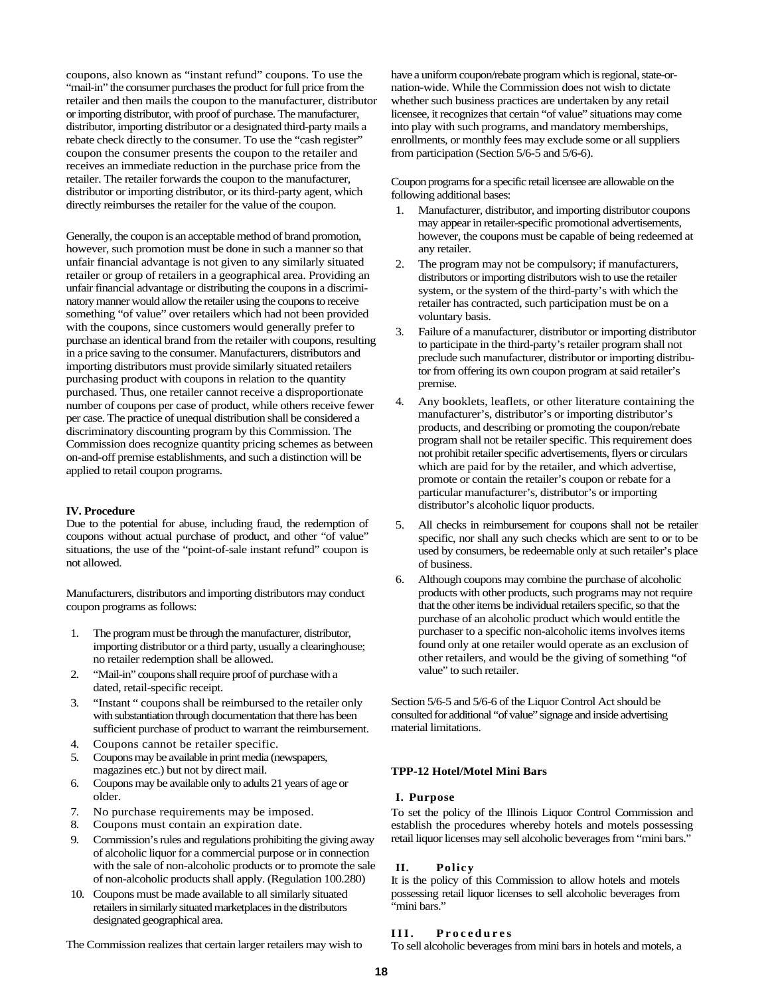coupons, also known as "instant refund" coupons. To use the "mail-in" the consumer purchases the product for full price from the retailer and then mails the coupon to the manufacturer, distributor or importing distributor, with proof of purchase. The manufacturer, distributor, importing distributor or a designated third-party mails a rebate check directly to the consumer. To use the "cash register" coupon the consumer presents the coupon to the retailer and receives an immediate reduction in the purchase price from the retailer. The retailer forwards the coupon to the manufacturer, distributor or importing distributor, or its third-party agent, which directly reimburses the retailer for the value of the coupon.

Generally, the coupon is an acceptable method of brand promotion, however, such promotion must be done in such a manner so that unfair financial advantage is not given to any similarly situated retailer or group of retailers in a geographical area. Providing an unfair financial advantage or distributing the coupons in a discriminatory manner would allow the retailer using the coupons to receive something "of value" over retailers which had not been provided with the coupons, since customers would generally prefer to purchase an identical brand from the retailer with coupons, resulting in a price saving to the consumer. Manufacturers, distributors and importing distributors must provide similarly situated retailers purchasing product with coupons in relation to the quantity purchased. Thus, one retailer cannot receive a disproportionate number of coupons per case of product, while others receive fewer per case. The practice of unequal distribution shall be considered a discriminatory discounting program by this Commission. The Commission does recognize quantity pricing schemes as between on-and-off premise establishments, and such a distinction will be applied to retail coupon programs.

## **IV. Procedure**

Due to the potential for abuse, including fraud, the redemption of coupons without actual purchase of product, and other "of value" situations, the use of the "point-of-sale instant refund" coupon is not allowed.

Manufacturers, distributors and importing distributors may conduct coupon programs as follows:

- 1. The program must be through the manufacturer, distributor, importing distributor or a third party, usually a clearinghouse; no retailer redemption shall be allowed.
- 2. "Mail-in" coupons shall require proof of purchase with a dated, retail-specific receipt.
- 3. "Instant " coupons shall be reimbursed to the retailer only with substantiation through documentation that there has been sufficient purchase of product to warrant the reimbursement.
- 4. Coupons cannot be retailer specific.
- 5. Coupons may be available in print media (newspapers, magazines etc.) but not by direct mail.
- 6. Coupons may be available only to adults 21 years of age or older.
- 7. No purchase requirements may be imposed.
- 8. Coupons must contain an expiration date.
- 9. Commission's rules and regulations prohibiting the giving away of alcoholic liquor for a commercial purpose or in connection with the sale of non-alcoholic products or to promote the sale of non-alcoholic products shall apply. (Regulation 100.280)
- 10. Coupons must be made available to all similarly situated retailers in similarly situated marketplaces in the distributors designated geographical area.

The Commission realizes that certain larger retailers may wish to

have a uniform coupon/rebate program which is regional, state-ornation-wide. While the Commission does not wish to dictate whether such business practices are undertaken by any retail licensee, it recognizes that certain "of value" situations may come into play with such programs, and mandatory memberships, enrollments, or monthly fees may exclude some or all suppliers from participation (Section 5/6-5 and 5/6-6).

Coupon programs for a specific retail licensee are allowable on the following additional bases:

- 1. Manufacturer, distributor, and importing distributor coupons may appear in retailer-specific promotional advertisements, however, the coupons must be capable of being redeemed at any retailer.
- 2. The program may not be compulsory; if manufacturers, distributors or importing distributors wish to use the retailer system, or the system of the third-party's with which the retailer has contracted, such participation must be on a voluntary basis.
- 3. Failure of a manufacturer, distributor or importing distributor to participate in the third-party's retailer program shall not preclude such manufacturer, distributor or importing distributor from offering its own coupon program at said retailer's premise.
- 4. Any booklets, leaflets, or other literature containing the manufacturer's, distributor's or importing distributor's products, and describing or promoting the coupon/rebate program shall not be retailer specific. This requirement does not prohibit retailer specific advertisements, flyers or circulars which are paid for by the retailer, and which advertise, promote or contain the retailer's coupon or rebate for a particular manufacturer's, distributor's or importing distributor's alcoholic liquor products.
- 5. All checks in reimbursement for coupons shall not be retailer specific, nor shall any such checks which are sent to or to be used by consumers, be redeemable only at such retailer's place of business.
- 6. Although coupons may combine the purchase of alcoholic products with other products, such programs may not require that the other items be individual retailers specific, so that the purchase of an alcoholic product which would entitle the purchaser to a specific non-alcoholic items involves items found only at one retailer would operate as an exclusion of other retailers, and would be the giving of something "of value" to such retailer.

Section 5/6-5 and 5/6-6 of the Liquor Control Act should be consulted for additional "of value" signage and inside advertising material limitations.

# **TPP-12 Hotel/Motel Mini Bars**

#### **I. Purpose**

To set the policy of the Illinois Liquor Control Commission and establish the procedures whereby hotels and motels possessing retail liquor licenses may sell alcoholic beverages from "mini bars."

# **II. Policy**

It is the policy of this Commission to allow hotels and motels possessing retail liquor licenses to sell alcoholic beverages from "mini bars."

# **III. Procedures**

To sell alcoholic beverages from mini bars in hotels and motels, a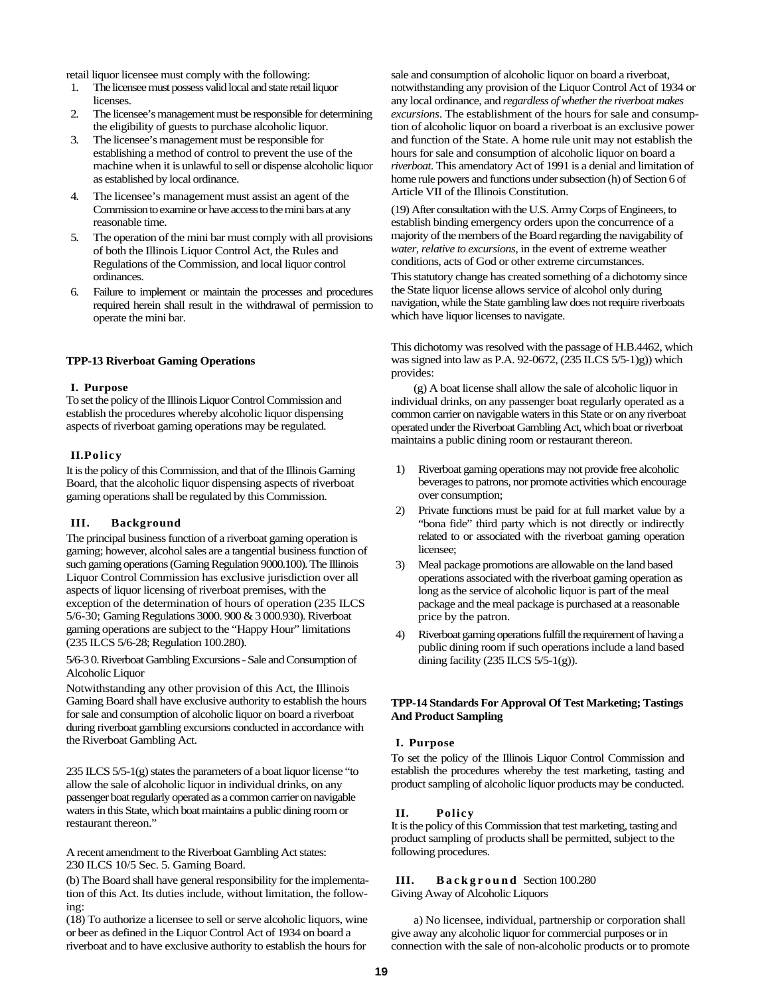retail liquor licensee must comply with the following:

- 1. The licensee must possess valid local and state retail liquor licenses.
- 2. The licensee's management must be responsible for determining the eligibility of guests to purchase alcoholic liquor.
- 3. The licensee's management must be responsible for establishing a method of control to prevent the use of the machine when it is unlawful to sell or dispense alcoholic liquor as established by local ordinance.
- 4. The licensee's management must assist an agent of the Commission to examine or have access to the mini bars at any reasonable time.
- 5. The operation of the mini bar must comply with all provisions of both the Illinois Liquor Control Act, the Rules and Regulations of the Commission, and local liquor control ordinances.
- 6. Failure to implement or maintain the processes and procedures required herein shall result in the withdrawal of permission to operate the mini bar.

# **TPP-13 Riverboat Gaming Operations**

## **I. Purpose**

To set the policy of the Illinois Liquor Control Commission and establish the procedures whereby alcoholic liquor dispensing aspects of riverboat gaming operations may be regulated.

# **II.Policy**

It is the policy of this Commission, and that of the Illinois Gaming Board, that the alcoholic liquor dispensing aspects of riverboat gaming operations shall be regulated by this Commission.

# **III. Background**

The principal business function of a riverboat gaming operation is gaming; however, alcohol sales are a tangential business function of such gaming operations (Gaming Regulation 9000.100). The Illinois Liquor Control Commission has exclusive jurisdiction over all aspects of liquor licensing of riverboat premises, with the exception of the determination of hours of operation (235 ILCS 5/6-30; Gaming Regulations 3000. 900 & 3 000.930). Riverboat gaming operations are subject to the "Happy Hour" limitations (235 ILCS 5/6-28; Regulation 100.280).

5/6-3 0. Riverboat Gambling Excursions - Sale and Consumption of Alcoholic Liquor

Notwithstanding any other provision of this Act, the Illinois Gaming Board shall have exclusive authority to establish the hours for sale and consumption of alcoholic liquor on board a riverboat during riverboat gambling excursions conducted in accordance with the Riverboat Gambling Act.

235 ILCS 5/5-1(g) states the parameters of a boat liquor license "to allow the sale of alcoholic liquor in individual drinks, on any passenger boat regularly operated as a common carrier on navigable waters in this State, which boat maintains a public dining room or restaurant thereon."

A recent amendment to the Riverboat Gambling Act states: 230 ILCS 10/5 Sec. 5. Gaming Board.

(b) The Board shall have general responsibility for the implementation of this Act. Its duties include, without limitation, the following:

(18) To authorize a licensee to sell or serve alcoholic liquors, wine or beer as defined in the Liquor Control Act of 1934 on board a riverboat and to have exclusive authority to establish the hours for

sale and consumption of alcoholic liquor on board a riverboat, notwithstanding any provision of the Liquor Control Act of 1934 or any local ordinance, and *regardless of whether the riverboat makes excursions*. The establishment of the hours for sale and consumption of alcoholic liquor on board a riverboat is an exclusive power and function of the State. A home rule unit may not establish the hours for sale and consumption of alcoholic liquor on board a *riverboat*. This amendatory Act of 1991 is a denial and limitation of home rule powers and functions under subsection (h) of Section 6 of Article VII of the Illinois Constitution.

(19) After consultation with the U.S. Army Corps of Engineers, to establish binding emergency orders upon the concurrence of a majority of the members of the Board regarding the navigability of *water, relative to excursions*, in the event of extreme weather conditions, acts of God or other extreme circumstances.

This statutory change has created something of a dichotomy since the State liquor license allows service of alcohol only during navigation, while the State gambling law does not require riverboats which have liquor licenses to navigate.

This dichotomy was resolved with the passage of H.B.4462, which was signed into law as P.A. 92-0672, (235 ILCS 5/5-1)g)) which provides:

(g) A boat license shall allow the sale of alcoholic liquor in individual drinks, on any passenger boat regularly operated as a common carrier on navigable waters in this State or on any riverboat operated under the Riverboat Gambling Act, which boat or riverboat maintains a public dining room or restaurant thereon.

- 1) Riverboat gaming operations may not provide free alcoholic beverages to patrons, nor promote activities which encourage over consumption;
- 2) Private functions must be paid for at full market value by a "bona fide" third party which is not directly or indirectly related to or associated with the riverboat gaming operation licensee;
- 3) Meal package promotions are allowable on the land based operations associated with the riverboat gaming operation as long as the service of alcoholic liquor is part of the meal package and the meal package is purchased at a reasonable price by the patron.
- 4) Riverboat gaming operations fulfill the requirement of having a public dining room if such operations include a land based dining facility  $(235$  ILCS  $5/5-1(g)$ ).

## **TPP-14 Standards For Approval Of Test Marketing; Tastings And Product Sampling**

# **I. Purpose**

To set the policy of the Illinois Liquor Control Commission and establish the procedures whereby the test marketing, tasting and product sampling of alcoholic liquor products may be conducted.

# **II. Policy**

It is the policy of this Commission that test marketing, tasting and product sampling of products shall be permitted, subject to the following procedures.

# **III. Background** Section 100.280

Giving Away of Alcoholic Liquors

a) No licensee, individual, partnership or corporation shall give away any alcoholic liquor for commercial purposes or in connection with the sale of non-alcoholic products or to promote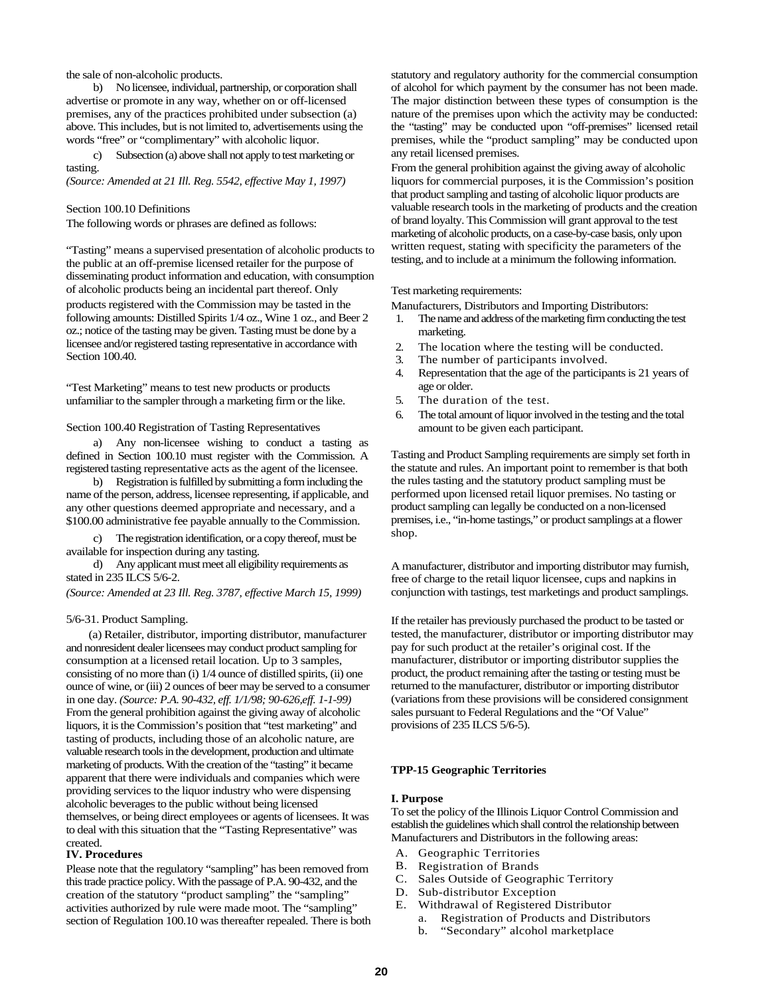the sale of non-alcoholic products.

b) No licensee, individual, partnership, or corporation shall advertise or promote in any way, whether on or off-licensed premises, any of the practices prohibited under subsection (a) above. This includes, but is not limited to, advertisements using the words "free" or "complimentary" with alcoholic liquor.

c) Subsection (a) above shall not apply to test marketing or tasting.

*(Source: Amended at 21 Ill. Reg. 5542, effective May 1, 1997)* 

#### Section 100.10 Definitions

The following words or phrases are defined as follows:

"Tasting" means a supervised presentation of alcoholic products to the public at an off-premise licensed retailer for the purpose of disseminating product information and education, with consumption of alcoholic products being an incidental part thereof. Only products registered with the Commission may be tasted in the following amounts: Distilled Spirits 1/4 oz., Wine 1 oz., and Beer 2 oz.; notice of the tasting may be given. Tasting must be done by a licensee and/or registered tasting representative in accordance with Section 100.40.

"Test Marketing" means to test new products or products unfamiliar to the sampler through a marketing firm or the like.

Section 100.40 Registration of Tasting Representatives

a) Any non-licensee wishing to conduct a tasting as defined in Section 100.10 must register with the Commission. A registered tasting representative acts as the agent of the licensee.

b) Registration is fulfilled by submitting a form including the name of the person, address, licensee representing, if applicable, and any other questions deemed appropriate and necessary, and a \$100.00 administrative fee payable annually to the Commission.

c) The registration identification, or a copy thereof, must be available for inspection during any tasting.

d) Any applicant must meet all eligibility requirements as stated in 235 ILCS 5/6-2.

*(Source: Amended at 23 Ill. Reg. 3787, effective March 15, 1999)* 

#### 5/6-31. Product Sampling.

(a) Retailer, distributor, importing distributor, manufacturer and nonresident dealer licensees may conduct product sampling for consumption at a licensed retail location. Up to 3 samples, consisting of no more than (i) 1/4 ounce of distilled spirits, (ii) one ounce of wine, or (iii) 2 ounces of beer may be served to a consumer in one day. *(Source: P.A. 90-432, eff. 1/1/98; 90-626,eff. 1-1-99)*  From the general prohibition against the giving away of alcoholic liquors, it is the Commission's position that "test marketing" and tasting of products, including those of an alcoholic nature, are valuable research tools in the development, production and ultimate marketing of products. With the creation of the "tasting" it became apparent that there were individuals and companies which were providing services to the liquor industry who were dispensing alcoholic beverages to the public without being licensed themselves, or being direct employees or agents of licensees. It was to deal with this situation that the "Tasting Representative" was created.

# **IV. Procedures**

Please note that the regulatory "sampling" has been removed from this trade practice policy. With the passage of P.A. 90-432, and the creation of the statutory "product sampling" the "sampling" activities authorized by rule were made moot. The "sampling" section of Regulation 100.10 was thereafter repealed. There is both

statutory and regulatory authority for the commercial consumption of alcohol for which payment by the consumer has not been made. The major distinction between these types of consumption is the nature of the premises upon which the activity may be conducted: the "tasting" may be conducted upon "off-premises" licensed retail premises, while the "product sampling" may be conducted upon any retail licensed premises.

From the general prohibition against the giving away of alcoholic liquors for commercial purposes, it is the Commission's position that product sampling and tasting of alcoholic liquor products are valuable research tools in the marketing of products and the creation of brand loyalty. This Commission will grant approval to the test marketing of alcoholic products, on a case-by-case basis, only upon written request, stating with specificity the parameters of the testing, and to include at a minimum the following information.

# Test marketing requirements:

Manufacturers, Distributors and Importing Distributors:

- 1. The name and address of the marketing firm conducting the test marketing.
- 2. The location where the testing will be conducted.
- 3. The number of participants involved.
- 4. Representation that the age of the participants is 21 years of age or older.
- 5. The duration of the test.
- 6. The total amount of liquor involved in the testing and the total amount to be given each participant.

Tasting and Product Sampling requirements are simply set forth in the statute and rules. An important point to remember is that both the rules tasting and the statutory product sampling must be performed upon licensed retail liquor premises. No tasting or product sampling can legally be conducted on a non-licensed premises, i.e., "in-home tastings," or product samplings at a flower shop.

A manufacturer, distributor and importing distributor may furnish, free of charge to the retail liquor licensee, cups and napkins in conjunction with tastings, test marketings and product samplings.

If the retailer has previously purchased the product to be tasted or tested, the manufacturer, distributor or importing distributor may pay for such product at the retailer's original cost. If the manufacturer, distributor or importing distributor supplies the product, the product remaining after the tasting or testing must be returned to the manufacturer, distributor or importing distributor (variations from these provisions will be considered consignment sales pursuant to Federal Regulations and the "Of Value" provisions of 235 ILCS 5/6-5).

#### **TPP-15 Geographic Territories**

#### **I. Purpose**

To set the policy of the Illinois Liquor Control Commission and establish the guidelines which shall control the relationship between Manufacturers and Distributors in the following areas:

- A. Geographic Territories
- B. Registration of Brands
- C. Sales Outside of Geographic Territory
- D. Sub-distributor Exception
- E. Withdrawal of Registered Distributor
	- a. Registration of Products and Distributors
	- b. "Secondary" alcohol marketplace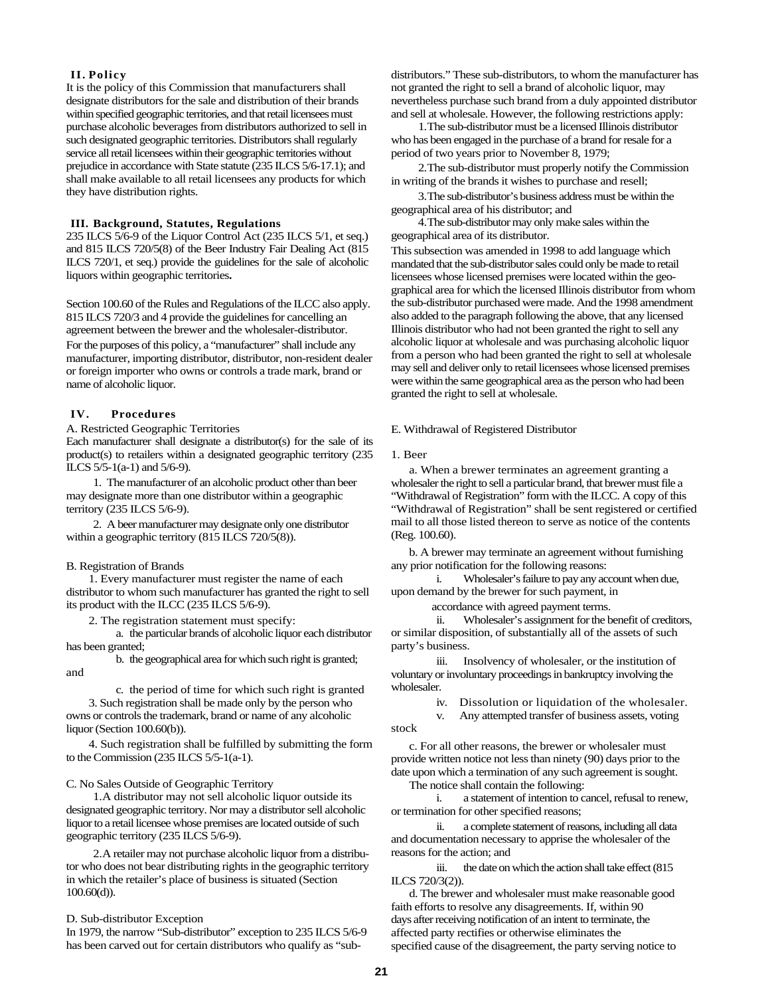# **II. Policy**

It is the policy of this Commission that manufacturers shall designate distributors for the sale and distribution of their brands within specified geographic territories, and that retail licensees must purchase alcoholic beverages from distributors authorized to sell in such designated geographic territories. Distributors shall regularly service all retail licensees within their geographic territories without prejudice in accordance with State statute (235 ILCS 5/6-17.1); and shall make available to all retail licensees any products for which they have distribution rights.

# **III. Background, Statutes, Regulations**

235 ILCS 5/6-9 of the Liquor Control Act (235 ILCS 5/1, et seq.) and 815 ILCS 720/5(8) of the Beer Industry Fair Dealing Act (815 ILCS 720/1, et seq.) provide the guidelines for the sale of alcoholic liquors within geographic territories**.** 

Section 100.60 of the Rules and Regulations of the ILCC also apply. 815 ILCS 720/3 and 4 provide the guidelines for cancelling an agreement between the brewer and the wholesaler-distributor. For the purposes of this policy, a "manufacturer" shall include any manufacturer, importing distributor, distributor, non-resident dealer or foreign importer who owns or controls a trade mark, brand or name of alcoholic liquor.

#### **IV. Procedures**

A. Restricted Geographic Territories

Each manufacturer shall designate a distributor(s) for the sale of its product(s) to retailers within a designated geographic territory (235 ILCS  $5/5-1(a-1)$  and  $5/6-9$ ).

1. The manufacturer of an alcoholic product other than beer may designate more than one distributor within a geographic territory (235 ILCS 5/6-9).

2. A beer manufacturer may designate only one distributor within a geographic territory (815 ILCS 720/5(8)).

# B. Registration of Brands

1. Every manufacturer must register the name of each distributor to whom such manufacturer has granted the right to sell its product with the ILCC (235 ILCS 5/6-9).

2. The registration statement must specify:

a. the particular brands of alcoholic liquor each distributor has been granted;

b. the geographical area for which such right is granted; and

c. the period of time for which such right is granted 3. Such registration shall be made only by the person who owns or controls the trademark, brand or name of any alcoholic liquor (Section 100.60(b)).

4. Such registration shall be fulfilled by submitting the form to the Commission (235 ILCS 5/5-1(a-1).

# C. No Sales Outside of Geographic Territory

1.A distributor may not sell alcoholic liquor outside its designated geographic territory. Nor may a distributor sell alcoholic liquor to a retail licensee whose premises are located outside of such geographic territory (235 ILCS 5/6-9).

2.A retailer may not purchase alcoholic liquor from a distributor who does not bear distributing rights in the geographic territory in which the retailer's place of business is situated (Section 100.60(d)).

D. Sub-distributor Exception

In 1979, the narrow "Sub-distributor" exception to 235 ILCS 5/6-9 has been carved out for certain distributors who qualify as "sub-

distributors." These sub-distributors, to whom the manufacturer has not granted the right to sell a brand of alcoholic liquor, may nevertheless purchase such brand from a duly appointed distributor and sell at wholesale. However, the following restrictions apply:

1.The sub-distributor must be a licensed Illinois distributor who has been engaged in the purchase of a brand for resale for a period of two years prior to November 8, 1979;

2.The sub-distributor must properly notify the Commission in writing of the brands it wishes to purchase and resell;

3.The sub-distributor's business address must be within the geographical area of his distributor; and

4.The sub-distributor may only make sales within the geographical area of its distributor.

This subsection was amended in 1998 to add language which mandated that the sub-distributor sales could only be made to retail licensees whose licensed premises were located within the geographical area for which the licensed Illinois distributor from whom the sub-distributor purchased were made. And the 1998 amendment also added to the paragraph following the above, that any licensed Illinois distributor who had not been granted the right to sell any alcoholic liquor at wholesale and was purchasing alcoholic liquor from a person who had been granted the right to sell at wholesale may sell and deliver only to retail licensees whose licensed premises were within the same geographical area as the person who had been granted the right to sell at wholesale.

#### E. Withdrawal of Registered Distributor

#### 1. Beer

a. When a brewer terminates an agreement granting a wholesaler the right to sell a particular brand, that brewer must file a "Withdrawal of Registration" form with the ILCC. A copy of this "Withdrawal of Registration" shall be sent registered or certified mail to all those listed thereon to serve as notice of the contents (Reg. 100.60).

b. A brewer may terminate an agreement without furnishing any prior notification for the following reasons:

i. Wholesaler's failure to pay any account when due, upon demand by the brewer for such payment, in

accordance with agreed payment terms.

ii. Wholesaler's assignment for the benefit of creditors, or similar disposition, of substantially all of the assets of such party's business.

iii. Insolvency of wholesaler, or the institution of voluntary or involuntary proceedings in bankruptcy involving the wholesaler.

iv. Dissolution or liquidation of the wholesaler.

Any attempted transfer of business assets, voting

stock

c. For all other reasons, the brewer or wholesaler must provide written notice not less than ninety (90) days prior to the date upon which a termination of any such agreement is sought. The notice shall contain the following:

i. a statement of intention to cancel, refusal to renew, or termination for other specified reasons;

ii. a complete statement of reasons, including all data and documentation necessary to apprise the wholesaler of the reasons for the action; and

iii. the date on which the action shall take effect (815 ILCS 720/3(2)).

d. The brewer and wholesaler must make reasonable good faith efforts to resolve any disagreements. If, within 90 days after receiving notification of an intent to terminate, the affected party rectifies or otherwise eliminates the specified cause of the disagreement, the party serving notice to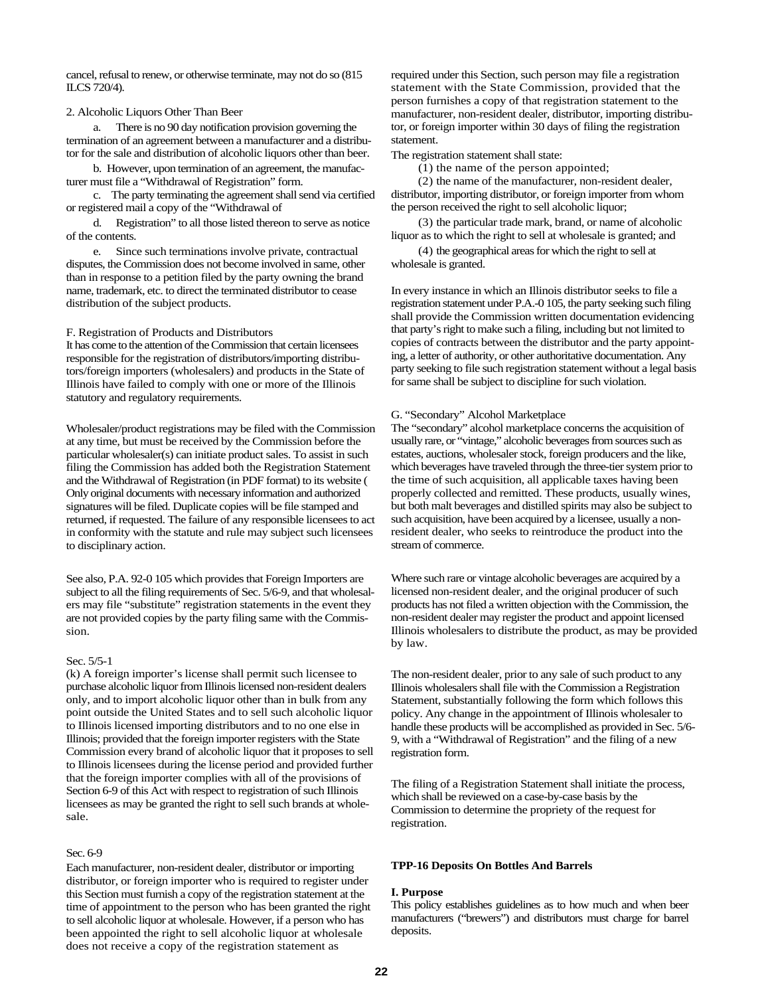cancel, refusal to renew, or otherwise terminate, may not do so (815 ILCS 720/4).

#### 2. Alcoholic Liquors Other Than Beer

a. There is no 90 day notification provision governing the termination of an agreement between a manufacturer and a distributor for the sale and distribution of alcoholic liquors other than beer.

b. However, upon termination of an agreement, the manufacturer must file a "Withdrawal of Registration" form.

c. The party terminating the agreement shall send via certified or registered mail a copy of the "Withdrawal of

d. Registration" to all those listed thereon to serve as notice of the contents.

e. Since such terminations involve private, contractual disputes, the Commission does not become involved in same, other than in response to a petition filed by the party owning the brand name, trademark, etc. to direct the terminated distributor to cease distribution of the subject products.

## F. Registration of Products and Distributors

It has come to the attention of the Commission that certain licensees responsible for the registration of distributors/importing distributors/foreign importers (wholesalers) and products in the State of Illinois have failed to comply with one or more of the Illinois statutory and regulatory requirements.

Wholesaler/product registrations may be filed with the Commission at any time, but must be received by the Commission before the particular wholesaler(s) can initiate product sales. To assist in such filing the Commission has added both the Registration Statement and the Withdrawal of Registration (in PDF format) to its website ( Only original documents with necessary information and authorized signatures will be filed. Duplicate copies will be file stamped and returned, if requested. The failure of any responsible licensees to act in conformity with the statute and rule may subject such licensees to disciplinary action.

See also, P.A. 92-0 105 which provides that Foreign Importers are subject to all the filing requirements of Sec. 5/6-9, and that wholesalers may file "substitute" registration statements in the event they are not provided copies by the party filing same with the Commission.

#### Sec. 5/5-1

(k) A foreign importer's license shall permit such licensee to purchase alcoholic liquor from Illinois licensed non-resident dealers only, and to import alcoholic liquor other than in bulk from any point outside the United States and to sell such alcoholic liquor to Illinois licensed importing distributors and to no one else in Illinois; provided that the foreign importer registers with the State Commission every brand of alcoholic liquor that it proposes to sell to Illinois licensees during the license period and provided further that the foreign importer complies with all of the provisions of Section 6-9 of this Act with respect to registration of such Illinois licensees as may be granted the right to sell such brands at wholesale.

# Sec. 6-9

Each manufacturer, non-resident dealer, distributor or importing distributor, or foreign importer who is required to register under this Section must furnish a copy of the registration statement at the time of appointment to the person who has been granted the right to sell alcoholic liquor at wholesale. However, if a person who has been appointed the right to sell alcoholic liquor at wholesale does not receive a copy of the registration statement as

required under this Section, such person may file a registration statement with the State Commission, provided that the person furnishes a copy of that registration statement to the manufacturer, non-resident dealer, distributor, importing distributor, or foreign importer within 30 days of filing the registration statement.

The registration statement shall state:

(1) the name of the person appointed;

(2) the name of the manufacturer, non-resident dealer, distributor, importing distributor, or foreign importer from whom the person received the right to sell alcoholic liquor;

(3) the particular trade mark, brand, or name of alcoholic liquor as to which the right to sell at wholesale is granted; and

(4) the geographical areas for which the right to sell at wholesale is granted.

In every instance in which an Illinois distributor seeks to file a registration statement under P.A.-0 105, the party seeking such filing shall provide the Commission written documentation evidencing that party's right to make such a filing, including but not limited to copies of contracts between the distributor and the party appointing, a letter of authority, or other authoritative documentation. Any party seeking to file such registration statement without a legal basis for same shall be subject to discipline for such violation.

# G. "Secondary" Alcohol Marketplace

The "secondary" alcohol marketplace concerns the acquisition of usually rare, or "vintage," alcoholic beverages from sources such as estates, auctions, wholesaler stock, foreign producers and the like, which beverages have traveled through the three-tier system prior to the time of such acquisition, all applicable taxes having been properly collected and remitted. These products, usually wines, but both malt beverages and distilled spirits may also be subject to such acquisition, have been acquired by a licensee, usually a nonresident dealer, who seeks to reintroduce the product into the stream of commerce.

Where such rare or vintage alcoholic beverages are acquired by a licensed non-resident dealer, and the original producer of such products has not filed a written objection with the Commission, the non-resident dealer may register the product and appoint licensed Illinois wholesalers to distribute the product, as may be provided by law.

The non-resident dealer, prior to any sale of such product to any Illinois wholesalers shall file with the Commission a Registration Statement, substantially following the form which follows this policy. Any change in the appointment of Illinois wholesaler to handle these products will be accomplished as provided in Sec. 5/6- 9, with a "Withdrawal of Registration" and the filing of a new registration form.

The filing of a Registration Statement shall initiate the process, which shall be reviewed on a case-by-case basis by the Commission to determine the propriety of the request for registration.

#### **TPP-16 Deposits On Bottles And Barrels**

#### **I. Purpose**

This policy establishes guidelines as to how much and when beer manufacturers ("brewers") and distributors must charge for barrel deposits.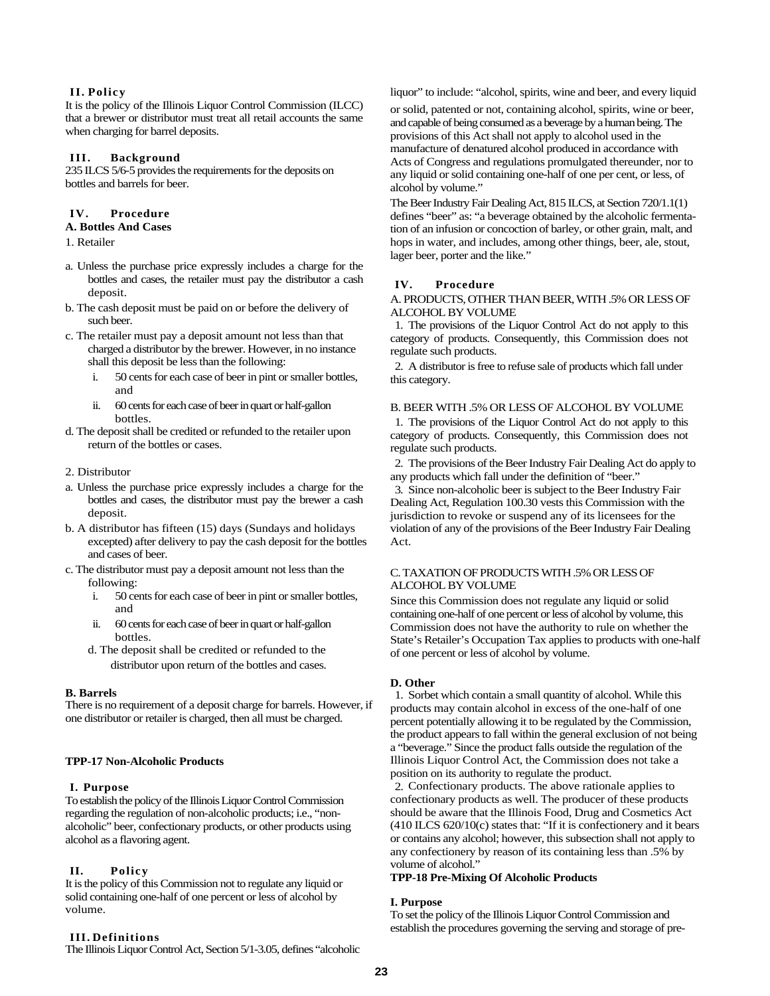# **II. Policy**

It is the policy of the Illinois Liquor Control Commission (ILCC) that a brewer or distributor must treat all retail accounts the same when charging for barrel deposits.

# **III. Background**

235 ILCS 5/6-5 provides the requirements for the deposits on bottles and barrels for beer.

# **IV. Procedure**

**A. Bottles And Cases** 

1. Retailer

- a. Unless the purchase price expressly includes a charge for the bottles and cases, the retailer must pay the distributor a cash deposit.
- b. The cash deposit must be paid on or before the delivery of such beer.
- c. The retailer must pay a deposit amount not less than that charged a distributor by the brewer. However, in no instance shall this deposit be less than the following:
	- i. 50 cents for each case of beer in pint or smaller bottles, and
	- ii. 60 cents for each case of beer in quart or half-gallon bottles.
- d. The deposit shall be credited or refunded to the retailer upon return of the bottles or cases.
- 2. Distributor
- a. Unless the purchase price expressly includes a charge for the bottles and cases, the distributor must pay the brewer a cash deposit.
- b. A distributor has fifteen (15) days (Sundays and holidays excepted) after delivery to pay the cash deposit for the bottles and cases of beer.
- c. The distributor must pay a deposit amount not less than the following:
	- i. 50 cents for each case of beer in pint or smaller bottles, and
	- ii. 60 cents for each case of beer in quart or half-gallon bottles.
	- d. The deposit shall be credited or refunded to the distributor upon return of the bottles and cases.

## **B. Barrels**

There is no requirement of a deposit charge for barrels. However, if one distributor or retailer is charged, then all must be charged.

# **TPP-17 Non-Alcoholic Products**

## **I. Purpose**

To establish the policy of the Illinois Liquor Control Commission regarding the regulation of non-alcoholic products; i.e., "nonalcoholic" beer, confectionary products, or other products using alcohol as a flavoring agent.

## **II. Policy**

It is the policy of this Commission not to regulate any liquid or solid containing one-half of one percent or less of alcohol by volume.

#### **III. Definitions**

The Illinois Liquor Control Act, Section 5/1-3.05, defines "alcoholic

liquor" to include: "alcohol, spirits, wine and beer, and every liquid

or solid, patented or not, containing alcohol, spirits, wine or beer, and capable of being consumed as a beverage by a human being. The provisions of this Act shall not apply to alcohol used in the manufacture of denatured alcohol produced in accordance with Acts of Congress and regulations promulgated thereunder, nor to any liquid or solid containing one-half of one per cent, or less, of alcohol by volume."

The Beer Industry Fair Dealing Act, 815 ILCS, at Section 720/1.1(1) defines "beer" as: "a beverage obtained by the alcoholic fermentation of an infusion or concoction of barley, or other grain, malt, and hops in water, and includes, among other things, beer, ale, stout, lager beer, porter and the like."

# **IV. Procedure**

A. PRODUCTS, OTHER THAN BEER, WITH .5% OR LESS OF ALCOHOL BY VOLUME

1. The provisions of the Liquor Control Act do not apply to this category of products. Consequently, this Commission does not regulate such products.

2. A distributor is free to refuse sale of products which fall under this category.

#### B. BEER WITH .5% OR LESS OF ALCOHOL BY VOLUME

1. The provisions of the Liquor Control Act do not apply to this category of products. Consequently, this Commission does not regulate such products.

2. The provisions of the Beer Industry Fair Dealing Act do apply to any products which fall under the definition of "beer."

3. Since non-alcoholic beer is subject to the Beer Industry Fair Dealing Act, Regulation 100.30 vests this Commission with the jurisdiction to revoke or suspend any of its licensees for the violation of any of the provisions of the Beer Industry Fair Dealing Act.

# C. TAXATION OF PRODUCTS WITH .5% OR LESS OF ALCOHOL BY VOLUME

Since this Commission does not regulate any liquid or solid containing one-half of one percent or less of alcohol by volume, this Commission does not have the authority to rule on whether the State's Retailer's Occupation Tax applies to products with one-half of one percent or less of alcohol by volume.

## **D. Other**

1. Sorbet which contain a small quantity of alcohol. While this products may contain alcohol in excess of the one-half of one percent potentially allowing it to be regulated by the Commission, the product appears to fall within the general exclusion of not being a "beverage." Since the product falls outside the regulation of the Illinois Liquor Control Act, the Commission does not take a position on its authority to regulate the product.

2. Confectionary products. The above rationale applies to confectionary products as well. The producer of these products should be aware that the Illinois Food, Drug and Cosmetics Act (410 ILCS 620/10(c) states that: "If it is confectionery and it bears or contains any alcohol; however, this subsection shall not apply to any confectionery by reason of its containing less than .5% by volume of alcohol."

# **TPP-18 Pre-Mixing Of Alcoholic Products**

#### **I. Purpose**

To set the policy of the Illinois Liquor Control Commission and establish the procedures governing the serving and storage of pre-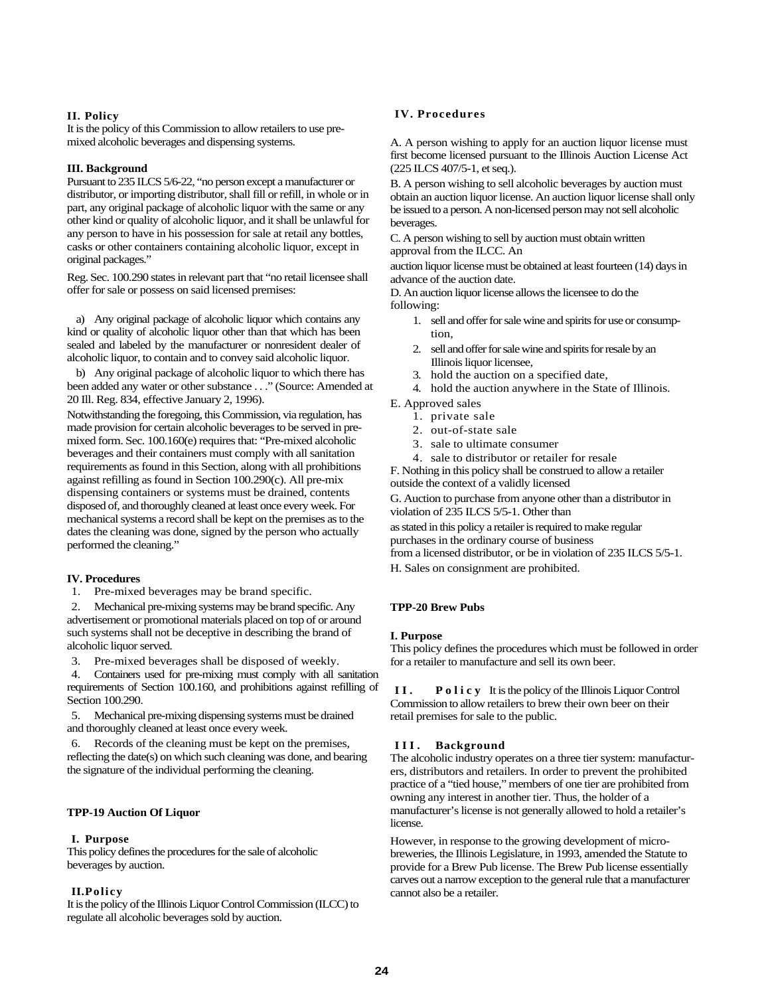# **II. Policy**

It is the policy of this Commission to allow retailers to use premixed alcoholic beverages and dispensing systems.

## **III. Background**

Pursuant to 235 ILCS 5/6-22, "no person except a manufacturer or distributor, or importing distributor, shall fill or refill, in whole or in part, any original package of alcoholic liquor with the same or any other kind or quality of alcoholic liquor, and it shall be unlawful for any person to have in his possession for sale at retail any bottles, casks or other containers containing alcoholic liquor, except in original packages."

Reg. Sec. 100.290 states in relevant part that "no retail licensee shall offer for sale or possess on said licensed premises:

a) Any original package of alcoholic liquor which contains any kind or quality of alcoholic liquor other than that which has been sealed and labeled by the manufacturer or nonresident dealer of alcoholic liquor, to contain and to convey said alcoholic liquor.

b) Any original package of alcoholic liquor to which there has been added any water or other substance . . . " (Source: Amended at 20 Ill. Reg. 834, effective January 2, 1996).

Notwithstanding the foregoing, this Commission, via regulation, has made provision for certain alcoholic beverages to be served in premixed form. Sec. 100.160(e) requires that: "Pre-mixed alcoholic beverages and their containers must comply with all sanitation requirements as found in this Section, along with all prohibitions against refilling as found in Section 100.290(c). All pre-mix dispensing containers or systems must be drained, contents disposed of, and thoroughly cleaned at least once every week. For mechanical systems a record shall be kept on the premises as to the dates the cleaning was done, signed by the person who actually performed the cleaning."

## **IV. Procedures**

1. Pre-mixed beverages may be brand specific.

2. Mechanical pre-mixing systems may be brand specific. Any advertisement or promotional materials placed on top of or around such systems shall not be deceptive in describing the brand of alcoholic liquor served.

3. Pre-mixed beverages shall be disposed of weekly.

4. Containers used for pre-mixing must comply with all sanitation requirements of Section 100.160, and prohibitions against refilling of Section 100.290.

5. Mechanical pre-mixing dispensing systems must be drained and thoroughly cleaned at least once every week.

6. Records of the cleaning must be kept on the premises, reflecting the date(s) on which such cleaning was done, and bearing the signature of the individual performing the cleaning.

#### **TPP-19 Auction Of Liquor**

## **I. Purpose**

This policy defines the procedures for the sale of alcoholic beverages by auction.

# **II.Policy**

It is the policy of the Illinois Liquor Control Commission (ILCC) to regulate all alcoholic beverages sold by auction.

# **IV. Procedures**

A. A person wishing to apply for an auction liquor license must first become licensed pursuant to the Illinois Auction License Act (225 ILCS 407/5-1, et seq.).

B. A person wishing to sell alcoholic beverages by auction must obtain an auction liquor license. An auction liquor license shall only be issued to a person. A non-licensed person may not sell alcoholic beverages.

C. A person wishing to sell by auction must obtain written approval from the ILCC. An

auction liquor license must be obtained at least fourteen (14) days in advance of the auction date.

D. An auction liquor license allows the licensee to do the following:

- 1. sell and offer for sale wine and spirits for use or consumption,
- 2. sell and offer for sale wine and spirits for resale by an Illinois liquor licensee,
- 3. hold the auction on a specified date,
- 4. hold the auction anywhere in the State of Illinois.

E. Approved sales

- 1. private sale
- 2. out-of-state sale
- 3. sale to ultimate consumer
- 4. sale to distributor or retailer for resale

F. Nothing in this policy shall be construed to allow a retailer outside the context of a validly licensed

G. Auction to purchase from anyone other than a distributor in violation of 235 ILCS 5/5-1. Other than

as stated in this policy a retailer is required to make regular purchases in the ordinary course of business from a licensed distributor, or be in violation of 235 ILCS 5/5-1.

H. Sales on consignment are prohibited.

# **TPP-20 Brew Pubs**

#### **I. Purpose**

This policy defines the procedures which must be followed in order for a retailer to manufacture and sell its own beer.

**II. Policy** It is the policy of the Illinois Liquor Control Commission to allow retailers to brew their own beer on their retail premises for sale to the public.

# **III. Background**

The alcoholic industry operates on a three tier system: manufacturers, distributors and retailers. In order to prevent the prohibited practice of a "tied house," members of one tier are prohibited from owning any interest in another tier. Thus, the holder of a manufacturer's license is not generally allowed to hold a retailer's license.

However, in response to the growing development of microbreweries, the Illinois Legislature, in 1993, amended the Statute to provide for a Brew Pub license. The Brew Pub license essentially carves out a narrow exception to the general rule that a manufacturer cannot also be a retailer.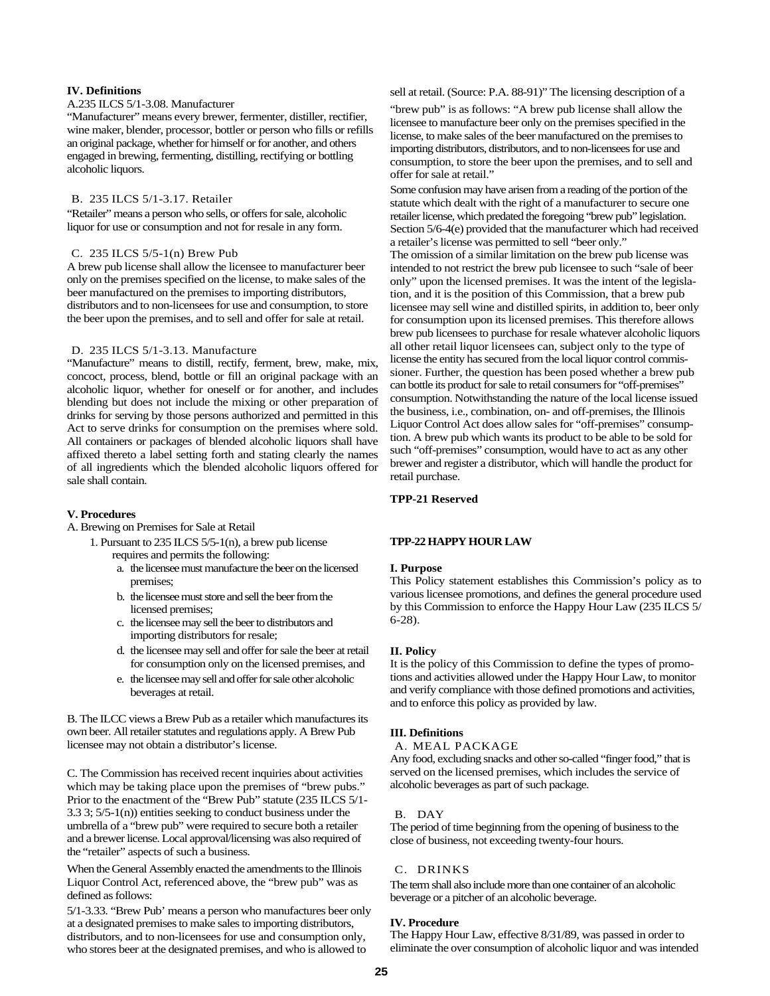# **IV. Definitions**

# A.235 ILCS 5/1-3.08. Manufacturer

"Manufacturer" means every brewer, fermenter, distiller, rectifier, wine maker, blender, processor, bottler or person who fills or refills an original package, whether for himself or for another, and others engaged in brewing, fermenting, distilling, rectifying or bottling alcoholic liquors.

# B. 235 ILCS 5/1-3.17. Retailer

"Retailer" means a person who sells, or offers for sale, alcoholic liquor for use or consumption and not for resale in any form.

#### C. 235 ILCS 5/5-1(n) Brew Pub

A brew pub license shall allow the licensee to manufacturer beer only on the premises specified on the license, to make sales of the beer manufactured on the premises to importing distributors, distributors and to non-licensees for use and consumption, to store the beer upon the premises, and to sell and offer for sale at retail.

# D. 235 ILCS 5/1-3.13. Manufacture

"Manufacture" means to distill, rectify, ferment, brew, make, mix, concoct, process, blend, bottle or fill an original package with an alcoholic liquor, whether for oneself or for another, and includes blending but does not include the mixing or other preparation of drinks for serving by those persons authorized and permitted in this Act to serve drinks for consumption on the premises where sold. All containers or packages of blended alcoholic liquors shall have affixed thereto a label setting forth and stating clearly the names of all ingredients which the blended alcoholic liquors offered for sale shall contain.

## **V. Procedures**

A. Brewing on Premises for Sale at Retail

- 1. Pursuant to 235 ILCS 5/5-1(n), a brew pub license requires and permits the following:
	- a. the licensee must manufacture the beer on the licensed premises;
	- b. the licensee must store and sell the beer from the licensed premises;
	- c. the licensee may sell the beer to distributors and importing distributors for resale;
	- d. the licensee may sell and offer for sale the beer at retail for consumption only on the licensed premises, and
	- e. the licensee may sell and offer for sale other alcoholic beverages at retail.

B. The ILCC views a Brew Pub as a retailer which manufactures its own beer. All retailer statutes and regulations apply. A Brew Pub licensee may not obtain a distributor's license.

C. The Commission has received recent inquiries about activities which may be taking place upon the premises of "brew pubs." Prior to the enactment of the "Brew Pub" statute (235 ILCS 5/1- 3.3 3; 5/5-1(n)) entities seeking to conduct business under the umbrella of a "brew pub" were required to secure both a retailer and a brewer license. Local approval/licensing was also required of the "retailer" aspects of such a business.

When the General Assembly enacted the amendments to the Illinois Liquor Control Act, referenced above, the "brew pub" was as defined as follows:

5/1-3.33. "Brew Pub' means a person who manufactures beer only at a designated premises to make sales to importing distributors, distributors, and to non-licensees for use and consumption only, who stores beer at the designated premises, and who is allowed to

#### sell at retail. (Source: P.A. 88-91)" The licensing description of a

"brew pub" is as follows: "A brew pub license shall allow the licensee to manufacture beer only on the premises specified in the license, to make sales of the beer manufactured on the premises to importing distributors, distributors, and to non-licensees for use and consumption, to store the beer upon the premises, and to sell and offer for sale at retail."

Some confusion may have arisen from a reading of the portion of the statute which dealt with the right of a manufacturer to secure one retailer license, which predated the foregoing "brew pub" legislation. Section 5/6-4(e) provided that the manufacturer which had received a retailer's license was permitted to sell "beer only."

The omission of a similar limitation on the brew pub license was intended to not restrict the brew pub licensee to such "sale of beer only" upon the licensed premises. It was the intent of the legislation, and it is the position of this Commission, that a brew pub licensee may sell wine and distilled spirits, in addition to, beer only for consumption upon its licensed premises. This therefore allows brew pub licensees to purchase for resale whatever alcoholic liquors all other retail liquor licensees can, subject only to the type of license the entity has secured from the local liquor control commissioner. Further, the question has been posed whether a brew pub can bottle its product for sale to retail consumers for "off-premises" consumption. Notwithstanding the nature of the local license issued the business, i.e., combination, on- and off-premises, the Illinois Liquor Control Act does allow sales for "off-premises" consumption. A brew pub which wants its product to be able to be sold for such "off-premises" consumption, would have to act as any other brewer and register a distributor, which will handle the product for retail purchase.

#### **TPP-21 Reserved**

#### **TPP-22 HAPPY HOUR LAW**

#### **I. Purpose**

This Policy statement establishes this Commission's policy as to various licensee promotions, and defines the general procedure used by this Commission to enforce the Happy Hour Law (235 ILCS 5/ 6-28).

#### **II. Policy**

It is the policy of this Commission to define the types of promotions and activities allowed under the Happy Hour Law, to monitor and verify compliance with those defined promotions and activities, and to enforce this policy as provided by law.

## **III. Definitions**

#### A. MEAL PACKAGE

Any food, excluding snacks and other so-called "finger food," that is served on the licensed premises, which includes the service of alcoholic beverages as part of such package.

## B. DAY

The period of time beginning from the opening of business to the close of business, not exceeding twenty-four hours.

# C. DRINKS

The term shall also include more than one container of an alcoholic beverage or a pitcher of an alcoholic beverage.

#### **IV. Procedure**

The Happy Hour Law, effective 8/31/89, was passed in order to eliminate the over consumption of alcoholic liquor and was intended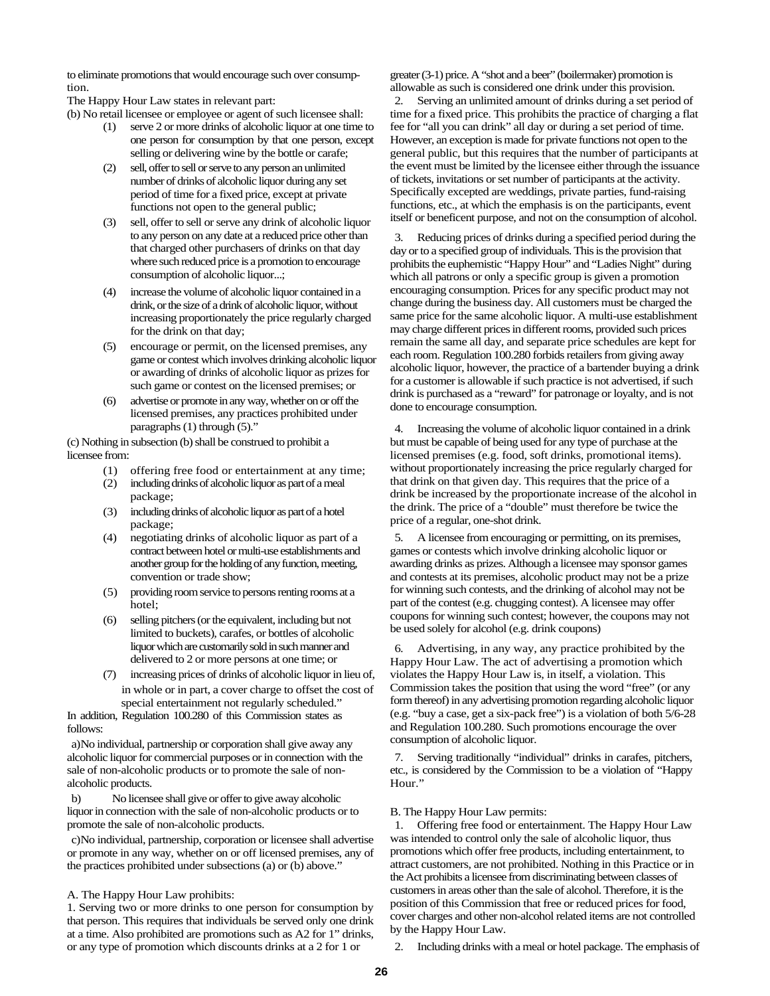to eliminate promotions that would encourage such over consumption.

The Happy Hour Law states in relevant part:

(b) No retail licensee or employee or agent of such licensee shall:

- (1) serve 2 or more drinks of alcoholic liquor at one time to one person for consumption by that one person, except selling or delivering wine by the bottle or carafe;
- (2) sell, offer to sell or serve to any person an unlimited number of drinks of alcoholic liquor during any set period of time for a fixed price, except at private functions not open to the general public;
- (3) sell, offer to sell or serve any drink of alcoholic liquor to any person on any date at a reduced price other than that charged other purchasers of drinks on that day where such reduced price is a promotion to encourage consumption of alcoholic liquor...;
- (4) increase the volume of alcoholic liquor contained in a drink, or the size of a drink of alcoholic liquor, without increasing proportionately the price regularly charged for the drink on that day;
- (5) encourage or permit, on the licensed premises, any game or contest which involves drinking alcoholic liquor or awarding of drinks of alcoholic liquor as prizes for such game or contest on the licensed premises; or
- (6) advertise or promote in any way, whether on or off the licensed premises, any practices prohibited under paragraphs (1) through (5)."

(c) Nothing in subsection (b) shall be construed to prohibit a licensee from:

- (1) offering free food or entertainment at any time;
- (2) including drinks of alcoholic liquor as part of a meal package;
- (3) including drinks of alcoholic liquor as part of a hotel package;
- (4) negotiating drinks of alcoholic liquor as part of a contract between hotel or multi-use establishments and another group for the holding of any function, meeting, convention or trade show;
- (5) providing room service to persons renting rooms at a hotel;
- (6) selling pitchers (or the equivalent, including but not limited to buckets), carafes, or bottles of alcoholic liquor which are customarily sold in such manner and delivered to 2 or more persons at one time; or
- (7) increasing prices of drinks of alcoholic liquor in lieu of, in whole or in part, a cover charge to offset the cost of special entertainment not regularly scheduled."

In addition, Regulation 100.280 of this Commission states as follows:

a)No individual, partnership or corporation shall give away any alcoholic liquor for commercial purposes or in connection with the sale of non-alcoholic products or to promote the sale of nonalcoholic products.

b) No licensee shall give or offer to give away alcoholic liquor in connection with the sale of non-alcoholic products or to promote the sale of non-alcoholic products.

c)No individual, partnership, corporation or licensee shall advertise or promote in any way, whether on or off licensed premises, any of the practices prohibited under subsections (a) or (b) above."

## A. The Happy Hour Law prohibits:

1. Serving two or more drinks to one person for consumption by that person. This requires that individuals be served only one drink at a time. Also prohibited are promotions such as A2 for 1" drinks, or any type of promotion which discounts drinks at a 2 for 1 or

greater (3-1) price. A "shot and a beer" (boilermaker) promotion is allowable as such is considered one drink under this provision. 2. Serving an unlimited amount of drinks during a set period of time for a fixed price. This prohibits the practice of charging a flat fee for "all you can drink" all day or during a set period of time. However, an exception is made for private functions not open to the general public, but this requires that the number of participants at the event must be limited by the licensee either through the issuance of tickets, invitations or set number of participants at the activity. Specifically excepted are weddings, private parties, fund-raising functions, etc., at which the emphasis is on the participants, event itself or beneficent purpose, and not on the consumption of alcohol.

3. Reducing prices of drinks during a specified period during the day or to a specified group of individuals. This is the provision that prohibits the euphemistic "Happy Hour" and "Ladies Night" during which all patrons or only a specific group is given a promotion encouraging consumption. Prices for any specific product may not change during the business day. All customers must be charged the same price for the same alcoholic liquor. A multi-use establishment may charge different prices in different rooms, provided such prices remain the same all day, and separate price schedules are kept for each room. Regulation 100.280 forbids retailers from giving away alcoholic liquor, however, the practice of a bartender buying a drink for a customer is allowable if such practice is not advertised, if such drink is purchased as a "reward" for patronage or loyalty, and is not done to encourage consumption.

4. Increasing the volume of alcoholic liquor contained in a drink but must be capable of being used for any type of purchase at the licensed premises (e.g. food, soft drinks, promotional items). without proportionately increasing the price regularly charged for that drink on that given day. This requires that the price of a drink be increased by the proportionate increase of the alcohol in the drink. The price of a "double" must therefore be twice the price of a regular, one-shot drink.

5. A licensee from encouraging or permitting, on its premises, games or contests which involve drinking alcoholic liquor or awarding drinks as prizes. Although a licensee may sponsor games and contests at its premises, alcoholic product may not be a prize for winning such contests, and the drinking of alcohol may not be part of the contest (e.g. chugging contest). A licensee may offer coupons for winning such contest; however, the coupons may not be used solely for alcohol (e.g. drink coupons)

6. Advertising, in any way, any practice prohibited by the Happy Hour Law. The act of advertising a promotion which violates the Happy Hour Law is, in itself, a violation. This Commission takes the position that using the word "free" (or any form thereof) in any advertising promotion regarding alcoholic liquor (e.g. "buy a case, get a six-pack free") is a violation of both 5/6-28 and Regulation 100.280. Such promotions encourage the over consumption of alcoholic liquor.

7. Serving traditionally "individual" drinks in carafes, pitchers, etc., is considered by the Commission to be a violation of "Happy Hour."

#### B. The Happy Hour Law permits:

1. Offering free food or entertainment. The Happy Hour Law was intended to control only the sale of alcoholic liquor, thus promotions which offer free products, including entertainment, to attract customers, are not prohibited. Nothing in this Practice or in the Act prohibits a licensee from discriminating between classes of customers in areas other than the sale of alcohol. Therefore, it is the position of this Commission that free or reduced prices for food, cover charges and other non-alcohol related items are not controlled by the Happy Hour Law.

2. Including drinks with a meal or hotel package. The emphasis of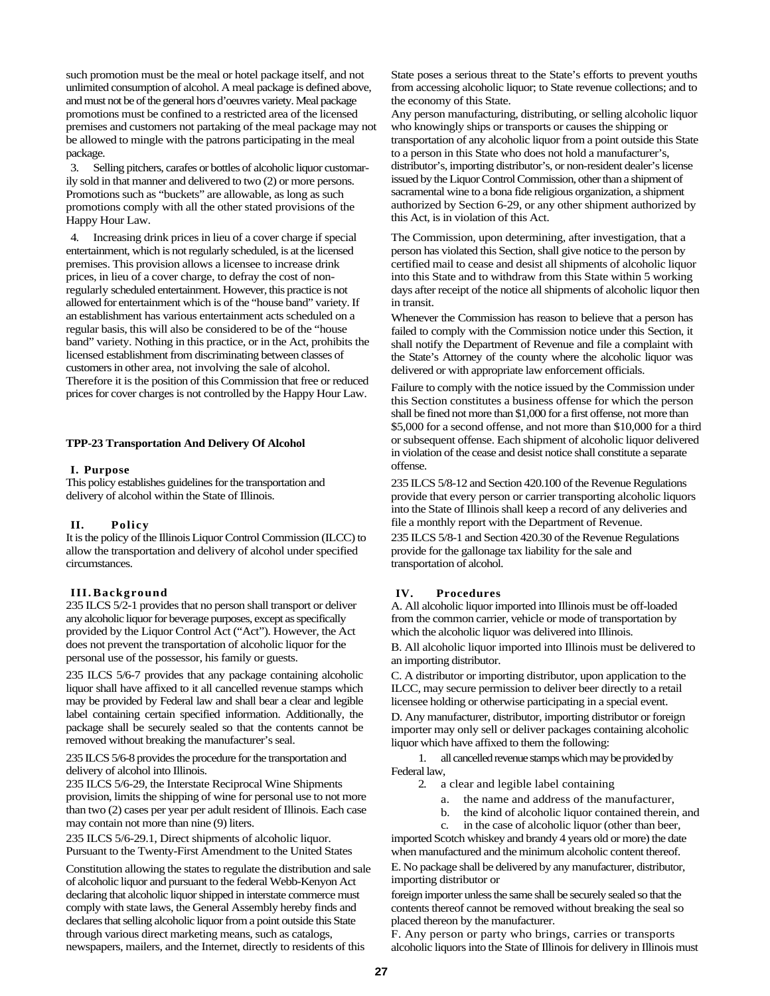such promotion must be the meal or hotel package itself, and not unlimited consumption of alcohol. A meal package is defined above, and must not be of the general hors d'oeuvres variety. Meal package promotions must be confined to a restricted area of the licensed premises and customers not partaking of the meal package may not be allowed to mingle with the patrons participating in the meal package.

3. Selling pitchers, carafes or bottles of alcoholic liquor customarily sold in that manner and delivered to two (2) or more persons. Promotions such as "buckets" are allowable, as long as such promotions comply with all the other stated provisions of the Happy Hour Law.

Increasing drink prices in lieu of a cover charge if special entertainment, which is not regularly scheduled, is at the licensed premises. This provision allows a licensee to increase drink prices, in lieu of a cover charge, to defray the cost of nonregularly scheduled entertainment. However, this practice is not allowed for entertainment which is of the "house band" variety. If an establishment has various entertainment acts scheduled on a regular basis, this will also be considered to be of the "house band" variety. Nothing in this practice, or in the Act, prohibits the licensed establishment from discriminating between classes of customers in other area, not involving the sale of alcohol. Therefore it is the position of this Commission that free or reduced prices for cover charges is not controlled by the Happy Hour Law.

# **TPP-23 Transportation And Delivery Of Alcohol**

#### **I. Purpose**

This policy establishes guidelines for the transportation and delivery of alcohol within the State of Illinois.

## **II. Policy**

It is the policy of the Illinois Liquor Control Commission (ILCC) to allow the transportation and delivery of alcohol under specified circumstances.

# **III. Background**

235 ILCS 5/2-1 provides that no person shall transport or deliver any alcoholic liquor for beverage purposes, except as specifically provided by the Liquor Control Act ("Act"). However, the Act does not prevent the transportation of alcoholic liquor for the personal use of the possessor, his family or guests.

235 ILCS 5/6-7 provides that any package containing alcoholic liquor shall have affixed to it all cancelled revenue stamps which may be provided by Federal law and shall bear a clear and legible label containing certain specified information. Additionally, the package shall be securely sealed so that the contents cannot be removed without breaking the manufacturer's seal.

235 ILCS 5/6-8 provides the procedure for the transportation and delivery of alcohol into Illinois.

235 ILCS 5/6-29, the Interstate Reciprocal Wine Shipments provision, limits the shipping of wine for personal use to not more than two (2) cases per year per adult resident of Illinois. Each case may contain not more than nine (9) liters.

235 ILCS 5/6-29.1, Direct shipments of alcoholic liquor. Pursuant to the Twenty-First Amendment to the United States

Constitution allowing the states to regulate the distribution and sale of alcoholic liquor and pursuant to the federal Webb-Kenyon Act declaring that alcoholic liquor shipped in interstate commerce must comply with state laws, the General Assembly hereby finds and declares that selling alcoholic liquor from a point outside this State through various direct marketing means, such as catalogs, newspapers, mailers, and the Internet, directly to residents of this

State poses a serious threat to the State's efforts to prevent youths from accessing alcoholic liquor; to State revenue collections; and to the economy of this State.

Any person manufacturing, distributing, or selling alcoholic liquor who knowingly ships or transports or causes the shipping or transportation of any alcoholic liquor from a point outside this State to a person in this State who does not hold a manufacturer's, distributor's, importing distributor's, or non-resident dealer's license issued by the Liquor Control Commission, other than a shipment of sacramental wine to a bona fide religious organization, a shipment authorized by Section 6-29, or any other shipment authorized by this Act, is in violation of this Act.

The Commission, upon determining, after investigation, that a person has violated this Section, shall give notice to the person by certified mail to cease and desist all shipments of alcoholic liquor into this State and to withdraw from this State within 5 working days after receipt of the notice all shipments of alcoholic liquor then in transit.

Whenever the Commission has reason to believe that a person has failed to comply with the Commission notice under this Section, it shall notify the Department of Revenue and file a complaint with the State's Attorney of the county where the alcoholic liquor was delivered or with appropriate law enforcement officials.

Failure to comply with the notice issued by the Commission under this Section constitutes a business offense for which the person shall be fined not more than \$1,000 for a first offense, not more than \$5,000 for a second offense, and not more than \$10,000 for a third or subsequent offense. Each shipment of alcoholic liquor delivered in violation of the cease and desist notice shall constitute a separate offense.

235 ILCS 5/8-12 and Section 420.100 of the Revenue Regulations provide that every person or carrier transporting alcoholic liquors into the State of Illinois shall keep a record of any deliveries and file a monthly report with the Department of Revenue. 235 ILCS 5/8-1 and Section 420.30 of the Revenue Regulations provide for the gallonage tax liability for the sale and transportation of alcohol.

## **IV. Procedures**

A. All alcoholic liquor imported into Illinois must be off-loaded from the common carrier, vehicle or mode of transportation by which the alcoholic liquor was delivered into Illinois.

B. All alcoholic liquor imported into Illinois must be delivered to an importing distributor.

C. A distributor or importing distributor, upon application to the ILCC, may secure permission to deliver beer directly to a retail licensee holding or otherwise participating in a special event. D. Any manufacturer, distributor, importing distributor or foreign importer may only sell or deliver packages containing alcoholic liquor which have affixed to them the following:

1. all cancelled revenue stamps which may be provided by Federal law,

- 2. a clear and legible label containing
	- a. the name and address of the manufacturer,
	- b. the kind of alcoholic liquor contained therein, and
	- c. in the case of alcoholic liquor (other than beer,

imported Scotch whiskey and brandy 4 years old or more) the date when manufactured and the minimum alcoholic content thereof.

E. No package shall be delivered by any manufacturer, distributor, importing distributor or

foreign importer unless the same shall be securely sealed so that the contents thereof cannot be removed without breaking the seal so placed thereon by the manufacturer.

F. Any person or party who brings, carries or transports alcoholic liquors into the State of Illinois for delivery in Illinois must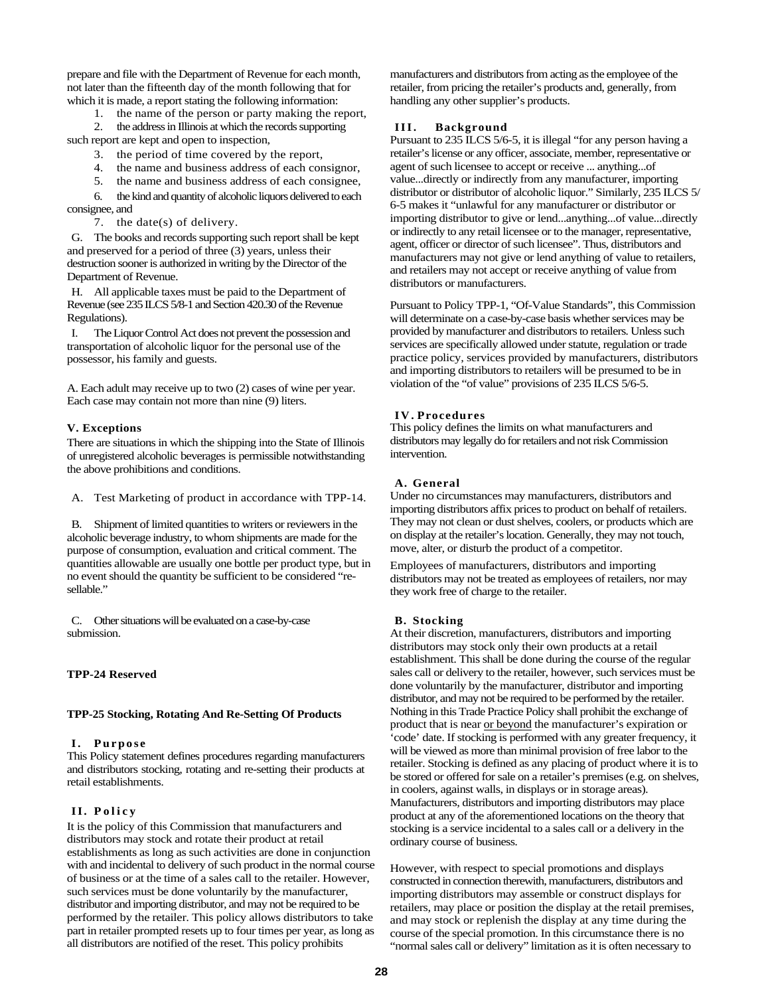prepare and file with the Department of Revenue for each month, not later than the fifteenth day of the month following that for which it is made, a report stating the following information:

1. the name of the person or party making the report,

2. the address in Illinois at which the records supporting such report are kept and open to inspection,

- 3. the period of time covered by the report,
- 4. the name and business address of each consignor,
- 5. the name and business address of each consignee,

6. the kind and quantity of alcoholic liquors delivered to each consignee, and

7. the date(s) of delivery.

G. The books and records supporting such report shall be kept and preserved for a period of three (3) years, unless their destruction sooner is authorized in writing by the Director of the Department of Revenue.

H. All applicable taxes must be paid to the Department of Revenue (see 235 ILCS 5/8-1 and Section 420.30 of the Revenue Regulations).

I. The Liquor Control Act does not prevent the possession and transportation of alcoholic liquor for the personal use of the possessor, his family and guests.

A. Each adult may receive up to two (2) cases of wine per year. Each case may contain not more than nine (9) liters.

#### **V. Exceptions**

There are situations in which the shipping into the State of Illinois of unregistered alcoholic beverages is permissible notwithstanding the above prohibitions and conditions.

A. Test Marketing of product in accordance with TPP-14.

B. Shipment of limited quantities to writers or reviewers in the alcoholic beverage industry, to whom shipments are made for the purpose of consumption, evaluation and critical comment. The quantities allowable are usually one bottle per product type, but in no event should the quantity be sufficient to be considered "resellable."

C. Other situations will be evaluated on a case-by-case submission.

#### **TPP-24 Reserved**

# **TPP-25 Stocking, Rotating And Re-Setting Of Products**

#### **I . Purpose**

This Policy statement defines procedures regarding manufacturers and distributors stocking, rotating and re-setting their products at retail establishments.

# **II. Policy**

It is the policy of this Commission that manufacturers and distributors may stock and rotate their product at retail establishments as long as such activities are done in conjunction with and incidental to delivery of such product in the normal course of business or at the time of a sales call to the retailer. However, such services must be done voluntarily by the manufacturer, distributor and importing distributor, and may not be required to be performed by the retailer. This policy allows distributors to take part in retailer prompted resets up to four times per year, as long as all distributors are notified of the reset. This policy prohibits

manufacturers and distributors from acting as the employee of the retailer, from pricing the retailer's products and, generally, from handling any other supplier's products.

# **III. Background**

Pursuant to 235 ILCS 5/6-5, it is illegal "for any person having a retailer's license or any officer, associate, member, representative or agent of such licensee to accept or receive ... anything...of value...directly or indirectly from any manufacturer, importing distributor or distributor of alcoholic liquor." Similarly, 235 ILCS 5/ 6-5 makes it "unlawful for any manufacturer or distributor or importing distributor to give or lend...anything...of value...directly or indirectly to any retail licensee or to the manager, representative, agent, officer or director of such licensee". Thus, distributors and manufacturers may not give or lend anything of value to retailers, and retailers may not accept or receive anything of value from distributors or manufacturers.

Pursuant to Policy TPP-1, "Of-Value Standards", this Commission will determinate on a case-by-case basis whether services may be provided by manufacturer and distributors to retailers. Unless such services are specifically allowed under statute, regulation or trade practice policy, services provided by manufacturers, distributors and importing distributors to retailers will be presumed to be in violation of the "of value" provisions of 235 ILCS 5/6-5.

# **IV. Procedures**

This policy defines the limits on what manufacturers and distributors may legally do for retailers and not risk Commission intervention.

# **A. General**

Under no circumstances may manufacturers, distributors and importing distributors affix prices to product on behalf of retailers. They may not clean or dust shelves, coolers, or products which are on display at the retailer's location. Generally, they may not touch, move, alter, or disturb the product of a competitor.

Employees of manufacturers, distributors and importing distributors may not be treated as employees of retailers, nor may they work free of charge to the retailer.

# **B. Stocking**

At their discretion, manufacturers, distributors and importing distributors may stock only their own products at a retail establishment. This shall be done during the course of the regular sales call or delivery to the retailer, however, such services must be done voluntarily by the manufacturer, distributor and importing distributor, and may not be required to be performed by the retailer. Nothing in this Trade Practice Policy shall prohibit the exchange of product that is near or beyond the manufacturer's expiration or 'code' date. If stocking is performed with any greater frequency, it will be viewed as more than minimal provision of free labor to the retailer. Stocking is defined as any placing of product where it is to be stored or offered for sale on a retailer's premises (e.g. on shelves, in coolers, against walls, in displays or in storage areas). Manufacturers, distributors and importing distributors may place product at any of the aforementioned locations on the theory that stocking is a service incidental to a sales call or a delivery in the ordinary course of business.

However, with respect to special promotions and displays constructed in connection therewith, manufacturers, distributors and importing distributors may assemble or construct displays for retailers, may place or position the display at the retail premises, and may stock or replenish the display at any time during the course of the special promotion. In this circumstance there is no "normal sales call or delivery" limitation as it is often necessary to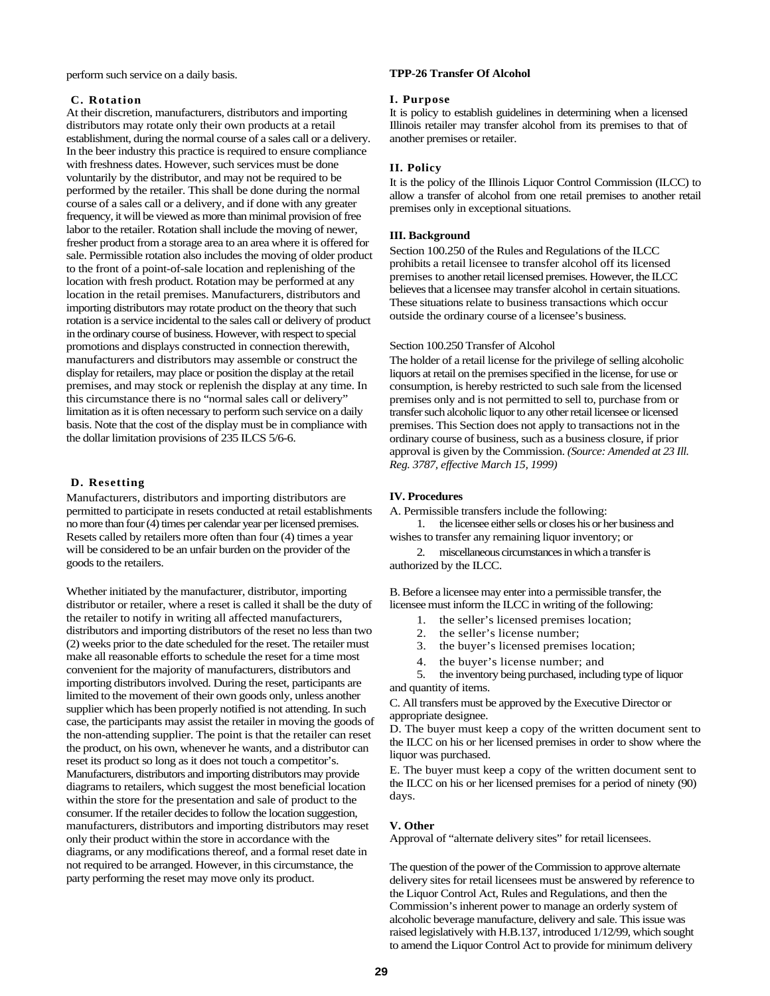perform such service on a daily basis.

#### **C. Rotation**

At their discretion, manufacturers, distributors and importing distributors may rotate only their own products at a retail establishment, during the normal course of a sales call or a delivery. In the beer industry this practice is required to ensure compliance with freshness dates. However, such services must be done voluntarily by the distributor, and may not be required to be performed by the retailer. This shall be done during the normal course of a sales call or a delivery, and if done with any greater frequency, it will be viewed as more than minimal provision of free labor to the retailer. Rotation shall include the moving of newer, fresher product from a storage area to an area where it is offered for sale. Permissible rotation also includes the moving of older product to the front of a point-of-sale location and replenishing of the location with fresh product. Rotation may be performed at any location in the retail premises. Manufacturers, distributors and importing distributors may rotate product on the theory that such rotation is a service incidental to the sales call or delivery of product in the ordinary course of business. However, with respect to special promotions and displays constructed in connection therewith, manufacturers and distributors may assemble or construct the display for retailers, may place or position the display at the retail premises, and may stock or replenish the display at any time. In this circumstance there is no "normal sales call or delivery" limitation as it is often necessary to perform such service on a daily basis. Note that the cost of the display must be in compliance with the dollar limitation provisions of 235 ILCS 5/6-6.

#### **D. Resetting**

Manufacturers, distributors and importing distributors are permitted to participate in resets conducted at retail establishments no more than four (4) times per calendar year per licensed premises. Resets called by retailers more often than four (4) times a year will be considered to be an unfair burden on the provider of the goods to the retailers.

Whether initiated by the manufacturer, distributor, importing distributor or retailer, where a reset is called it shall be the duty of the retailer to notify in writing all affected manufacturers, distributors and importing distributors of the reset no less than two (2) weeks prior to the date scheduled for the reset. The retailer must make all reasonable efforts to schedule the reset for a time most convenient for the majority of manufacturers, distributors and importing distributors involved. During the reset, participants are limited to the movement of their own goods only, unless another supplier which has been properly notified is not attending. In such case, the participants may assist the retailer in moving the goods of the non-attending supplier. The point is that the retailer can reset the product, on his own, whenever he wants, and a distributor can reset its product so long as it does not touch a competitor's. Manufacturers, distributors and importing distributors may provide diagrams to retailers, which suggest the most beneficial location within the store for the presentation and sale of product to the consumer. If the retailer decides to follow the location suggestion, manufacturers, distributors and importing distributors may reset only their product within the store in accordance with the diagrams, or any modifications thereof, and a formal reset date in not required to be arranged. However, in this circumstance, the party performing the reset may move only its product.

# **TPP-26 Transfer Of Alcohol**

#### **I. Purpose**

It is policy to establish guidelines in determining when a licensed Illinois retailer may transfer alcohol from its premises to that of another premises or retailer.

#### **II. Policy**

It is the policy of the Illinois Liquor Control Commission (ILCC) to allow a transfer of alcohol from one retail premises to another retail premises only in exceptional situations.

#### **III. Background**

Section 100.250 of the Rules and Regulations of the ILCC prohibits a retail licensee to transfer alcohol off its licensed premises to another retail licensed premises. However, the ILCC believes that a licensee may transfer alcohol in certain situations. These situations relate to business transactions which occur outside the ordinary course of a licensee's business.

# Section 100.250 Transfer of Alcohol

The holder of a retail license for the privilege of selling alcoholic liquors at retail on the premises specified in the license, for use or consumption, is hereby restricted to such sale from the licensed premises only and is not permitted to sell to, purchase from or transfer such alcoholic liquor to any other retail licensee or licensed premises. This Section does not apply to transactions not in the ordinary course of business, such as a business closure, if prior approval is given by the Commission. *(Source: Amended at 23 Ill. Reg. 3787, effective March 15, 1999)* 

# **IV. Procedures**

A. Permissible transfers include the following:

1. the licensee either sells or closes his or her business and wishes to transfer any remaining liquor inventory; or

2. miscellaneous circumstances in which a transfer is authorized by the ILCC.

B. Before a licensee may enter into a permissible transfer, the licensee must inform the ILCC in writing of the following:

- 1. the seller's licensed premises location;
- 2. the seller's license number;
- 3. the buyer's licensed premises location;
- 4. the buyer's license number; and

5. the inventory being purchased, including type of liquor and quantity of items.

C. All transfers must be approved by the Executive Director or appropriate designee.

D. The buyer must keep a copy of the written document sent to the ILCC on his or her licensed premises in order to show where the liquor was purchased.

E. The buyer must keep a copy of the written document sent to the ILCC on his or her licensed premises for a period of ninety (90) days.

#### **V. Other**

Approval of "alternate delivery sites" for retail licensees.

The question of the power of the Commission to approve alternate delivery sites for retail licensees must be answered by reference to the Liquor Control Act, Rules and Regulations, and then the Commission's inherent power to manage an orderly system of alcoholic beverage manufacture, delivery and sale. This issue was raised legislatively with H.B.137, introduced 1/12/99, which sought to amend the Liquor Control Act to provide for minimum delivery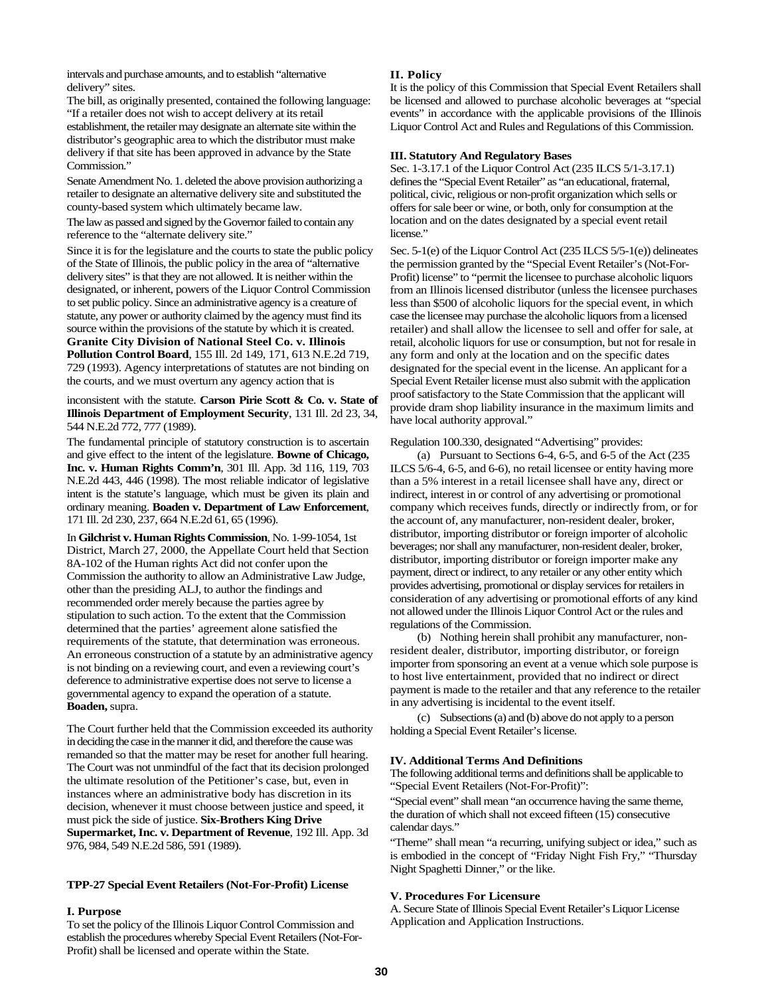intervals and purchase amounts, and to establish "alternative delivery" sites.

The bill, as originally presented, contained the following language: "If a retailer does not wish to accept delivery at its retail establishment, the retailer may designate an alternate site within the distributor's geographic area to which the distributor must make delivery if that site has been approved in advance by the State Commission."

Senate Amendment No. 1. deleted the above provision authorizing a retailer to designate an alternative delivery site and substituted the county-based system which ultimately became law.

The law as passed and signed by the Governor failed to contain any reference to the "alternate delivery site."

Since it is for the legislature and the courts to state the public policy of the State of Illinois, the public policy in the area of "alternative delivery sites" is that they are not allowed. It is neither within the designated, or inherent, powers of the Liquor Control Commission to set public policy. Since an administrative agency is a creature of statute, any power or authority claimed by the agency must find its source within the provisions of the statute by which it is created. **Granite City Division of National Steel Co. v. Illinois Pollution Control Board**, 155 Ill. 2d 149, 171, 613 N.E.2d 719,

729 (1993). Agency interpretations of statutes are not binding on the courts, and we must overturn any agency action that is

# inconsistent with the statute. **Carson Pirie Scott & Co. v. State of Illinois Department of Employment Security**, 131 Ill. 2d 23, 34, 544 N.E.2d 772, 777 (1989).

The fundamental principle of statutory construction is to ascertain and give effect to the intent of the legislature. **Bowne of Chicago, Inc. v. Human Rights Comm'n**, 301 Ill. App. 3d 116, 119, 703 N.E.2d 443, 446 (1998). The most reliable indicator of legislative intent is the statute's language, which must be given its plain and ordinary meaning. **Boaden v. Department of Law Enforcement**, 171 Ill. 2d 230, 237, 664 N.E.2d 61, 65 (1996).

In **Gilchrist v. Human Rights Commission**, No. 1-99-1054, 1st District, March 27, 2000, the Appellate Court held that Section 8A-102 of the Human rights Act did not confer upon the Commission the authority to allow an Administrative Law Judge, other than the presiding ALJ, to author the findings and recommended order merely because the parties agree by stipulation to such action. To the extent that the Commission determined that the parties' agreement alone satisfied the requirements of the statute, that determination was erroneous. An erroneous construction of a statute by an administrative agency is not binding on a reviewing court, and even a reviewing court's deference to administrative expertise does not serve to license a governmental agency to expand the operation of a statute. **Boaden,** supra.

The Court further held that the Commission exceeded its authority in deciding the case in the manner it did, and therefore the cause was remanded so that the matter may be reset for another full hearing. The Court was not unmindful of the fact that its decision prolonged the ultimate resolution of the Petitioner's case, but, even in instances where an administrative body has discretion in its decision, whenever it must choose between justice and speed, it must pick the side of justice. **Six-Brothers King Drive Supermarket, Inc. v. Department of Revenue**, 192 Ill. App. 3d 976, 984, 549 N.E.2d 586, 591 (1989).

# **TPP-27 Special Event Retailers (Not-For-Profit) License**

## **I. Purpose**

To set the policy of the Illinois Liquor Control Commission and establish the procedures whereby Special Event Retailers (Not-For-Profit) shall be licensed and operate within the State.

# **II. Policy**

It is the policy of this Commission that Special Event Retailers shall be licensed and allowed to purchase alcoholic beverages at "special events" in accordance with the applicable provisions of the Illinois Liquor Control Act and Rules and Regulations of this Commission.

#### **III. Statutory And Regulatory Bases**

Sec. 1-3.17.1 of the Liquor Control Act (235 ILCS 5/1-3.17.1) defines the "Special Event Retailer" as "an educational, fraternal, political, civic, religious or non-profit organization which sells or offers for sale beer or wine, or both, only for consumption at the location and on the dates designated by a special event retail license."

Sec. 5-1(e) of the Liquor Control Act (235 ILCS 5/5-1(e)) delineates the permission granted by the "Special Event Retailer's (Not-For-Profit) license" to "permit the licensee to purchase alcoholic liquors from an Illinois licensed distributor (unless the licensee purchases less than \$500 of alcoholic liquors for the special event, in which case the licensee may purchase the alcoholic liquors from a licensed retailer) and shall allow the licensee to sell and offer for sale, at retail, alcoholic liquors for use or consumption, but not for resale in any form and only at the location and on the specific dates designated for the special event in the license. An applicant for a Special Event Retailer license must also submit with the application proof satisfactory to the State Commission that the applicant will provide dram shop liability insurance in the maximum limits and have local authority approval."

# Regulation 100.330, designated "Advertising" provides:

(a) Pursuant to Sections  $6-4$ ,  $6-5$ , and  $6-5$  of the Act  $(235)$ ILCS 5/6-4, 6-5, and 6-6), no retail licensee or entity having more than a 5% interest in a retail licensee shall have any, direct or indirect, interest in or control of any advertising or promotional company which receives funds, directly or indirectly from, or for the account of, any manufacturer, non-resident dealer, broker, distributor, importing distributor or foreign importer of alcoholic beverages; nor shall any manufacturer, non-resident dealer, broker, distributor, importing distributor or foreign importer make any payment, direct or indirect, to any retailer or any other entity which provides advertising, promotional or display services for retailers in consideration of any advertising or promotional efforts of any kind not allowed under the Illinois Liquor Control Act or the rules and regulations of the Commission.

(b) Nothing herein shall prohibit any manufacturer, nonresident dealer, distributor, importing distributor, or foreign importer from sponsoring an event at a venue which sole purpose is to host live entertainment, provided that no indirect or direct payment is made to the retailer and that any reference to the retailer in any advertising is incidental to the event itself.

(c) Subsections (a) and (b) above do not apply to a person holding a Special Event Retailer's license.

#### **IV. Additional Terms And Definitions**

The following additional terms and definitions shall be applicable to "Special Event Retailers (Not-For-Profit)":

"Special event" shall mean "an occurrence having the same theme, the duration of which shall not exceed fifteen (15) consecutive calendar days."

"Theme" shall mean "a recurring, unifying subject or idea," such as is embodied in the concept of "Friday Night Fish Fry," "Thursday Night Spaghetti Dinner," or the like.

#### **V. Procedures For Licensure**

A. Secure State of Illinois Special Event Retailer's Liquor License Application and Application Instructions.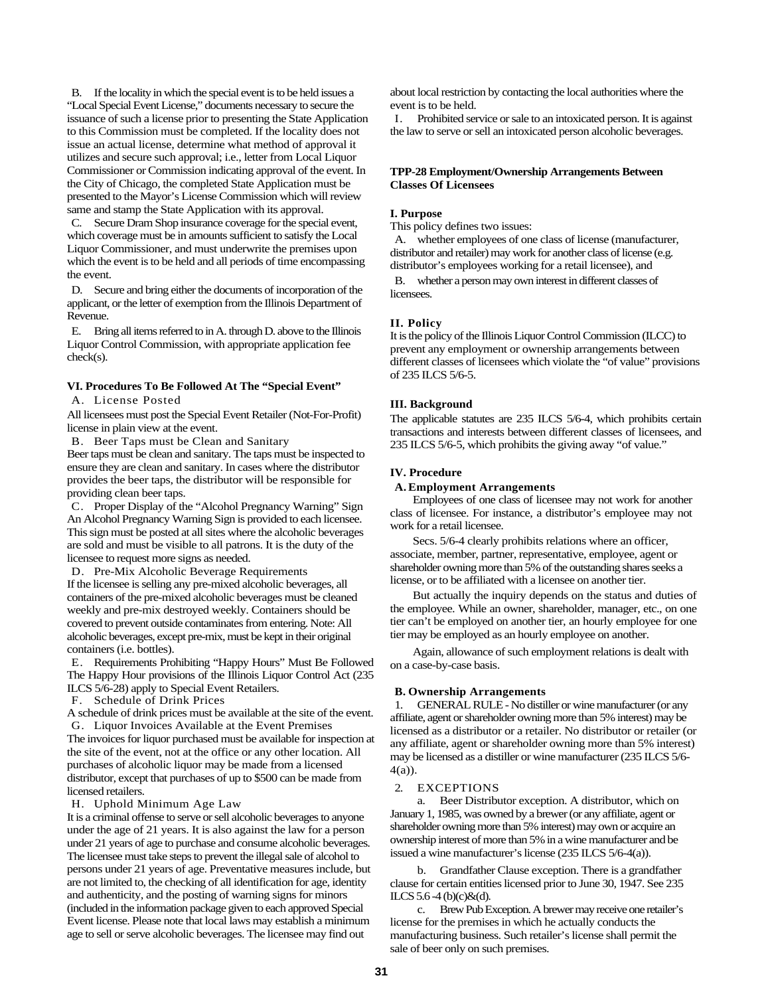B. If the locality in which the special event is to be held issues a "Local Special Event License," documents necessary to secure the issuance of such a license prior to presenting the State Application to this Commission must be completed. If the locality does not issue an actual license, determine what method of approval it utilizes and secure such approval; i.e., letter from Local Liquor Commissioner or Commission indicating approval of the event. In the City of Chicago, the completed State Application must be presented to the Mayor's License Commission which will review same and stamp the State Application with its approval.

C. Secure Dram Shop insurance coverage for the special event, which coverage must be in amounts sufficient to satisfy the Local Liquor Commissioner, and must underwrite the premises upon which the event is to be held and all periods of time encompassing the event.

D. Secure and bring either the documents of incorporation of the applicant, or the letter of exemption from the Illinois Department of Revenue.

E. Bring all items referred to in A. through D. above to the Illinois Liquor Control Commission, with appropriate application fee check(s).

# **VI. Procedures To Be Followed At The "Special Event"**

A. License Posted

All licensees must post the Special Event Retailer (Not-For-Profit) license in plain view at the event.

B. Beer Taps must be Clean and Sanitary

Beer taps must be clean and sanitary. The taps must be inspected to ensure they are clean and sanitary. In cases where the distributor provides the beer taps, the distributor will be responsible for providing clean beer taps.

C. Proper Display of the "Alcohol Pregnancy Warning" Sign An Alcohol Pregnancy Warning Sign is provided to each licensee. This sign must be posted at all sites where the alcoholic beverages are sold and must be visible to all patrons. It is the duty of the licensee to request more signs as needed.

D. Pre-Mix Alcoholic Beverage Requirements

If the licensee is selling any pre-mixed alcoholic beverages, all containers of the pre-mixed alcoholic beverages must be cleaned weekly and pre-mix destroyed weekly. Containers should be covered to prevent outside contaminates from entering. Note: All alcoholic beverages, except pre-mix, must be kept in their original containers (i.e. bottles).

E. Requirements Prohibiting "Happy Hours" Must Be Followed The Happy Hour provisions of the Illinois Liquor Control Act (235 ILCS 5/6-28) apply to Special Event Retailers.

F. Schedule of Drink Prices

A schedule of drink prices must be available at the site of the event. G. Liquor Invoices Available at the Event Premises

The invoices for liquor purchased must be available for inspection at the site of the event, not at the office or any other location. All purchases of alcoholic liquor may be made from a licensed distributor, except that purchases of up to \$500 can be made from licensed retailers.

H. Uphold Minimum Age Law

It is a criminal offense to serve or sell alcoholic beverages to anyone under the age of 21 years. It is also against the law for a person under 21 years of age to purchase and consume alcoholic beverages. The licensee must take steps to prevent the illegal sale of alcohol to persons under 21 years of age. Preventative measures include, but are not limited to, the checking of all identification for age, identity and authenticity, and the posting of warning signs for minors (included in the information package given to each approved Special Event license. Please note that local laws may establish a minimum age to sell or serve alcoholic beverages. The licensee may find out

about local restriction by contacting the local authorities where the event is to be held.

I. Prohibited service or sale to an intoxicated person. It is against the law to serve or sell an intoxicated person alcoholic beverages.

# **TPP-28 Employment/Ownership Arrangements Between Classes Of Licensees**

#### **I. Purpose**

This policy defines two issues:

A. whether employees of one class of license (manufacturer, distributor and retailer) may work for another class of license (e.g. distributor's employees working for a retail licensee), and

B. whether a person may own interest in different classes of licensees.

#### **II. Policy**

It is the policy of the Illinois Liquor Control Commission (ILCC) to prevent any employment or ownership arrangements between different classes of licensees which violate the "of value" provisions of 235 ILCS 5/6-5.

#### **III. Background**

The applicable statutes are 235 ILCS 5/6-4, which prohibits certain transactions and interests between different classes of licensees, and 235 ILCS 5/6-5, which prohibits the giving away "of value."

#### **IV. Procedure**

#### **A.Employment Arrangements**

Employees of one class of licensee may not work for another class of licensee. For instance, a distributor's employee may not work for a retail licensee.

Secs. 5/6-4 clearly prohibits relations where an officer, associate, member, partner, representative, employee, agent or shareholder owning more than 5% of the outstanding shares seeks a license, or to be affiliated with a licensee on another tier.

But actually the inquiry depends on the status and duties of the employee. While an owner, shareholder, manager, etc., on one tier can't be employed on another tier, an hourly employee for one tier may be employed as an hourly employee on another.

Again, allowance of such employment relations is dealt with on a case-by-case basis.

#### **B. Ownership Arrangements**

1. GENERAL RULE - No distiller or wine manufacturer (or any affiliate, agent or shareholder owning more than 5% interest) may be licensed as a distributor or a retailer. No distributor or retailer (or any affiliate, agent or shareholder owning more than 5% interest) may be licensed as a distiller or wine manufacturer (235 ILCS 5/6- 4(a)).

#### 2. EXCEPTIONS

a. Beer Distributor exception. A distributor, which on January 1, 1985, was owned by a brewer (or any affiliate, agent or shareholder owning more than 5% interest) may own or acquire an ownership interest of more than 5% in a wine manufacturer and be issued a wine manufacturer's license (235 ILCS 5/6-4(a)).

b. Grandfather Clause exception. There is a grandfather clause for certain entities licensed prior to June 30, 1947. See 235 ILCS  $5.6 - 4$  (b)(c)&(d).

c. Brew Pub Exception. A brewer may receive one retailer's license for the premises in which he actually conducts the manufacturing business. Such retailer's license shall permit the sale of beer only on such premises.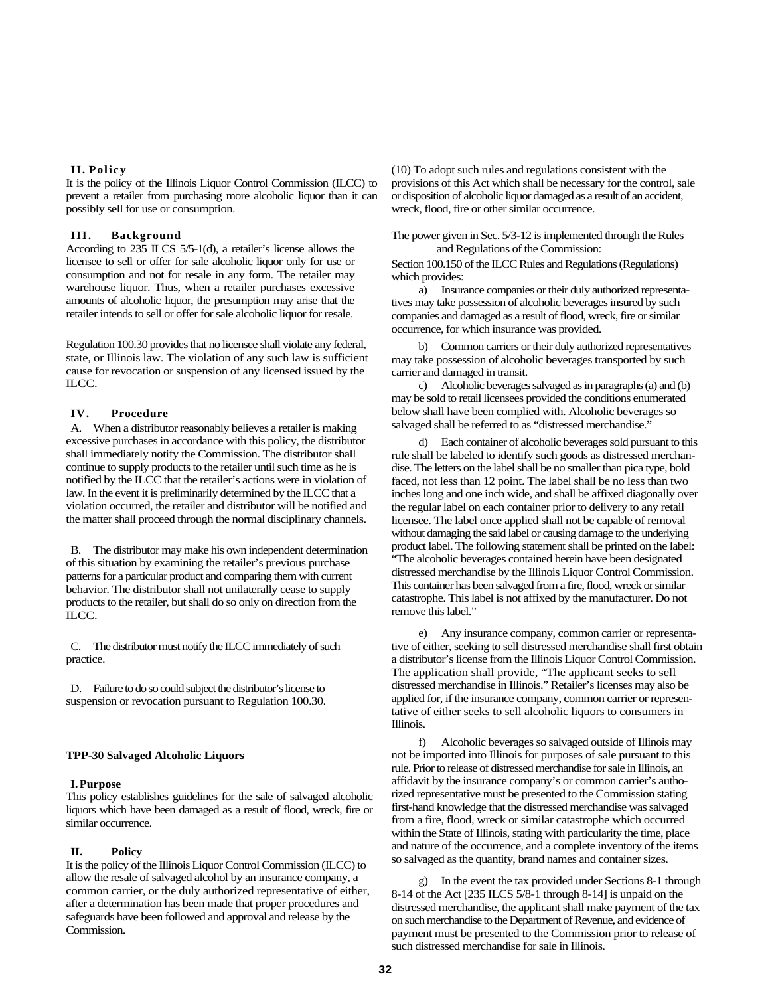#### **II. Policy**

It is the policy of the Illinois Liquor Control Commission (ILCC) to prevent a retailer from purchasing more alcoholic liquor than it can possibly sell for use or consumption.

## **III. Background**

According to 235 ILCS 5/5-1(d), a retailer's license allows the licensee to sell or offer for sale alcoholic liquor only for use or consumption and not for resale in any form. The retailer may warehouse liquor. Thus, when a retailer purchases excessive amounts of alcoholic liquor, the presumption may arise that the retailer intends to sell or offer for sale alcoholic liquor for resale.

Regulation 100.30 provides that no licensee shall violate any federal, state, or Illinois law. The violation of any such law is sufficient cause for revocation or suspension of any licensed issued by the ILCC.

# **IV. Procedure**

A. When a distributor reasonably believes a retailer is making excessive purchases in accordance with this policy, the distributor shall immediately notify the Commission. The distributor shall continue to supply products to the retailer until such time as he is notified by the ILCC that the retailer's actions were in violation of law. In the event it is preliminarily determined by the ILCC that a violation occurred, the retailer and distributor will be notified and the matter shall proceed through the normal disciplinary channels.

B. The distributor may make his own independent determination of this situation by examining the retailer's previous purchase patterns for a particular product and comparing them with current behavior. The distributor shall not unilaterally cease to supply products to the retailer, but shall do so only on direction from the ILCC.

C. The distributor must notify the ILCC immediately of such practice.

D. Failure to do so could subject the distributor's license to suspension or revocation pursuant to Regulation 100.30.

#### **TPP-30 Salvaged Alcoholic Liquors**

#### **I.Purpose**

This policy establishes guidelines for the sale of salvaged alcoholic liquors which have been damaged as a result of flood, wreck, fire or similar occurrence.

## **II. Policy**

It is the policy of the Illinois Liquor Control Commission (ILCC) to allow the resale of salvaged alcohol by an insurance company, a common carrier, or the duly authorized representative of either, after a determination has been made that proper procedures and safeguards have been followed and approval and release by the Commission.

(10) To adopt such rules and regulations consistent with the provisions of this Act which shall be necessary for the control, sale or disposition of alcoholic liquor damaged as a result of an accident, wreck, flood, fire or other similar occurrence.

The power given in Sec. 5/3-12 is implemented through the Rules and Regulations of the Commission:

Section 100.150 of the ILCC Rules and Regulations (Regulations) which provides:

a) Insurance companies or their duly authorized representatives may take possession of alcoholic beverages insured by such companies and damaged as a result of flood, wreck, fire or similar occurrence, for which insurance was provided.

b) Common carriers or their duly authorized representatives may take possession of alcoholic beverages transported by such carrier and damaged in transit.

c) Alcoholic beverages salvaged as in paragraphs (a) and (b) may be sold to retail licensees provided the conditions enumerated below shall have been complied with. Alcoholic beverages so salvaged shall be referred to as "distressed merchandise."

d) Each container of alcoholic beverages sold pursuant to this rule shall be labeled to identify such goods as distressed merchandise. The letters on the label shall be no smaller than pica type, bold faced, not less than 12 point. The label shall be no less than two inches long and one inch wide, and shall be affixed diagonally over the regular label on each container prior to delivery to any retail licensee. The label once applied shall not be capable of removal without damaging the said label or causing damage to the underlying product label. The following statement shall be printed on the label: "The alcoholic beverages contained herein have been designated distressed merchandise by the Illinois Liquor Control Commission. This container has been salvaged from a fire, flood, wreck or similar catastrophe. This label is not affixed by the manufacturer. Do not remove this label."

e) Any insurance company, common carrier or representative of either, seeking to sell distressed merchandise shall first obtain a distributor's license from the Illinois Liquor Control Commission. The application shall provide, "The applicant seeks to sell distressed merchandise in Illinois." Retailer's licenses may also be applied for, if the insurance company, common carrier or representative of either seeks to sell alcoholic liquors to consumers in Illinois.

f) Alcoholic beverages so salvaged outside of Illinois may not be imported into Illinois for purposes of sale pursuant to this rule. Prior to release of distressed merchandise for sale in Illinois, an affidavit by the insurance company's or common carrier's authorized representative must be presented to the Commission stating first-hand knowledge that the distressed merchandise was salvaged from a fire, flood, wreck or similar catastrophe which occurred within the State of Illinois, stating with particularity the time, place and nature of the occurrence, and a complete inventory of the items so salvaged as the quantity, brand names and container sizes.

g) In the event the tax provided under Sections 8-1 through 8-14 of the Act [235 ILCS 5/8-1 through 8-14] is unpaid on the distressed merchandise, the applicant shall make payment of the tax on such merchandise to the Department of Revenue, and evidence of payment must be presented to the Commission prior to release of such distressed merchandise for sale in Illinois.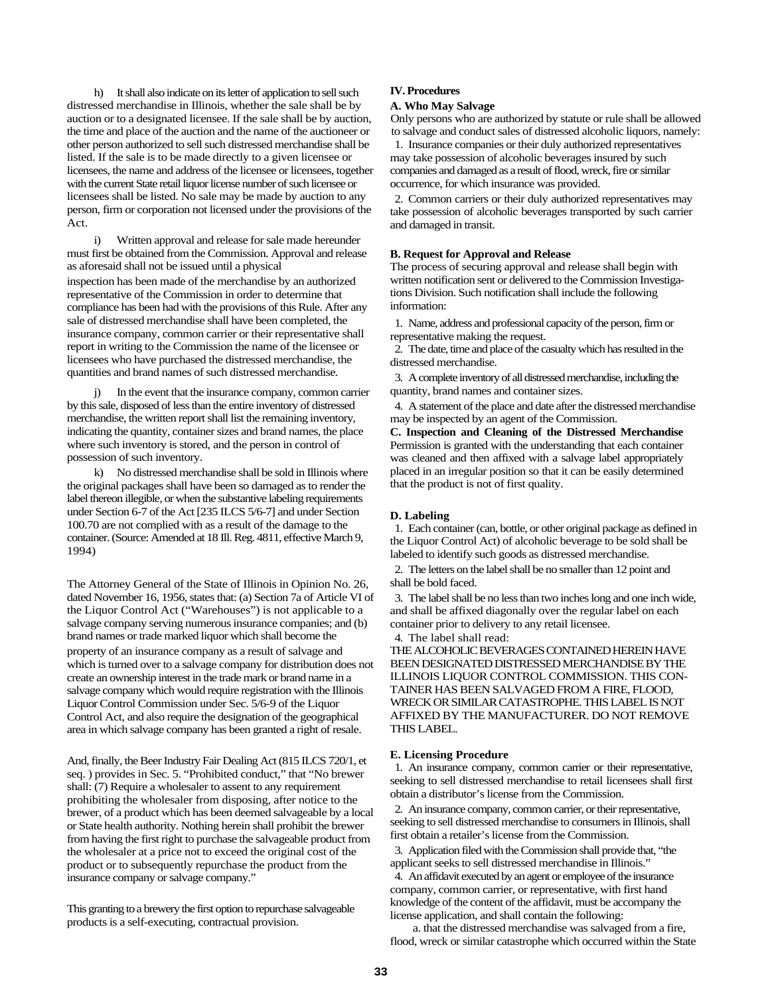h) It shall also indicate on its letter of application to sell such distressed merchandise in Illinois, whether the sale shall be by auction or to a designated licensee. If the sale shall be by auction, the time and place of the auction and the name of the auctioneer or other person authorized to sell such distressed merchandise shall be listed. If the sale is to be made directly to a given licensee or licensees, the name and address of the licensee or licensees, together with the current State retail liquor license number of such licensee or licensees shall be listed. No sale may be made by auction to any person, firm or corporation not licensed under the provisions of the Act.

i) Written approval and release for sale made hereunder must first be obtained from the Commission. Approval and release as aforesaid shall not be issued until a physical inspection has been made of the merchandise by an authorized representative of the Commission in order to determine that compliance has been had with the provisions of this Rule. After any sale of distressed merchandise shall have been completed, the insurance company, common carrier or their representative shall report in writing to the Commission the name of the licensee or licensees who have purchased the distressed merchandise, the quantities and brand names of such distressed merchandise.

j) In the event that the insurance company, common carrier by this sale, disposed of less than the entire inventory of distressed merchandise, the written report shall list the remaining inventory, indicating the quantity, container sizes and brand names, the place where such inventory is stored, and the person in control of possession of such inventory.

k) No distressed merchandise shall be sold in Illinois where the original packages shall have been so damaged as to render the label thereon illegible, or when the substantive labeling requirements under Section 6-7 of the Act [235 ILCS 5/6-7] and under Section 100.70 are not complied with as a result of the damage to the container. (Source: Amended at 18 Ill. Reg. 4811, effective March 9, 1994)

The Attorney General of the State of Illinois in Opinion No. 26, dated November 16, 1956, states that: (a) Section 7a of Article VI of the Liquor Control Act ("Warehouses") is not applicable to a salvage company serving numerous insurance companies; and (b) brand names or trade marked liquor which shall become the property of an insurance company as a result of salvage and which is turned over to a salvage company for distribution does not create an ownership interest in the trade mark or brand name in a salvage company which would require registration with the Illinois Liquor Control Commission under Sec. 5/6-9 of the Liquor Control Act, and also require the designation of the geographical area in which salvage company has been granted a right of resale.

And, finally, the Beer Industry Fair Dealing Act (815 ILCS 720/1, et seq. ) provides in Sec. 5. "Prohibited conduct," that "No brewer shall: (7) Require a wholesaler to assent to any requirement prohibiting the wholesaler from disposing, after notice to the brewer, of a product which has been deemed salvageable by a local or State health authority. Nothing herein shall prohibit the brewer from having the first right to purchase the salvageable product from the wholesaler at a price not to exceed the original cost of the product or to subsequently repurchase the product from the insurance company or salvage company."

This granting to a brewery the first option to repurchase salvageable products is a self-executing, contractual provision.

# **IV. Procedures**

# **A. Who May Salvage**

Only persons who are authorized by statute or rule shall be allowed to salvage and conduct sales of distressed alcoholic liquors, namely:

1. Insurance companies or their duly authorized representatives may take possession of alcoholic beverages insured by such companies and damaged as a result of flood, wreck, fire or similar occurrence, for which insurance was provided.

2. Common carriers or their duly authorized representatives may take possession of alcoholic beverages transported by such carrier and damaged in transit.

# **B. Request for Approval and Release**

The process of securing approval and release shall begin with written notification sent or delivered to the Commission Investigations Division. Such notification shall include the following information:

1. Name, address and professional capacity of the person, firm or representative making the request.

2. The date, time and place of the casualty which has resulted in the distressed merchandise.

3. A complete inventory of all distressed merchandise, including the quantity, brand names and container sizes.

4. A statement of the place and date after the distressed merchandise may be inspected by an agent of the Commission.

**C. Inspection and Cleaning of the Distressed Merchandise**  Permission is granted with the understanding that each container was cleaned and then affixed with a salvage label appropriately placed in an irregular position so that it can be easily determined that the product is not of first quality.

## **D. Labeling**

1. Each container (can, bottle, or other original package as defined in the Liquor Control Act) of alcoholic beverage to be sold shall be labeled to identify such goods as distressed merchandise.

2. The letters on the label shall be no smaller than 12 point and shall be bold faced.

3. The label shall be no less than two inches long and one inch wide, and shall be affixed diagonally over the regular label on each container prior to delivery to any retail licensee.

4. The label shall read:

THE ALCOHOLIC BEVERAGES CONTAINED HEREIN HAVE BEEN DESIGNATED DISTRESSED MERCHANDISE BY THE ILLINOIS LIQUOR CONTROL COMMISSION. THIS CON-TAINER HAS BEEN SALVAGED FROM A FIRE, FLOOD, WRECK OR SIMILAR CATASTROPHE. THIS LABEL IS NOT AFFIXED BY THE MANUFACTURER. DO NOT REMOVE THIS LABEL.

# **E. Licensing Procedure**

1. An insurance company, common carrier or their representative, seeking to sell distressed merchandise to retail licensees shall first obtain a distributor's license from the Commission.

2. An insurance company, common carrier, or their representative, seeking to sell distressed merchandise to consumers in Illinois, shall first obtain a retailer's license from the Commission.

3. Application filed with the Commission shall provide that, "the applicant seeks to sell distressed merchandise in Illinois."

4. An affidavit executed by an agent or employee of the insurance company, common carrier, or representative, with first hand knowledge of the content of the affidavit, must be accompany the license application, and shall contain the following:

a. that the distressed merchandise was salvaged from a fire, flood, wreck or similar catastrophe which occurred within the State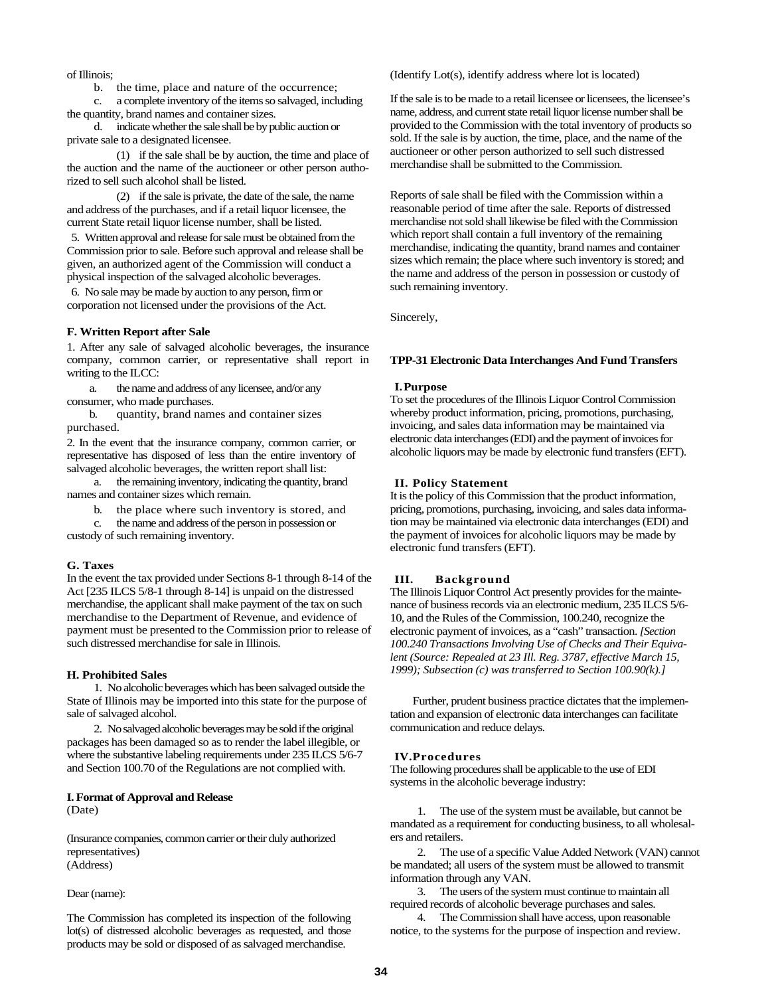#### of Illinois;

b. the time, place and nature of the occurrence;

c. a complete inventory of the items so salvaged, including the quantity, brand names and container sizes.

d. indicate whether the sale shall be by public auction or private sale to a designated licensee.

(1) if the sale shall be by auction, the time and place of the auction and the name of the auctioneer or other person authorized to sell such alcohol shall be listed.

(2) if the sale is private, the date of the sale, the name and address of the purchases, and if a retail liquor licensee, the current State retail liquor license number, shall be listed.

5. Written approval and release for sale must be obtained from the Commission prior to sale. Before such approval and release shall be given, an authorized agent of the Commission will conduct a physical inspection of the salvaged alcoholic beverages.

6. No sale may be made by auction to any person, firm or corporation not licensed under the provisions of the Act.

# **F. Written Report after Sale**

1. After any sale of salvaged alcoholic beverages, the insurance company, common carrier, or representative shall report in writing to the ILCC:

a. the name and address of any licensee, and/or any consumer, who made purchases.

b. quantity, brand names and container sizes purchased.

2. In the event that the insurance company, common carrier, or representative has disposed of less than the entire inventory of salvaged alcoholic beverages, the written report shall list:

a. the remaining inventory, indicating the quantity, brand names and container sizes which remain.

b. the place where such inventory is stored, and

c. the name and address of the person in possession or custody of such remaining inventory.

## **G. Taxes**

In the event the tax provided under Sections 8-1 through 8-14 of the Act [235 ILCS 5/8-1 through 8-14] is unpaid on the distressed merchandise, the applicant shall make payment of the tax on such merchandise to the Department of Revenue, and evidence of payment must be presented to the Commission prior to release of such distressed merchandise for sale in Illinois.

## **H. Prohibited Sales**

1. No alcoholic beverages which has been salvaged outside the State of Illinois may be imported into this state for the purpose of sale of salvaged alcohol.

2. No salvaged alcoholic beverages may be sold if the original packages has been damaged so as to render the label illegible, or where the substantive labeling requirements under 235 ILCS 5/6-7 and Section 100.70 of the Regulations are not complied with.

#### **I. Format of Approval and Release**

(Date)

(Insurance companies, common carrier or their duly authorized representatives) (Address)

#### Dear (name):

The Commission has completed its inspection of the following lot(s) of distressed alcoholic beverages as requested, and those products may be sold or disposed of as salvaged merchandise.

(Identify Lot(s), identify address where lot is located)

If the sale is to be made to a retail licensee or licensees, the licensee's name, address, and current state retail liquor license number shall be provided to the Commission with the total inventory of products so sold. If the sale is by auction, the time, place, and the name of the auctioneer or other person authorized to sell such distressed merchandise shall be submitted to the Commission.

Reports of sale shall be filed with the Commission within a reasonable period of time after the sale. Reports of distressed merchandise not sold shall likewise be filed with the Commission which report shall contain a full inventory of the remaining merchandise, indicating the quantity, brand names and container sizes which remain; the place where such inventory is stored; and the name and address of the person in possession or custody of such remaining inventory.

Sincerely,

#### **TPP-31 Electronic Data Interchanges And Fund Transfers**

#### **I.Purpose**

To set the procedures of the Illinois Liquor Control Commission whereby product information, pricing, promotions, purchasing, invoicing, and sales data information may be maintained via electronic data interchanges (EDI) and the payment of invoices for alcoholic liquors may be made by electronic fund transfers (EFT).

#### **II. Policy Statement**

It is the policy of this Commission that the product information, pricing, promotions, purchasing, invoicing, and sales data information may be maintained via electronic data interchanges (EDI) and the payment of invoices for alcoholic liquors may be made by electronic fund transfers (EFT).

#### **III. Background**

The Illinois Liquor Control Act presently provides for the maintenance of business records via an electronic medium, 235 ILCS 5/6- 10, and the Rules of the Commission, 100.240, recognize the electronic payment of invoices, as a "cash" transaction. *[Section 100.240 Transactions Involving Use of Checks and Their Equivalent (Source: Repealed at 23 Ill. Reg. 3787, effective March 15, 1999); Subsection (c) was transferred to Section 100.90(k).]* 

Further, prudent business practice dictates that the implementation and expansion of electronic data interchanges can facilitate communication and reduce delays.

#### **IV.Procedures**

The following procedures shall be applicable to the use of EDI systems in the alcoholic beverage industry:

1. The use of the system must be available, but cannot be mandated as a requirement for conducting business, to all wholesalers and retailers.

2. The use of a specific Value Added Network (VAN) cannot be mandated; all users of the system must be allowed to transmit information through any VAN.

3. The users of the system must continue to maintain all required records of alcoholic beverage purchases and sales.

4. The Commission shall have access, upon reasonable notice, to the systems for the purpose of inspection and review.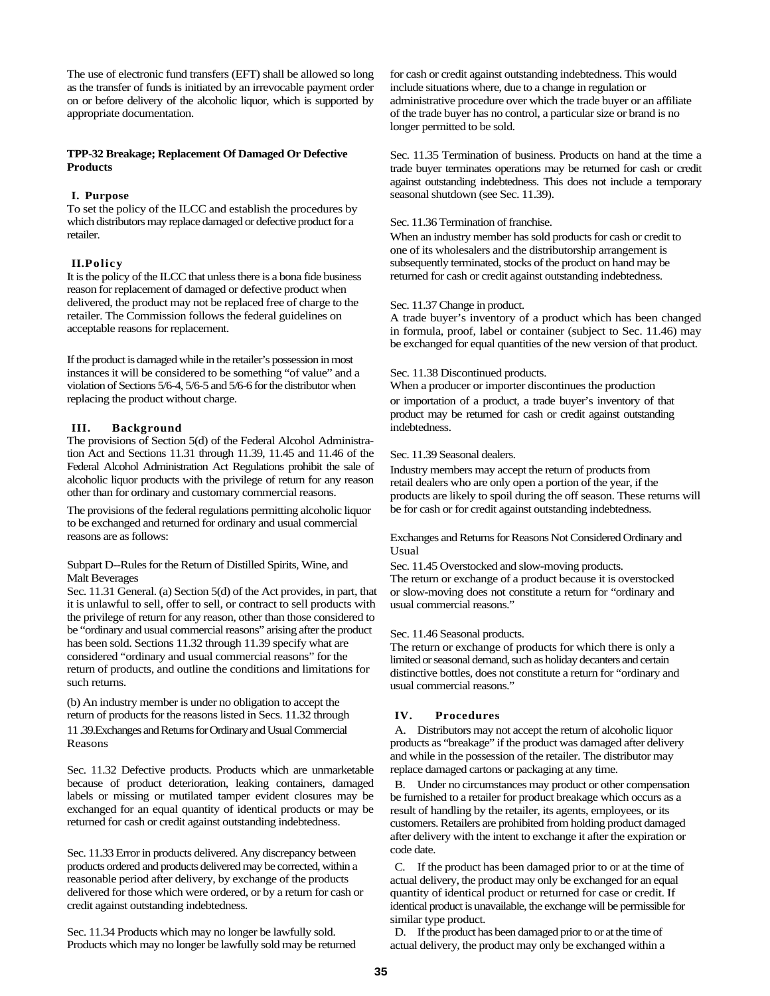The use of electronic fund transfers (EFT) shall be allowed so long as the transfer of funds is initiated by an irrevocable payment order on or before delivery of the alcoholic liquor, which is supported by appropriate documentation.

# **TPP-32 Breakage; Replacement Of Damaged Or Defective Products**

# **I. Purpose**

To set the policy of the ILCC and establish the procedures by which distributors may replace damaged or defective product for a retailer.

# **II.Policy**

It is the policy of the ILCC that unless there is a bona fide business reason for replacement of damaged or defective product when delivered, the product may not be replaced free of charge to the retailer. The Commission follows the federal guidelines on acceptable reasons for replacement.

If the product is damaged while in the retailer's possession in most instances it will be considered to be something "of value" and a violation of Sections 5/6-4, 5/6-5 and 5/6-6 for the distributor when replacing the product without charge.

# **III. Background**

The provisions of Section 5(d) of the Federal Alcohol Administration Act and Sections 11.31 through 11.39, 11.45 and 11.46 of the Federal Alcohol Administration Act Regulations prohibit the sale of alcoholic liquor products with the privilege of return for any reason other than for ordinary and customary commercial reasons.

The provisions of the federal regulations permitting alcoholic liquor to be exchanged and returned for ordinary and usual commercial reasons are as follows:

## Subpart D--Rules for the Return of Distilled Spirits, Wine, and Malt Beverages

Sec. 11.31 General. (a) Section 5(d) of the Act provides, in part, that it is unlawful to sell, offer to sell, or contract to sell products with the privilege of return for any reason, other than those considered to be "ordinary and usual commercial reasons" arising after the product has been sold. Sections 11.32 through 11.39 specify what are considered "ordinary and usual commercial reasons" for the return of products, and outline the conditions and limitations for such returns.

(b) An industry member is under no obligation to accept the return of products for the reasons listed in Secs. 11.32 through 11 .39.Exchanges and Returns for Ordinary and Usual Commercial Reasons

Sec. 11.32 Defective products. Products which are unmarketable because of product deterioration, leaking containers, damaged labels or missing or mutilated tamper evident closures may be exchanged for an equal quantity of identical products or may be returned for cash or credit against outstanding indebtedness.

Sec. 11.33 Error in products delivered. Any discrepancy between products ordered and products delivered may be corrected, within a reasonable period after delivery, by exchange of the products delivered for those which were ordered, or by a return for cash or credit against outstanding indebtedness.

Sec. 11.34 Products which may no longer be lawfully sold. Products which may no longer be lawfully sold may be returned for cash or credit against outstanding indebtedness. This would include situations where, due to a change in regulation or administrative procedure over which the trade buyer or an affiliate of the trade buyer has no control, a particular size or brand is no longer permitted to be sold.

Sec. 11.35 Termination of business. Products on hand at the time a trade buyer terminates operations may be returned for cash or credit against outstanding indebtedness. This does not include a temporary seasonal shutdown (see Sec. 11.39).

# Sec. 11.36 Termination of franchise.

When an industry member has sold products for cash or credit to one of its wholesalers and the distributorship arrangement is subsequently terminated, stocks of the product on hand may be returned for cash or credit against outstanding indebtedness.

# Sec. 11.37 Change in product.

A trade buyer's inventory of a product which has been changed in formula, proof, label or container (subject to Sec. 11.46) may be exchanged for equal quantities of the new version of that product.

# Sec. 11.38 Discontinued products.

When a producer or importer discontinues the production or importation of a product, a trade buyer's inventory of that product may be returned for cash or credit against outstanding indebtedness.

# Sec. 11.39 Seasonal dealers.

Industry members may accept the return of products from retail dealers who are only open a portion of the year, if the products are likely to spoil during the off season. These returns will be for cash or for credit against outstanding indebtedness.

Exchanges and Returns for Reasons Not Considered Ordinary and Usual

Sec. 11.45 Overstocked and slow-moving products. The return or exchange of a product because it is overstocked or slow-moving does not constitute a return for "ordinary and usual commercial reasons."

## Sec. 11.46 Seasonal products.

The return or exchange of products for which there is only a limited or seasonal demand, such as holiday decanters and certain distinctive bottles, does not constitute a return for "ordinary and usual commercial reasons."

# **IV. Procedures**

A. Distributors may not accept the return of alcoholic liquor products as "breakage" if the product was damaged after delivery and while in the possession of the retailer. The distributor may replace damaged cartons or packaging at any time.

B. Under no circumstances may product or other compensation be furnished to a retailer for product breakage which occurs as a result of handling by the retailer, its agents, employees, or its customers. Retailers are prohibited from holding product damaged after delivery with the intent to exchange it after the expiration or code date.

C. If the product has been damaged prior to or at the time of actual delivery, the product may only be exchanged for an equal quantity of identical product or returned for case or credit. If identical product is unavailable, the exchange will be permissible for similar type product.

D. If the product has been damaged prior to or at the time of actual delivery, the product may only be exchanged within a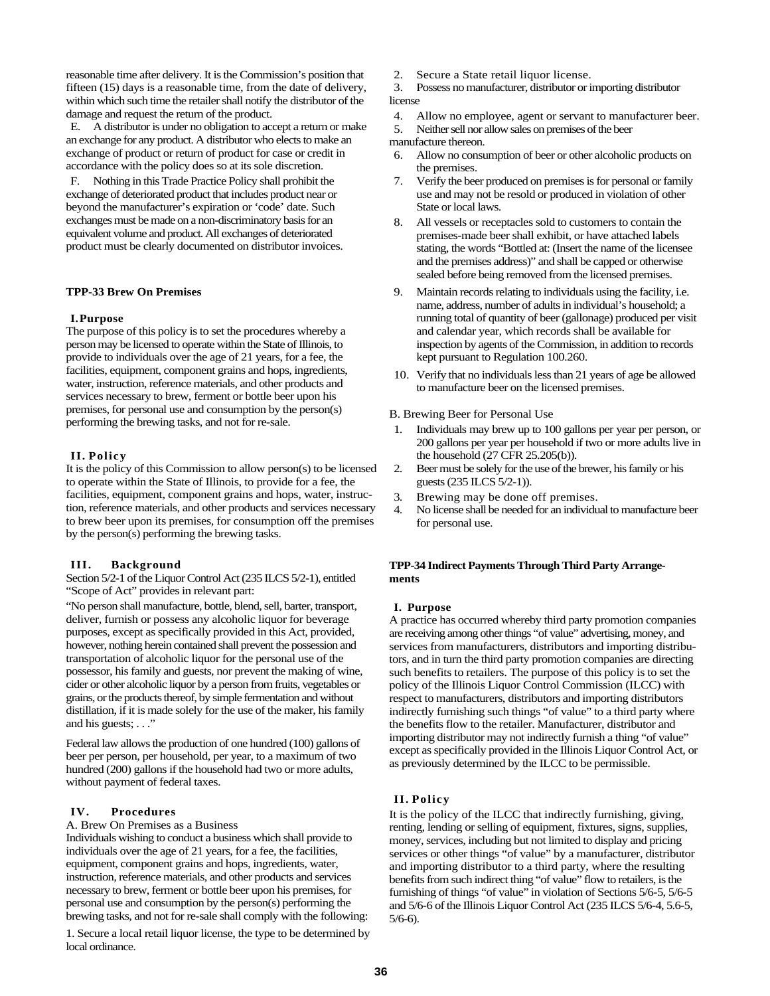reasonable time after delivery. It is the Commission's position that fifteen (15) days is a reasonable time, from the date of delivery, within which such time the retailer shall notify the distributor of the damage and request the return of the product.

E. A distributor is under no obligation to accept a return or make an exchange for any product. A distributor who elects to make an exchange of product or return of product for case or credit in accordance with the policy does so at its sole discretion.

F. Nothing in this Trade Practice Policy shall prohibit the exchange of deteriorated product that includes product near or beyond the manufacturer's expiration or 'code' date. Such exchanges must be made on a non-discriminatory basis for an equivalent volume and product. All exchanges of deteriorated product must be clearly documented on distributor invoices.

# **TPP-33 Brew On Premises**

#### **I.Purpose**

The purpose of this policy is to set the procedures whereby a person may be licensed to operate within the State of Illinois, to provide to individuals over the age of 21 years, for a fee, the facilities, equipment, component grains and hops, ingredients, water, instruction, reference materials, and other products and services necessary to brew, ferment or bottle beer upon his premises, for personal use and consumption by the person(s) performing the brewing tasks, and not for re-sale.

#### **II. Policy**

It is the policy of this Commission to allow person(s) to be licensed to operate within the State of Illinois, to provide for a fee, the facilities, equipment, component grains and hops, water, instruction, reference materials, and other products and services necessary to brew beer upon its premises, for consumption off the premises by the person(s) performing the brewing tasks.

## **III. Background**

Section 5/2-1 of the Liquor Control Act (235 ILCS 5/2-1), entitled "Scope of Act" provides in relevant part:

"No person shall manufacture, bottle, blend, sell, barter, transport, deliver, furnish or possess any alcoholic liquor for beverage purposes, except as specifically provided in this Act, provided, however, nothing herein contained shall prevent the possession and transportation of alcoholic liquor for the personal use of the possessor, his family and guests, nor prevent the making of wine, cider or other alcoholic liquor by a person from fruits, vegetables or grains, or the products thereof, by simple fermentation and without distillation, if it is made solely for the use of the maker, his family and his guests; . . ."

Federal law allows the production of one hundred (100) gallons of beer per person, per household, per year, to a maximum of two hundred (200) gallons if the household had two or more adults, without payment of federal taxes.

## **IV. Procedures**

A. Brew On Premises as a Business

Individuals wishing to conduct a business which shall provide to individuals over the age of 21 years, for a fee, the facilities, equipment, component grains and hops, ingredients, water, instruction, reference materials, and other products and services necessary to brew, ferment or bottle beer upon his premises, for personal use and consumption by the person(s) performing the brewing tasks, and not for re-sale shall comply with the following:

1. Secure a local retail liquor license, the type to be determined by local ordinance.

- 2. Secure a State retail liquor license.
- 3. Possess no manufacturer, distributor or importing distributor license
- 4. Allow no employee, agent or servant to manufacturer beer.
- 5. Neither sell nor allow sales on premises of the beer manufacture thereon.
- 6. Allow no consumption of beer or other alcoholic products on the premises.
- 7. Verify the beer produced on premises is for personal or family use and may not be resold or produced in violation of other State or local laws.
- 8. All vessels or receptacles sold to customers to contain the premises-made beer shall exhibit, or have attached labels stating, the words "Bottled at: (Insert the name of the licensee and the premises address)" and shall be capped or otherwise sealed before being removed from the licensed premises.
- 9. Maintain records relating to individuals using the facility, i.e. name, address, number of adults in individual's household; a running total of quantity of beer (gallonage) produced per visit and calendar year, which records shall be available for inspection by agents of the Commission, in addition to records kept pursuant to Regulation 100.260.
- 10. Verify that no individuals less than 21 years of age be allowed to manufacture beer on the licensed premises.

#### B. Brewing Beer for Personal Use

- 1. Individuals may brew up to 100 gallons per year per person, or 200 gallons per year per household if two or more adults live in the household (27 CFR 25.205(b)).
- 2. Beer must be solely for the use of the brewer, his family or his guests (235 ILCS 5/2-1)).
- 3. Brewing may be done off premises.
- 4. No license shall be needed for an individual to manufacture beer for personal use.

# **TPP-34 Indirect Payments Through Third Party Arrangements**

# **I. Purpose**

A practice has occurred whereby third party promotion companies are receiving among other things "of value" advertising, money, and services from manufacturers, distributors and importing distributors, and in turn the third party promotion companies are directing such benefits to retailers. The purpose of this policy is to set the policy of the Illinois Liquor Control Commission (ILCC) with respect to manufacturers, distributors and importing distributors indirectly furnishing such things "of value" to a third party where the benefits flow to the retailer. Manufacturer, distributor and importing distributor may not indirectly furnish a thing "of value" except as specifically provided in the Illinois Liquor Control Act, or as previously determined by the ILCC to be permissible.

## **II. Policy**

It is the policy of the ILCC that indirectly furnishing, giving, renting, lending or selling of equipment, fixtures, signs, supplies, money, services, including but not limited to display and pricing services or other things "of value" by a manufacturer, distributor and importing distributor to a third party, where the resulting benefits from such indirect thing "of value" flow to retailers, is the furnishing of things "of value" in violation of Sections 5/6-5, 5/6-5 and 5/6-6 of the Illinois Liquor Control Act (235 ILCS 5/6-4, 5.6-5, 5/6-6).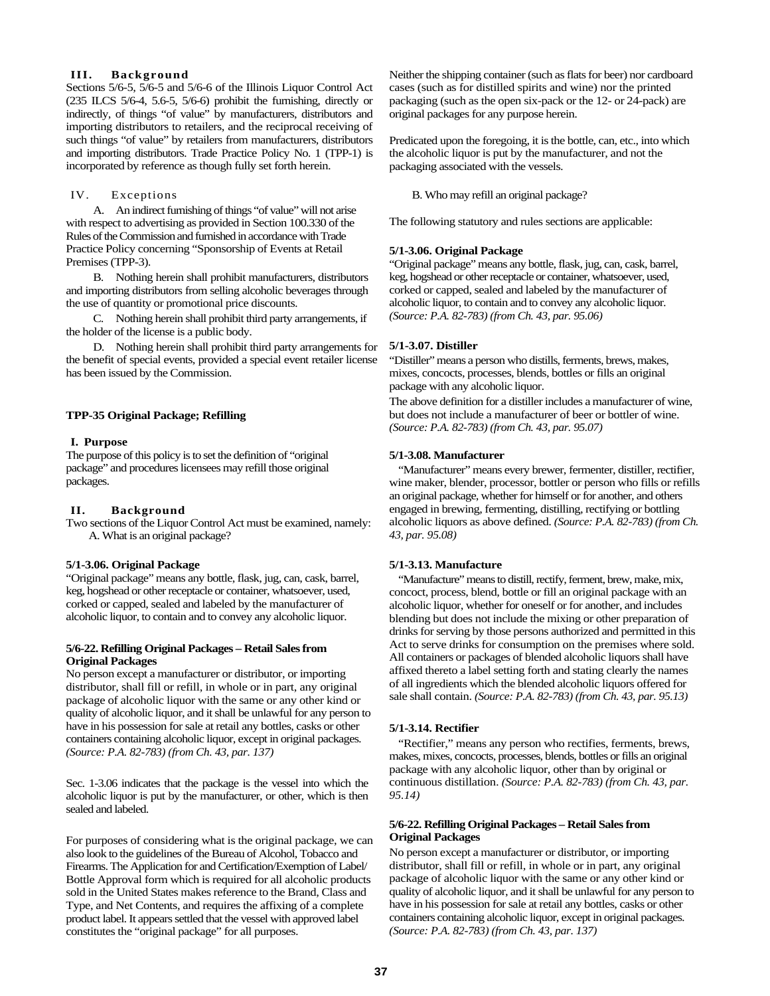# **III. Background**

Sections 5/6-5, 5/6-5 and 5/6-6 of the Illinois Liquor Control Act (235 ILCS 5/6-4, 5.6-5, 5/6-6) prohibit the furnishing, directly or indirectly, of things "of value" by manufacturers, distributors and importing distributors to retailers, and the reciprocal receiving of such things "of value" by retailers from manufacturers, distributors and importing distributors. Trade Practice Policy No. 1 (TPP-1) is incorporated by reference as though fully set forth herein.

#### IV. Exceptions

A. An indirect furnishing of things "of value" will not arise with respect to advertising as provided in Section 100.330 of the Rules of the Commission and furnished in accordance with Trade Practice Policy concerning "Sponsorship of Events at Retail Premises (TPP-3).

B. Nothing herein shall prohibit manufacturers, distributors and importing distributors from selling alcoholic beverages through the use of quantity or promotional price discounts.

C. Nothing herein shall prohibit third party arrangements, if the holder of the license is a public body.

D. Nothing herein shall prohibit third party arrangements for the benefit of special events, provided a special event retailer license has been issued by the Commission.

# **TPP-35 Original Package; Refilling**

#### **I. Purpose**

The purpose of this policy is to set the definition of "original package" and procedures licensees may refill those original packages.

## **II. Background**

Two sections of the Liquor Control Act must be examined, namely: A. What is an original package?

# **5/1-3.06. Original Package**

"Original package" means any bottle, flask, jug, can, cask, barrel, keg, hogshead or other receptacle or container, whatsoever, used, corked or capped, sealed and labeled by the manufacturer of alcoholic liquor, to contain and to convey any alcoholic liquor.

# **5/6-22. Refilling Original Packages – Retail Sales from Original Packages**

No person except a manufacturer or distributor, or importing distributor, shall fill or refill, in whole or in part, any original package of alcoholic liquor with the same or any other kind or quality of alcoholic liquor, and it shall be unlawful for any person to have in his possession for sale at retail any bottles, casks or other containers containing alcoholic liquor, except in original packages. *(Source: P.A. 82-783) (from Ch. 43, par. 137)* 

Sec. 1-3.06 indicates that the package is the vessel into which the alcoholic liquor is put by the manufacturer, or other, which is then sealed and labeled.

For purposes of considering what is the original package, we can also look to the guidelines of the Bureau of Alcohol, Tobacco and Firearms. The Application for and Certification/Exemption of Label/ Bottle Approval form which is required for all alcoholic products sold in the United States makes reference to the Brand, Class and Type, and Net Contents, and requires the affixing of a complete product label. It appears settled that the vessel with approved label constitutes the "original package" for all purposes.

Neither the shipping container (such as flats for beer) nor cardboard cases (such as for distilled spirits and wine) nor the printed packaging (such as the open six-pack or the 12- or 24-pack) are original packages for any purpose herein.

Predicated upon the foregoing, it is the bottle, can, etc., into which the alcoholic liquor is put by the manufacturer, and not the packaging associated with the vessels.

B. Who may refill an original package?

The following statutory and rules sections are applicable:

#### **5/1-3.06. Original Package**

"Original package" means any bottle, flask, jug, can, cask, barrel, keg, hogshead or other receptacle or container, whatsoever, used, corked or capped, sealed and labeled by the manufacturer of alcoholic liquor, to contain and to convey any alcoholic liquor. *(Source: P.A. 82-783) (from Ch. 43, par. 95.06)* 

# **5/1-3.07. Distiller**

"Distiller" means a person who distills, ferments, brews, makes, mixes, concocts, processes, blends, bottles or fills an original package with any alcoholic liquor.

The above definition for a distiller includes a manufacturer of wine, but does not include a manufacturer of beer or bottler of wine. *(Source: P.A. 82-783) (from Ch. 43, par. 95.07)* 

#### **5/1-3.08. Manufacturer**

"Manufacturer" means every brewer, fermenter, distiller, rectifier, wine maker, blender, processor, bottler or person who fills or refills an original package, whether for himself or for another, and others engaged in brewing, fermenting, distilling, rectifying or bottling alcoholic liquors as above defined. *(Source: P.A. 82-783) (from Ch. 43, par. 95.08)* 

#### **5/1-3.13. Manufacture**

"Manufacture" means to distill, rectify, ferment, brew, make, mix, concoct, process, blend, bottle or fill an original package with an alcoholic liquor, whether for oneself or for another, and includes blending but does not include the mixing or other preparation of drinks for serving by those persons authorized and permitted in this Act to serve drinks for consumption on the premises where sold. All containers or packages of blended alcoholic liquors shall have affixed thereto a label setting forth and stating clearly the names of all ingredients which the blended alcoholic liquors offered for sale shall contain. *(Source: P.A. 82-783) (from Ch. 43, par. 95.13)* 

#### **5/1-3.14. Rectifier**

"Rectifier," means any person who rectifies, ferments, brews, makes, mixes, concocts, processes, blends, bottles or fills an original package with any alcoholic liquor, other than by original or continuous distillation. *(Source: P.A. 82-783) (from Ch. 43, par. 95.14)* 

# **5/6-22. Refilling Original Packages – Retail Sales from Original Packages**

No person except a manufacturer or distributor, or importing distributor, shall fill or refill, in whole or in part, any original package of alcoholic liquor with the same or any other kind or quality of alcoholic liquor, and it shall be unlawful for any person to have in his possession for sale at retail any bottles, casks or other containers containing alcoholic liquor, except in original packages. *(Source: P.A. 82-783) (from Ch. 43, par. 137)*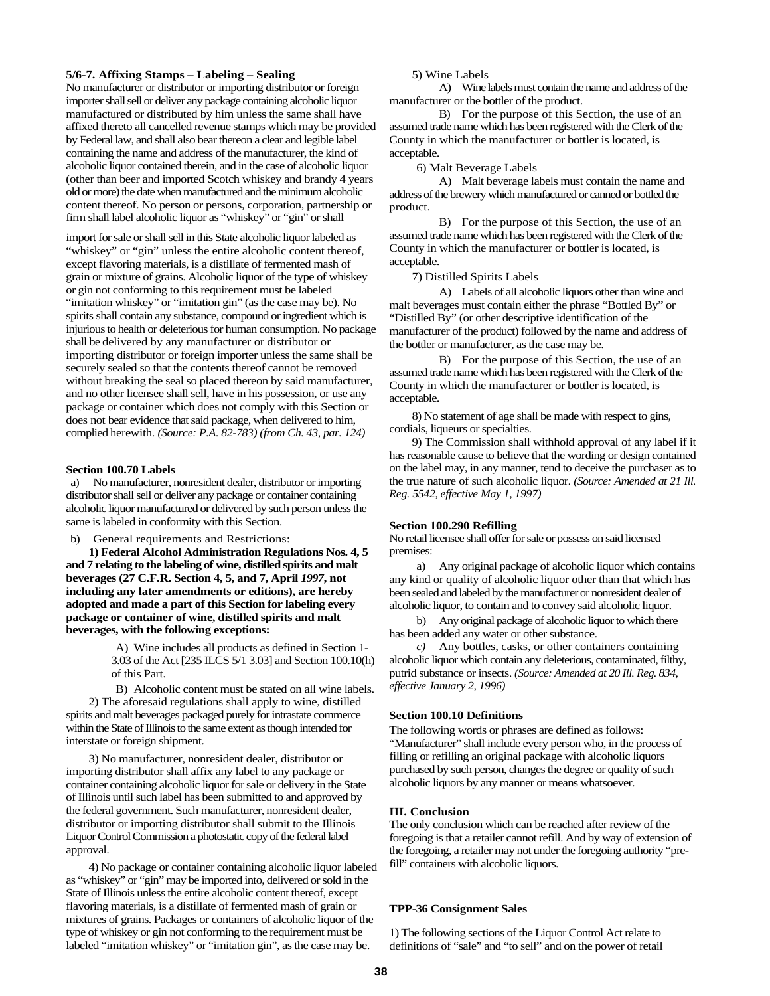# **5/6-7. Affixing Stamps – Labeling – Sealing**

No manufacturer or distributor or importing distributor or foreign importer shall sell or deliver any package containing alcoholic liquor manufactured or distributed by him unless the same shall have affixed thereto all cancelled revenue stamps which may be provided by Federal law, and shall also bear thereon a clear and legible label containing the name and address of the manufacturer, the kind of alcoholic liquor contained therein, and in the case of alcoholic liquor (other than beer and imported Scotch whiskey and brandy 4 years old or more) the date when manufactured and the minimum alcoholic content thereof. No person or persons, corporation, partnership or firm shall label alcoholic liquor as "whiskey" or "gin" or shall

import for sale or shall sell in this State alcoholic liquor labeled as "whiskey" or "gin" unless the entire alcoholic content thereof, except flavoring materials, is a distillate of fermented mash of grain or mixture of grains. Alcoholic liquor of the type of whiskey or gin not conforming to this requirement must be labeled "imitation whiskey" or "imitation gin" (as the case may be). No spirits shall contain any substance, compound or ingredient which is injurious to health or deleterious for human consumption. No package shall be delivered by any manufacturer or distributor or importing distributor or foreign importer unless the same shall be securely sealed so that the contents thereof cannot be removed without breaking the seal so placed thereon by said manufacturer, and no other licensee shall sell, have in his possession, or use any package or container which does not comply with this Section or does not bear evidence that said package, when delivered to him, complied herewith. *(Source: P.A. 82-783) (from Ch. 43, par. 124)* 

# **Section 100.70 Labels**

a) No manufacturer, nonresident dealer, distributor or importing distributor shall sell or deliver any package or container containing alcoholic liquor manufactured or delivered by such person unless the same is labeled in conformity with this Section.

b) General requirements and Restrictions:

**1) Federal Alcohol Administration Regulations Nos. 4, 5 and 7 relating to the labeling of wine, distilled spirits and malt beverages (27 C.F.R. Section 4, 5, and 7, April** *1997***, not including any later amendments or editions), are hereby adopted and made a part of this Section for labeling every package or container of wine, distilled spirits and malt beverages, with the following exceptions:** 

> A) Wine includes all products as defined in Section 1- 3.03 of the Act [235 ILCS 5/1 3.03] and Section 100.10(h) of this Part.

B) Alcoholic content must be stated on all wine labels. 2) The aforesaid regulations shall apply to wine, distilled spirits and malt beverages packaged purely for intrastate commerce within the State of Illinois to the same extent as though intended for interstate or foreign shipment.

3) No manufacturer, nonresident dealer, distributor or importing distributor shall affix any label to any package or container containing alcoholic liquor for sale or delivery in the State of Illinois until such label has been submitted to and approved by the federal government. Such manufacturer, nonresident dealer, distributor or importing distributor shall submit to the Illinois Liquor Control Commission a photostatic copy of the federal label approval.

4) No package or container containing alcoholic liquor labeled as "whiskey" or "gin" may be imported into, delivered or sold in the State of Illinois unless the entire alcoholic content thereof, except flavoring materials, is a distillate of fermented mash of grain or mixtures of grains. Packages or containers of alcoholic liquor of the type of whiskey or gin not conforming to the requirement must be labeled "imitation whiskey" or "imitation gin", as the case may be.

5) Wine Labels

A) Wine labels must contain the name and address of the manufacturer or the bottler of the product.

B) For the purpose of this Section, the use of an assumed trade name which has been registered with the Clerk of the County in which the manufacturer or bottler is located, is acceptable.

6) Malt Beverage Labels

A) Malt beverage labels must contain the name and address of the brewery which manufactured or canned or bottled the product.

B) For the purpose of this Section, the use of an assumed trade name which has been registered with the Clerk of the County in which the manufacturer or bottler is located, is acceptable.

7) Distilled Spirits Labels

A) Labels of all alcoholic liquors other than wine and malt beverages must contain either the phrase "Bottled By" or "Distilled By" (or other descriptive identification of the manufacturer of the product) followed by the name and address of the bottler or manufacturer, as the case may be.

B) For the purpose of this Section, the use of an assumed trade name which has been registered with the Clerk of the County in which the manufacturer or bottler is located, is acceptable.

8) No statement of age shall be made with respect to gins, cordials, liqueurs or specialties.

9) The Commission shall withhold approval of any label if it has reasonable cause to believe that the wording or design contained on the label may, in any manner, tend to deceive the purchaser as to the true nature of such alcoholic liquor. *(Source: Amended at 21 Ill. Reg. 5542, effective May 1, 1997)* 

#### **Section 100.290 Refilling**

No retail licensee shall offer for sale or possess on said licensed premises:

a) Any original package of alcoholic liquor which contains any kind or quality of alcoholic liquor other than that which has been sealed and labeled by the manufacturer or nonresident dealer of alcoholic liquor, to contain and to convey said alcoholic liquor.

b) Any original package of alcoholic liquor to which there has been added any water or other substance.

*c)* Any bottles, casks, or other containers containing alcoholic liquor which contain any deleterious, contaminated, filthy, putrid substance or insects. *(Source: Amended at 20 Ill. Reg. 834, effective January 2, 1996)* 

#### **Section 100.10 Definitions**

The following words or phrases are defined as follows: "Manufacturer" shall include every person who, in the process of filling or refilling an original package with alcoholic liquors purchased by such person, changes the degree or quality of such alcoholic liquors by any manner or means whatsoever.

#### **III. Conclusion**

The only conclusion which can be reached after review of the foregoing is that a retailer cannot refill. And by way of extension of the foregoing, a retailer may not under the foregoing authority "prefill" containers with alcoholic liquors.

## **TPP-36 Consignment Sales**

1) The following sections of the Liquor Control Act relate to definitions of "sale" and "to sell" and on the power of retail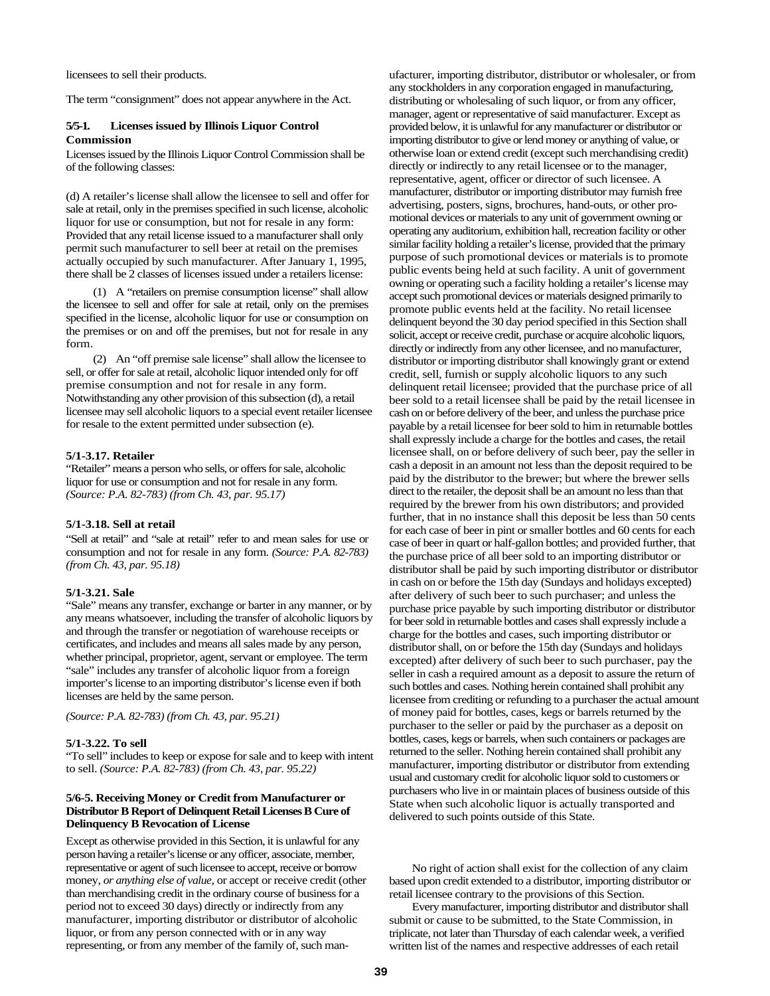licensees to sell their products.

The term "consignment" does not appear anywhere in the Act.

# **5/5-1. Licenses issued by Illinois Liquor Control Commission**

Licenses issued by the Illinois Liquor Control Commission shall be of the following classes:

(d) A retailer's license shall allow the licensee to sell and offer for sale at retail, only in the premises specified in such license, alcoholic liquor for use or consumption, but not for resale in any form: Provided that any retail license issued to a manufacturer shall only permit such manufacturer to sell beer at retail on the premises actually occupied by such manufacturer. After January 1, 1995, there shall be 2 classes of licenses issued under a retailers license:

(1) A "retailers on premise consumption license" shall allow the licensee to sell and offer for sale at retail, only on the premises specified in the license, alcoholic liquor for use or consumption on the premises or on and off the premises, but not for resale in any form.

(2) An "off premise sale license" shall allow the licensee to sell, or offer for sale at retail, alcoholic liquor intended only for off premise consumption and not for resale in any form. Notwithstanding any other provision of this subsection (d), a retail licensee may sell alcoholic liquors to a special event retailer licensee for resale to the extent permitted under subsection (e).

## **5/1-3.17. Retailer**

"Retailer" means a person who sells, or offers for sale, alcoholic liquor for use or consumption and not for resale in any form. *(Source: P.A. 82-783) (from Ch. 43, par. 95.17)* 

#### **5/1-3.18. Sell at retail**

"Sell at retail" and "sale at retail" refer to and mean sales for use or consumption and not for resale in any form. *(Source: P.A. 82-783) (from Ch. 43, par. 95.18)* 

#### **5/1-3.21. Sale**

"Sale" means any transfer, exchange or barter in any manner, or by any means whatsoever, including the transfer of alcoholic liquors by and through the transfer or negotiation of warehouse receipts or certificates, and includes and means all sales made by any person, whether principal, proprietor, agent, servant or employee. The term "sale" includes any transfer of alcoholic liquor from a foreign importer's license to an importing distributor's license even if both licenses are held by the same person.

*(Source: P.A. 82-783) (from Ch. 43, par. 95.21)* 

#### **5/1-3.22. To sell**

"To sell" includes to keep or expose for sale and to keep with intent to sell. *(Source: P.A. 82-783) (from Ch. 43, par. 95.22)* 

# **5/6-5. Receiving Money or Credit from Manufacturer or Distributor B Report of Delinquent Retail Licenses B Cure of Delinquency B Revocation of License**

Except as otherwise provided in this Section, it is unlawful for any person having a retailer's license or any officer, associate, member, representative or agent of such licensee to accept, receive or borrow money, *or anything else of value*, or accept or receive credit (other than merchandising credit in the ordinary course of business for a period not to exceed 30 days) directly or indirectly from any manufacturer, importing distributor or distributor of alcoholic liquor, or from any person connected with or in any way representing, or from any member of the family of, such man-

ufacturer, importing distributor, distributor or wholesaler, or from any stockholders in any corporation engaged in manufacturing, distributing or wholesaling of such liquor, or from any officer, manager, agent or representative of said manufacturer. Except as provided below, it is unlawful for any manufacturer or distributor or importing distributor to give or lend money or anything of value, or otherwise loan or extend credit (except such merchandising credit) directly or indirectly to any retail licensee or to the manager, representative, agent, officer or director of such licensee. A manufacturer, distributor or importing distributor may furnish free advertising, posters, signs, brochures, hand-outs, or other promotional devices or materials to any unit of government owning or operating any auditorium, exhibition hall, recreation facility or other similar facility holding a retailer's license, provided that the primary purpose of such promotional devices or materials is to promote public events being held at such facility. A unit of government owning or operating such a facility holding a retailer's license may accept such promotional devices or materials designed primarily to promote public events held at the facility. No retail licensee delinquent beyond the 30 day period specified in this Section shall solicit, accept or receive credit, purchase or acquire alcoholic liquors, directly or indirectly from any other licensee, and no manufacturer, distributor or importing distributor shall knowingly grant or extend credit, sell, furnish or supply alcoholic liquors to any such delinquent retail licensee; provided that the purchase price of all beer sold to a retail licensee shall be paid by the retail licensee in cash on or before delivery of the beer, and unless the purchase price payable by a retail licensee for beer sold to him in returnable bottles shall expressly include a charge for the bottles and cases, the retail licensee shall, on or before delivery of such beer, pay the seller in cash a deposit in an amount not less than the deposit required to be paid by the distributor to the brewer; but where the brewer sells direct to the retailer, the deposit shall be an amount no less than that required by the brewer from his own distributors; and provided further, that in no instance shall this deposit be less than 50 cents for each case of beer in pint or smaller bottles and 60 cents for each case of beer in quart or half-gallon bottles; and provided further, that the purchase price of all beer sold to an importing distributor or distributor shall be paid by such importing distributor or distributor in cash on or before the 15th day (Sundays and holidays excepted) after delivery of such beer to such purchaser; and unless the purchase price payable by such importing distributor or distributor for beer sold in returnable bottles and cases shall expressly include a charge for the bottles and cases, such importing distributor or distributor shall, on or before the 15th day (Sundays and holidays excepted) after delivery of such beer to such purchaser, pay the seller in cash a required amount as a deposit to assure the return of such bottles and cases. Nothing herein contained shall prohibit any licensee from crediting or refunding to a purchaser the actual amount of money paid for bottles, cases, kegs or barrels returned by the purchaser to the seller or paid by the purchaser as a deposit on bottles, cases, kegs or barrels, when such containers or packages are returned to the seller. Nothing herein contained shall prohibit any manufacturer, importing distributor or distributor from extending usual and customary credit for alcoholic liquor sold to customers or purchasers who live in or maintain places of business outside of this State when such alcoholic liquor is actually transported and delivered to such points outside of this State.

No right of action shall exist for the collection of any claim based upon credit extended to a distributor, importing distributor or retail licensee contrary to the provisions of this Section.

Every manufacturer, importing distributor and distributor shall submit or cause to be submitted, to the State Commission, in triplicate, not later than Thursday of each calendar week, a verified written list of the names and respective addresses of each retail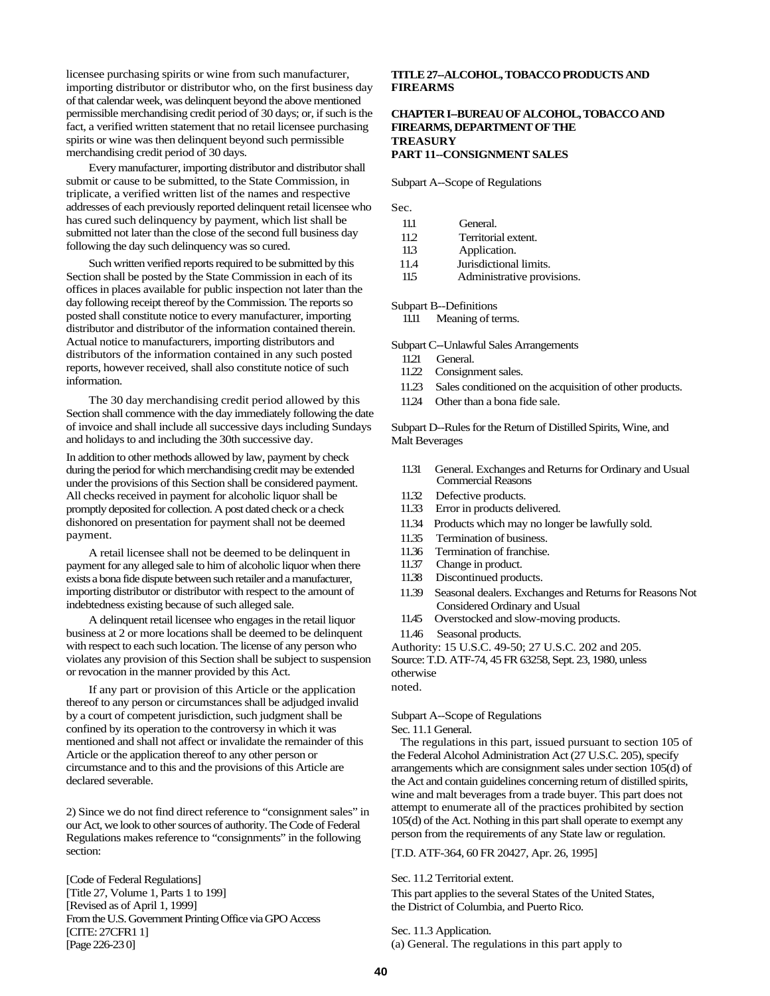licensee purchasing spirits or wine from such manufacturer, importing distributor or distributor who, on the first business day of that calendar week, was delinquent beyond the above mentioned permissible merchandising credit period of 30 days; or, if such is the fact, a verified written statement that no retail licensee purchasing spirits or wine was then delinquent beyond such permissible merchandising credit period of 30 days.

Every manufacturer, importing distributor and distributor shall submit or cause to be submitted, to the State Commission, in triplicate, a verified written list of the names and respective addresses of each previously reported delinquent retail licensee who has cured such delinquency by payment, which list shall be submitted not later than the close of the second full business day following the day such delinquency was so cured.

Such written verified reports required to be submitted by this Section shall be posted by the State Commission in each of its offices in places available for public inspection not later than the day following receipt thereof by the Commission. The reports so posted shall constitute notice to every manufacturer, importing distributor and distributor of the information contained therein. Actual notice to manufacturers, importing distributors and distributors of the information contained in any such posted reports, however received, shall also constitute notice of such information.

The 30 day merchandising credit period allowed by this Section shall commence with the day immediately following the date of invoice and shall include all successive days including Sundays and holidays to and including the 30th successive day.

In addition to other methods allowed by law, payment by check during the period for which merchandising credit may be extended under the provisions of this Section shall be considered payment. All checks received in payment for alcoholic liquor shall be promptly deposited for collection. A post dated check or a check dishonored on presentation for payment shall not be deemed payment.

A retail licensee shall not be deemed to be delinquent in payment for any alleged sale to him of alcoholic liquor when there exists a bona fide dispute between such retailer and a manufacturer, importing distributor or distributor with respect to the amount of indebtedness existing because of such alleged sale.

A delinquent retail licensee who engages in the retail liquor business at 2 or more locations shall be deemed to be delinquent with respect to each such location. The license of any person who violates any provision of this Section shall be subject to suspension or revocation in the manner provided by this Act.

If any part or provision of this Article or the application thereof to any person or circumstances shall be adjudged invalid by a court of competent jurisdiction, such judgment shall be confined by its operation to the controversy in which it was mentioned and shall not affect or invalidate the remainder of this Article or the application thereof to any other person or circumstance and to this and the provisions of this Article are declared severable.

2) Since we do not find direct reference to "consignment sales" in our Act, we look to other sources of authority. The Code of Federal Regulations makes reference to "consignments" in the following section:

[Code of Federal Regulations] [Title 27, Volume 1, Parts 1 to 199] [Revised as of April 1, 1999] From the U.S. Government Printing Office via GPO Access [CITE: 27CFR1 1] [Page 226-23 0]

# **TITLE 27--ALCOHOL, TOBACCO PRODUCTS AND FIREARMS**

# **CHAPTER I--BUREAU OF ALCOHOL, TOBACCO AND FIREARMS, DEPARTMENT OF THE TREASURY PART 11--CONSIGNMENT SALES**

Subpart A--Scope of Regulations

Sec.

- 11.1 General. 11.2 Territorial extent.
- 113 Application.
- 
- 11.4 Jurisdictional limits.<br>115 Administrative prov Administrative provisions.

Subpart B--Definitions

11.11 Meaning of terms.

Subpart C--Unlawful Sales Arrangements

- 11.21 General.<br>11.22 Consigni
- Consignment sales.
- 11.23 Sales conditioned on the acquisition of other products.
- 11.24 Other than a bona fide sale.

Subpart D--Rules for the Return of Distilled Spirits, Wine, and Malt Beverages

- 11.31 General. Exchanges and Returns for Ordinary and Usual Commercial Reasons
- 11.32 Defective products.
- 11.33 Error in products delivered.
- 11.34 Products which may no longer be lawfully sold.
- 11.35 Termination of business.
- 11.36 Termination of franchise.
- 11.37 Change in product.
- 11.38 Discontinued products.
- 11.39 Seasonal dealers. Exchanges and Returns for Reasons Not Considered Ordinary and Usual
- 11.45 Overstocked and slow-moving products.
- 11.46 Seasonal products.

Authority: 15 U.S.C. 49-50; 27 U.S.C. 202 and 205.

Source: T.D. ATF-74, 45 FR 63258, Sept. 23, 1980, unless otherwise

noted.

#### Subpart A--Scope of Regulations

Sec. 11.1 General.

The regulations in this part, issued pursuant to section 105 of the Federal Alcohol Administration Act (27 U.S.C. 205), specify arrangements which are consignment sales under section 105(d) of the Act and contain guidelines concerning return of distilled spirits, wine and malt beverages from a trade buyer. This part does not attempt to enumerate all of the practices prohibited by section 105(d) of the Act. Nothing in this part shall operate to exempt any person from the requirements of any State law or regulation.

[T.D. ATF-364, 60 FR 20427, Apr. 26, 1995]

#### Sec. 11.2 Territorial extent.

This part applies to the several States of the United States, the District of Columbia, and Puerto Rico.

Sec. 11.3 Application. (a) General. The regulations in this part apply to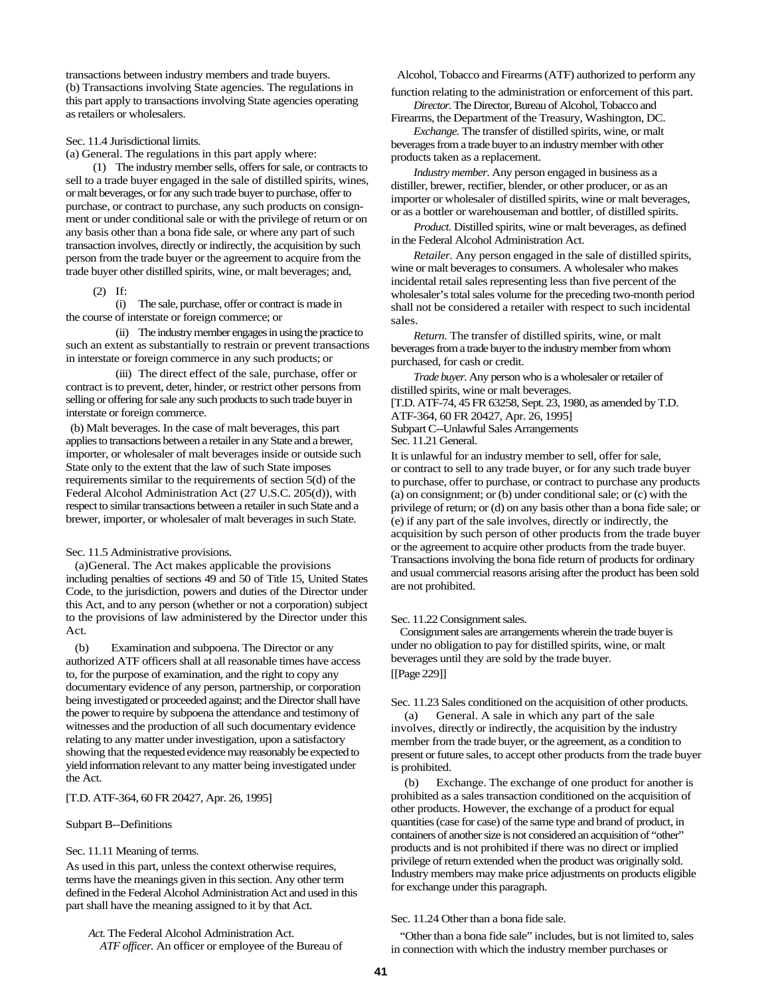transactions between industry members and trade buyers. (b) Transactions involving State agencies. The regulations in this part apply to transactions involving State agencies operating as retailers or wholesalers.

#### Sec. 11.4 Jurisdictional limits.

(a) General. The regulations in this part apply where:

(1) The industry member sells, offers for sale, or contracts to sell to a trade buyer engaged in the sale of distilled spirits, wines, or malt beverages, or for any such trade buyer to purchase, offer to purchase, or contract to purchase, any such products on consignment or under conditional sale or with the privilege of return or on any basis other than a bona fide sale, or where any part of such transaction involves, directly or indirectly, the acquisition by such person from the trade buyer or the agreement to acquire from the trade buyer other distilled spirits, wine, or malt beverages; and,

(2) If:

(i) The sale, purchase, offer or contract is made in the course of interstate or foreign commerce; or

(ii) The industry member engages in using the practice to such an extent as substantially to restrain or prevent transactions in interstate or foreign commerce in any such products; or

(iii) The direct effect of the sale, purchase, offer or contract is to prevent, deter, hinder, or restrict other persons from selling or offering for sale any such products to such trade buyer in interstate or foreign commerce.

(b) Malt beverages. In the case of malt beverages, this part applies to transactions between a retailer in any State and a brewer, importer, or wholesaler of malt beverages inside or outside such State only to the extent that the law of such State imposes requirements similar to the requirements of section 5(d) of the Federal Alcohol Administration Act (27 U.S.C. 205(d)), with respect to similar transactions between a retailer in such State and a brewer, importer, or wholesaler of malt beverages in such State.

Sec. 11.5 Administrative provisions.

(a)General. The Act makes applicable the provisions including penalties of sections 49 and 50 of Title 15, United States Code, to the jurisdiction, powers and duties of the Director under this Act, and to any person (whether or not a corporation) subject to the provisions of law administered by the Director under this Act.

(b) Examination and subpoena. The Director or any authorized ATF officers shall at all reasonable times have access to, for the purpose of examination, and the right to copy any documentary evidence of any person, partnership, or corporation being investigated or proceeded against; and the Director shall have the power to require by subpoena the attendance and testimony of witnesses and the production of all such documentary evidence relating to any matter under investigation, upon a satisfactory showing that the requested evidence may reasonably be expected to yield information relevant to any matter being investigated under the Act.

[T.D. ATF-364, 60 FR 20427, Apr. 26, 1995]

Subpart B--Definitions

#### Sec. 11.11 Meaning of terms.

As used in this part, unless the context otherwise requires, terms have the meanings given in this section. Any other term defined in the Federal Alcohol Administration Act and used in this part shall have the meaning assigned to it by that Act.

# *Act.* The Federal Alcohol Administration Act.

*ATF officer.* An officer or employee of the Bureau of

Alcohol, Tobacco and Firearms (ATF) authorized to perform any

function relating to the administration or enforcement of this part. *Director.* The Director, Bureau of Alcohol, Tobacco and

Firearms, the Department of the Treasury, Washington, DC. *Exchange.* The transfer of distilled spirits, wine, or malt

beverages from a trade buyer to an industry member with other products taken as a replacement.

*Industry member*. Any person engaged in business as a distiller, brewer, rectifier, blender, or other producer, or as an importer or wholesaler of distilled spirits, wine or malt beverages, or as a bottler or warehouseman and bottler, of distilled spirits.

*Product.* Distilled spirits, wine or malt beverages, as defined in the Federal Alcohol Administration Act.

*Retailer.* Any person engaged in the sale of distilled spirits, wine or malt beverages to consumers. A wholesaler who makes incidental retail sales representing less than five percent of the wholesaler's total sales volume for the preceding two-month period shall not be considered a retailer with respect to such incidental sales.

*Return.* The transfer of distilled spirits, wine, or malt beverages from a trade buyer to the industry member from whom purchased, for cash or credit.

*Trade buyer.* Any person who is a wholesaler or retailer of distilled spirits, wine or malt beverages. [T.D. ATF-74, 45 FR 63258, Sept. 23, 1980, as amended by T.D. ATF-364, 60 FR 20427, Apr. 26, 1995] Subpart C--Unlawful Sales Arrangements Sec. 11.21 General.

It is unlawful for an industry member to sell, offer for sale, or contract to sell to any trade buyer, or for any such trade buyer to purchase, offer to purchase, or contract to purchase any products (a) on consignment; or (b) under conditional sale; or (c) with the privilege of return; or (d) on any basis other than a bona fide sale; or (e) if any part of the sale involves, directly or indirectly, the acquisition by such person of other products from the trade buyer or the agreement to acquire other products from the trade buyer. Transactions involving the bona fide return of products for ordinary and usual commercial reasons arising after the product has been sold are not prohibited.

#### Sec. 11.22 Consignment sales.

Consignment sales are arrangements wherein the trade buyer is under no obligation to pay for distilled spirits, wine, or malt beverages until they are sold by the trade buyer. [[Page 229]]

Sec. 11.23 Sales conditioned on the acquisition of other products.

(a) General. A sale in which any part of the sale involves, directly or indirectly, the acquisition by the industry member from the trade buyer, or the agreement, as a condition to present or future sales, to accept other products from the trade buyer is prohibited.

(b) Exchange. The exchange of one product for another is prohibited as a sales transaction conditioned on the acquisition of other products. However, the exchange of a product for equal quantities (case for case) of the same type and brand of product, in containers of another size is not considered an acquisition of "other" products and is not prohibited if there was no direct or implied privilege of return extended when the product was originally sold. Industry members may make price adjustments on products eligible for exchange under this paragraph.

Sec. 11.24 Other than a bona fide sale.

"Other than a bona fide sale" includes, but is not limited to, sales in connection with which the industry member purchases or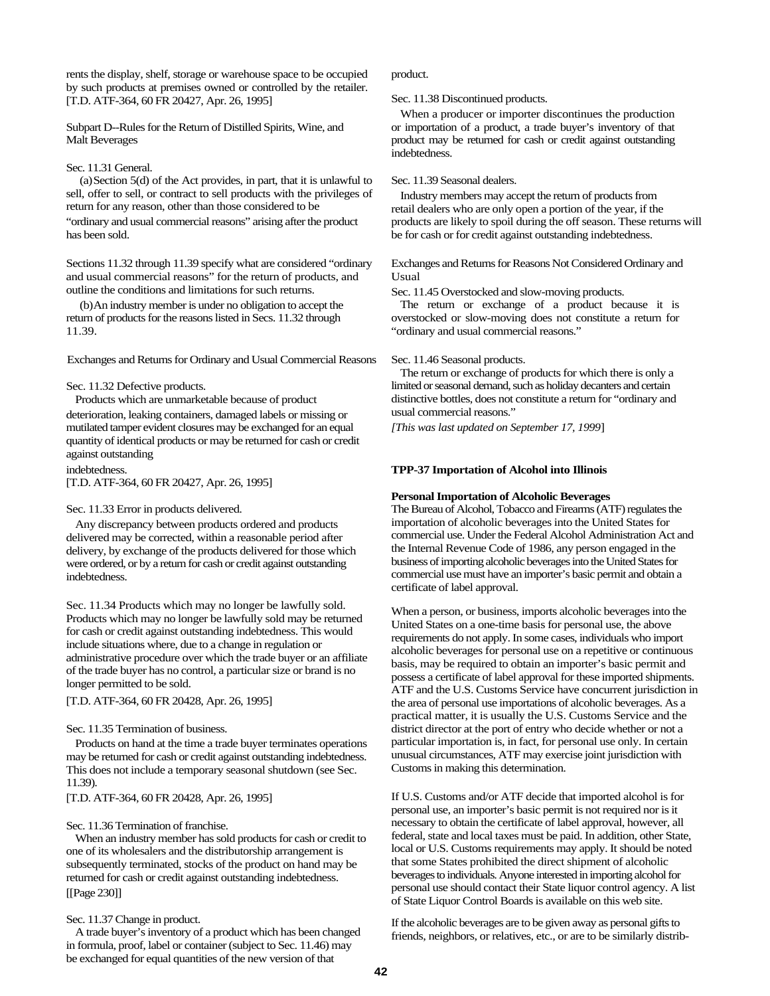rents the display, shelf, storage or warehouse space to be occupied by such products at premises owned or controlled by the retailer. [T.D. ATF-364, 60 FR 20427, Apr. 26, 1995]

Subpart D--Rules for the Return of Distilled Spirits, Wine, and Malt Beverages

#### Sec. 11.31 General.

(a)Section 5(d) of the Act provides, in part, that it is unlawful to sell, offer to sell, or contract to sell products with the privileges of return for any reason, other than those considered to be

"ordinary and usual commercial reasons" arising after the product has been sold.

Sections 11.32 through 11.39 specify what are considered "ordinary and usual commercial reasons" for the return of products, and outline the conditions and limitations for such returns.

(b)An industry member is under no obligation to accept the return of products for the reasons listed in Secs. 11.32 through 11.39.

Exchanges and Returns for Ordinary and Usual Commercial Reasons

#### Sec. 11.32 Defective products.

Products which are unmarketable because of product deterioration, leaking containers, damaged labels or missing or mutilated tamper evident closures may be exchanged for an equal quantity of identical products or may be returned for cash or credit against outstanding

indebtedness.

[T.D. ATF-364, 60 FR 20427, Apr. 26, 1995]

#### Sec. 11.33 Error in products delivered.

Any discrepancy between products ordered and products delivered may be corrected, within a reasonable period after delivery, by exchange of the products delivered for those which were ordered, or by a return for cash or credit against outstanding indebtedness.

Sec. 11.34 Products which may no longer be lawfully sold. Products which may no longer be lawfully sold may be returned for cash or credit against outstanding indebtedness. This would include situations where, due to a change in regulation or administrative procedure over which the trade buyer or an affiliate of the trade buyer has no control, a particular size or brand is no longer permitted to be sold.

# [T.D. ATF-364, 60 FR 20428, Apr. 26, 1995]

Sec. 11.35 Termination of business.

Products on hand at the time a trade buyer terminates operations may be returned for cash or credit against outstanding indebtedness. This does not include a temporary seasonal shutdown (see Sec. 11.39).

[T.D. ATF-364, 60 FR 20428, Apr. 26, 1995]

#### Sec. 11.36 Termination of franchise.

When an industry member has sold products for cash or credit to one of its wholesalers and the distributorship arrangement is subsequently terminated, stocks of the product on hand may be returned for cash or credit against outstanding indebtedness. [[Page 230]]

#### Sec. 11.37 Change in product.

A trade buyer's inventory of a product which has been changed in formula, proof, label or container (subject to Sec. 11.46) may be exchanged for equal quantities of the new version of that

product.

Sec. 11.38 Discontinued products.

When a producer or importer discontinues the production or importation of a product, a trade buyer's inventory of that product may be returned for cash or credit against outstanding indebtedness.

#### Sec. 11.39 Seasonal dealers.

Industry members may accept the return of products from retail dealers who are only open a portion of the year, if the products are likely to spoil during the off season. These returns will be for cash or for credit against outstanding indebtedness.

Exchanges and Returns for Reasons Not Considered Ordinary and Usual

Sec. 11.45 Overstocked and slow-moving products.

The return or exchange of a product because it is overstocked or slow-moving does not constitute a return for "ordinary and usual commercial reasons."

#### Sec. 11.46 Seasonal products.

The return or exchange of products for which there is only a limited or seasonal demand, such as holiday decanters and certain distinctive bottles, does not constitute a return for "ordinary and usual commercial reasons."

*[This was last updated on September 17, 1999*]

#### **TPP-37 Importation of Alcohol into Illinois**

#### **Personal Importation of Alcoholic Beverages**

The Bureau of Alcohol, Tobacco and Firearms (ATF) regulates the importation of alcoholic beverages into the United States for commercial use. Under the Federal Alcohol Administration Act and the Internal Revenue Code of 1986, any person engaged in the business of importing alcoholic beverages into the United States for commercial use must have an importer's basic permit and obtain a certificate of label approval.

When a person, or business, imports alcoholic beverages into the United States on a one-time basis for personal use, the above requirements do not apply. In some cases, individuals who import alcoholic beverages for personal use on a repetitive or continuous basis, may be required to obtain an importer's basic permit and possess a certificate of label approval for these imported shipments. ATF and the U.S. Customs Service have concurrent jurisdiction in the area of personal use importations of alcoholic beverages. As a practical matter, it is usually the U.S. Customs Service and the district director at the port of entry who decide whether or not a particular importation is, in fact, for personal use only. In certain unusual circumstances, ATF may exercise joint jurisdiction with Customs in making this determination.

If U.S. Customs and/or ATF decide that imported alcohol is for personal use, an importer's basic permit is not required nor is it necessary to obtain the certificate of label approval, however, all federal, state and local taxes must be paid. In addition, other State, local or U.S. Customs requirements may apply. It should be noted that some States prohibited the direct shipment of alcoholic beverages to individuals. Anyone interested in importing alcohol for personal use should contact their State liquor control agency. A list of State Liquor Control Boards is available on this web site.

If the alcoholic beverages are to be given away as personal gifts to friends, neighbors, or relatives, etc., or are to be similarly distrib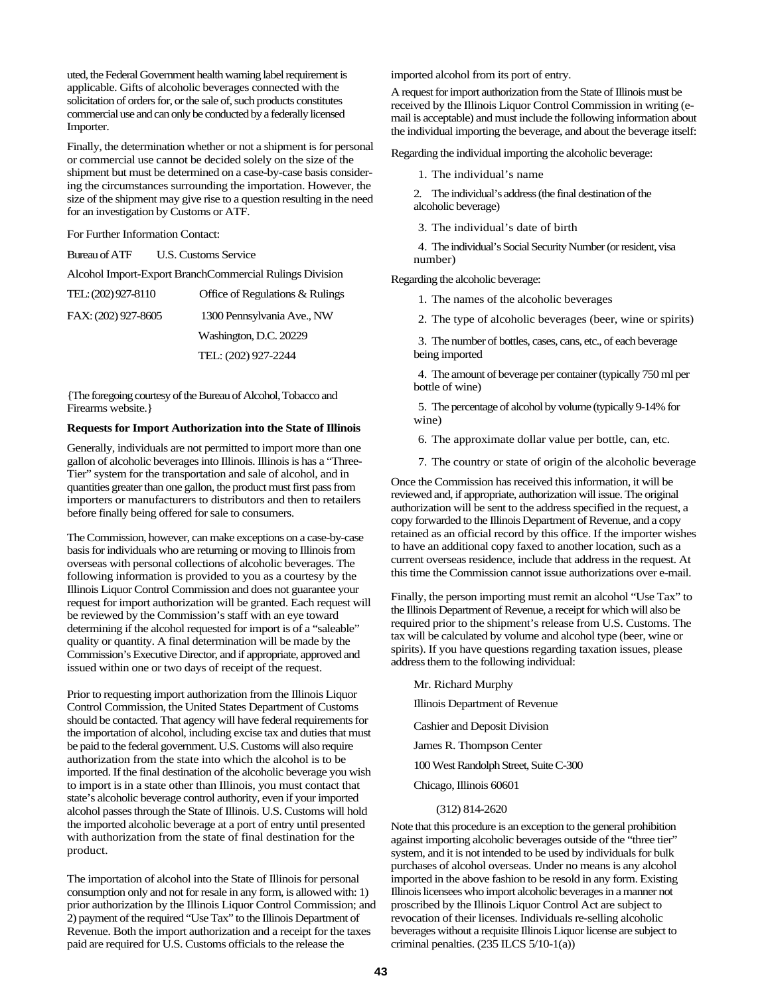uted, the Federal Government health warning label requirement is applicable. Gifts of alcoholic beverages connected with the solicitation of orders for, or the sale of, such products constitutes commercial use and can only be conducted by a federally licensed Importer.

Finally, the determination whether or not a shipment is for personal or commercial use cannot be decided solely on the size of the shipment but must be determined on a case-by-case basis considering the circumstances surrounding the importation. However, the size of the shipment may give rise to a question resulting in the need for an investigation by Customs or ATF.

For Further Information Contact:

| Bureau of ATF<br>U.S. Customs Service |  |
|---------------------------------------|--|
|---------------------------------------|--|

Alcohol Import-Export BranchCommercial Rulings Division

| TEL: (202) 927-8110 | Office of Regulations & Rulings |
|---------------------|---------------------------------|
| FAX: (202) 927-8605 | 1300 Pennsylvania Ave., NW      |
|                     | Washington, D.C. 20229          |
|                     | TEL: (202) 927-2244             |

{The foregoing courtesy of the Bureau of Alcohol, Tobacco and Firearms website.}

## **Requests for Import Authorization into the State of Illinois**

Generally, individuals are not permitted to import more than one gallon of alcoholic beverages into Illinois. Illinois is has a "Three-Tier" system for the transportation and sale of alcohol, and in quantities greater than one gallon, the product must first pass from importers or manufacturers to distributors and then to retailers before finally being offered for sale to consumers.

The Commission, however, can make exceptions on a case-by-case basis for individuals who are returning or moving to Illinois from overseas with personal collections of alcoholic beverages. The following information is provided to you as a courtesy by the Illinois Liquor Control Commission and does not guarantee your request for import authorization will be granted. Each request will be reviewed by the Commission's staff with an eye toward determining if the alcohol requested for import is of a "saleable" quality or quantity. A final determination will be made by the Commission's Executive Director, and if appropriate, approved and issued within one or two days of receipt of the request.

Prior to requesting import authorization from the Illinois Liquor Control Commission, the United States Department of Customs should be contacted. That agency will have federal requirements for the importation of alcohol, including excise tax and duties that must be paid to the federal government. U.S. Customs will also require authorization from the state into which the alcohol is to be imported. If the final destination of the alcoholic beverage you wish to import is in a state other than Illinois, you must contact that state's alcoholic beverage control authority, even if your imported alcohol passes through the State of Illinois. U.S. Customs will hold the imported alcoholic beverage at a port of entry until presented with authorization from the state of final destination for the product.

The importation of alcohol into the State of Illinois for personal consumption only and not for resale in any form, is allowed with: 1) prior authorization by the Illinois Liquor Control Commission; and 2) payment of the required "Use Tax" to the Illinois Department of Revenue. Both the import authorization and a receipt for the taxes paid are required for U.S. Customs officials to the release the

imported alcohol from its port of entry.

A request for import authorization from the State of Illinois must be received by the Illinois Liquor Control Commission in writing (email is acceptable) and must include the following information about the individual importing the beverage, and about the beverage itself:

Regarding the individual importing the alcoholic beverage:

1. The individual's name

2. The individual's address (the final destination of the alcoholic beverage)

3. The individual's date of birth

4. The individual's Social Security Number (or resident, visa number)

Regarding the alcoholic beverage:

- 1. The names of the alcoholic beverages
- 2. The type of alcoholic beverages (beer, wine or spirits)

3. The number of bottles, cases, cans, etc., of each beverage being imported

4. The amount of beverage per container (typically 750 ml per bottle of wine)

5. The percentage of alcohol by volume (typically 9-14% for wine)

6. The approximate dollar value per bottle, can, etc.

7. The country or state of origin of the alcoholic beverage

Once the Commission has received this information, it will be reviewed and, if appropriate, authorization will issue. The original authorization will be sent to the address specified in the request, a copy forwarded to the Illinois Department of Revenue, and a copy retained as an official record by this office. If the importer wishes to have an additional copy faxed to another location, such as a current overseas residence, include that address in the request. At this time the Commission cannot issue authorizations over e-mail.

Finally, the person importing must remit an alcohol "Use Tax" to the Illinois Department of Revenue, a receipt for which will also be required prior to the shipment's release from U.S. Customs. The tax will be calculated by volume and alcohol type (beer, wine or spirits). If you have questions regarding taxation issues, please address them to the following individual:

Mr. Richard Murphy

Illinois Department of Revenue

Cashier and Deposit Division

James R. Thompson Center

100 West Randolph Street, Suite C-300

Chicago, Illinois 60601

(312) 814-2620

Note that this procedure is an exception to the general prohibition against importing alcoholic beverages outside of the "three tier" system, and it is not intended to be used by individuals for bulk purchases of alcohol overseas. Under no means is any alcohol imported in the above fashion to be resold in any form. Existing Illinois licensees who import alcoholic beverages in a manner not proscribed by the Illinois Liquor Control Act are subject to revocation of their licenses. Individuals re-selling alcoholic beverages without a requisite Illinois Liquor license are subject to criminal penalties. (235 ILCS 5/10-1(a))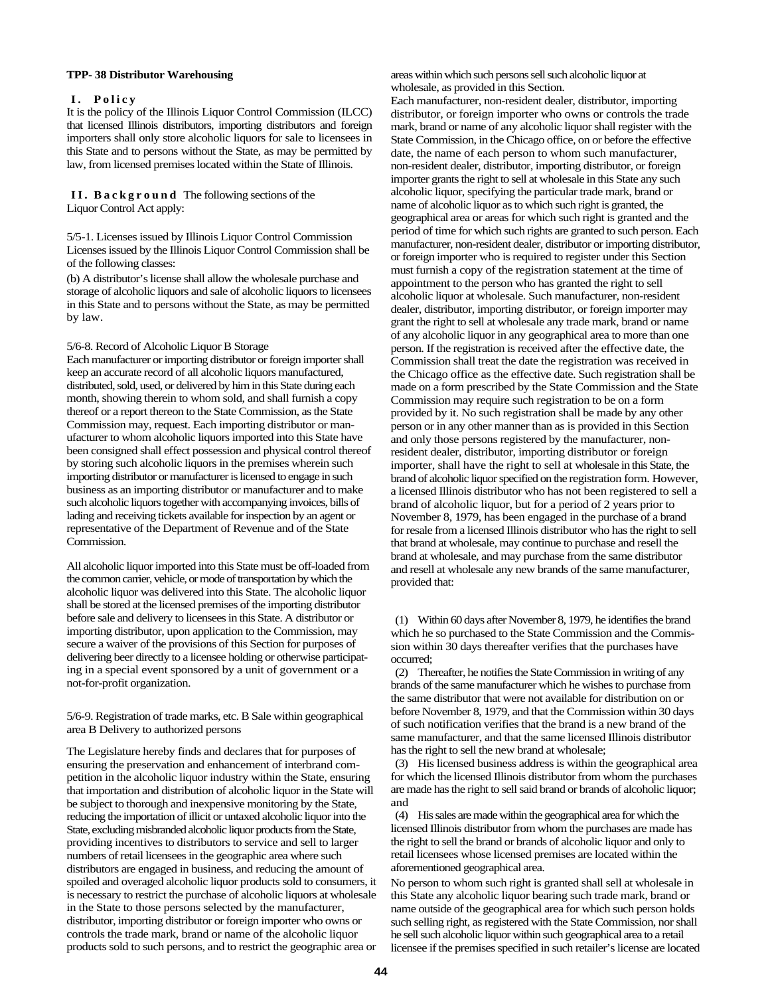#### **TPP- 38 Distributor Warehousing**

#### **I . Policy**

It is the policy of the Illinois Liquor Control Commission (ILCC) that licensed Illinois distributors, importing distributors and foreign importers shall only store alcoholic liquors for sale to licensees in this State and to persons without the State, as may be permitted by law, from licensed premises located within the State of Illinois.

## **II. Background** The following sections of the Liquor Control Act apply:

5/5-1. Licenses issued by Illinois Liquor Control Commission Licenses issued by the Illinois Liquor Control Commission shall be of the following classes:

(b) A distributor's license shall allow the wholesale purchase and storage of alcoholic liquors and sale of alcoholic liquors to licensees in this State and to persons without the State, as may be permitted by law.

# 5/6-8. Record of Alcoholic Liquor B Storage

Each manufacturer or importing distributor or foreign importer shall keep an accurate record of all alcoholic liquors manufactured, distributed, sold, used, or delivered by him in this State during each month, showing therein to whom sold, and shall furnish a copy thereof or a report thereon to the State Commission, as the State Commission may, request. Each importing distributor or manufacturer to whom alcoholic liquors imported into this State have been consigned shall effect possession and physical control thereof by storing such alcoholic liquors in the premises wherein such importing distributor or manufacturer is licensed to engage in such business as an importing distributor or manufacturer and to make such alcoholic liquors together with accompanying invoices, bills of lading and receiving tickets available for inspection by an agent or representative of the Department of Revenue and of the State Commission.

All alcoholic liquor imported into this State must be off-loaded from the common carrier, vehicle, or mode of transportation by which the alcoholic liquor was delivered into this State. The alcoholic liquor shall be stored at the licensed premises of the importing distributor before sale and delivery to licensees in this State. A distributor or importing distributor, upon application to the Commission, may secure a waiver of the provisions of this Section for purposes of delivering beer directly to a licensee holding or otherwise participating in a special event sponsored by a unit of government or a not-for-profit organization.

5/6-9. Registration of trade marks, etc. B Sale within geographical area B Delivery to authorized persons

The Legislature hereby finds and declares that for purposes of ensuring the preservation and enhancement of interbrand competition in the alcoholic liquor industry within the State, ensuring that importation and distribution of alcoholic liquor in the State will be subject to thorough and inexpensive monitoring by the State, reducing the importation of illicit or untaxed alcoholic liquor into the State, excluding misbranded alcoholic liquor products from the State, providing incentives to distributors to service and sell to larger numbers of retail licensees in the geographic area where such distributors are engaged in business, and reducing the amount of spoiled and overaged alcoholic liquor products sold to consumers, it is necessary to restrict the purchase of alcoholic liquors at wholesale in the State to those persons selected by the manufacturer, distributor, importing distributor or foreign importer who owns or controls the trade mark, brand or name of the alcoholic liquor products sold to such persons, and to restrict the geographic area or

areas within which such persons sell such alcoholic liquor at wholesale, as provided in this Section.

Each manufacturer, non-resident dealer, distributor, importing distributor, or foreign importer who owns or controls the trade mark, brand or name of any alcoholic liquor shall register with the State Commission, in the Chicago office, on or before the effective date, the name of each person to whom such manufacturer, non-resident dealer, distributor, importing distributor, or foreign importer grants the right to sell at wholesale in this State any such alcoholic liquor, specifying the particular trade mark, brand or name of alcoholic liquor as to which such right is granted, the geographical area or areas for which such right is granted and the period of time for which such rights are granted to such person. Each manufacturer, non-resident dealer, distributor or importing distributor, or foreign importer who is required to register under this Section must furnish a copy of the registration statement at the time of appointment to the person who has granted the right to sell alcoholic liquor at wholesale. Such manufacturer, non-resident dealer, distributor, importing distributor, or foreign importer may grant the right to sell at wholesale any trade mark, brand or name of any alcoholic liquor in any geographical area to more than one person. If the registration is received after the effective date, the Commission shall treat the date the registration was received in the Chicago office as the effective date. Such registration shall be made on a form prescribed by the State Commission and the State Commission may require such registration to be on a form provided by it. No such registration shall be made by any other person or in any other manner than as is provided in this Section and only those persons registered by the manufacturer, nonresident dealer, distributor, importing distributor or foreign importer, shall have the right to sell at wholesale in this State, the brand of alcoholic liquor specified on the registration form. However, a licensed Illinois distributor who has not been registered to sell a brand of alcoholic liquor, but for a period of 2 years prior to November 8, 1979, has been engaged in the purchase of a brand for resale from a licensed Illinois distributor who has the right to sell that brand at wholesale, may continue to purchase and resell the brand at wholesale, and may purchase from the same distributor and resell at wholesale any new brands of the same manufacturer, provided that:

(1) Within 60 days after November 8, 1979, he identifies the brand which he so purchased to the State Commission and the Commission within 30 days thereafter verifies that the purchases have occurred;

(2) Thereafter, he notifies the State Commission in writing of any brands of the same manufacturer which he wishes to purchase from the same distributor that were not available for distribution on or before November 8, 1979, and that the Commission within 30 days of such notification verifies that the brand is a new brand of the same manufacturer, and that the same licensed Illinois distributor has the right to sell the new brand at wholesale;

(3) His licensed business address is within the geographical area for which the licensed Illinois distributor from whom the purchases are made has the right to sell said brand or brands of alcoholic liquor; and

(4) His sales are made within the geographical area for which the licensed Illinois distributor from whom the purchases are made has the right to sell the brand or brands of alcoholic liquor and only to retail licensees whose licensed premises are located within the aforementioned geographical area.

No person to whom such right is granted shall sell at wholesale in this State any alcoholic liquor bearing such trade mark, brand or name outside of the geographical area for which such person holds such selling right, as registered with the State Commission, nor shall he sell such alcoholic liquor within such geographical area to a retail licensee if the premises specified in such retailer's license are located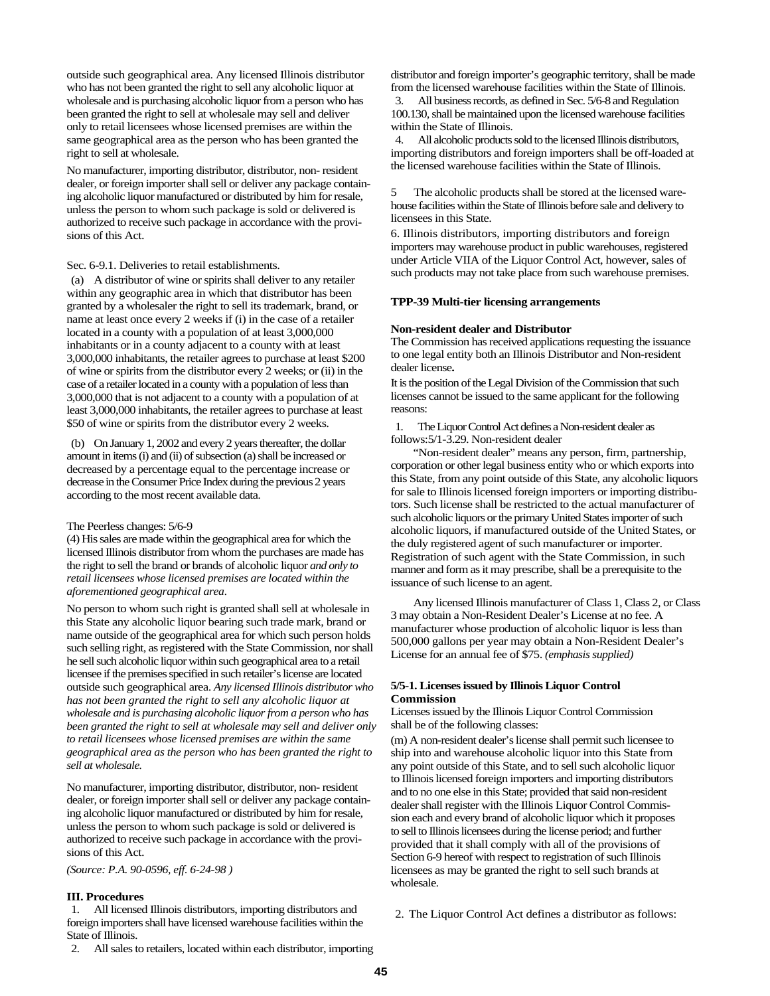outside such geographical area. Any licensed Illinois distributor who has not been granted the right to sell any alcoholic liquor at wholesale and is purchasing alcoholic liquor from a person who has been granted the right to sell at wholesale may sell and deliver only to retail licensees whose licensed premises are within the same geographical area as the person who has been granted the right to sell at wholesale.

No manufacturer, importing distributor, distributor, non- resident dealer, or foreign importer shall sell or deliver any package containing alcoholic liquor manufactured or distributed by him for resale, unless the person to whom such package is sold or delivered is authorized to receive such package in accordance with the provisions of this Act.

#### Sec. 6-9.1. Deliveries to retail establishments.

(a) A distributor of wine or spirits shall deliver to any retailer within any geographic area in which that distributor has been granted by a wholesaler the right to sell its trademark, brand, or name at least once every 2 weeks if (i) in the case of a retailer located in a county with a population of at least 3,000,000 inhabitants or in a county adjacent to a county with at least 3,000,000 inhabitants, the retailer agrees to purchase at least \$200 of wine or spirits from the distributor every 2 weeks; or (ii) in the case of a retailer located in a county with a population of less than 3,000,000 that is not adjacent to a county with a population of at least 3,000,000 inhabitants, the retailer agrees to purchase at least \$50 of wine or spirits from the distributor every 2 weeks.

(b) On January 1, 2002 and every 2 years thereafter, the dollar amount in items (i) and (ii) of subsection (a) shall be increased or decreased by a percentage equal to the percentage increase or decrease in the Consumer Price Index during the previous 2 years according to the most recent available data.

#### The Peerless changes: 5/6-9

(4) His sales are made within the geographical area for which the licensed Illinois distributor from whom the purchases are made has the right to sell the brand or brands of alcoholic liquor *and only to retail licensees whose licensed premises are located within the aforementioned geographical area*.

No person to whom such right is granted shall sell at wholesale in this State any alcoholic liquor bearing such trade mark, brand or name outside of the geographical area for which such person holds such selling right, as registered with the State Commission, nor shall he sell such alcoholic liquor within such geographical area to a retail licensee if the premises specified in such retailer's license are located outside such geographical area. *Any licensed Illinois distributor who has not been granted the right to sell any alcoholic liquor at wholesale and is purchasing alcoholic liquor from a person who has been granted the right to sell at wholesale may sell and deliver only to retail licensees whose licensed premises are within the same geographical area as the person who has been granted the right to sell at wholesale.* 

No manufacturer, importing distributor, distributor, non- resident dealer, or foreign importer shall sell or deliver any package containing alcoholic liquor manufactured or distributed by him for resale, unless the person to whom such package is sold or delivered is authorized to receive such package in accordance with the provisions of this Act.

*(Source: P.A. 90-0596, eff. 6-24-98 )* 

#### **III. Procedures**

1. All licensed Illinois distributors, importing distributors and foreign importers shall have licensed warehouse facilities within the State of Illinois.

distributor and foreign importer's geographic territory, shall be made from the licensed warehouse facilities within the State of Illinois. 3. All business records, as defined in Sec. 5/6-8 and Regulation

100.130, shall be maintained upon the licensed warehouse facilities within the State of Illinois.

4. All alcoholic products sold to the licensed Illinois distributors, importing distributors and foreign importers shall be off-loaded at the licensed warehouse facilities within the State of Illinois.

5 The alcoholic products shall be stored at the licensed warehouse facilities within the State of Illinois before sale and delivery to licensees in this State.

6. Illinois distributors, importing distributors and foreign importers may warehouse product in public warehouses, registered under Article VIIA of the Liquor Control Act, however, sales of such products may not take place from such warehouse premises.

#### **TPP-39 Multi-tier licensing arrangements**

#### **Non-resident dealer and Distributor**

The Commission has received applications requesting the issuance to one legal entity both an Illinois Distributor and Non-resident dealer license**.** 

It is the position of the Legal Division of the Commission that such licenses cannot be issued to the same applicant for the following reasons:

1. The Liquor Control Act defines a Non-resident dealer as follows:5/1-3.29. Non-resident dealer

"Non-resident dealer" means any person, firm, partnership, corporation or other legal business entity who or which exports into this State, from any point outside of this State, any alcoholic liquors for sale to Illinois licensed foreign importers or importing distributors. Such license shall be restricted to the actual manufacturer of such alcoholic liquors or the primary United States importer of such alcoholic liquors, if manufactured outside of the United States, or the duly registered agent of such manufacturer or importer. Registration of such agent with the State Commission, in such manner and form as it may prescribe, shall be a prerequisite to the issuance of such license to an agent.

Any licensed Illinois manufacturer of Class 1, Class 2, or Class 3 may obtain a Non-Resident Dealer's License at no fee. A manufacturer whose production of alcoholic liquor is less than 500,000 gallons per year may obtain a Non-Resident Dealer's License for an annual fee of \$75. *(emphasis supplied)* 

#### **5/5-1. Licenses issued by Illinois Liquor Control Commission**

Licenses issued by the Illinois Liquor Control Commission shall be of the following classes:

(m) A non-resident dealer's license shall permit such licensee to ship into and warehouse alcoholic liquor into this State from any point outside of this State, and to sell such alcoholic liquor to Illinois licensed foreign importers and importing distributors and to no one else in this State; provided that said non-resident dealer shall register with the Illinois Liquor Control Commission each and every brand of alcoholic liquor which it proposes to sell to Illinois licensees during the license period; and further provided that it shall comply with all of the provisions of Section 6-9 hereof with respect to registration of such Illinois licensees as may be granted the right to sell such brands at wholesale.

- 2. The Liquor Control Act defines a distributor as follows:
- 2. All sales to retailers, located within each distributor, importing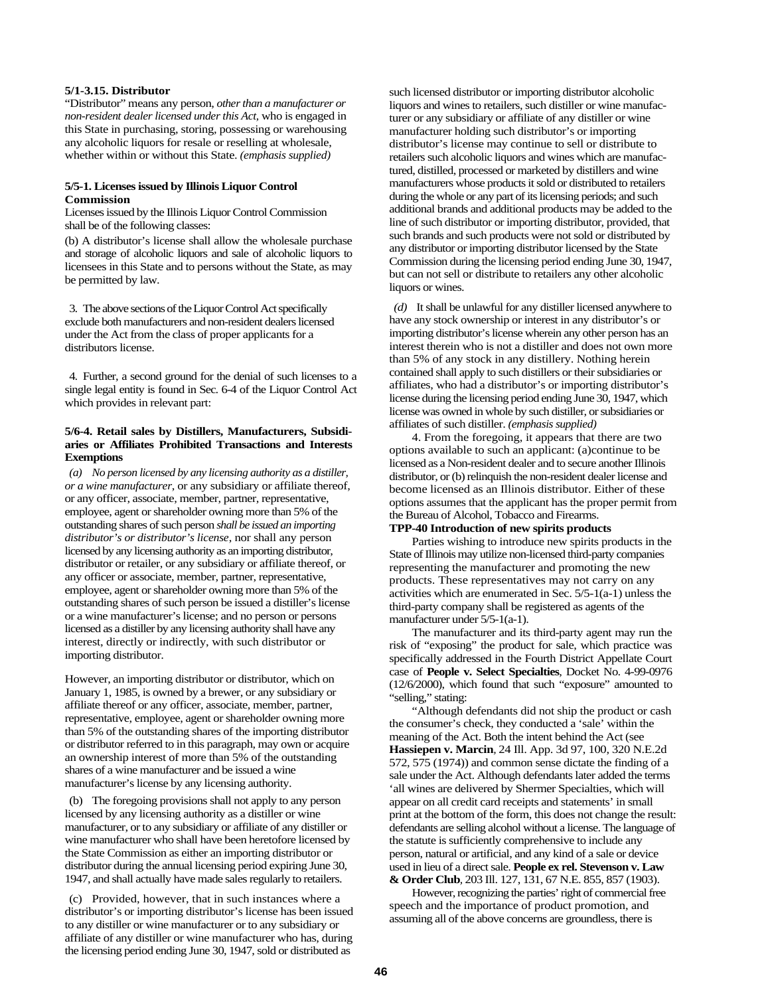# **5/1-3.15. Distributor**

"Distributor" means any person, *other than a manufacturer or non-resident dealer licensed under this Act,* who is engaged in this State in purchasing, storing, possessing or warehousing any alcoholic liquors for resale or reselling at wholesale, whether within or without this State. *(emphasis supplied)* 

# **5/5-1. Licenses issued by Illinois Liquor Control Commission**

Licenses issued by the Illinois Liquor Control Commission shall be of the following classes:

(b) A distributor's license shall allow the wholesale purchase and storage of alcoholic liquors and sale of alcoholic liquors to licensees in this State and to persons without the State, as may be permitted by law.

3. The above sections of the Liquor Control Act specifically exclude both manufacturers and non-resident dealers licensed under the Act from the class of proper applicants for a distributors license.

4. Further, a second ground for the denial of such licenses to a single legal entity is found in Sec. 6-4 of the Liquor Control Act which provides in relevant part:

# **5/6-4. Retail sales by Distillers, Manufacturers, Subsidiaries or Affiliates Prohibited Transactions and Interests Exemptions**

*(a) No person licensed by any licensing authority as a distiller, or a wine manufacturer*, or any subsidiary or affiliate thereof, or any officer, associate, member, partner, representative, employee, agent or shareholder owning more than 5% of the outstanding shares of such person *shall be issued an importing distributor's or distributor's license*, nor shall any person licensed by any licensing authority as an importing distributor, distributor or retailer, or any subsidiary or affiliate thereof, or any officer or associate, member, partner, representative, employee, agent or shareholder owning more than 5% of the outstanding shares of such person be issued a distiller's license or a wine manufacturer's license; and no person or persons licensed as a distiller by any licensing authority shall have any interest, directly or indirectly, with such distributor or importing distributor.

However, an importing distributor or distributor, which on January 1, 1985, is owned by a brewer, or any subsidiary or affiliate thereof or any officer, associate, member, partner, representative, employee, agent or shareholder owning more than 5% of the outstanding shares of the importing distributor or distributor referred to in this paragraph, may own or acquire an ownership interest of more than 5% of the outstanding shares of a wine manufacturer and be issued a wine manufacturer's license by any licensing authority.

(b) The foregoing provisions shall not apply to any person licensed by any licensing authority as a distiller or wine manufacturer, or to any subsidiary or affiliate of any distiller or wine manufacturer who shall have been heretofore licensed by the State Commission as either an importing distributor or distributor during the annual licensing period expiring June 30, 1947, and shall actually have made sales regularly to retailers.

(c) Provided, however, that in such instances where a distributor's or importing distributor's license has been issued to any distiller or wine manufacturer or to any subsidiary or affiliate of any distiller or wine manufacturer who has, during the licensing period ending June 30, 1947, sold or distributed as

such licensed distributor or importing distributor alcoholic liquors and wines to retailers, such distiller or wine manufacturer or any subsidiary or affiliate of any distiller or wine manufacturer holding such distributor's or importing distributor's license may continue to sell or distribute to retailers such alcoholic liquors and wines which are manufactured, distilled, processed or marketed by distillers and wine manufacturers whose products it sold or distributed to retailers during the whole or any part of its licensing periods; and such additional brands and additional products may be added to the line of such distributor or importing distributor, provided, that such brands and such products were not sold or distributed by any distributor or importing distributor licensed by the State Commission during the licensing period ending June 30, 1947, but can not sell or distribute to retailers any other alcoholic liquors or wines.

*(d)* It shall be unlawful for any distiller licensed anywhere to have any stock ownership or interest in any distributor's or importing distributor's license wherein any other person has an interest therein who is not a distiller and does not own more than 5% of any stock in any distillery. Nothing herein contained shall apply to such distillers or their subsidiaries or affiliates, who had a distributor's or importing distributor's license during the licensing period ending June 30, 1947, which license was owned in whole by such distiller, or subsidiaries or affiliates of such distiller. *(emphasis supplied)* 

4. From the foregoing, it appears that there are two options available to such an applicant: (a)continue to be licensed as a Non-resident dealer and to secure another Illinois distributor, or (b) relinquish the non-resident dealer license and become licensed as an Illinois distributor. Either of these options assumes that the applicant has the proper permit from the Bureau of Alcohol, Tobacco and Firearms.

# **TPP-40 Introduction of new spirits products**

Parties wishing to introduce new spirits products in the State of Illinois may utilize non-licensed third-party companies representing the manufacturer and promoting the new products. These representatives may not carry on any activities which are enumerated in Sec. 5/5-1(a-1) unless the third-party company shall be registered as agents of the manufacturer under 5/5-1(a-1).

The manufacturer and its third-party agent may run the risk of "exposing" the product for sale, which practice was specifically addressed in the Fourth District Appellate Court case of **People v. Select Specialties**, Docket No. 4-99-0976 (12/6/2000), which found that such "exposure" amounted to "selling," stating:

"Although defendants did not ship the product or cash the consumer's check, they conducted a 'sale' within the meaning of the Act. Both the intent behind the Act (see **Hassiepen v. Marcin***,* 24 Ill. App. 3d 97, 100, 320 N.E.2d 572, 575 (1974)) and common sense dictate the finding of a sale under the Act. Although defendants later added the terms 'all wines are delivered by Shermer Specialties, which will appear on all credit card receipts and statements' in small print at the bottom of the form, this does not change the result: defendants are selling alcohol without a license. The language of the statute is sufficiently comprehensive to include any person, natural or artificial, and any kind of a sale or device used in lieu of a direct sale. **People ex rel. Stevenson v. Law & Order Club***,* 203 Ill. 127, 131, 67 N.E. 855, 857 (1903).

However, recognizing the parties' right of commercial free speech and the importance of product promotion, and assuming all of the above concerns are groundless, there is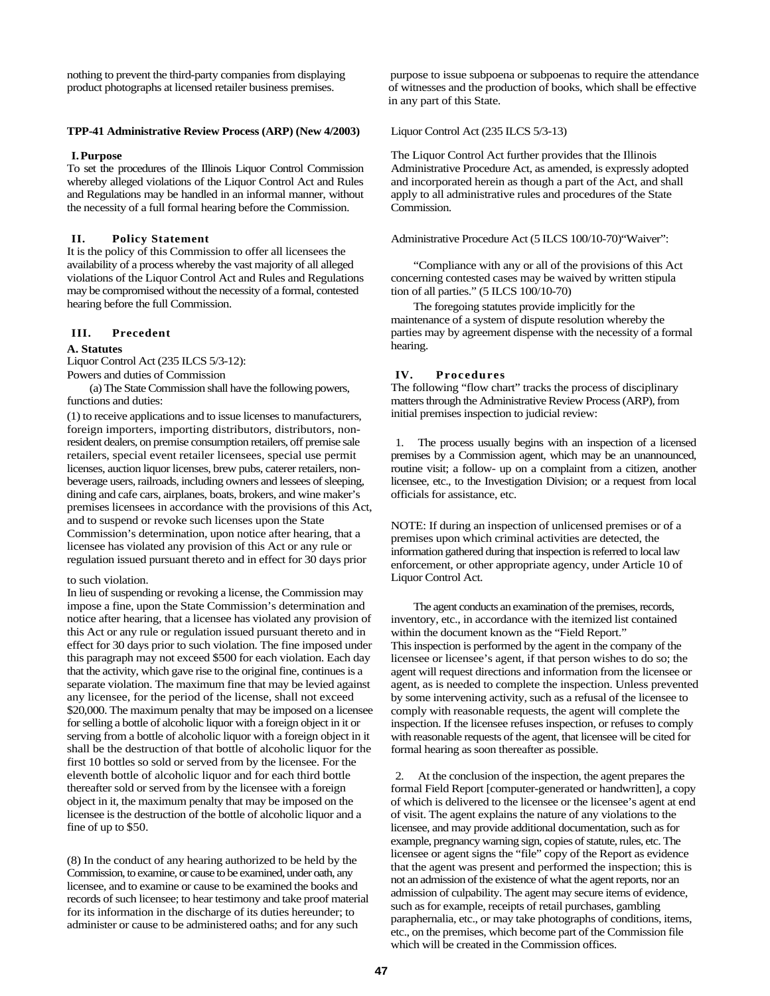#### **TPP-41 Administrative Review Process (ARP) (New 4/2003)**

#### **I.Purpose**

To set the procedures of the Illinois Liquor Control Commission whereby alleged violations of the Liquor Control Act and Rules and Regulations may be handled in an informal manner, without the necessity of a full formal hearing before the Commission.

#### **II. Policy Statement**

It is the policy of this Commission to offer all licensees the availability of a process whereby the vast majority of all alleged violations of the Liquor Control Act and Rules and Regulations may be compromised without the necessity of a formal, contested hearing before the full Commission.

# **III. Precedent**

#### **A. Statutes**

Liquor Control Act (235 ILCS 5/3-12): Powers and duties of Commission

(a) The State Commission shall have the following powers, functions and duties:

(1) to receive applications and to issue licenses to manufacturers, foreign importers, importing distributors, distributors, nonresident dealers, on premise consumption retailers, off premise sale retailers, special event retailer licensees, special use permit licenses, auction liquor licenses, brew pubs, caterer retailers, nonbeverage users, railroads, including owners and lessees of sleeping, dining and cafe cars, airplanes, boats, brokers, and wine maker's premises licensees in accordance with the provisions of this Act, and to suspend or revoke such licenses upon the State Commission's determination, upon notice after hearing, that a licensee has violated any provision of this Act or any rule or regulation issued pursuant thereto and in effect for 30 days prior

#### to such violation.

In lieu of suspending or revoking a license, the Commission may impose a fine, upon the State Commission's determination and notice after hearing, that a licensee has violated any provision of this Act or any rule or regulation issued pursuant thereto and in effect for 30 days prior to such violation. The fine imposed under this paragraph may not exceed \$500 for each violation. Each day that the activity, which gave rise to the original fine, continues is a separate violation. The maximum fine that may be levied against any licensee, for the period of the license, shall not exceed \$20,000. The maximum penalty that may be imposed on a licensee for selling a bottle of alcoholic liquor with a foreign object in it or serving from a bottle of alcoholic liquor with a foreign object in it shall be the destruction of that bottle of alcoholic liquor for the first 10 bottles so sold or served from by the licensee. For the eleventh bottle of alcoholic liquor and for each third bottle thereafter sold or served from by the licensee with a foreign object in it, the maximum penalty that may be imposed on the licensee is the destruction of the bottle of alcoholic liquor and a fine of up to \$50.

(8) In the conduct of any hearing authorized to be held by the Commission, to examine, or cause to be examined, under oath, any licensee, and to examine or cause to be examined the books and records of such licensee; to hear testimony and take proof material for its information in the discharge of its duties hereunder; to administer or cause to be administered oaths; and for any such

nothing to prevent the third-party companies from displaying purpose to issue subpoena or subpoenas to require the attendance product photographs at licensed retailer business premises. of witnesses and the production of books, which shall be effective in any part of this State.

#### Liquor Control Act (235 ILCS 5/3-13)

The Liquor Control Act further provides that the Illinois Administrative Procedure Act, as amended, is expressly adopted and incorporated herein as though a part of the Act, and shall apply to all administrative rules and procedures of the State Commission.

#### Administrative Procedure Act (5 ILCS 100/10-70)"Waiver":

"Compliance with any or all of the provisions of this Act concerning contested cases may be waived by written stipula tion of all parties." (5 ILCS 100/10-70)

The foregoing statutes provide implicitly for the maintenance of a system of dispute resolution whereby the parties may by agreement dispense with the necessity of a formal hearing.

#### **IV. Procedures**

The following "flow chart" tracks the process of disciplinary matters through the Administrative Review Process (ARP), from initial premises inspection to judicial review:

1. The process usually begins with an inspection of a licensed premises by a Commission agent, which may be an unannounced, routine visit; a follow- up on a complaint from a citizen, another licensee, etc., to the Investigation Division; or a request from local officials for assistance, etc.

NOTE: If during an inspection of unlicensed premises or of a premises upon which criminal activities are detected, the information gathered during that inspection is referred to local law enforcement, or other appropriate agency, under Article 10 of Liquor Control Act.

The agent conducts an examination of the premises, records, inventory, etc., in accordance with the itemized list contained within the document known as the "Field Report." This inspection is performed by the agent in the company of the licensee or licensee's agent, if that person wishes to do so; the agent will request directions and information from the licensee or agent, as is needed to complete the inspection. Unless prevented by some intervening activity, such as a refusal of the licensee to comply with reasonable requests, the agent will complete the inspection. If the licensee refuses inspection, or refuses to comply with reasonable requests of the agent, that licensee will be cited for formal hearing as soon thereafter as possible.

At the conclusion of the inspection, the agent prepares the formal Field Report [computer-generated or handwritten], a copy of which is delivered to the licensee or the licensee's agent at end of visit. The agent explains the nature of any violations to the licensee, and may provide additional documentation, such as for example, pregnancy warning sign, copies of statute, rules, etc. The licensee or agent signs the "file" copy of the Report as evidence that the agent was present and performed the inspection; this is not an admission of the existence of what the agent reports, nor an admission of culpability. The agent may secure items of evidence, such as for example, receipts of retail purchases, gambling paraphernalia, etc., or may take photographs of conditions, items, etc., on the premises, which become part of the Commission file which will be created in the Commission offices.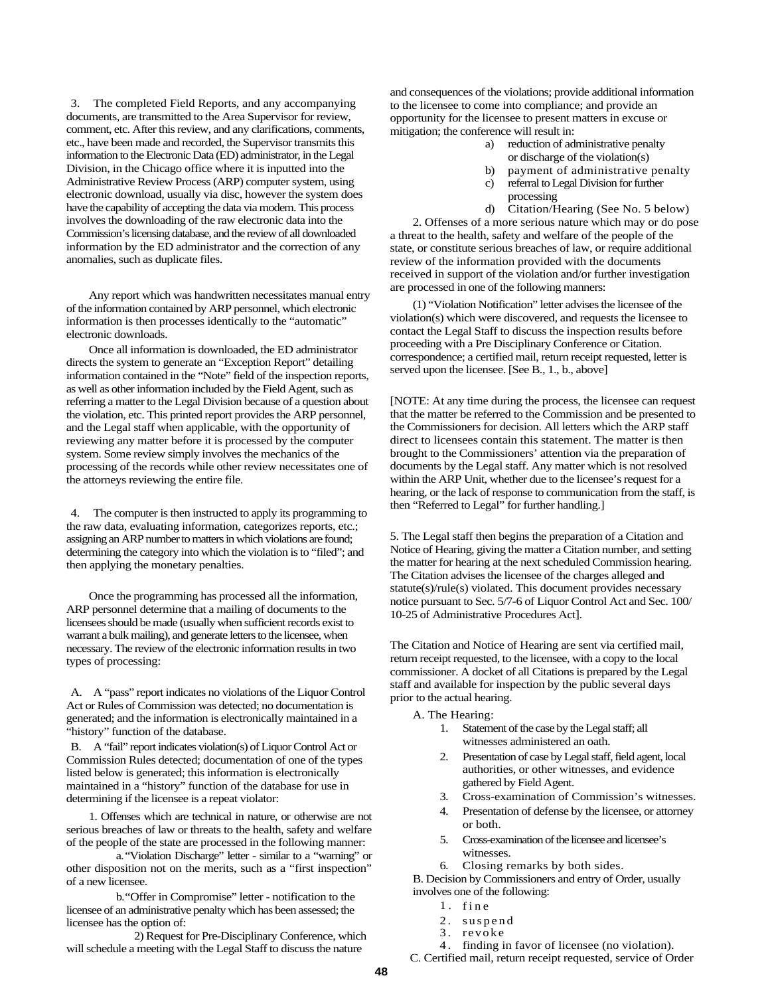3. The completed Field Reports, and any accompanying documents, are transmitted to the Area Supervisor for review, comment, etc. After this review, and any clarifications, comments, etc., have been made and recorded, the Supervisor transmits this information to the Electronic Data (ED) administrator, in the Legal Division, in the Chicago office where it is inputted into the Administrative Review Process (ARP) computer system, using electronic download, usually via disc, however the system does have the capability of accepting the data via modem. This process involves the downloading of the raw electronic data into the Commission's licensing database, and the review of all downloaded information by the ED administrator and the correction of any anomalies, such as duplicate files.

Any report which was handwritten necessitates manual entry of the information contained by ARP personnel, which electronic information is then processes identically to the "automatic" electronic downloads.

Once all information is downloaded, the ED administrator directs the system to generate an "Exception Report" detailing information contained in the "Note" field of the inspection reports, as well as other information included by the Field Agent, such as referring a matter to the Legal Division because of a question about the violation, etc. This printed report provides the ARP personnel, and the Legal staff when applicable, with the opportunity of reviewing any matter before it is processed by the computer system. Some review simply involves the mechanics of the processing of the records while other review necessitates one of the attorneys reviewing the entire file.

4. The computer is then instructed to apply its programming to the raw data, evaluating information, categorizes reports, etc.; assigning an ARP number to matters in which violations are found; determining the category into which the violation is to "filed"; and then applying the monetary penalties.

Once the programming has processed all the information, ARP personnel determine that a mailing of documents to the licensees should be made (usually when sufficient records exist to warrant a bulk mailing), and generate letters to the licensee, when necessary. The review of the electronic information results in two types of processing:

A. A "pass" report indicates no violations of the Liquor Control Act or Rules of Commission was detected; no documentation is generated; and the information is electronically maintained in a "history" function of the database.

B. A "fail" report indicates violation(s) of Liquor Control Act or Commission Rules detected; documentation of one of the types listed below is generated; this information is electronically maintained in a "history" function of the database for use in determining if the licensee is a repeat violator:

1. Offenses which are technical in nature, or otherwise are not serious breaches of law or threats to the health, safety and welfare of the people of the state are processed in the following manner:

a."Violation Discharge" letter - similar to a "warning" or other disposition not on the merits, such as a "first inspection" of a new licensee.

b."Offer in Compromise" letter - notification to the licensee of an administrative penalty which has been assessed; the licensee has the option of:

2) Request for Pre-Disciplinary Conference, which will schedule a meeting with the Legal Staff to discuss the nature

and consequences of the violations; provide additional information to the licensee to come into compliance; and provide an opportunity for the licensee to present matters in excuse or mitigation; the conference will result in:

- a) reduction of administrative penalty or discharge of the violation(s)
- b) payment of administrative penalty
- c) referral to Legal Division for further processing

d) Citation/Hearing (See No. 5 below) 2. Offenses of a more serious nature which may or do pose

a threat to the health, safety and welfare of the people of the state, or constitute serious breaches of law, or require additional review of the information provided with the documents received in support of the violation and/or further investigation are processed in one of the following manners:

(1) "Violation Notification" letter advises the licensee of the violation(s) which were discovered, and requests the licensee to contact the Legal Staff to discuss the inspection results before proceeding with a Pre Disciplinary Conference or Citation. correspondence; a certified mail, return receipt requested, letter is served upon the licensee. [See B., 1., b., above]

[NOTE: At any time during the process, the licensee can request that the matter be referred to the Commission and be presented to the Commissioners for decision. All letters which the ARP staff direct to licensees contain this statement. The matter is then brought to the Commissioners' attention via the preparation of documents by the Legal staff. Any matter which is not resolved within the ARP Unit, whether due to the licensee's request for a hearing, or the lack of response to communication from the staff, is then "Referred to Legal" for further handling.]

5. The Legal staff then begins the preparation of a Citation and Notice of Hearing, giving the matter a Citation number, and setting the matter for hearing at the next scheduled Commission hearing. The Citation advises the licensee of the charges alleged and statute(s)/rule(s) violated. This document provides necessary notice pursuant to Sec. 5/7-6 of Liquor Control Act and Sec. 100/ 10-25 of Administrative Procedures Act].

The Citation and Notice of Hearing are sent via certified mail, return receipt requested, to the licensee, with a copy to the local commissioner. A docket of all Citations is prepared by the Legal staff and available for inspection by the public several days prior to the actual hearing.

A. The Hearing:

- 1. Statement of the case by the Legal staff; all witnesses administered an oath.
- Presentation of case by Legal staff, field agent, local authorities, or other witnesses, and evidence gathered by Field Agent.
- 3. Cross-examination of Commission's witnesses.
- 4. Presentation of defense by the licensee, or attorney or both.
- 5. Cross-examination of the licensee and licensee's witnesses.
- 6. Closing remarks by both sides.

B. Decision by Commissioners and entry of Order, usually involves one of the following:

- 1. fine
- 2. suspend
- 3. revoke
- 4 . finding in favor of licensee (no violation).

C. Certified mail, return receipt requested, service of Order